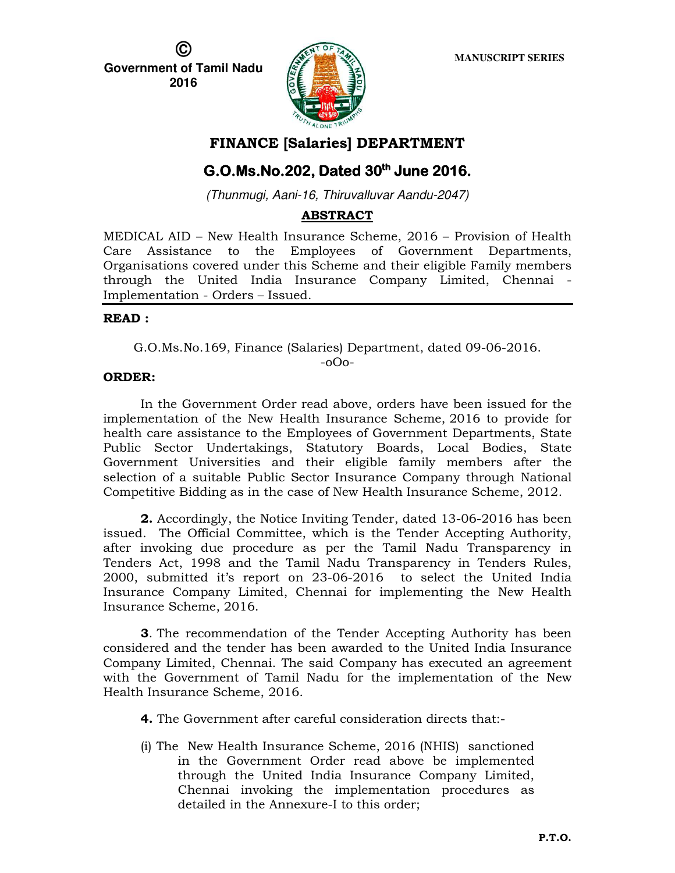**© Government of Tamil Nadu 2016** 



### **FINANCE [Salaries] DEPARTMENT**

# **G.O.Ms.No.202, Dated 30<sup>th</sup> June 2016.**

(Thunmugi, Aani-16, Thiruvalluvar Aandu-2047)

### **ABSTRACT**

MEDICAL AID – New Health Insurance Scheme, 2016 – Provision of Health Care Assistance to the Employees of Government Departments, Organisations covered under this Scheme and their eligible Family members through the United India Insurance Company Limited, Chennai - Implementation - Orders – Issued.

### **READ :**

G.O.Ms.No.169, Finance (Salaries) Department, dated 09-06-2016.

#### -oOo-

### **ORDER:**

In the Government Order read above, orders have been issued for the implementation of the New Health Insurance Scheme, 2016 to provide for health care assistance to the Employees of Government Departments, State Public Sector Undertakings, Statutory Boards, Local Bodies, State Government Universities and their eligible family members after the selection of a suitable Public Sector Insurance Company through National Competitive Bidding as in the case of New Health Insurance Scheme, 2012.

**2.** Accordingly, the Notice Inviting Tender, dated 13-06-2016 has been issued. The Official Committee, which is the Tender Accepting Authority, after invoking due procedure as per the Tamil Nadu Transparency in Tenders Act, 1998 and the Tamil Nadu Transparency in Tenders Rules, 2000, submitted it's report on 23-06-2016 to select the United India Insurance Company Limited, Chennai for implementing the New Health Insurance Scheme, 2016.

**3**. The recommendation of the Tender Accepting Authority has been considered and the tender has been awarded to the United India Insurance Company Limited, Chennai. The said Company has executed an agreement with the Government of Tamil Nadu for the implementation of the New Health Insurance Scheme, 2016.

**4.** The Government after careful consideration directs that:-

(i) The New Health Insurance Scheme, 2016 (NHIS) sanctioned in the Government Order read above be implemented through the United India Insurance Company Limited, Chennai invoking the implementation procedures as detailed in the Annexure-I to this order;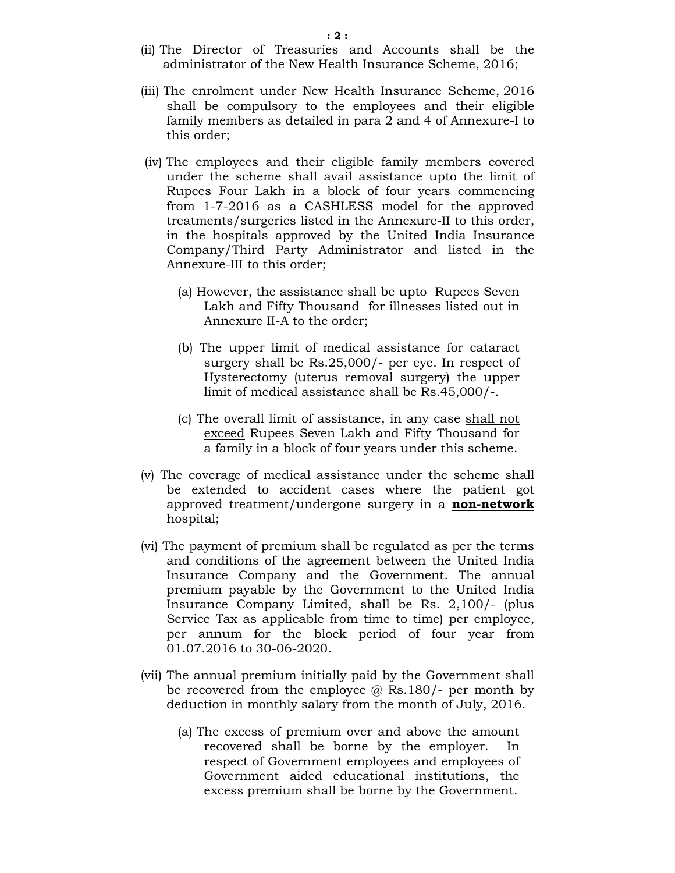- (ii) The Director of Treasuries and Accounts shall be the administrator of the New Health Insurance Scheme, 2016;
- (iii) The enrolment under New Health Insurance Scheme, 2016 shall be compulsory to the employees and their eligible family members as detailed in para 2 and 4 of Annexure-I to this order;
- (iv) The employees and their eligible family members covered under the scheme shall avail assistance upto the limit of Rupees Four Lakh in a block of four years commencing from 1-7-2016 as a CASHLESS model for the approved treatments/surgeries listed in the Annexure-II to this order, in the hospitals approved by the United India Insurance Company/Third Party Administrator and listed in the Annexure-III to this order;
	- (a) However, the assistance shall be upto Rupees Seven Lakh and Fifty Thousand for illnesses listed out in Annexure II-A to the order;
	- (b) The upper limit of medical assistance for cataract surgery shall be Rs.25,000/- per eye. In respect of Hysterectomy (uterus removal surgery) the upper limit of medical assistance shall be Rs.45,000/-.
	- (c) The overall limit of assistance, in any case shall not exceed Rupees Seven Lakh and Fifty Thousand for a family in a block of four years under this scheme.
- (v) The coverage of medical assistance under the scheme shall be extended to accident cases where the patient got approved treatment/undergone surgery in a **non-network** hospital;
- (vi) The payment of premium shall be regulated as per the terms and conditions of the agreement between the United India Insurance Company and the Government. The annual premium payable by the Government to the United India Insurance Company Limited, shall be Rs. 2,100/- (plus Service Tax as applicable from time to time) per employee, per annum for the block period of four year from 01.07.2016 to 30-06-2020.
- (vii) The annual premium initially paid by the Government shall be recovered from the employee  $\omega$  Rs.180/- per month by deduction in monthly salary from the month of July, 2016.
	- (a) The excess of premium over and above the amount recovered shall be borne by the employer. In respect of Government employees and employees of Government aided educational institutions, the excess premium shall be borne by the Government.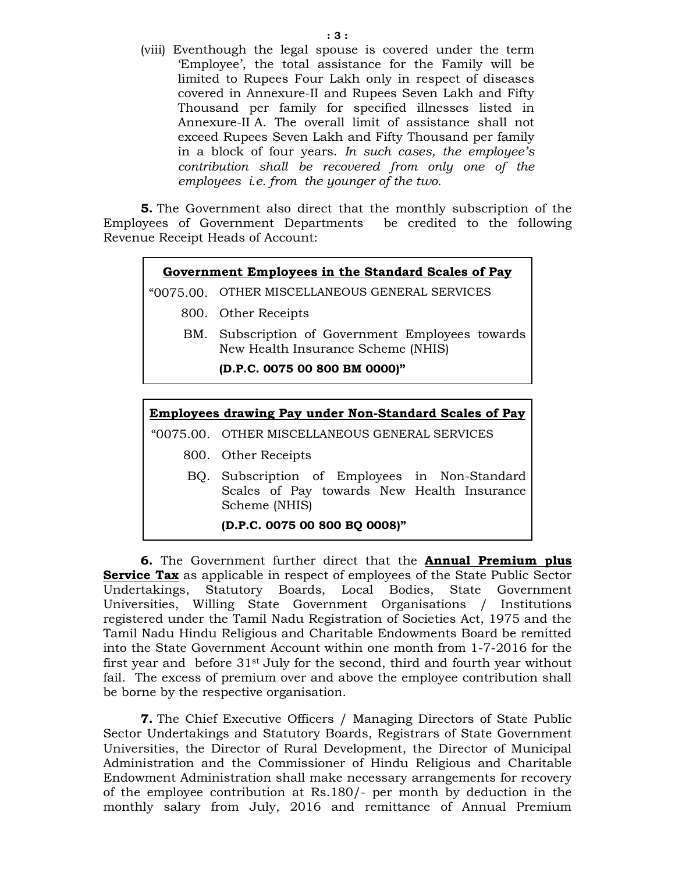(viii) Eventhough the legal spouse is covered under the term 'Employee', the total assistance for the Family will be limited to Rupees Four Lakh only in respect of diseases covered in Annexure-II and Rupees Seven Lakh and Fifty Thousand per family for specified illnesses listed in Annexure-II A. The overall limit of assistance shall not exceed Rupees Seven Lakh and Fifty Thousand per family in a block of four years. *In such cases, the employee's contribution shall be recovered from only one of the employees i.e. from the younger of the two.* 

**5.** The Government also direct that the monthly subscription of the Employees of Government Departments be credited to the following Revenue Receipt Heads of Account:

### **Government Employees in the Standard Scales of Pay**

"0075.00. OTHER MISCELLANEOUS GENERAL SERVICES

- 800. Other Receipts
- BM. Subscription of Government Employees towards New Health Insurance Scheme (NHIS)

**(D.P.C. 0075 00 800 BM 0000)"** 

# **Employees drawing Pay under Non-Standard Scales of Pay** "0075.00. OTHER MISCELLANEOUS GENERAL SERVICES

- 800. Other Receipts
- BQ. Subscription of Employees in Non-Standard Scales of Pay towards New Health Insurance Scheme (NHIS)

### **(D.P.C. 0075 00 800 BQ 0008)"**

**6.** The Government further direct that the **Annual Premium plus Service Tax** as applicable in respect of employees of the State Public Sector Undertakings, Statutory Boards, Local Bodies, State Government Universities, Willing State Government Organisations / Institutions registered under the Tamil Nadu Registration of Societies Act, 1975 and the Tamil Nadu Hindu Religious and Charitable Endowments Board be remitted into the State Government Account within one month from 1-7-2016 for the first year and before  $31<sup>st</sup>$  July for the second, third and fourth year without fail. The excess of premium over and above the employee contribution shall be borne by the respective organisation.

**7.** The Chief Executive Officers / Managing Directors of State Public Sector Undertakings and Statutory Boards, Registrars of State Government Universities, the Director of Rural Development, the Director of Municipal Administration and the Commissioner of Hindu Religious and Charitable Endowment Administration shall make necessary arrangements for recovery of the employee contribution at Rs.180/- per month by deduction in the monthly salary from July, 2016 and remittance of Annual Premium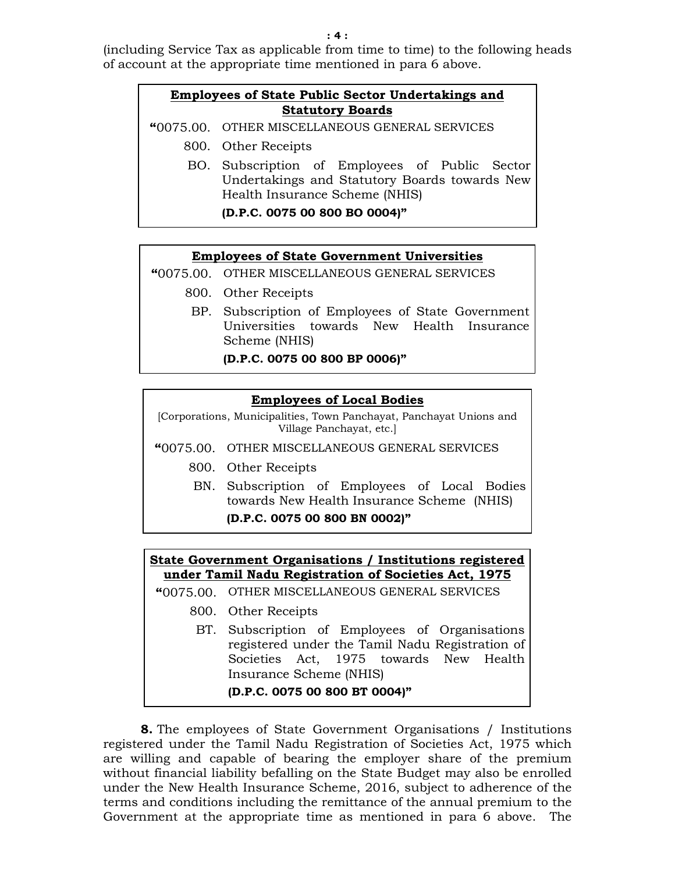(including Service Tax as applicable from time to time) to the following heads of account at the appropriate time mentioned in para 6 above.

### **Employees of State Public Sector Undertakings and Statutory Boards**

**"**0075.00. OTHER MISCELLANEOUS GENERAL SERVICES

- 800. Other Receipts
	- BO. Subscription of Employees of Public Sector Undertakings and Statutory Boards towards New Health Insurance Scheme (NHIS)

**(D.P.C. 0075 00 800 BO 0004)"** 

#### **Employees of State Government Universities**

- **"**0075.00. OTHER MISCELLANEOUS GENERAL SERVICES
	- 800. Other Receipts
		- BP. Subscription of Employees of State Government Universities towards New Health Insurance Scheme (NHIS)

**(D.P.C. 0075 00 800 BP 0006)"** 

### **Employees of Local Bodies**

[Corporations, Municipalities, Town Panchayat, Panchayat Unions and Village Panchayat, etc.]

**"**0075.00. OTHER MISCELLANEOUS GENERAL SERVICES

- 800. Other Receipts
	- BN. Subscription of Employees of Local Bodies towards New Health Insurance Scheme (NHIS) **(D.P.C. 0075 00 800 BN 0002)"**

### **State Government Organisations / Institutions registered under Tamil Nadu Registration of Societies Act, 1975**

**"**0075.00. OTHER MISCELLANEOUS GENERAL SERVICES

- 800. Other Receipts
	- BT. Subscription of Employees of Organisations registered under the Tamil Nadu Registration of Societies Act, 1975 towards New Health Insurance Scheme (NHIS)

### **(D.P.C. 0075 00 800 BT 0004)"**

**8.** The employees of State Government Organisations / Institutions registered under the Tamil Nadu Registration of Societies Act, 1975 which are willing and capable of bearing the employer share of the premium without financial liability befalling on the State Budget may also be enrolled under the New Health Insurance Scheme, 2016, subject to adherence of the terms and conditions including the remittance of the annual premium to the Government at the appropriate time as mentioned in para 6 above. The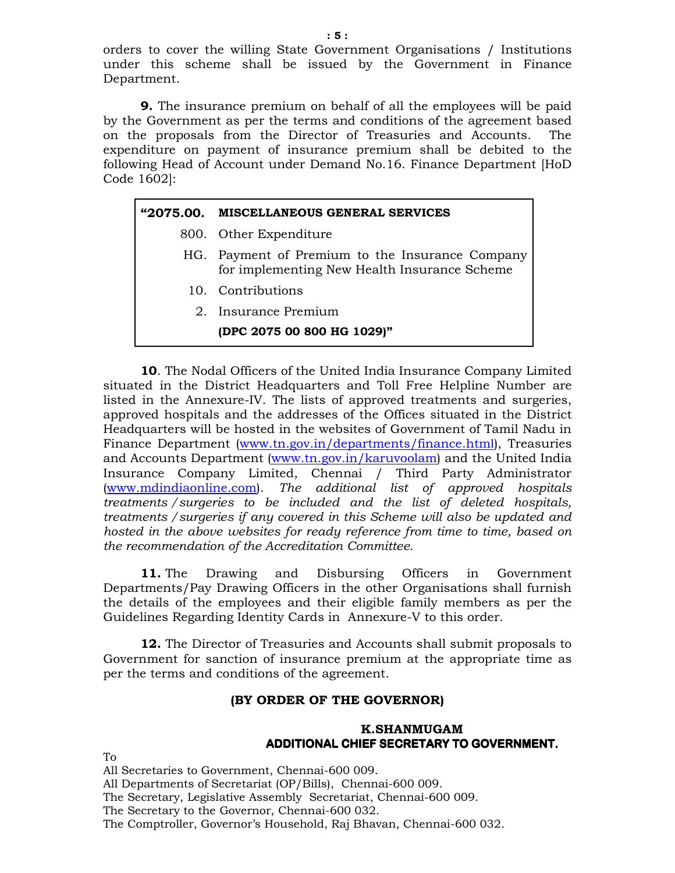orders to cover the willing State Government Organisations / Institutions under this scheme shall be issued by the Government in Finance Department.

**9.** The insurance premium on behalf of all the employees will be paid by the Government as per the terms and conditions of the agreement based on the proposals from the Director of Treasuries and Accounts. The expenditure on payment of insurance premium shall be debited to the following Head of Account under Demand No.16. Finance Department [HoD Code 1602]:

#### **"2075.00. MISCELLANEOUS GENERAL SERVICES**

- 800. Other Expenditure
- HG. Payment of Premium to the Insurance Company for implementing New Health Insurance Scheme
	- 10. Contributions
	- 2. Insurance Premium

### **(DPC 2075 00 800 HG 1029)"**

**10**. The Nodal Officers of the United India Insurance Company Limited situated in the District Headquarters and Toll Free Helpline Number are listed in the Annexure-IV. The lists of approved treatments and surgeries, approved hospitals and the addresses of the Offices situated in the District Headquarters will be hosted in the websites of Government of Tamil Nadu in Finance Department (www.tn.gov.in/departments/finance.html), Treasuries and Accounts Department (www.tn.gov.in/karuvoolam) and the United India Insurance Company Limited, Chennai / Third Party Administrator (www.mdindiaonline.com). *The additional list of approved hospitals treatments /surgeries to be included and the list of deleted hospitals, treatments /surgeries if any covered in this Scheme will also be updated and hosted in the above websites for ready reference from time to time, based on the recommendation of the Accreditation Committee.*

**11.** The Drawing and Disbursing Officers in Government Departments/Pay Drawing Officers in the other Organisations shall furnish the details of the employees and their eligible family members as per the Guidelines Regarding Identity Cards in Annexure-V to this order.

**12.** The Director of Treasuries and Accounts shall submit proposals to Government for sanction of insurance premium at the appropriate time as per the terms and conditions of the agreement.

#### **(BY ORDER OF THE GOVERNOR)**

### **K.SHANMUGAM ADDITIONAL CHIEF SECRETARY TO GOVERNMENT.**

To

All Secretaries to Government, Chennai-600 009. All Departments of Secretariat (OP/Bills), Chennai-600 009. The Secretary, Legislative Assembly Secretariat, Chennai-600 009. The Secretary to the Governor, Chennai-600 032. The Comptroller, Governor's Household, Raj Bhavan, Chennai-600 032.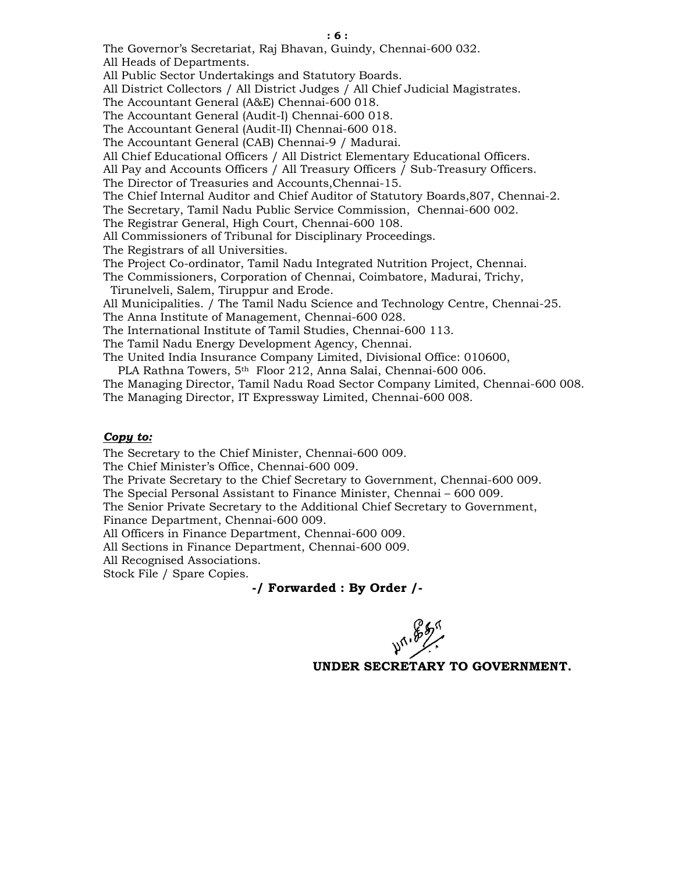The Governor's Secretariat, Raj Bhavan, Guindy, Chennai-600 032.

All Heads of Departments.

All Public Sector Undertakings and Statutory Boards.

All District Collectors / All District Judges / All Chief Judicial Magistrates.

The Accountant General (A&E) Chennai-600 018.

The Accountant General (Audit-I) Chennai-600 018.

The Accountant General (Audit-II) Chennai-600 018.

The Accountant General (CAB) Chennai-9 / Madurai.

All Chief Educational Officers / All District Elementary Educational Officers.

All Pay and Accounts Officers / All Treasury Officers / Sub-Treasury Officers.

The Director of Treasuries and Accounts,Chennai-15.

The Chief Internal Auditor and Chief Auditor of Statutory Boards,807, Chennai-2.

The Secretary, Tamil Nadu Public Service Commission, Chennai-600 002.

The Registrar General, High Court, Chennai-600 108.

All Commissioners of Tribunal for Disciplinary Proceedings.

The Registrars of all Universities.

The Project Co-ordinator, Tamil Nadu Integrated Nutrition Project, Chennai.

The Commissioners, Corporation of Chennai, Coimbatore, Madurai, Trichy, Tirunelveli, Salem, Tiruppur and Erode.

All Municipalities. / The Tamil Nadu Science and Technology Centre, Chennai-25.

The Anna Institute of Management, Chennai-600 028.

The International Institute of Tamil Studies, Chennai-600 113.

The Tamil Nadu Energy Development Agency, Chennai.

The United India Insurance Company Limited, Divisional Office: 010600,

PLA Rathna Towers, 5<sup>th</sup> Floor 212, Anna Salai, Chennai-600 006.

The Managing Director, Tamil Nadu Road Sector Company Limited, Chennai-600 008. The Managing Director, IT Expressway Limited, Chennai-600 008.

#### *Copy to:*

The Secretary to the Chief Minister, Chennai-600 009.

The Chief Minister's Office, Chennai-600 009.

The Private Secretary to the Chief Secretary to Government, Chennai-600 009.

The Special Personal Assistant to Finance Minister, Chennai – 600 009.

The Senior Private Secretary to the Additional Chief Secretary to Government, Finance Department, Chennai-600 009.

All Officers in Finance Department, Chennai-600 009.

All Sections in Finance Department, Chennai-600 009.

All Recognised Associations.

Stock File / Spare Copies.

### **-/ Forwarded : By Order /-**

**477.857**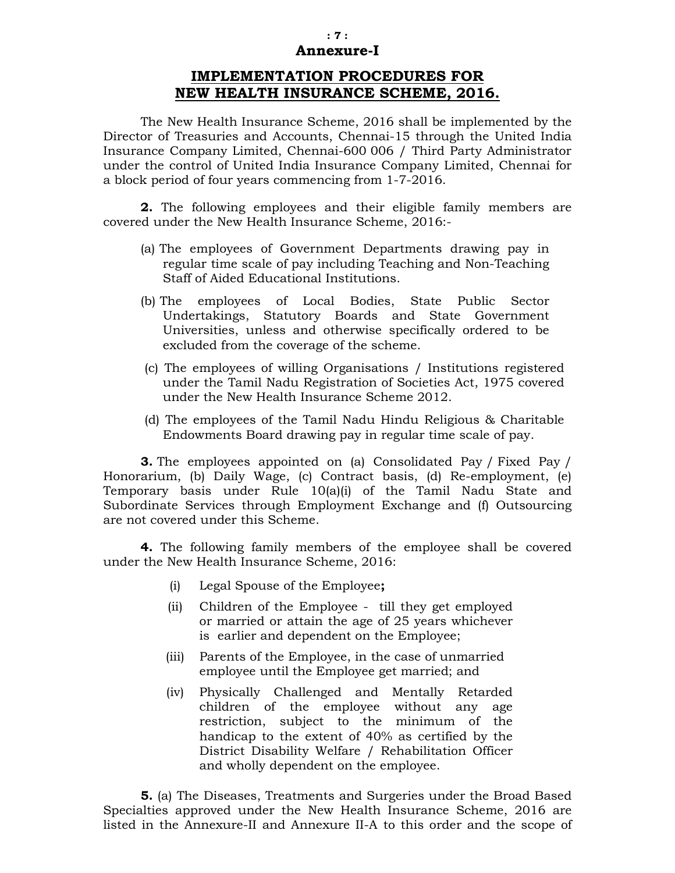#### **: 7 : Annexure-I**

# **IMPLEMENTATION PROCEDURES FOR NEW HEALTH INSURANCE SCHEME, 2016.**

The New Health Insurance Scheme, 2016 shall be implemented by the Director of Treasuries and Accounts, Chennai-15 through the United India Insurance Company Limited, Chennai-600 006 / Third Party Administrator under the control of United India Insurance Company Limited, Chennai for a block period of four years commencing from 1-7-2016.

**2.** The following employees and their eligible family members are covered under the New Health Insurance Scheme, 2016:-

- (a) The employees of Government Departments drawing pay in regular time scale of pay including Teaching and Non-Teaching Staff of Aided Educational Institutions.
- (b) The employees of Local Bodies, State Public Sector Undertakings, Statutory Boards and State Government Universities, unless and otherwise specifically ordered to be excluded from the coverage of the scheme.
- (c) The employees of willing Organisations / Institutions registered under the Tamil Nadu Registration of Societies Act, 1975 covered under the New Health Insurance Scheme 2012.
- (d) The employees of the Tamil Nadu Hindu Religious & Charitable Endowments Board drawing pay in regular time scale of pay.

**3.** The employees appointed on (a) Consolidated Pay / Fixed Pay / Honorarium, (b) Daily Wage, (c) Contract basis, (d) Re-employment, (e) Temporary basis under Rule 10(a)(i) of the Tamil Nadu State and Subordinate Services through Employment Exchange and (f) Outsourcing are not covered under this Scheme.

**4.** The following family members of the employee shall be covered under the New Health Insurance Scheme, 2016:

- (i) Legal Spouse of the Employee**;**
- (ii) Children of the Employee till they get employed or married or attain the age of 25 years whichever is earlier and dependent on the Employee;
- (iii) Parents of the Employee, in the case of unmarried employee until the Employee get married; and
- (iv) Physically Challenged and Mentally Retarded children of the employee without any age restriction, subject to the minimum of the handicap to the extent of 40% as certified by the District Disability Welfare / Rehabilitation Officer and wholly dependent on the employee.

**5.** (a) The Diseases, Treatments and Surgeries under the Broad Based Specialties approved under the New Health Insurance Scheme, 2016 are listed in the Annexure-II and Annexure II-A to this order and the scope of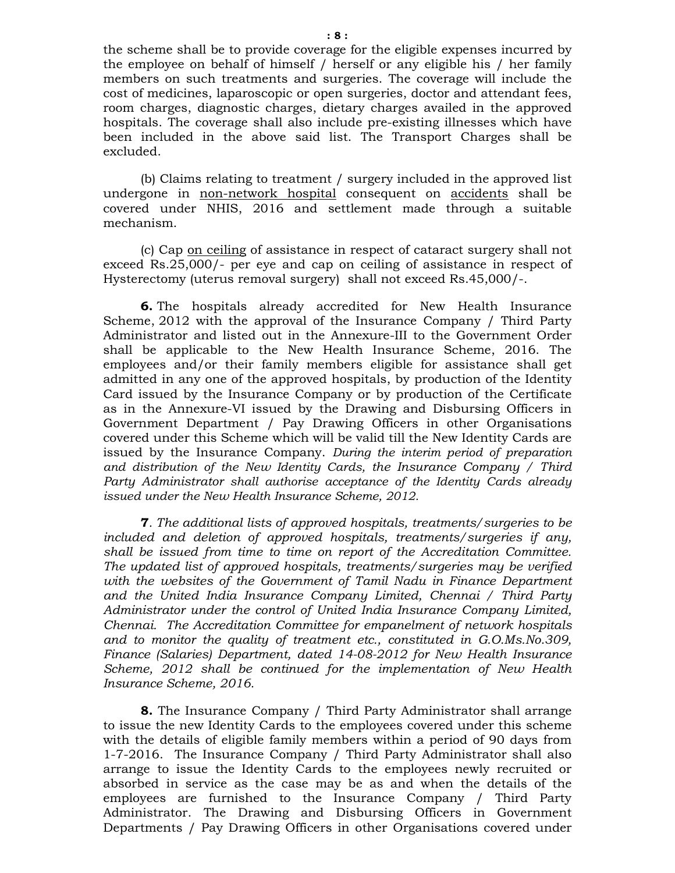the scheme shall be to provide coverage for the eligible expenses incurred by the employee on behalf of himself / herself or any eligible his / her family members on such treatments and surgeries. The coverage will include the cost of medicines, laparoscopic or open surgeries, doctor and attendant fees, room charges, diagnostic charges, dietary charges availed in the approved hospitals. The coverage shall also include pre-existing illnesses which have been included in the above said list. The Transport Charges shall be excluded.

(b) Claims relating to treatment / surgery included in the approved list undergone in non-network hospital consequent on accidents shall be covered under NHIS, 2016 and settlement made through a suitable mechanism.

(c) Cap on ceiling of assistance in respect of cataract surgery shall not exceed Rs.25,000/- per eye and cap on ceiling of assistance in respect of Hysterectomy (uterus removal surgery) shall not exceed Rs.45,000/-.

**6.** The hospitals already accredited for New Health Insurance Scheme, 2012 with the approval of the Insurance Company / Third Party Administrator and listed out in the Annexure-III to the Government Order shall be applicable to the New Health Insurance Scheme, 2016. The employees and/or their family members eligible for assistance shall get admitted in any one of the approved hospitals, by production of the Identity Card issued by the Insurance Company or by production of the Certificate as in the Annexure-VI issued by the Drawing and Disbursing Officers in Government Department / Pay Drawing Officers in other Organisations covered under this Scheme which will be valid till the New Identity Cards are issued by the Insurance Company. *During the interim period of preparation and distribution of the New Identity Cards, the Insurance Company / Third Party Administrator shall authorise acceptance of the Identity Cards already issued under the New Health Insurance Scheme, 2012.* 

**7***. The additional lists of approved hospitals, treatments/surgeries to be included and deletion of approved hospitals, treatments/surgeries if any, shall be issued from time to time on report of the Accreditation Committee. The updated list of approved hospitals, treatments/surgeries may be verified*  with the websites of the Government of Tamil Nadu in Finance Department *and the United India Insurance Company Limited, Chennai / Third Party Administrator under the control of United India Insurance Company Limited, Chennai. The Accreditation Committee for empanelment of network hospitals and to monitor the quality of treatment etc., constituted in G.O.Ms.No.309, Finance (Salaries) Department, dated 14-08-2012 for New Health Insurance Scheme, 2012 shall be continued for the implementation of New Health Insurance Scheme, 2016.* 

**8.** The Insurance Company / Third Party Administrator shall arrange to issue the new Identity Cards to the employees covered under this scheme with the details of eligible family members within a period of 90 days from 1-7-2016. The Insurance Company / Third Party Administrator shall also arrange to issue the Identity Cards to the employees newly recruited or absorbed in service as the case may be as and when the details of the employees are furnished to the Insurance Company / Third Party Administrator. The Drawing and Disbursing Officers in Government Departments / Pay Drawing Officers in other Organisations covered under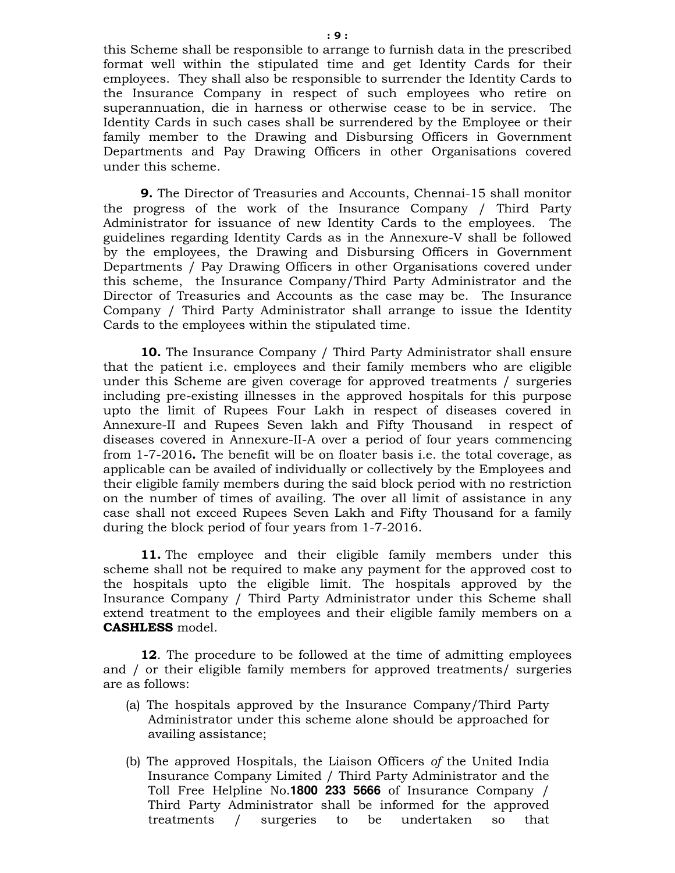this Scheme shall be responsible to arrange to furnish data in the prescribed format well within the stipulated time and get Identity Cards for their employees. They shall also be responsible to surrender the Identity Cards to the Insurance Company in respect of such employees who retire on superannuation, die in harness or otherwise cease to be in service. The Identity Cards in such cases shall be surrendered by the Employee or their family member to the Drawing and Disbursing Officers in Government Departments and Pay Drawing Officers in other Organisations covered under this scheme.

**9.** The Director of Treasuries and Accounts, Chennai-15 shall monitor the progress of the work of the Insurance Company / Third Party Administrator for issuance of new Identity Cards to the employees. The guidelines regarding Identity Cards as in the Annexure-V shall be followed by the employees, the Drawing and Disbursing Officers in Government Departments / Pay Drawing Officers in other Organisations covered under this scheme, the Insurance Company/Third Party Administrator and the Director of Treasuries and Accounts as the case may be. The Insurance Company / Third Party Administrator shall arrange to issue the Identity Cards to the employees within the stipulated time.

**10.** The Insurance Company / Third Party Administrator shall ensure that the patient i.e. employees and their family members who are eligible under this Scheme are given coverage for approved treatments / surgeries including pre-existing illnesses in the approved hospitals for this purpose upto the limit of Rupees Four Lakh in respect of diseases covered in Annexure-II and Rupees Seven lakh and Fifty Thousand in respect of diseases covered in Annexure-II-A over a period of four years commencing from 1-7-2016**.** The benefit will be on floater basis i.e. the total coverage, as applicable can be availed of individually or collectively by the Employees and their eligible family members during the said block period with no restriction on the number of times of availing. The over all limit of assistance in any case shall not exceed Rupees Seven Lakh and Fifty Thousand for a family during the block period of four years from 1-7-2016.

**11.** The employee and their eligible family members under this scheme shall not be required to make any payment for the approved cost to the hospitals upto the eligible limit. The hospitals approved by the Insurance Company / Third Party Administrator under this Scheme shall extend treatment to the employees and their eligible family members on a **CASHLESS** model.

**12**. The procedure to be followed at the time of admitting employees and / or their eligible family members for approved treatments/ surgeries are as follows:

- (a) The hospitals approved by the Insurance Company/Third Party Administrator under this scheme alone should be approached for availing assistance;
- (b) The approved Hospitals, the Liaison Officers *of* the United India Insurance Company Limited / Third Party Administrator and the Toll Free Helpline No.**1800 233 5666** of Insurance Company / Third Party Administrator shall be informed for the approved treatments / surgeries to be undertaken so that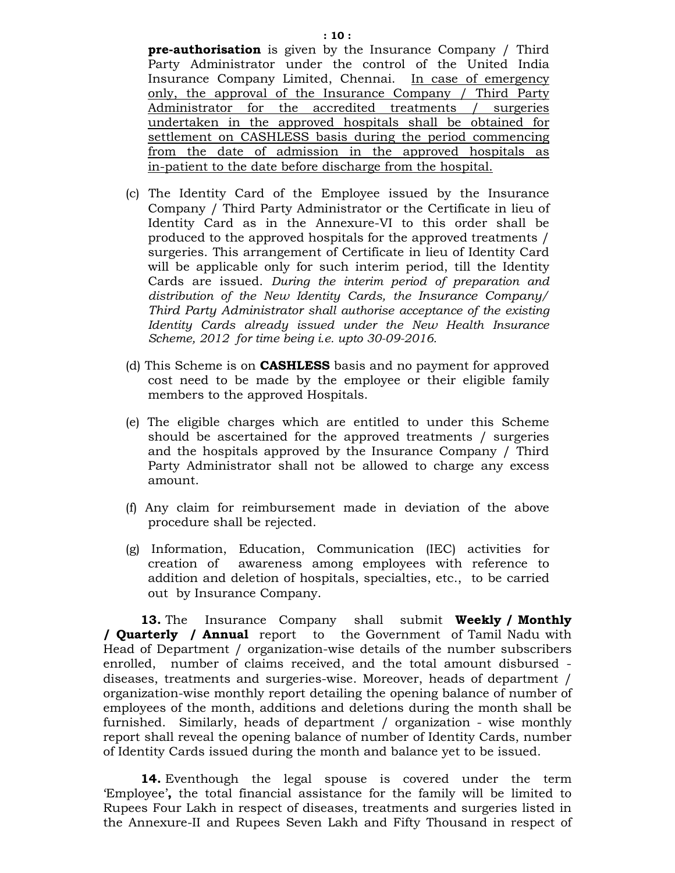Party Administrator under the control of the United India Insurance Company Limited, Chennai. In case of emergency only, the approval of the Insurance Company / Third Party Administrator for the accredited treatments / surgeries undertaken in the approved hospitals shall be obtained for settlement on CASHLESS basis during the period commencing from the date of admission in the approved hospitals as in-patient to the date before discharge from the hospital.

- (c) The Identity Card of the Employee issued by the Insurance Company / Third Party Administrator or the Certificate in lieu of Identity Card as in the Annexure-VI to this order shall be produced to the approved hospitals for the approved treatments / surgeries. This arrangement of Certificate in lieu of Identity Card will be applicable only for such interim period, till the Identity Cards are issued. *During the interim period of preparation and distribution of the New Identity Cards, the Insurance Company/ Third Party Administrator shall authorise acceptance of the existing Identity Cards already issued under the New Health Insurance Scheme, 2012 for time being i.e. upto 30-09-2016.*
- (d) This Scheme is on **CASHLESS** basis and no payment for approved cost need to be made by the employee or their eligible family members to the approved Hospitals.
- (e) The eligible charges which are entitled to under this Scheme should be ascertained for the approved treatments / surgeries and the hospitals approved by the Insurance Company / Third Party Administrator shall not be allowed to charge any excess amount.
- (f) Any claim for reimbursement made in deviation of the above procedure shall be rejected.
- (g) Information, Education, Communication (IEC) activities for creation of awareness among employees with reference to addition and deletion of hospitals, specialties, etc., to be carried out by Insurance Company.

**13.** TheInsurance Companyshall submit **Weekly / Monthly / Quarterly / Annual** report to the Government of Tamil Nadu with Head of Department / organization-wise details of the number subscribers enrolled, number of claims received, and the total amount disbursed diseases, treatments and surgeries-wise. Moreover, heads of department / organization-wise monthly report detailing the opening balance of number of employees of the month, additions and deletions during the month shall be furnished. Similarly, heads of department / organization - wise monthly report shall reveal the opening balance of number of Identity Cards, number of Identity Cards issued during the month and balance yet to be issued.

**14.** Eventhough the legal spouse is covered under the term 'Employee'**,** the total financial assistance for the family will be limited to Rupees Four Lakh in respect of diseases, treatments and surgeries listed in the Annexure-II and Rupees Seven Lakh and Fifty Thousand in respect of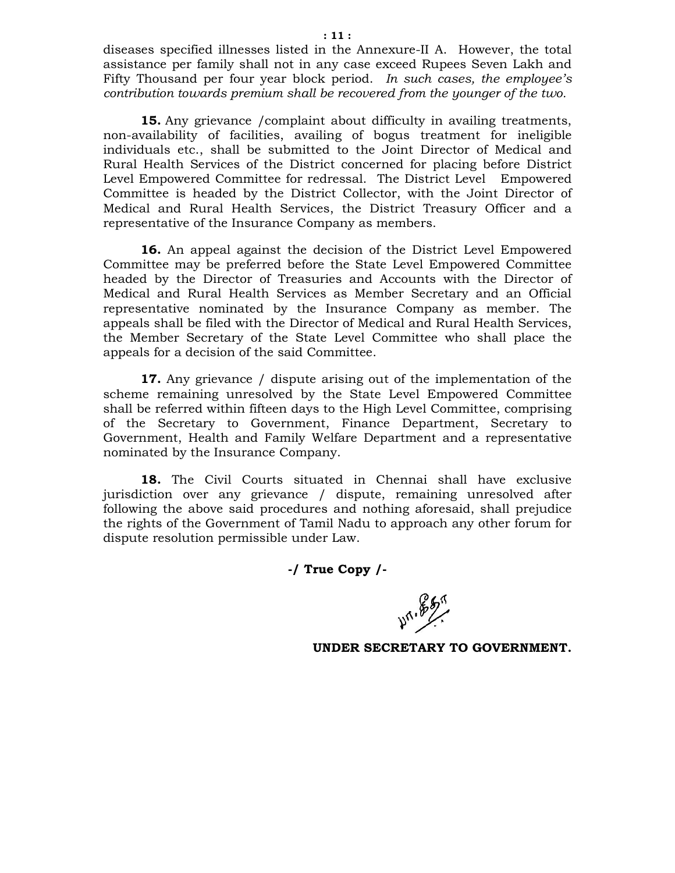diseases specified illnesses listed in the Annexure-II A. However, the total assistance per family shall not in any case exceed Rupees Seven Lakh and Fifty Thousand per four year block period. *In such cases, the employee's contribution towards premium shall be recovered from the younger of the two.* 

**15.** Any grievance / complaint about difficulty in availing treatments, non-availability of facilities, availing of bogus treatment for ineligible individuals etc., shall be submitted to the Joint Director of Medical and Rural Health Services of the District concerned for placing before District Level Empowered Committee for redressal. The District Level Empowered Committee is headed by the District Collector, with the Joint Director of Medical and Rural Health Services, the District Treasury Officer and a representative of the Insurance Company as members.

**16.** An appeal against the decision of the District Level Empowered Committee may be preferred before the State Level Empowered Committee headed by the Director of Treasuries and Accounts with the Director of Medical and Rural Health Services as Member Secretary and an Official representative nominated by the Insurance Company as member. The appeals shall be filed with the Director of Medical and Rural Health Services, the Member Secretary of the State Level Committee who shall place the appeals for a decision of the said Committee.

**17.** Any grievance / dispute arising out of the implementation of the scheme remaining unresolved by the State Level Empowered Committee shall be referred within fifteen days to the High Level Committee, comprising of the Secretary to Government, Finance Department, Secretary to Government, Health and Family Welfare Department and a representative nominated by the Insurance Company.

**18.** The Civil Courts situated in Chennai shall have exclusive jurisdiction over any grievance / dispute, remaining unresolved after following the above said procedures and nothing aforesaid, shall prejudice the rights of the Government of Tamil Nadu to approach any other forum for dispute resolution permissible under Law.

**-/ True Copy /-** 

**471.857**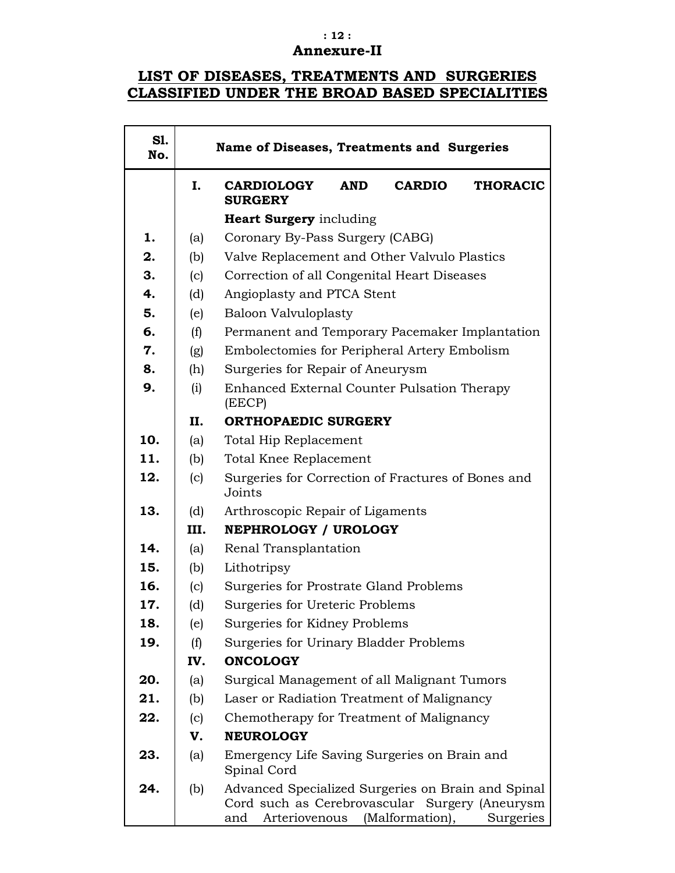### **: 12 : Annexure-II**

# **LIST OF DISEASES, TREATMENTS AND SURGERIES CLASSIFIED UNDER THE BROAD BASED SPECIALITIES**

 $\overline{\mathbf{r}}$ 

| S1.<br>No. |      | Name of Diseases, Treatments and Surgeries                                                                                                                   |  |  |  |  |
|------------|------|--------------------------------------------------------------------------------------------------------------------------------------------------------------|--|--|--|--|
|            | I.   | <b>THORACIC</b><br><b>CARDIOLOGY</b><br><b>AND</b><br><b>CARDIO</b><br><b>SURGERY</b>                                                                        |  |  |  |  |
|            |      | <b>Heart Surgery</b> including                                                                                                                               |  |  |  |  |
| 1.         | (a)  | Coronary By-Pass Surgery (CABG)                                                                                                                              |  |  |  |  |
| 2.         | (b)  | Valve Replacement and Other Valvulo Plastics                                                                                                                 |  |  |  |  |
| 3.         | (c)  | Correction of all Congenital Heart Diseases                                                                                                                  |  |  |  |  |
| 4.         | (d)  | Angioplasty and PTCA Stent                                                                                                                                   |  |  |  |  |
| 5.         | (e)  | <b>Baloon Valvuloplasty</b>                                                                                                                                  |  |  |  |  |
| 6.         | (f)  | Permanent and Temporary Pacemaker Implantation                                                                                                               |  |  |  |  |
| 7.         | (g)  | Embolectomies for Peripheral Artery Embolism                                                                                                                 |  |  |  |  |
| 8.         | (h)  | Surgeries for Repair of Aneurysm                                                                                                                             |  |  |  |  |
| 9.         | (i)  | Enhanced External Counter Pulsation Therapy<br>(EECP)                                                                                                        |  |  |  |  |
|            | П.   | <b>ORTHOPAEDIC SURGERY</b>                                                                                                                                   |  |  |  |  |
| 10.        | (a)  | Total Hip Replacement                                                                                                                                        |  |  |  |  |
| 11.        | (b)  | Total Knee Replacement                                                                                                                                       |  |  |  |  |
| 12.        | (c)  | Surgeries for Correction of Fractures of Bones and<br>Joints                                                                                                 |  |  |  |  |
| 13.        | (d)  | Arthroscopic Repair of Ligaments                                                                                                                             |  |  |  |  |
|            | III. | NEPHROLOGY / UROLOGY                                                                                                                                         |  |  |  |  |
| 14.        | (a)  | Renal Transplantation                                                                                                                                        |  |  |  |  |
| 15.        | (b)  | Lithotripsy                                                                                                                                                  |  |  |  |  |
| 16.        | (c)  | Surgeries for Prostrate Gland Problems                                                                                                                       |  |  |  |  |
| 17.        | (d)  | Surgeries for Ureteric Problems                                                                                                                              |  |  |  |  |
| 18.        | (e)  | Surgeries for Kidney Problems                                                                                                                                |  |  |  |  |
| 19.        | (f)  | Surgeries for Urinary Bladder Problems                                                                                                                       |  |  |  |  |
|            | IV.  | <b>ONCOLOGY</b>                                                                                                                                              |  |  |  |  |
| 20.        | (a)  | Surgical Management of all Malignant Tumors                                                                                                                  |  |  |  |  |
| 21.        | (b)  | Laser or Radiation Treatment of Malignancy                                                                                                                   |  |  |  |  |
| 22.        | (c)  | Chemotherapy for Treatment of Malignancy                                                                                                                     |  |  |  |  |
|            | V.   | <b>NEUROLOGY</b>                                                                                                                                             |  |  |  |  |
| 23.        | (a)  | Emergency Life Saving Surgeries on Brain and<br>Spinal Cord                                                                                                  |  |  |  |  |
| 24.        | (b)  | Advanced Specialized Surgeries on Brain and Spinal<br>Cord such as Cerebrovascular Surgery (Aneurysm<br>(Malformation),<br>Arteriovenous<br>Surgeries<br>and |  |  |  |  |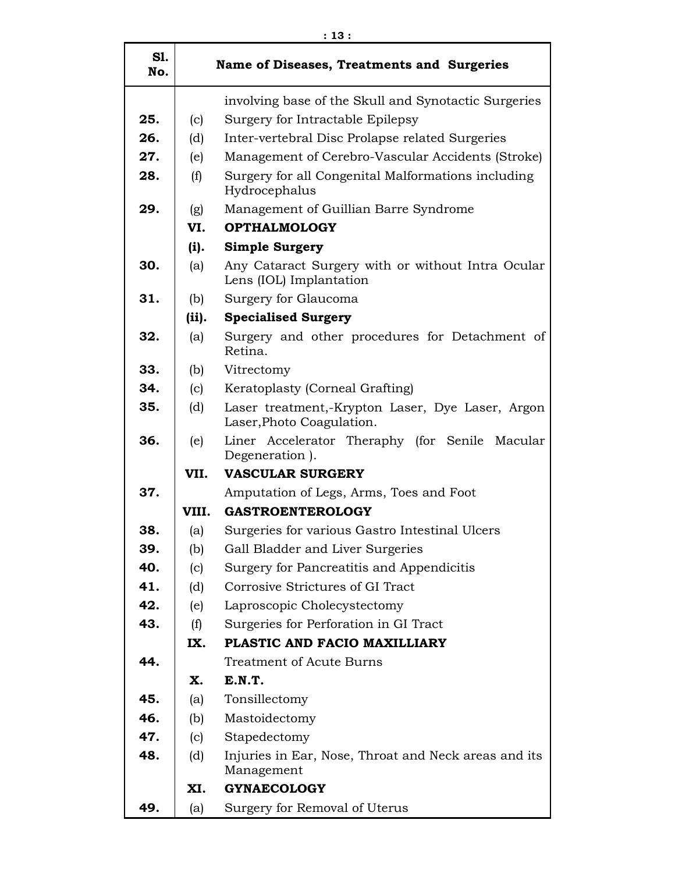| SI.<br>No. |                                     | Name of Diseases, Treatments and Surgeries                                    |  |
|------------|-------------------------------------|-------------------------------------------------------------------------------|--|
|            |                                     | involving base of the Skull and Synotactic Surgeries                          |  |
| 25.        | (c)                                 | Surgery for Intractable Epilepsy                                              |  |
| 26.        | (d)                                 | Inter-vertebral Disc Prolapse related Surgeries                               |  |
| 27.        | (e)                                 | Management of Cerebro-Vascular Accidents (Stroke)                             |  |
| 28.        | (f)                                 | Surgery for all Congenital Malformations including<br>Hydrocephalus           |  |
| 29.        | (g)                                 | Management of Guillian Barre Syndrome                                         |  |
|            | VI.                                 | <b>OPTHALMOLOGY</b>                                                           |  |
|            | (i).                                | <b>Simple Surgery</b>                                                         |  |
| 30.        | (a)                                 | Any Cataract Surgery with or without Intra Ocular<br>Lens (IOL) Implantation  |  |
| 31.        | (b)                                 | Surgery for Glaucoma                                                          |  |
|            | (ii).                               | <b>Specialised Surgery</b>                                                    |  |
| 32.        | (a)                                 | Surgery and other procedures for Detachment of<br>Retina.                     |  |
| 33.        | (b)                                 | Vitrectomy                                                                    |  |
| 34.        | (c)                                 | Keratoplasty (Corneal Grafting)                                               |  |
| 35.        | (d)                                 | Laser treatment,-Krypton Laser, Dye Laser, Argon<br>Laser, Photo Coagulation. |  |
| 36.        | (e)                                 | Liner Accelerator Theraphy (for Senile Macular<br>Degeneration).              |  |
|            | VII.                                | <b>VASCULAR SURGERY</b>                                                       |  |
| 37.        |                                     | Amputation of Legs, Arms, Toes and Foot                                       |  |
|            | VIII.                               | <b>GASTROENTEROLOGY</b>                                                       |  |
| 38.        | (a)                                 | Surgeries for various Gastro Intestinal Ulcers                                |  |
| 39.        | (b)                                 | Gall Bladder and Liver Surgeries                                              |  |
| 40.        | (c)                                 | Surgery for Pancreatitis and Appendicitis                                     |  |
| 41.        | (d)                                 | Corrosive Strictures of GI Tract                                              |  |
| 42.        | (e)                                 | Laproscopic Cholecystectomy                                                   |  |
| 43.        | (f)                                 | Surgeries for Perforation in GI Tract                                         |  |
|            | PLASTIC AND FACIO MAXILLIARY<br>IX. |                                                                               |  |
| 44.        |                                     | <b>Treatment of Acute Burns</b>                                               |  |
|            | Х.                                  | E.N.T.                                                                        |  |
| 45.        | (a)                                 | Tonsillectomy                                                                 |  |
| 46.        | (b)                                 | Mastoidectomy                                                                 |  |
| 47.        | (c)                                 | Stapedectomy                                                                  |  |
| 48.        | (d)                                 | Injuries in Ear, Nose, Throat and Neck areas and its<br>Management            |  |
|            | XI.                                 | <b>GYNAECOLOGY</b>                                                            |  |
| 49.        | (a)                                 | Surgery for Removal of Uterus                                                 |  |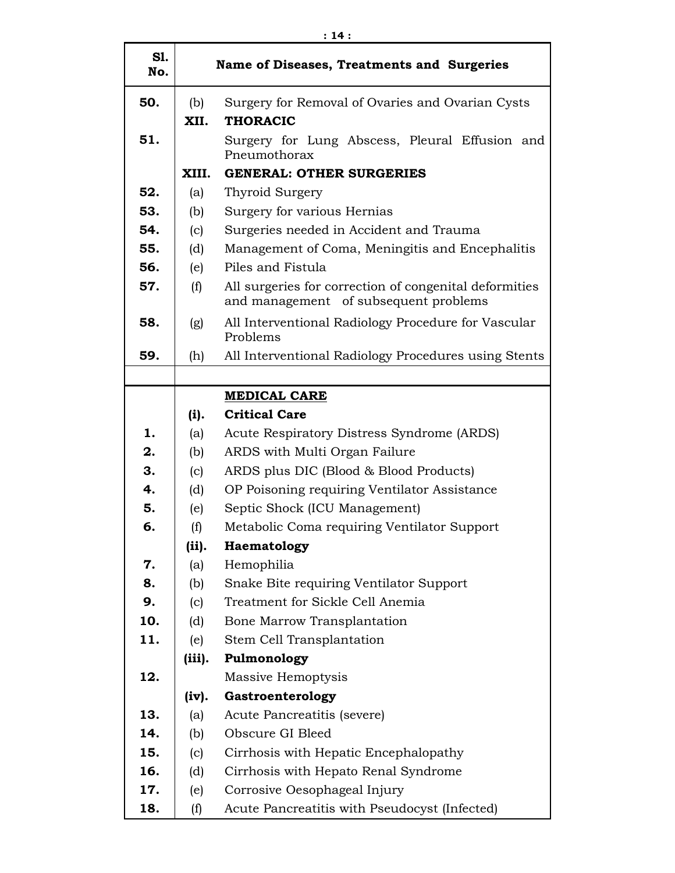| S1.<br>No. | Name of Diseases, Treatments and Surgeries                                         |                                                                                                 |  |  |
|------------|------------------------------------------------------------------------------------|-------------------------------------------------------------------------------------------------|--|--|
| 50.        | (b)<br>Surgery for Removal of Ovaries and Ovarian Cysts<br>XII.<br><b>THORACIC</b> |                                                                                                 |  |  |
| 51.        |                                                                                    | Surgery for Lung Abscess, Pleural Effusion and<br>Pneumothorax                                  |  |  |
|            | XIII.                                                                              | <b>GENERAL: OTHER SURGERIES</b>                                                                 |  |  |
| 52.        | (a)                                                                                | Thyroid Surgery                                                                                 |  |  |
| 53.        | (b)                                                                                | Surgery for various Hernias                                                                     |  |  |
| 54.        | (c)                                                                                | Surgeries needed in Accident and Trauma                                                         |  |  |
| 55.        | (d)                                                                                | Management of Coma, Meningitis and Encephalitis                                                 |  |  |
| 56.        | (e)                                                                                | Piles and Fistula                                                                               |  |  |
| 57.        | (f)                                                                                | All surgeries for correction of congenital deformities<br>and management of subsequent problems |  |  |
| 58.        | (g)                                                                                | All Interventional Radiology Procedure for Vascular<br>Problems                                 |  |  |
| 59.        | (h)                                                                                | All Interventional Radiology Procedures using Stents                                            |  |  |
|            |                                                                                    |                                                                                                 |  |  |
|            |                                                                                    | <b>MEDICAL CARE</b>                                                                             |  |  |
|            | (i).                                                                               | <b>Critical Care</b>                                                                            |  |  |
| 1.         | (a)                                                                                | Acute Respiratory Distress Syndrome (ARDS)                                                      |  |  |
| 2.         | (b)                                                                                | ARDS with Multi Organ Failure                                                                   |  |  |
| 3.         | (c)                                                                                | ARDS plus DIC (Blood & Blood Products)                                                          |  |  |
| 4.         | (d)                                                                                | OP Poisoning requiring Ventilator Assistance                                                    |  |  |
| 5.         | (e)                                                                                | Septic Shock (ICU Management)                                                                   |  |  |
| 6.         | (f)                                                                                | Metabolic Coma requiring Ventilator Support                                                     |  |  |
|            | (ii).                                                                              | Haematology                                                                                     |  |  |
| 7.         | (a)                                                                                | Hemophilia                                                                                      |  |  |
| 8.         | (b)                                                                                | Snake Bite requiring Ventilator Support                                                         |  |  |
| 9.         | (c)                                                                                | Treatment for Sickle Cell Anemia                                                                |  |  |
| 10.        | (d)                                                                                | Bone Marrow Transplantation                                                                     |  |  |
| 11.        | (e)                                                                                | Stem Cell Transplantation                                                                       |  |  |
|            | (iii).                                                                             | Pulmonology                                                                                     |  |  |
| 12.        |                                                                                    | Massive Hemoptysis                                                                              |  |  |
|            | (iv).                                                                              | Gastroenterology                                                                                |  |  |
| 13.        | (a)                                                                                | Acute Pancreatitis (severe)                                                                     |  |  |
| 14.        | (b)                                                                                | Obscure GI Bleed                                                                                |  |  |
| 15.        | (c)                                                                                | Cirrhosis with Hepatic Encephalopathy                                                           |  |  |
| 16.        | (d)                                                                                | Cirrhosis with Hepato Renal Syndrome                                                            |  |  |
| 17.        | (e)                                                                                | Corrosive Oesophageal Injury                                                                    |  |  |
| 18.        | (f)                                                                                | Acute Pancreatitis with Pseudocyst (Infected)                                                   |  |  |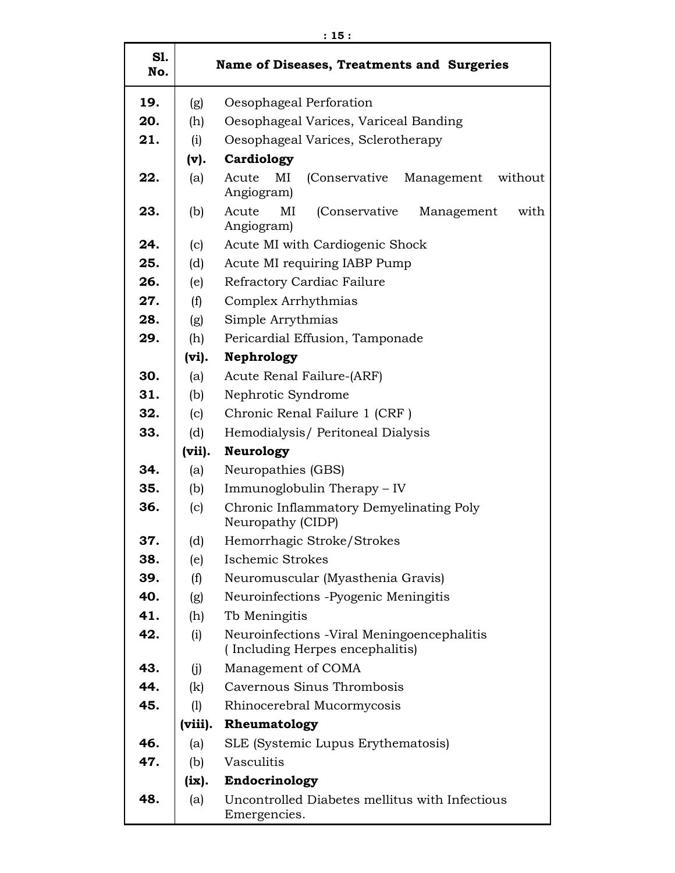| S1.<br>No. | Name of Diseases, Treatments and Surgeries |                                                                                |  |  |  |  |
|------------|--------------------------------------------|--------------------------------------------------------------------------------|--|--|--|--|
| 19.        | (g)<br>Oesophageal Perforation             |                                                                                |  |  |  |  |
| 20.        | (h)                                        | Oesophageal Varices, Variceal Banding                                          |  |  |  |  |
| 21.        | (i)                                        | Oesophageal Varices, Sclerotherapy                                             |  |  |  |  |
|            | (v).                                       | Cardiology                                                                     |  |  |  |  |
| 22.        | (a)                                        | Acute<br>MI<br>(Conservative)<br>Management<br>without<br>Angiogram)           |  |  |  |  |
| 23.        | (b)                                        | Acute<br>MI<br>(Conservative<br>Management<br>with<br>Angiogram)               |  |  |  |  |
| 24.        | (c)                                        | Acute MI with Cardiogenic Shock                                                |  |  |  |  |
| 25.        | (d)                                        | Acute MI requiring IABP Pump                                                   |  |  |  |  |
| 26.        | (e)                                        | Refractory Cardiac Failure                                                     |  |  |  |  |
| 27.        | (f)                                        | Complex Arrhythmias                                                            |  |  |  |  |
| 28.        | (g)                                        | Simple Arrythmias                                                              |  |  |  |  |
| 29.        | (h)                                        | Pericardial Effusion, Tamponade                                                |  |  |  |  |
|            | (vi).                                      | Nephrology                                                                     |  |  |  |  |
| 30.        | (a)                                        | Acute Renal Failure-(ARF)                                                      |  |  |  |  |
| 31.        | (b)                                        | Nephrotic Syndrome                                                             |  |  |  |  |
| 32.        | (c)                                        | Chronic Renal Failure 1 (CRF)                                                  |  |  |  |  |
| 33.        | (d)                                        | Hemodialysis/ Peritoneal Dialysis                                              |  |  |  |  |
|            | (vii).                                     | <b>Neurology</b>                                                               |  |  |  |  |
| 34.        | (a)                                        | Neuropathies (GBS)                                                             |  |  |  |  |
| 35.        | (b)                                        | Immunoglobulin Therapy - IV                                                    |  |  |  |  |
| 36.        | (c)                                        | Chronic Inflammatory Demyelinating Poly<br>Neuropathy (CIDP)                   |  |  |  |  |
| 37.        | (d)                                        | Hemorrhagic Stroke/Strokes                                                     |  |  |  |  |
| 38.        | (e)                                        | Ischemic Strokes                                                               |  |  |  |  |
| 39.        | (f)                                        | Neuromuscular (Myasthenia Gravis)                                              |  |  |  |  |
| 40.        | (g)                                        | Neuroinfections -Pyogenic Meningitis                                           |  |  |  |  |
| 41.        | (h)                                        | Tb Meningitis                                                                  |  |  |  |  |
| 42.        | (i)                                        | Neuroinfections - Viral Meningoencephalitis<br>(Including Herpes encephalitis) |  |  |  |  |
| 43.        | (j)                                        | Management of COMA                                                             |  |  |  |  |
| 44.        | (k)                                        | Cavernous Sinus Thrombosis                                                     |  |  |  |  |
| 45.        | (1)                                        | Rhinocerebral Mucormycosis                                                     |  |  |  |  |
|            | (viii).                                    | Rheumatology                                                                   |  |  |  |  |
| 46.        | (a)                                        | SLE (Systemic Lupus Erythematosis)                                             |  |  |  |  |
| 47.        | (b)                                        | Vasculitis                                                                     |  |  |  |  |
|            | (ix).                                      | Endocrinology                                                                  |  |  |  |  |
| 48.        | (a)                                        | Uncontrolled Diabetes mellitus with Infectious<br>Emergencies.                 |  |  |  |  |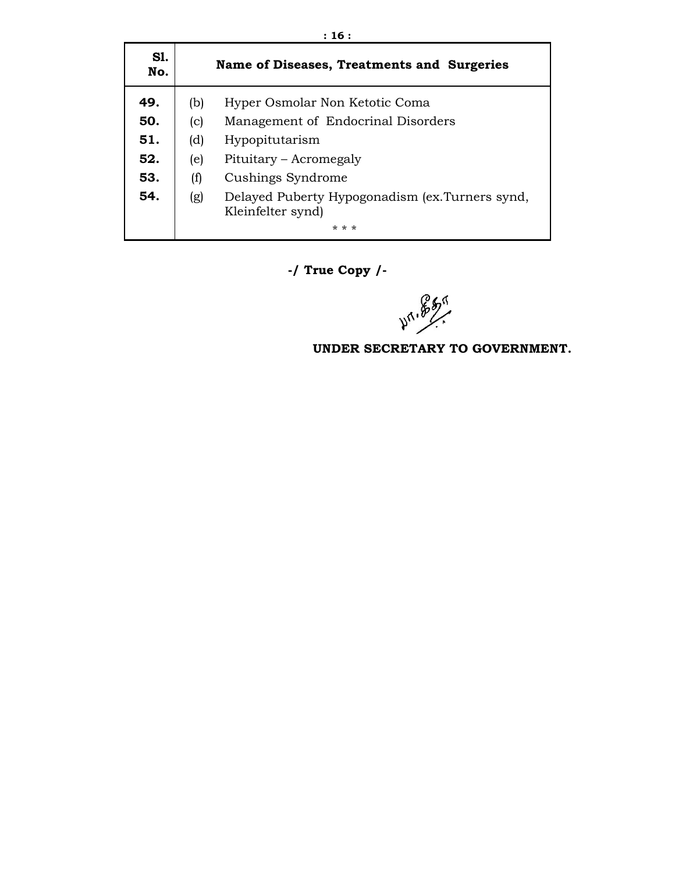| S1.<br>No. |     | Name of Diseases, Treatments and Surgeries                           |
|------------|-----|----------------------------------------------------------------------|
| 49.        | (b) | Hyper Osmolar Non Ketotic Coma                                       |
| 50.        | (c) | Management of Endocrinal Disorders                                   |
| 51.        | (d) | Hypopitutarism                                                       |
| 52.        | (e) | Pituitary - Acromegaly                                               |
| 53.        | (f) | Cushings Syndrome                                                    |
| 54.        | (g) | Delayed Puberty Hypogonadism (ex. Turners synd,<br>Kleinfelter synd) |
|            |     | * * *                                                                |

**-/ True Copy /-** 

**471.857**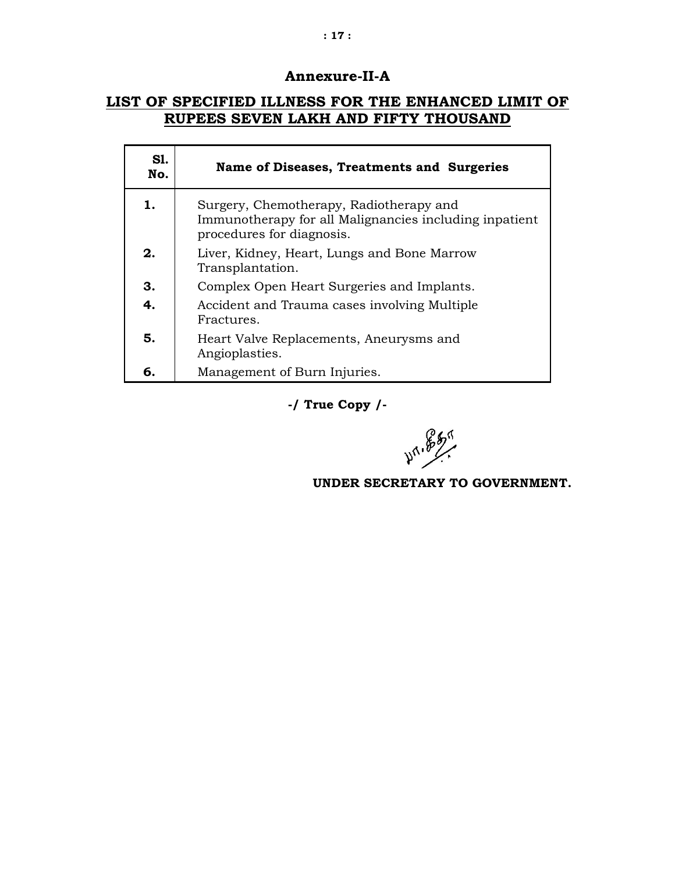### **Annexure-II-A**

### **LIST OF SPECIFIED ILLNESS FOR THE ENHANCED LIMIT OF RUPEES SEVEN LAKH AND FIFTY THOUSAND**

| S1.<br>No. | Name of Diseases, Treatments and Surgeries                                                                                     |  |
|------------|--------------------------------------------------------------------------------------------------------------------------------|--|
| 1.         | Surgery, Chemotherapy, Radiotherapy and<br>Immunotherapy for all Malignancies including inpatient<br>procedures for diagnosis. |  |
| 2.         | Liver, Kidney, Heart, Lungs and Bone Marrow<br>Transplantation.                                                                |  |
| З.         | Complex Open Heart Surgeries and Implants.                                                                                     |  |
| 4.         | Accident and Trauma cases involving Multiple<br>Fractures.                                                                     |  |
| 5.         | Heart Valve Replacements, Aneurysms and<br>Angioplasties.                                                                      |  |
| 6.         | Management of Burn Injuries.                                                                                                   |  |

**-/ True Copy /-**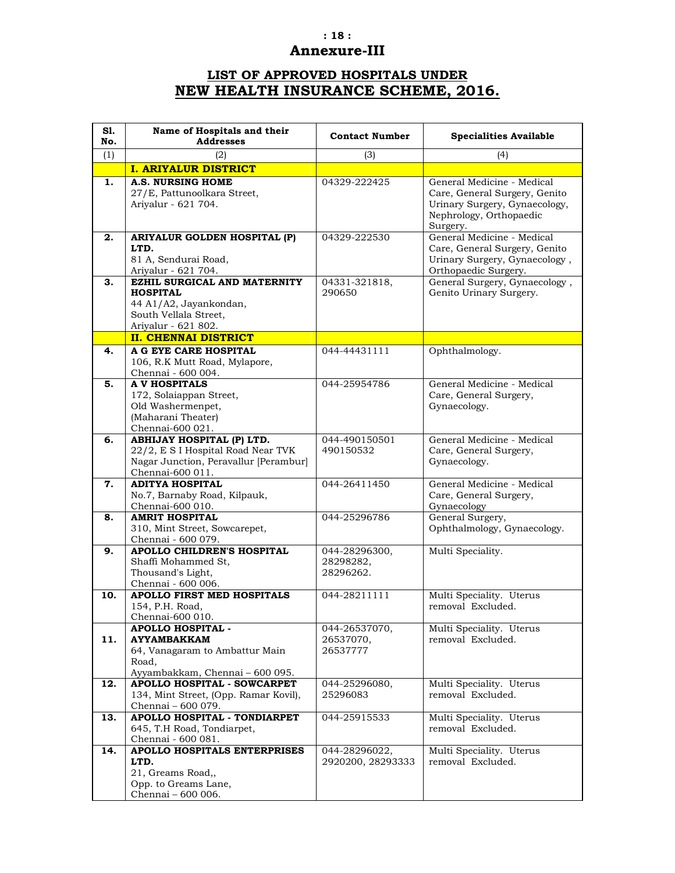### **: 18 :**

# **Annexure-III**

# **LIST OF APPROVED HOSPITALS UNDER NEW HEALTH INSURANCE SCHEME, 2016.**

| S1.<br>No. | Name of Hospitals and their<br><b>Addresses</b>                                                                                     | <b>Contact Number</b>                   | <b>Specialities Available</b>                                                                                                       |
|------------|-------------------------------------------------------------------------------------------------------------------------------------|-----------------------------------------|-------------------------------------------------------------------------------------------------------------------------------------|
| (1)        | (2)                                                                                                                                 | (3)                                     | (4)                                                                                                                                 |
|            | <b>I. ARIYALUR DISTRICT</b>                                                                                                         |                                         |                                                                                                                                     |
| 1.         | <b>A.S. NURSING HOME</b><br>27/E, Pattunoolkara Street,<br>Ariyalur - 621 704.                                                      | 04329-222425                            | General Medicine - Medical<br>Care, General Surgery, Genito<br>Urinary Surgery, Gynaecology,<br>Nephrology, Orthopaedic<br>Surgery. |
| 2.         | ARIYALUR GOLDEN HOSPITAL (P)<br>LTD.<br>81 A, Sendurai Road,<br>Ariyalur - 621 704.                                                 | 04329-222530                            | General Medicine - Medical<br>Care, General Surgery, Genito<br>Urinary Surgery, Gynaecology,<br>Orthopaedic Surgery.                |
| З.         | EZHIL SURGICAL AND MATERNITY<br><b>HOSPITAL</b><br>44 A1/A2, Jayankondan,<br>South Vellala Street,<br>Ariyalur - 621 802.           | 04331-321818,<br>290650                 | General Surgery, Gynaecology,<br>Genito Urinary Surgery.                                                                            |
|            | <b>II. CHENNAI DISTRICT</b>                                                                                                         |                                         |                                                                                                                                     |
| 4.         | A G EYE CARE HOSPITAL<br>106, R.K Mutt Road, Mylapore,<br>Chennai - 600 004.                                                        | 044-44431111                            | Ophthalmology.                                                                                                                      |
| 5.         | <b>A V HOSPITALS</b><br>172, Solaiappan Street,<br>Old Washermenpet,<br>(Maharani Theater)<br>Chennai-600 021.                      | 044-25954786                            | General Medicine - Medical<br>Care, General Surgery,<br>Gynaecology.                                                                |
| 6.         | <b>ABHIJAY HOSPITAL (P) LTD.</b><br>22/2, E S I Hospital Road Near TVK<br>Nagar Junction, Peravallur [Perambur]<br>Chennai-600 011. | 044-490150501<br>490150532              | General Medicine - Medical<br>Care, General Surgery,<br>Gynaecology.                                                                |
| 7.         | <b>ADITYA HOSPITAL</b><br>No.7, Barnaby Road, Kilpauk,<br>Chennai-600 010.                                                          | 044-26411450                            | General Medicine - Medical<br>Care, General Surgery,<br>Gynaecology                                                                 |
| 8.         | <b>AMRIT HOSPITAL</b><br>310, Mint Street, Sowcarepet,<br>Chennai - 600 079.                                                        | 044-25296786                            | General Surgery,<br>Ophthalmology, Gynaecology.                                                                                     |
| 9.         | <b>APOLLO CHILDREN'S HOSPITAL</b><br>Shaffi Mohammed St,<br>Thousand's Light,<br>Chennai - 600 006.                                 | 044-28296300,<br>28298282,<br>28296262. | Multi Speciality.                                                                                                                   |
| 10.        | APOLLO FIRST MED HOSPITALS<br>154, P.H. Road,<br>Chennai-600 010.                                                                   | 044-28211111                            | Multi Speciality. Uterus<br>removal Excluded.                                                                                       |
| 11.        | <b>APOLLO HOSPITAL -</b><br><b>AYYAMBAKKAM</b><br>64, Vanagaram to Ambattur Main<br>Road,<br>Ayyambakkam, Chennai - 600 095.        | 044-26537070,<br>26537070,<br>26537777  | Multi Speciality. Uterus<br>removal Excluded.                                                                                       |
| 12.        | APOLLO HOSPITAL - SOWCARPET<br>134, Mint Street, (Opp. Ramar Kovil),<br>Chennai - 600 079.                                          | 044-25296080,<br>25296083               | Multi Speciality. Uterus<br>removal Excluded.                                                                                       |
| 13.        | APOLLO HOSPITAL - TONDIARPET<br>645, T.H Road, Tondiarpet,<br>Chennai - 600 081.                                                    | 044-25915533                            | Multi Speciality. Uterus<br>removal Excluded.                                                                                       |
| 14.        | APOLLO HOSPITALS ENTERPRISES<br>LTD.<br>21, Greams Road,,<br>Opp. to Greams Lane,<br>Chennai - 600 006.                             | 044-28296022,<br>2920200, 28293333      | Multi Speciality. Uterus<br>removal Excluded.                                                                                       |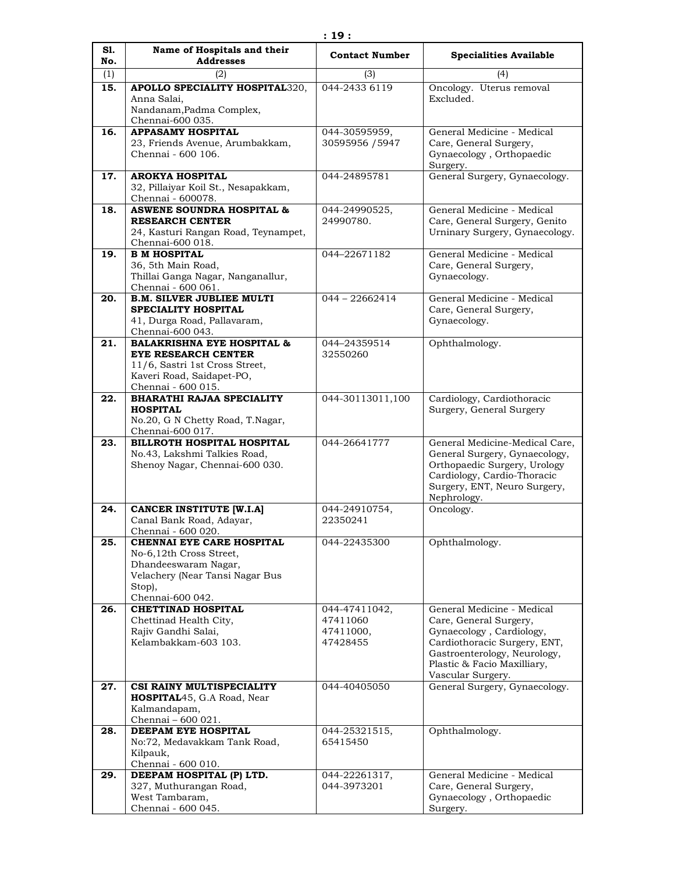| S1.<br>No. | Name of Hospitals and their<br><b>Addresses</b>                                                                                                      | <b>Contact Number</b>                              | <b>Specialities Available</b>                                                                                                                                                                        |
|------------|------------------------------------------------------------------------------------------------------------------------------------------------------|----------------------------------------------------|------------------------------------------------------------------------------------------------------------------------------------------------------------------------------------------------------|
| (1)        | (2)                                                                                                                                                  | (3)                                                | (4)                                                                                                                                                                                                  |
| 15.        | APOLLO SPECIALITY HOSPITAL320,<br>Anna Salai,<br>Nandanam, Padma Complex,<br>Chennai-600 035.                                                        | 044-2433 6119                                      | Oncology. Uterus removal<br>Excluded.                                                                                                                                                                |
| 16.        | <b>APPASAMY HOSPITAL</b><br>23, Friends Avenue, Arumbakkam,<br>Chennai - 600 106.                                                                    | 044-30595959,<br>30595956 / 5947                   | General Medicine - Medical<br>Care, General Surgery,<br>Gynaecology, Orthopaedic<br>Surgery.                                                                                                         |
| 17.        | <b>AROKYA HOSPITAL</b><br>32, Pillaiyar Koil St., Nesapakkam,<br>Chennai - 600078.                                                                   | 044-24895781                                       | General Surgery, Gynaecology.                                                                                                                                                                        |
| 18.        | <b>ASWENE SOUNDRA HOSPITAL &amp;</b><br><b>RESEARCH CENTER</b><br>24, Kasturi Rangan Road, Teynampet,<br>Chennai-600 018.                            | 044-24990525,<br>24990780.                         | General Medicine - Medical<br>Care, General Surgery, Genito<br>Urninary Surgery, Gynaecology.                                                                                                        |
| 19.        | <b>B M HOSPITAL</b><br>36, 5th Main Road,<br>Thillai Ganga Nagar, Nanganallur,<br>Chennai - 600 061.                                                 | 044-22671182                                       | General Medicine - Medical<br>Care, General Surgery,<br>Gynaecology.                                                                                                                                 |
| 20.        | <b>B.M. SILVER JUBLIEE MULTI</b><br><b>SPECIALITY HOSPITAL</b><br>41, Durga Road, Pallavaram,<br>Chennai-600 043.                                    | $044 - 22662414$                                   | General Medicine - Medical<br>Care, General Surgery,<br>Gynaecology.                                                                                                                                 |
| 21.        | <b>BALAKRISHNA EYE HOSPITAL &amp;</b><br>EYE RESEARCH CENTER<br>11/6, Sastri 1st Cross Street,<br>Kaveri Road, Saidapet-PO,<br>Chennai - 600 015.    | 044-24359514<br>32550260                           | Ophthalmology.                                                                                                                                                                                       |
| 22.        | <b>BHARATHI RAJAA SPECIALITY</b><br><b>HOSPITAL</b><br>No.20, G N Chetty Road, T.Nagar,<br>Chennai-600 017.                                          | 044-30113011,100                                   | Cardiology, Cardiothoracic<br>Surgery, General Surgery                                                                                                                                               |
| 23.        | BILLROTH HOSPITAL HOSPITAL<br>No.43, Lakshmi Talkies Road,<br>Shenoy Nagar, Chennai-600 030.                                                         | 044-26641777                                       | General Medicine-Medical Care,<br>General Surgery, Gynaecology,<br>Orthopaedic Surgery, Urology<br>Cardiology, Cardio-Thoracic<br>Surgery, ENT, Neuro Surgery,<br>Nephrology.                        |
| 24.        | <b>CANCER INSTITUTE [W.I.A]</b><br>Canal Bank Road, Adayar,<br>Chennai - 600 020.                                                                    | 044-24910754,<br>22350241                          | Oncology.                                                                                                                                                                                            |
| 25.        | <b>CHENNAI EYE CARE HOSPITAL</b><br>No-6,12th Cross Street,<br>Dhandeeswaram Nagar,<br>Velachery (Near Tansi Nagar Bus<br>Stop),<br>Chennai-600 042. | 044-22435300                                       | Ophthalmology.                                                                                                                                                                                       |
| 26.        | <b>CHETTINAD HOSPITAL</b><br>Chettinad Health City,<br>Rajiv Gandhi Salai,<br>Kelambakkam-603 103.                                                   | 044-47411042,<br>47411060<br>47411000,<br>47428455 | General Medicine - Medical<br>Care, General Surgery,<br>Gynaecology, Cardiology,<br>Cardiothoracic Surgery, ENT,<br>Gastroenterology, Neurology,<br>Plastic & Facio Maxilliary,<br>Vascular Surgery. |
| 27.        | CSI RAINY MULTISPECIALITY<br><b>HOSPITAL</b> 45, G.A Road, Near<br>Kalmandapam,<br>Chennai - 600 021.                                                | 044-40405050                                       | General Surgery, Gynaecology.                                                                                                                                                                        |
| 28.        | DEEPAM EYE HOSPITAL<br>No:72, Medavakkam Tank Road,<br>Kilpauk,<br>Chennai - 600 010.                                                                | 044-25321515,<br>65415450                          | Ophthalmology.                                                                                                                                                                                       |
| 29.        | DEEPAM HOSPITAL (P) LTD.<br>327, Muthurangan Road,<br>West Tambaram,<br>Chennai - 600 045.                                                           | 044-22261317,<br>044-3973201                       | General Medicine - Medical<br>Care, General Surgery,<br>Gynaecology, Orthopaedic<br>Surgery.                                                                                                         |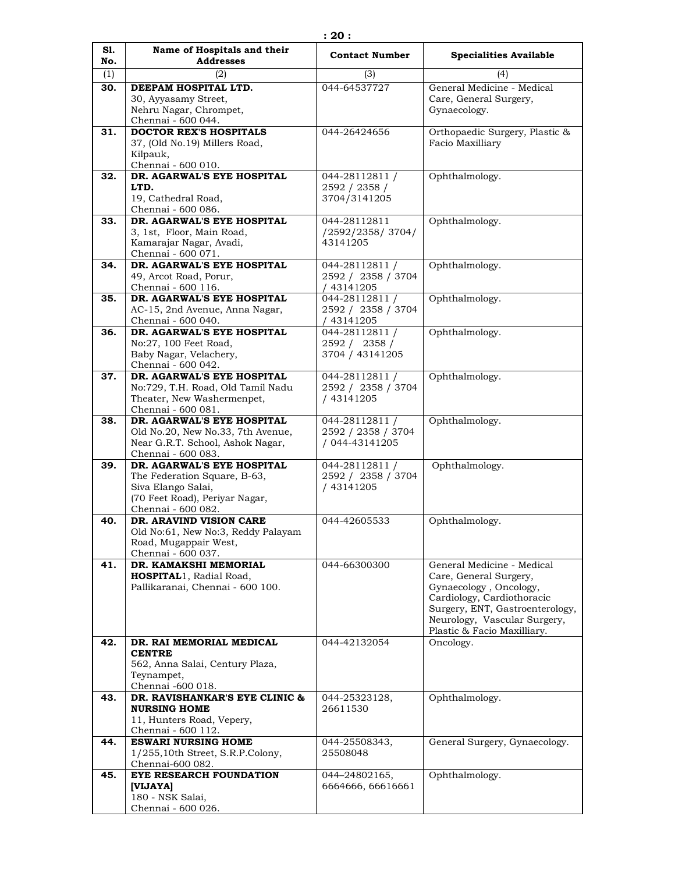| S1.        | Name of Hospitals and their<br><b>Addresses</b>                 | <b>Contact Number</b>                           | <b>Specialities Available</b>                                 |
|------------|-----------------------------------------------------------------|-------------------------------------------------|---------------------------------------------------------------|
| No.        | (2)                                                             |                                                 |                                                               |
| (1)<br>30. | DEEPAM HOSPITAL LTD.                                            | (3)<br>044-64537727                             | (4)<br>General Medicine - Medical                             |
|            | 30, Ayyasamy Street,<br>Nehru Nagar, Chrompet,                  |                                                 | Care, General Surgery,<br>Gynaecology.                        |
| 31.        | Chennai - 600 044.<br><b>DOCTOR REX'S HOSPITALS</b>             | 044-26424656                                    | Orthopaedic Surgery, Plastic &                                |
|            | 37, (Old No.19) Millers Road,<br>Kilpauk,                       |                                                 | Facio Maxilliary                                              |
|            | Chennai - 600 010.<br>DR. AGARWAL'S EYE HOSPITAL                |                                                 | Ophthalmology.                                                |
| 32.        | LTD.<br>19, Cathedral Road,<br>Chennai - 600 086.               | 044-28112811 /<br>2592 / 2358 /<br>3704/3141205 |                                                               |
| 33.        | DR. AGARWAL'S EYE HOSPITAL                                      | 044-28112811                                    | Ophthalmology.                                                |
|            | 3, 1st, Floor, Main Road,                                       | /2592/2358/3704/                                |                                                               |
|            | Kamarajar Nagar, Avadi,                                         | 43141205                                        |                                                               |
|            | Chennai - 600 071.<br>DR. AGARWAL'S EYE HOSPITAL                |                                                 | Ophthalmology.                                                |
| 34.        | 49, Arcot Road, Porur,                                          | 044-28112811 /<br>2592 / 2358 / 3704            |                                                               |
|            | Chennai - 600 116.                                              | / 43141205                                      |                                                               |
| 35.        | DR. AGARWAL'S EYE HOSPITAL                                      | 044-28112811 /                                  | Ophthalmology.                                                |
|            | AC-15, 2nd Avenue, Anna Nagar,                                  | 2592 / 2358 / 3704                              |                                                               |
| 36.        | Chennai - 600 040.<br>DR. AGARWAL'S EYE HOSPITAL                | / 43141205<br>044-28112811 /                    | Ophthalmology.                                                |
|            | No:27, 100 Feet Road,                                           | 2592 / 2358 /                                   |                                                               |
|            | Baby Nagar, Velachery,                                          | 3704 / 43141205                                 |                                                               |
|            | Chennai - 600 042.                                              |                                                 |                                                               |
| 37.        | DR. AGARWAL'S EYE HOSPITAL<br>No:729, T.H. Road, Old Tamil Nadu | 044-28112811 /<br>2592 / 2358 / 3704            | Ophthalmology.                                                |
|            | Theater, New Washermenpet,                                      | / 43141205                                      |                                                               |
|            | Chennai - 600 081.                                              |                                                 |                                                               |
| 38.        | DR. AGARWAL'S EYE HOSPITAL                                      | 044-28112811 /                                  | Ophthalmology.                                                |
|            | Old No.20, New No.33, 7th Avenue,                               | 2592 / 2358 / 3704                              |                                                               |
|            | Near G.R.T. School, Ashok Nagar,<br>Chennai - 600 083.          | / 044-43141205                                  |                                                               |
| 39.        | DR. AGARWAL'S EYE HOSPITAL                                      | 044-28112811 /                                  | Ophthalmology.                                                |
|            | The Federation Square, B-63,                                    | 2592 / 2358 / 3704                              |                                                               |
|            | Siva Elango Salai,<br>(70 Feet Road), Periyar Nagar,            | / 43141205                                      |                                                               |
|            | Chennai - 600 082.                                              |                                                 |                                                               |
| 40.        | DR. ARAVIND VISION CARE                                         | 044-42605533                                    | Ophthalmology.                                                |
|            | Old No:61, New No:3, Reddy Palayam                              |                                                 |                                                               |
|            | Road, Mugappair West,<br>Chennai - 600 037.                     |                                                 |                                                               |
| 41.        | DR. KAMAKSHI MEMORIAL                                           | 044-66300300                                    | General Medicine - Medical                                    |
|            | <b>HOSPITAL1</b> , Radial Road,                                 |                                                 | Care, General Surgery,                                        |
|            | Pallikaranai, Chennai - 600 100.                                |                                                 | Gynaecology, Oncology,                                        |
|            |                                                                 |                                                 | Cardiology, Cardiothoracic<br>Surgery, ENT, Gastroenterology, |
|            |                                                                 |                                                 | Neurology, Vascular Surgery,                                  |
|            |                                                                 |                                                 | Plastic & Facio Maxilliary.                                   |
| 42.        | DR. RAI MEMORIAL MEDICAL                                        | 044-42132054                                    | Oncology.                                                     |
|            | <b>CENTRE</b><br>562, Anna Salai, Century Plaza,                |                                                 |                                                               |
|            | Teynampet,                                                      |                                                 |                                                               |
|            | Chennai -600 018.                                               |                                                 |                                                               |
| 43.        | DR. RAVISHANKAR'S EYE CLINIC &                                  | 044-25323128,                                   | Ophthalmology.                                                |
|            | <b>NURSING HOME</b>                                             | 26611530                                        |                                                               |
|            | 11, Hunters Road, Vepery,<br>Chennai - 600 112.                 |                                                 |                                                               |
| 44.        | <b>ESWARI NURSING HOME</b>                                      | 044-25508343,                                   | General Surgery, Gynaecology.                                 |
|            | 1/255,10th Street, S.R.P.Colony,                                | 25508048                                        |                                                               |
|            | Chennai-600 082.                                                |                                                 |                                                               |
| 45.        | EYE RESEARCH FOUNDATION<br>[VIJAYA]                             | 044-24802165,<br>6664666, 66616661              | Ophthalmology.                                                |
|            | 180 - NSK Salai,                                                |                                                 |                                                               |
|            | Chennai - 600 026.                                              |                                                 |                                                               |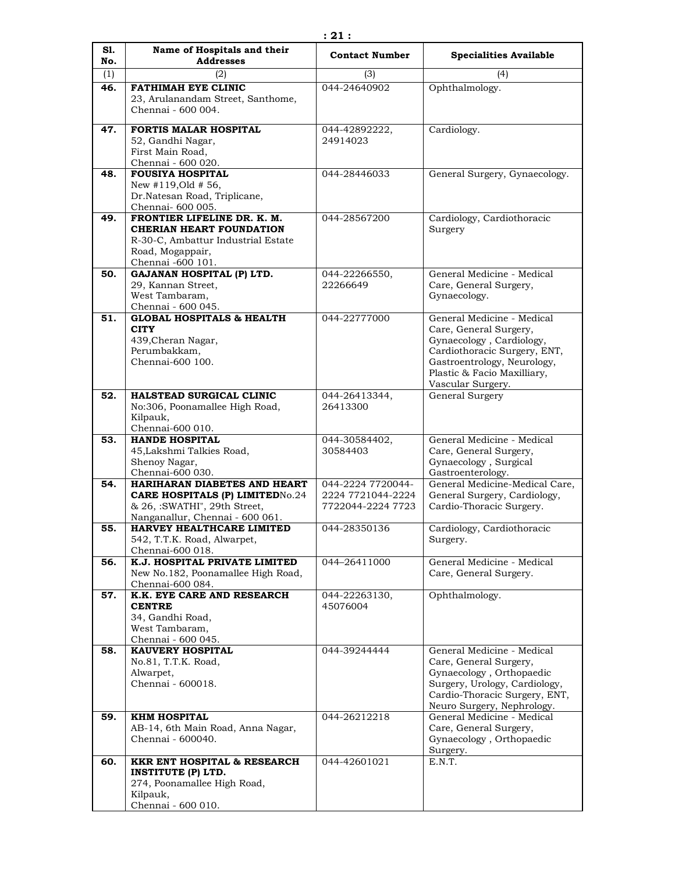| S1. | Name of Hospitals and their                                                                                                                   | <b>Contact Number</b>                                       | <b>Specialities Available</b>                                                                                                                                                                       |
|-----|-----------------------------------------------------------------------------------------------------------------------------------------------|-------------------------------------------------------------|-----------------------------------------------------------------------------------------------------------------------------------------------------------------------------------------------------|
| No. | <b>Addresses</b>                                                                                                                              |                                                             |                                                                                                                                                                                                     |
| (1) | (2)<br><b>FATHIMAH EYE CLINIC</b>                                                                                                             | (3)<br>044-24640902                                         | (4)                                                                                                                                                                                                 |
| 46. | 23, Arulanandam Street, Santhome,<br>Chennai - 600 004.                                                                                       |                                                             | Ophthalmology.                                                                                                                                                                                      |
| 47. | <b>FORTIS MALAR HOSPITAL</b><br>52, Gandhi Nagar,<br>First Main Road,<br>Chennai - 600 020.                                                   | 044-42892222,<br>24914023                                   | Cardiology.                                                                                                                                                                                         |
| 48. | <b>FOUSIYA HOSPITAL</b><br>New $\#119,$ Old $\#56$ ,<br>Dr.Natesan Road, Triplicane,<br>Chennai- 600 005.                                     | 044-28446033                                                | General Surgery, Gynaecology.                                                                                                                                                                       |
| 49. | FRONTIER LIFELINE DR. K. M.<br><b>CHERIAN HEART FOUNDATION</b><br>R-30-C, Ambattur Industrial Estate<br>Road, Mogappair,<br>Chennai -600 101. | 044-28567200                                                | Cardiology, Cardiothoracic<br>Surgery                                                                                                                                                               |
| 50. | <b>GAJANAN HOSPITAL (P) LTD.</b><br>29, Kannan Street,<br>West Tambaram,<br>Chennai - 600 045.                                                | 044-22266550.<br>22266649                                   | General Medicine - Medical<br>Care, General Surgery,<br>Gynaecology.                                                                                                                                |
| 51. | <b>GLOBAL HOSPITALS &amp; HEALTH</b><br><b>CITY</b><br>439, Cheran Nagar,<br>Perumbakkam,<br>Chennai-600 100.                                 | 044-22777000                                                | General Medicine - Medical<br>Care, General Surgery,<br>Gynaecology, Cardiology,<br>Cardiothoracic Surgery, ENT,<br>Gastroentrology, Neurology,<br>Plastic & Facio Maxilliary,<br>Vascular Surgery. |
| 52. | HALSTEAD SURGICAL CLINIC<br>No:306, Poonamallee High Road,<br>Kilpauk,<br>Chennai-600 010.                                                    | 044-26413344,<br>26413300                                   | General Surgery                                                                                                                                                                                     |
| 53. | <b>HANDE HOSPITAL</b><br>45, Lakshmi Talkies Road,<br>Shenoy Nagar,<br>Chennai-600 030.                                                       | 044-30584402,<br>30584403                                   | General Medicine - Medical<br>Care, General Surgery,<br>Gynaecology, Surgical<br>Gastroenterology.                                                                                                  |
| 54. | HARIHARAN DIABETES AND HEART<br><b>CARE HOSPITALS (P) LIMITEDNo.24</b><br>& 26, :SWATHI", 29th Street,<br>Nanganallur, Chennai - 600 061.     | 044-2224 7720044-<br>2224 7721044-2224<br>7722044-2224 7723 | General Medicine-Medical Care,<br>General Surgery, Cardiology,<br>Cardio-Thoracic Surgery.                                                                                                          |
| 55. | HARVEY HEALTHCARE LIMITED<br>542, T.T.K. Road, Alwarpet,<br>Chennai-600 018.                                                                  | 044-28350136                                                | Cardiology, Cardiothoracic<br>Surgery.                                                                                                                                                              |
| 56. | K.J. HOSPITAL PRIVATE LIMITED<br>New No.182, Poonamallee High Road,<br>Chennai-600 084.                                                       | 044-26411000                                                | General Medicine - Medical<br>Care, General Surgery.                                                                                                                                                |
| 57. | K.K. EYE CARE AND RESEARCH<br><b>CENTRE</b><br>34, Gandhi Road,<br>West Tambaram,<br>Chennai - 600 045.                                       | 044-22263130,<br>45076004                                   | Ophthalmology.                                                                                                                                                                                      |
| 58. | <b>KAUVERY HOSPITAL</b><br>No.81, T.T.K. Road,<br>Alwarpet,<br>Chennai - 600018.                                                              | 044-39244444                                                | General Medicine - Medical<br>Care, General Surgery,<br>Gynaecology, Orthopaedic<br>Surgery, Urology, Cardiology,<br>Cardio-Thoracic Surgery, ENT,<br>Neuro Surgery, Nephrology.                    |
| 59. | <b>KHM HOSPITAL</b><br>AB-14, 6th Main Road, Anna Nagar,<br>Chennai - 600040.                                                                 | 044-26212218                                                | General Medicine - Medical<br>Care, General Surgery,<br>Gynaecology, Orthopaedic<br>Surgery.                                                                                                        |
| 60. | <b>KKR ENT HOSPITAL &amp; RESEARCH</b><br><b>INSTITUTE (P) LTD.</b><br>274, Poonamallee High Road,<br>Kilpauk,<br>Chennai - 600 010.          | 044-42601021                                                | E.N.T.                                                                                                                                                                                              |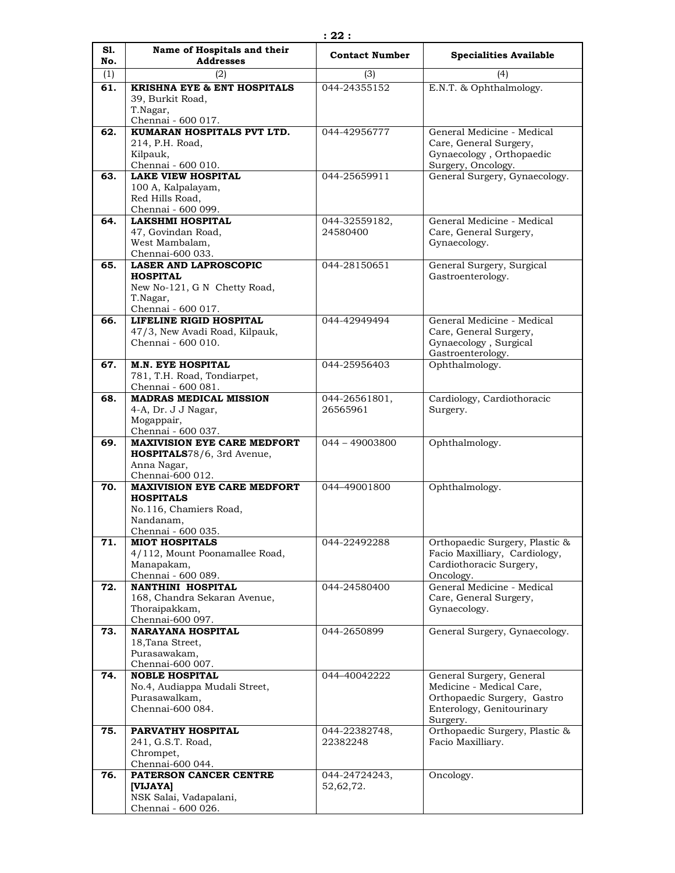| S1. | Name of Hospitals and their                                      | <b>Contact Number</b>     | <b>Specialities Available</b>                                   |
|-----|------------------------------------------------------------------|---------------------------|-----------------------------------------------------------------|
| No. | <b>Addresses</b>                                                 |                           |                                                                 |
| (1) | (2)                                                              | (3)                       | (4)                                                             |
| 61. | <b>KRISHNA EYE &amp; ENT HOSPITALS</b>                           | 044-24355152              | E.N.T. & Ophthalmology.                                         |
|     | 39, Burkit Road,<br>T.Nagar,                                     |                           |                                                                 |
|     | Chennai - 600 017.                                               |                           |                                                                 |
| 62. | KUMARAN HOSPITALS PVT LTD.                                       | 044-42956777              | General Medicine - Medical                                      |
|     | 214, P.H. Road,                                                  |                           | Care, General Surgery,                                          |
|     | Kilpauk,                                                         |                           | Gynaecology, Orthopaedic                                        |
|     | Chennai - 600 010.                                               |                           | Surgery, Oncology.                                              |
| 63. | <b>LAKE VIEW HOSPITAL</b>                                        | 044-25659911              | General Surgery, Gynaecology.                                   |
|     | 100 A, Kalpalayam,                                               |                           |                                                                 |
|     | Red Hills Road,                                                  |                           |                                                                 |
|     | Chennai - 600 099.                                               |                           |                                                                 |
| 64. | <b>LAKSHMI HOSPITAL</b>                                          | 044-32559182,<br>24580400 | General Medicine - Medical                                      |
|     | 47, Govindan Road,<br>West Mambalam,                             |                           | Care, General Surgery,<br>Gynaecology.                          |
|     | Chennai-600 033.                                                 |                           |                                                                 |
| 65. | <b>LASER AND LAPROSCOPIC</b>                                     | 044-28150651              | General Surgery, Surgical                                       |
|     | <b>HOSPITAL</b>                                                  |                           | Gastroenterology.                                               |
|     | New No-121, G N Chetty Road,                                     |                           |                                                                 |
|     | T.Nagar,                                                         |                           |                                                                 |
|     | Chennai - 600 017.                                               |                           |                                                                 |
| 66. | LIFELINE RIGID HOSPITAL                                          | 044-42949494              | General Medicine - Medical                                      |
|     | 47/3, New Avadi Road, Kilpauk,<br>Chennai - 600 010.             |                           | Care, General Surgery,<br>Gynaecology, Surgical                 |
|     |                                                                  |                           | Gastroenterology.                                               |
| 67. | <b>M.N. EYE HOSPITAL</b>                                         | 044-25956403              | Ophthalmology.                                                  |
|     | 781, T.H. Road, Tondiarpet,                                      |                           |                                                                 |
|     | Chennai - 600 081.                                               |                           |                                                                 |
| 68. | <b>MADRAS MEDICAL MISSION</b>                                    | 044-26561801,             | Cardiology, Cardiothoracic                                      |
|     | 4-A, Dr. J J Nagar,                                              | 26565961                  | Surgery.                                                        |
|     | Mogappair,                                                       |                           |                                                                 |
|     | Chennai - 600 037.                                               |                           |                                                                 |
| 69. | <b>MAXIVISION EYE CARE MEDFORT</b><br>HOSPITALS78/6, 3rd Avenue, | $044 - 49003800$          | Ophthalmology.                                                  |
|     | Anna Nagar,                                                      |                           |                                                                 |
|     | Chennai-600 012.                                                 |                           |                                                                 |
| 70. | <b>MAXIVISION EYE CARE MEDFORT</b>                               | 044-49001800              | Ophthalmology.                                                  |
|     | <b>HOSPITALS</b>                                                 |                           |                                                                 |
|     | No.116, Chamiers Road,                                           |                           |                                                                 |
|     | Nandanam,                                                        |                           |                                                                 |
| 71. | Chennai - 600 035.<br><b>MIOT HOSPITALS</b>                      | 044-22492288              |                                                                 |
|     | 4/112, Mount Poonamallee Road,                                   |                           | Orthopaedic Surgery, Plastic &<br>Facio Maxilliary, Cardiology, |
|     | Manapakam,                                                       |                           | Cardiothoracic Surgery,                                         |
|     | Chennai - 600 089.                                               |                           | Oncology.                                                       |
| 72. | <b>NANTHINI HOSPITAL</b>                                         | 044-24580400              | General Medicine - Medical                                      |
|     | 168, Chandra Sekaran Avenue,                                     |                           | Care, General Surgery,                                          |
|     | Thoraipakkam,                                                    |                           | Gynaecology.                                                    |
|     | Chennai-600 097.                                                 |                           |                                                                 |
| 73. | NARAYANA HOSPITAL                                                | 044-2650899               | General Surgery, Gynaecology.                                   |
|     | 18, Tana Street,<br>Purasawakam,                                 |                           |                                                                 |
|     | Chennai-600 007.                                                 |                           |                                                                 |
| 74. | <b>NOBLE HOSPITAL</b>                                            | 044-40042222              | General Surgery, General                                        |
|     | No.4, Audiappa Mudali Street,                                    |                           | Medicine - Medical Care,                                        |
|     | Purasawalkam,                                                    |                           | Orthopaedic Surgery, Gastro                                     |
|     | Chennai-600 084.                                                 |                           | Enterology, Genitourinary                                       |
|     |                                                                  |                           | Surgery.                                                        |
| 75. | PARVATHY HOSPITAL                                                | 044-22382748,             | Orthopaedic Surgery, Plastic &                                  |
|     | 241, G.S.T. Road,                                                | 22382248                  | Facio Maxilliary.                                               |
|     | Chrompet,<br>Chennai-600 044.                                    |                           |                                                                 |
| 76. | PATERSON CANCER CENTRE                                           | 044-24724243,             | Oncology.                                                       |
|     | [VIJAYA]                                                         | 52,62,72.                 |                                                                 |
|     | NSK Salai, Vadapalani,                                           |                           |                                                                 |
|     | Chennai - 600 026.                                               |                           |                                                                 |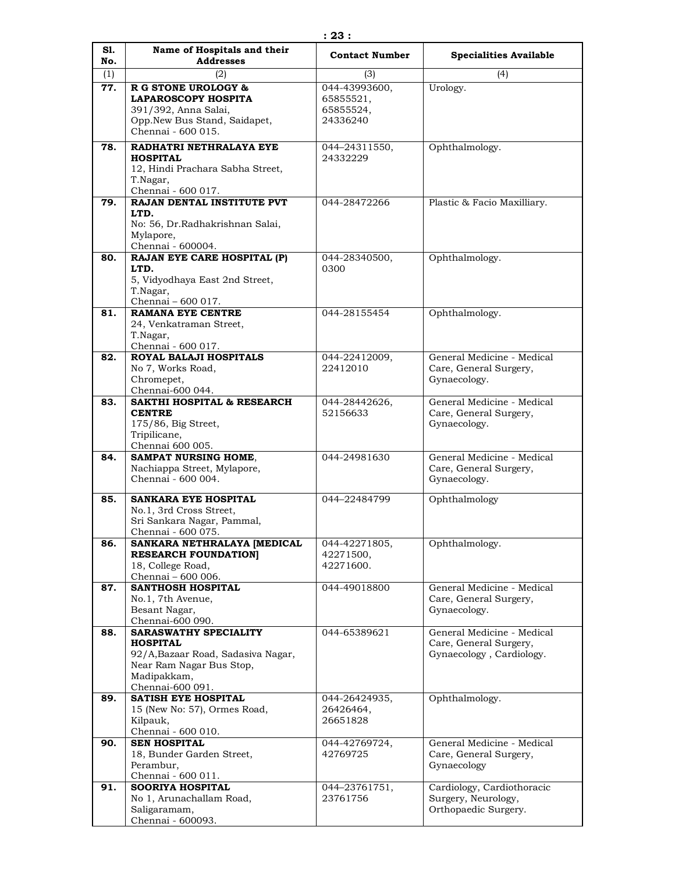| S1. | Name of Hospitals and their                                                                                                                   | <b>Contact Number</b>                               | <b>Specialities Available</b>                                                    |
|-----|-----------------------------------------------------------------------------------------------------------------------------------------------|-----------------------------------------------------|----------------------------------------------------------------------------------|
| No. | <b>Addresses</b>                                                                                                                              |                                                     |                                                                                  |
| (1) | (2)                                                                                                                                           | (3)                                                 | (4)                                                                              |
| 77. | <b>R G STONE UROLOGY &amp;</b><br><b>LAPAROSCOPY HOSPITA</b><br>391/392, Anna Salai,<br>Opp.New Bus Stand, Saidapet,<br>Chennai - 600 015.    | 044-43993600,<br>65855521,<br>65855524,<br>24336240 | Urology.                                                                         |
| 78. | RADHATRI NETHRALAYA EYE<br><b>HOSPITAL</b><br>12, Hindi Prachara Sabha Street,<br>T.Nagar,<br>Chennai - 600 017.                              | 044-24311550,<br>24332229                           | Ophthalmology.                                                                   |
| 79. | RAJAN DENTAL INSTITUTE PVT<br>LTD.<br>No: 56, Dr.Radhakrishnan Salai,<br>Mylapore,<br>Chennai - 600004.                                       | 044-28472266                                        | Plastic & Facio Maxilliary.                                                      |
| 80. | RAJAN EYE CARE HOSPITAL (P)<br>LTD.<br>5, Vidyodhaya East 2nd Street,<br>T.Nagar,<br>Chennai - 600 017.                                       | 044-28340500,<br>0300                               | Ophthalmology.                                                                   |
| 81. | <b>RAMANA EYE CENTRE</b><br>24, Venkatraman Street,<br>T.Nagar,<br>Chennai - 600 017.                                                         | 044-28155454                                        | Ophthalmology.                                                                   |
| 82. | <b>ROYAL BALAJI HOSPITALS</b><br>No 7, Works Road,<br>Chromepet,<br>Chennai-600 044.                                                          | 044-22412009,<br>22412010                           | General Medicine - Medical<br>Care, General Surgery,<br>Gynaecology.             |
| 83. | <b>SAKTHI HOSPITAL &amp; RESEARCH</b><br><b>CENTRE</b><br>175/86, Big Street,<br>Tripilicane,<br>Chennai 600 005.                             | 044-28442626,<br>52156633                           | General Medicine - Medical<br>Care, General Surgery,<br>Gynaecology.             |
| 84. | <b>SAMPAT NURSING HOME,</b><br>Nachiappa Street, Mylapore,<br>Chennai - 600 004.                                                              | 044-24981630                                        | General Medicine - Medical<br>Care, General Surgery,<br>Gynaecology.             |
| 85. | <b>SANKARA EYE HOSPITAL</b><br>No.1, 3rd Cross Street,<br>Sri Sankara Nagar, Pammal,<br>Chennai - 600 075.                                    | 044-22484799                                        | Ophthalmology                                                                    |
| 86. | SANKARA NETHRALAYA [MEDICAL<br><b>RESEARCH FOUNDATION</b><br>18, College Road,<br>Chennai - 600 006.                                          | 044-42271805,<br>42271500,<br>42271600.             | Ophthalmology.                                                                   |
| 87. | <b>SANTHOSH HOSPITAL</b><br>No.1, 7th Avenue,<br>Besant Nagar,<br>Chennai-600 090.                                                            | 044-49018800                                        | General Medicine - Medical<br>Care, General Surgery,<br>Gynaecology.             |
| 88. | SARASWATHY SPECIALITY<br><b>HOSPITAL</b><br>92/A, Bazaar Road, Sadasiva Nagar,<br>Near Ram Nagar Bus Stop,<br>Madipakkam,<br>Chennai-600 091. | 044-65389621                                        | General Medicine - Medical<br>Care, General Surgery,<br>Gynaecology, Cardiology. |
| 89. | <b>SATISH EYE HOSPITAL</b><br>15 (New No: 57), Ormes Road,<br>Kilpauk,<br>Chennai - 600 010.                                                  | 044-26424935,<br>26426464,<br>26651828              | Ophthalmology.                                                                   |
| 90. | <b>SEN HOSPITAL</b><br>18, Bunder Garden Street,<br>Perambur,<br>Chennai - 600 011.                                                           | 044-42769724,<br>42769725                           | General Medicine - Medical<br>Care, General Surgery,<br>Gynaecology              |
| 91. | <b>SOORIYA HOSPITAL</b><br>No 1, Arunachallam Road,<br>Saligaramam,<br>Chennai - 600093.                                                      | 044-23761751,<br>23761756                           | Cardiology, Cardiothoracic<br>Surgery, Neurology,<br>Orthopaedic Surgery.        |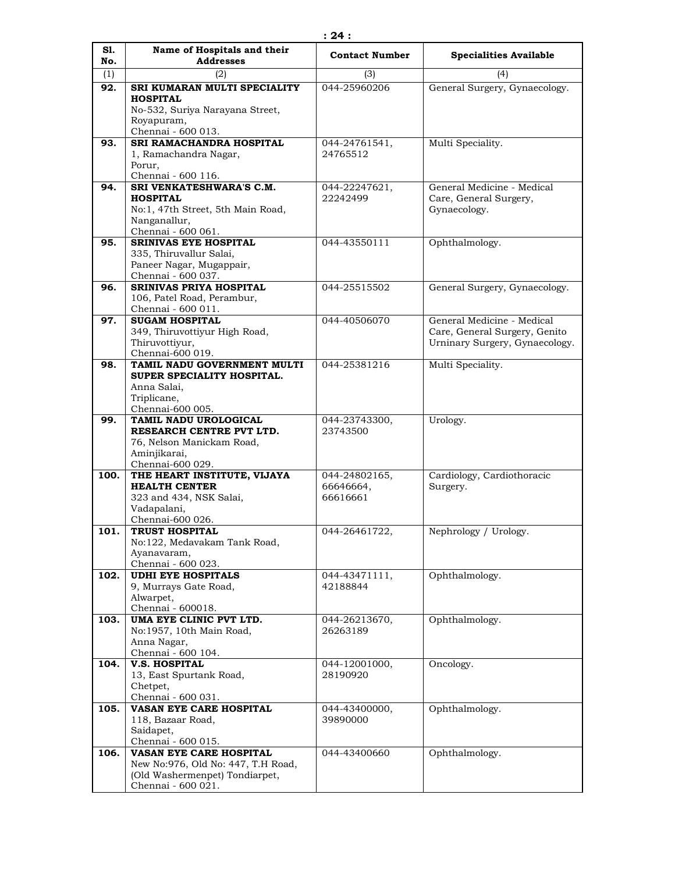| S1.  | Name of Hospitals and their                        | <b>Contact Number</b> | <b>Specialities Available</b>  |
|------|----------------------------------------------------|-----------------------|--------------------------------|
| No.  | <b>Addresses</b>                                   |                       |                                |
| (1)  | (2)                                                | (3)                   | (4)                            |
| 92.  | SRI KUMARAN MULTI SPECIALITY                       | 044-25960206          | General Surgery, Gynaecology.  |
|      | <b>HOSPITAL</b><br>No-532, Suriya Narayana Street, |                       |                                |
|      | Royapuram,                                         |                       |                                |
|      | Chennai - 600 013.                                 |                       |                                |
| 93.  | SRI RAMACHANDRA HOSPITAL                           | 044-24761541,         | Multi Speciality.              |
|      | 1, Ramachandra Nagar,                              | 24765512              |                                |
|      | Porur,                                             |                       |                                |
|      | Chennai - 600 116.                                 |                       |                                |
| 94.  | SRI VENKATESHWARA'S C.M.                           | 044-22247621,         | General Medicine - Medical     |
|      | <b>HOSPITAL</b>                                    | 22242499              | Care, General Surgery,         |
|      | No:1, 47th Street, 5th Main Road,<br>Nanganallur,  |                       | Gynaecology.                   |
|      | Chennai - 600 061.                                 |                       |                                |
| 95.  | <b>SRINIVAS EYE HOSPITAL</b>                       | 044-43550111          | Ophthalmology.                 |
|      | 335, Thiruvallur Salai,                            |                       |                                |
|      | Paneer Nagar, Mugappair,                           |                       |                                |
|      | Chennai - 600 037.                                 |                       |                                |
| 96.  | <b>SRINIVAS PRIYA HOSPITAL</b>                     | 044-25515502          | General Surgery, Gynaecology.  |
|      | 106, Patel Road, Perambur,<br>Chennai - 600 011.   |                       |                                |
| 97.  | <b>SUGAM HOSPITAL</b>                              | 044-40506070          | General Medicine - Medical     |
|      | 349, Thiruvottiyur High Road,                      |                       | Care, General Surgery, Genito  |
|      | Thiruvottiyur,                                     |                       | Urninary Surgery, Gynaecology. |
|      | Chennai-600 019.                                   |                       |                                |
| 98.  | TAMIL NADU GOVERNMENT MULTI                        | 044-25381216          | Multi Speciality.              |
|      | SUPER SPECIALITY HOSPITAL.                         |                       |                                |
|      | Anna Salai,                                        |                       |                                |
|      | Triplicane,<br>Chennai-600 005.                    |                       |                                |
| 99.  | TAMIL NADU UROLOGICAL                              | 044-23743300,         | Urology.                       |
|      | RESEARCH CENTRE PVT LTD.                           | 23743500              |                                |
|      | 76, Nelson Manickam Road,                          |                       |                                |
|      | Aminjikarai,                                       |                       |                                |
|      | Chennai-600 029.                                   |                       |                                |
| 100. | THE HEART INSTITUTE, VIJAYA                        | 044-24802165,         | Cardiology, Cardiothoracic     |
|      | <b>HEALTH CENTER</b>                               | 66646664,<br>66616661 | Surgery.                       |
|      | 323 and 434, NSK Salai,<br>Vadapalani,             |                       |                                |
|      | Chennai-600 026.                                   |                       |                                |
| 101. | <b>TRUST HOSPITAL</b>                              | 044-26461722,         | Nephrology / Urology.          |
|      | No:122, Medavakam Tank Road,                       |                       |                                |
|      | Ayanavaram,                                        |                       |                                |
|      | Chennai - 600 023.                                 |                       |                                |
| 102. | <b>UDHI EYE HOSPITALS</b>                          | 044-43471111,         | Ophthalmology.                 |
|      | 9, Murrays Gate Road,<br>Alwarpet,                 | 42188844              |                                |
|      | Chennai - 600018.                                  |                       |                                |
| 103. | UMA EYE CLINIC PVT LTD.                            | 044-26213670,         | Ophthalmology.                 |
|      | No:1957, 10th Main Road,                           | 26263189              |                                |
|      | Anna Nagar,                                        |                       |                                |
|      | Chennai - 600 104.                                 |                       |                                |
| 104. | <b>V.S. HOSPITAL</b>                               | 044-12001000,         | Oncology.                      |
|      | 13, East Spurtank Road,                            | 28190920              |                                |
|      | Chetpet,<br>Chennai - 600 031.                     |                       |                                |
| 105. | VASAN EYE CARE HOSPITAL                            | 044-43400000,         | Ophthalmology.                 |
|      | 118, Bazaar Road,                                  | 39890000              |                                |
|      | Saidapet,                                          |                       |                                |
|      | Chennai - 600 015.                                 |                       |                                |
| 106. | VASAN EYE CARE HOSPITAL                            | 044-43400660          | Ophthalmology.                 |
|      | New No: 976, Old No: 447, T.H Road,                |                       |                                |
|      | (Old Washermenpet) Tondiarpet,                     |                       |                                |
|      | Chennai - 600 021.                                 |                       |                                |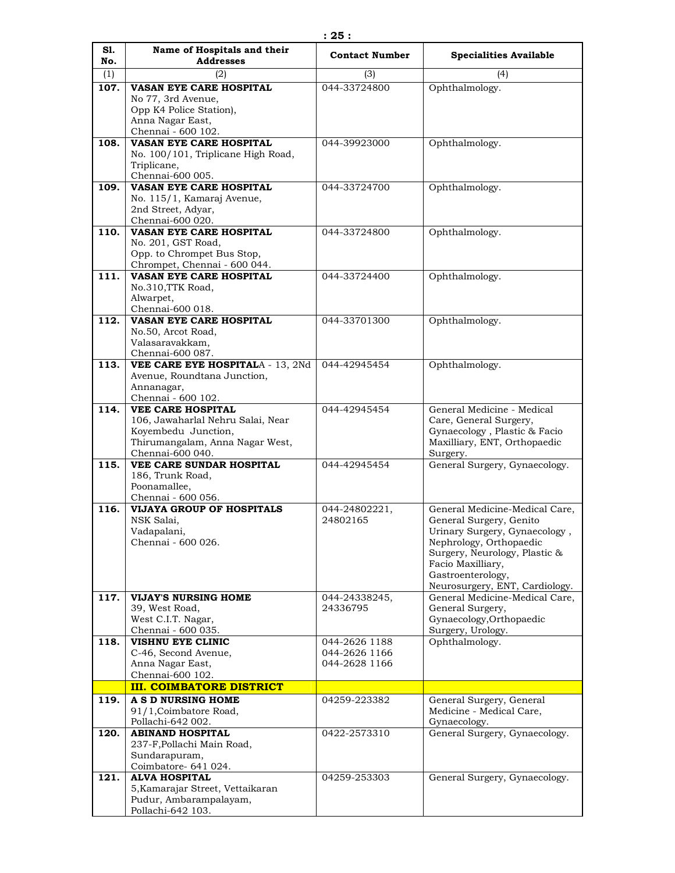| S1.  | Name of Hospitals and their                                | <b>Contact Number</b>          | <b>Specialities Available</b>                            |
|------|------------------------------------------------------------|--------------------------------|----------------------------------------------------------|
| No.  | <b>Addresses</b>                                           |                                |                                                          |
| (1)  | (2)                                                        | (3)                            | (4)                                                      |
| 107. | VASAN EYE CARE HOSPITAL                                    | 044-33724800                   | Ophthalmology.                                           |
|      | No 77, 3rd Avenue,                                         |                                |                                                          |
|      | Opp K4 Police Station),                                    |                                |                                                          |
|      | Anna Nagar East,<br>Chennai - 600 102.                     |                                |                                                          |
| 108. | VASAN EYE CARE HOSPITAL                                    | 044-39923000                   | Ophthalmology.                                           |
|      | No. 100/101, Triplicane High Road,                         |                                |                                                          |
|      | Triplicane,                                                |                                |                                                          |
|      | Chennai-600 005.                                           |                                |                                                          |
| 109. | <b>VASAN EYE CARE HOSPITAL</b>                             | 044-33724700                   | Ophthalmology.                                           |
|      | No. 115/1, Kamaraj Avenue,                                 |                                |                                                          |
|      | 2nd Street, Adyar,                                         |                                |                                                          |
|      | Chennai-600 020.                                           |                                |                                                          |
| 110. | VASAN EYE CARE HOSPITAL                                    | 044-33724800                   | Ophthalmology.                                           |
|      | No. 201, GST Road,                                         |                                |                                                          |
|      | Opp. to Chrompet Bus Stop,                                 |                                |                                                          |
|      | Chrompet, Chennai - 600 044.<br>VASAN EYE CARE HOSPITAL    |                                |                                                          |
| 111. | No.310,TTK Road,                                           | 044-33724400                   | Ophthalmology.                                           |
|      | Alwarpet,                                                  |                                |                                                          |
|      | Chennai-600 018.                                           |                                |                                                          |
| 112. | VASAN EYE CARE HOSPITAL                                    | 044-33701300                   | Ophthalmology.                                           |
|      | No.50, Arcot Road,                                         |                                |                                                          |
|      | Valasaravakkam,                                            |                                |                                                          |
|      | Chennai-600 087.                                           |                                |                                                          |
| 113. | VEE CARE EYE HOSPITALA - 13, 2Nd                           | 044-42945454                   | Ophthalmology.                                           |
|      | Avenue, Roundtana Junction,                                |                                |                                                          |
|      | Annanagar,                                                 |                                |                                                          |
| 114. | Chennai - 600 102.<br><b>VEE CARE HOSPITAL</b>             | 044-42945454                   | General Medicine - Medical                               |
|      | 106, Jawaharlal Nehru Salai, Near                          |                                | Care, General Surgery,                                   |
|      | Koyembedu Junction,                                        |                                | Gynaecology, Plastic & Facio                             |
|      | Thirumangalam, Anna Nagar West,                            |                                | Maxilliary, ENT, Orthopaedic                             |
|      | Chennai-600 040.                                           |                                | Surgery.                                                 |
| 115. | VEE CARE SUNDAR HOSPITAL                                   | 044-42945454                   | General Surgery, Gynaecology.                            |
|      | 186, Trunk Road,                                           |                                |                                                          |
|      | Poonamallee,                                               |                                |                                                          |
|      | Chennai - 600 056.                                         |                                |                                                          |
| 116. | <b>VIJAYA GROUP OF HOSPITALS</b>                           | 044-24802221,                  | General Medicine-Medical Care,                           |
|      | NSK Salai,<br>Vadapalani,                                  | 24802165                       | General Surgery, Genito                                  |
|      | Chennai - 600 026.                                         |                                | Urinary Surgery, Gynaecology,<br>Nephrology, Orthopaedic |
|      |                                                            |                                | Surgery, Neurology, Plastic &                            |
|      |                                                            |                                | Facio Maxilliary,                                        |
|      |                                                            |                                | Gastroenterology,                                        |
|      |                                                            |                                | Neurosurgery, ENT, Cardiology.                           |
| 117. | <b>VIJAY'S NURSING HOME</b>                                | 044-24338245,                  | General Medicine-Medical Care,                           |
|      | 39, West Road,                                             | 24336795                       | General Surgery,                                         |
|      | West C.I.T. Nagar,                                         |                                | Gynaecology, Orthopaedic                                 |
|      | Chennai - 600 035.<br><b>VISHNU EYE CLINIC</b>             |                                | Surgery, Urology.                                        |
| 118. | C-46, Second Avenue,                                       | 044-2626 1188<br>044-2626 1166 | Ophthalmology.                                           |
|      | Anna Nagar East,                                           | 044-2628 1166                  |                                                          |
|      | Chennai-600 102.                                           |                                |                                                          |
|      | <b>III. COIMBATORE DISTRICT</b>                            |                                |                                                          |
| 119. | A S D NURSING HOME                                         | 04259-223382                   | General Surgery, General                                 |
|      | 91/1, Coimbatore Road,                                     |                                | Medicine - Medical Care,                                 |
|      | Pollachi-642 002.                                          |                                | Gynaecology.                                             |
| 120. | <b>ABINAND HOSPITAL</b>                                    | 0422-2573310                   | General Surgery, Gynaecology.                            |
|      | 237-F, Pollachi Main Road,                                 |                                |                                                          |
|      | Sundarapuram,                                              |                                |                                                          |
|      | Coimbatore- 641 024.                                       |                                |                                                          |
| 121. | <b>ALVA HOSPITAL</b>                                       | 04259-253303                   | General Surgery, Gynaecology.                            |
|      | 5, Kamarajar Street, Vettaikaran<br>Pudur, Ambarampalayam, |                                |                                                          |
|      | Pollachi-642 103.                                          |                                |                                                          |
|      |                                                            |                                |                                                          |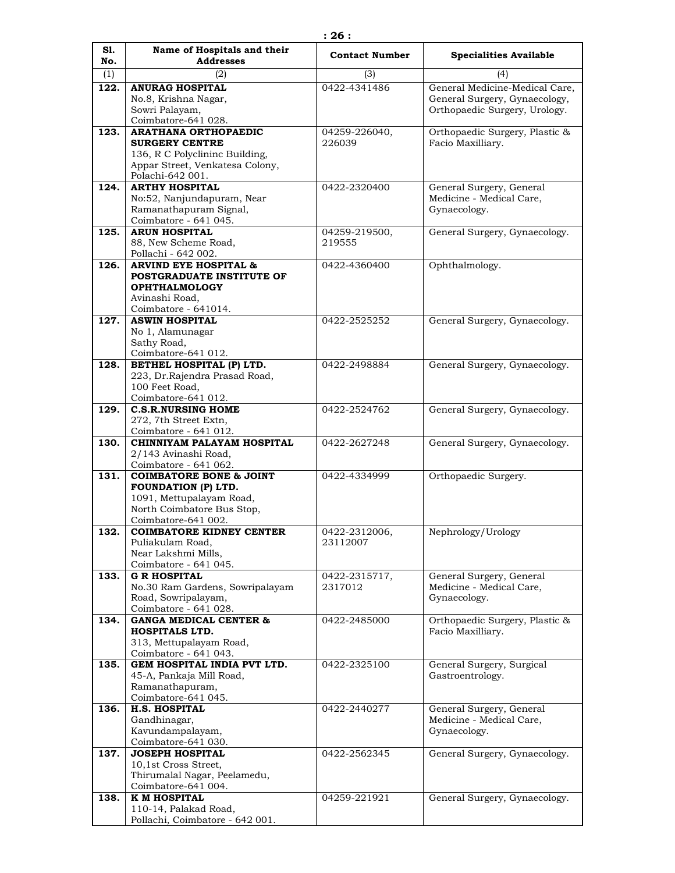| S1.  | Name of Hospitals and their                          | <b>Contact Number</b>    | <b>Specialities Available</b>                        |
|------|------------------------------------------------------|--------------------------|------------------------------------------------------|
| No.  | <b>Addresses</b>                                     |                          |                                                      |
| (1)  | (2)                                                  | (3)                      | (4)                                                  |
| 122. | <b>ANURAG HOSPITAL</b>                               | 0422-4341486             | General Medicine-Medical Care,                       |
|      | No.8, Krishna Nagar,                                 |                          | General Surgery, Gynaecology,                        |
|      | Sowri Palayam,                                       |                          | Orthopaedic Surgery, Urology.                        |
|      | Coimbatore-641 028.                                  |                          |                                                      |
| 123. | <b>ARATHANA ORTHOPAEDIC</b><br><b>SURGERY CENTRE</b> | 04259-226040,<br>226039  | Orthopaedic Surgery, Plastic &                       |
|      | 136, R C Polyclininc Building,                       |                          | Facio Maxilliary.                                    |
|      | Appar Street, Venkatesa Colony,                      |                          |                                                      |
|      | Polachi-642 001.                                     |                          |                                                      |
| 124. | <b>ARTHY HOSPITAL</b>                                | 0422-2320400             | General Surgery, General                             |
|      | No:52, Nanjundapuram, Near                           |                          | Medicine - Medical Care,                             |
|      | Ramanathapuram Signal,                               |                          | Gynaecology.                                         |
|      | Coimbatore - 641 045.                                |                          |                                                      |
| 125. | <b>ARUN HOSPITAL</b>                                 | 04259-219500,            | General Surgery, Gynaecology.                        |
|      | 88, New Scheme Road,                                 | 219555                   |                                                      |
|      | Pollachi - 642 002.                                  |                          |                                                      |
| 126. | <b>ARVIND EYE HOSPITAL &amp;</b>                     | 0422-4360400             | Ophthalmology.                                       |
|      | POSTGRADUATE INSTITUTE OF                            |                          |                                                      |
|      | <b>OPHTHALMOLOGY</b>                                 |                          |                                                      |
|      | Avinashi Road,<br>Coimbatore - 641014.               |                          |                                                      |
| 127. | <b>ASWIN HOSPITAL</b>                                | 0422-2525252             | General Surgery, Gynaecology.                        |
|      | No 1, Alamunagar                                     |                          |                                                      |
|      | Sathy Road,                                          |                          |                                                      |
|      | Coimbatore-641 012.                                  |                          |                                                      |
| 128. | BETHEL HOSPITAL (P) LTD.                             | 0422-2498884             | General Surgery, Gynaecology.                        |
|      | 223, Dr.Rajendra Prasad Road,                        |                          |                                                      |
|      | 100 Feet Road,                                       |                          |                                                      |
|      | Coimbatore-641 012.                                  |                          |                                                      |
| 129. | <b>C.S.R.NURSING HOME</b>                            | 0422-2524762             | General Surgery, Gynaecology.                        |
|      | 272, 7th Street Extn,                                |                          |                                                      |
|      | Coimbatore - 641 012.                                |                          |                                                      |
| 130. | CHINNIYAM PALAYAM HOSPITAL                           | 0422-2627248             | General Surgery, Gynaecology.                        |
|      | 2/143 Avinashi Road,<br>Coimbatore - 641 062.        |                          |                                                      |
| 131. | <b>COIMBATORE BONE &amp; JOINT</b>                   | 0422-4334999             | Orthopaedic Surgery.                                 |
|      | FOUNDATION (P) LTD.                                  |                          |                                                      |
|      | 1091, Mettupalayam Road,                             |                          |                                                      |
|      | North Coimbatore Bus Stop,                           |                          |                                                      |
|      | Coimbatore-641 002.                                  |                          |                                                      |
| 132. | <b>COIMBATORE KIDNEY CENTER</b>                      | 0422-2312006,            | Nephrology/Urology                                   |
|      | Puliakulam Road,                                     | 23112007                 |                                                      |
|      | Near Lakshmi Mills,                                  |                          |                                                      |
|      | Coimbatore - 641 045.<br><b>G R HOSPITAL</b>         |                          |                                                      |
| 133. | No.30 Ram Gardens, Sowripalayam                      | 0422-2315717,<br>2317012 | General Surgery, General<br>Medicine - Medical Care, |
|      | Road, Sowripalayam,                                  |                          | Gynaecology.                                         |
|      | Coimbatore - 641 028.                                |                          |                                                      |
| 134. | <b>GANGA MEDICAL CENTER &amp;</b>                    | 0422-2485000             | Orthopaedic Surgery, Plastic &                       |
|      | HOSPITALS LTD.                                       |                          | Facio Maxilliary.                                    |
|      | 313, Mettupalayam Road,                              |                          |                                                      |
|      | Coimbatore - 641 043.                                |                          |                                                      |
| 135. | GEM HOSPITAL INDIA PVT LTD.                          | 0422-2325100             | General Surgery, Surgical                            |
|      | 45-A, Pankaja Mill Road,                             |                          | Gastroentrology.                                     |
|      | Ramanathapuram,                                      |                          |                                                      |
|      | Coimbatore-641 045.                                  |                          |                                                      |
| 136. | <b>H.S. HOSPITAL</b><br>Gandhinagar,                 | 0422-2440277             | General Surgery, General<br>Medicine - Medical Care, |
|      | Kavundampalayam,                                     |                          | Gynaecology.                                         |
|      | Coimbatore-641 030.                                  |                          |                                                      |
| 137. | <b>JOSEPH HOSPITAL</b>                               | 0422-2562345             | General Surgery, Gynaecology.                        |
|      | 10,1st Cross Street,                                 |                          |                                                      |
|      | Thirumalal Nagar, Peelamedu,                         |                          |                                                      |
|      | Coimbatore-641 004.                                  |                          |                                                      |
| 138. | K M HOSPITAL                                         | 04259-221921             | General Surgery, Gynaecology.                        |
|      | 110-14, Palakad Road,                                |                          |                                                      |
|      | Pollachi, Coimbatore - 642 001.                      |                          |                                                      |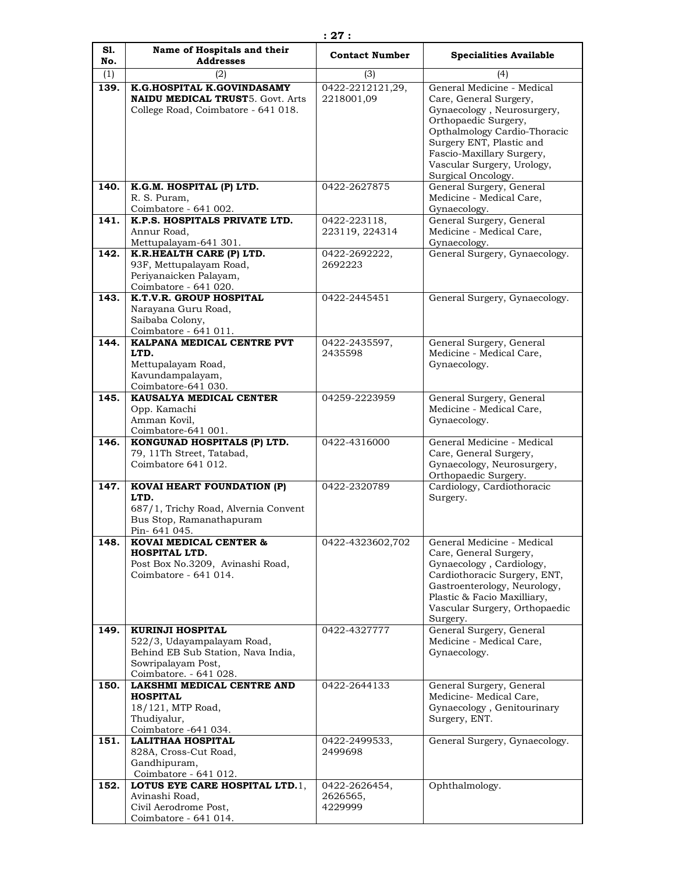| S1.<br>No.   | Name of Hospitals and their<br><b>Addresses</b>                                                                                 | <b>Contact Number</b>                | <b>Specialities Available</b>                                                                                                                                                                                                                            |
|--------------|---------------------------------------------------------------------------------------------------------------------------------|--------------------------------------|----------------------------------------------------------------------------------------------------------------------------------------------------------------------------------------------------------------------------------------------------------|
| (1)          | (2)                                                                                                                             | (3)                                  | (4)                                                                                                                                                                                                                                                      |
| 139.         | K.G.HOSPITAL K.GOVINDASAMY<br><b>NAIDU MEDICAL TRUST5. Govt. Arts</b><br>College Road, Coimbatore - 641 018.                    | 0422-2212121,29,<br>2218001,09       | General Medicine - Medical<br>Care, General Surgery,<br>Gynaecology, Neurosurgery,<br>Orthopaedic Surgery,<br>Opthalmology Cardio-Thoracic<br>Surgery ENT, Plastic and<br>Fascio-Maxillary Surgery,<br>Vascular Surgery, Urology,<br>Surgical Oncology.  |
| 140.         | K.G.M. HOSPITAL (P) LTD.<br>R. S. Puram,<br>Coimbatore - 641 002.                                                               | 0422-2627875                         | General Surgery, General<br>Medicine - Medical Care,<br>Gynaecology.                                                                                                                                                                                     |
| 141.         | K.P.S. HOSPITALS PRIVATE LTD.<br>Annur Road,<br>Mettupalayam-641 301.                                                           | 0422-223118,<br>223119, 224314       | General Surgery, General<br>Medicine - Medical Care,<br>Gynaecology.                                                                                                                                                                                     |
| 142.         | K.R.HEALTH CARE (P) LTD.<br>93F, Mettupalayam Road,<br>Periyanaicken Palayam,<br>Coimbatore - 641 020.                          | 0422-2692222,<br>2692223             | General Surgery, Gynaecology.                                                                                                                                                                                                                            |
| 143.         | K.T.V.R. GROUP HOSPITAL<br>Narayana Guru Road,<br>Saibaba Colony,<br>Coimbatore - 641 011.                                      | 0422-2445451                         | General Surgery, Gynaecology.                                                                                                                                                                                                                            |
| 144.         | KALPANA MEDICAL CENTRE PVT<br>LTD.<br>Mettupalayam Road,<br>Kavundampalayam,<br>Coimbatore-641 030.                             | 0422-2435597,<br>2435598             | General Surgery, General<br>Medicine - Medical Care,<br>Gynaecology.                                                                                                                                                                                     |
| 145.         | KAUSALYA MEDICAL CENTER<br>Opp. Kamachi<br>Amman Kovil,<br>Coimbatore-641 001.                                                  | 04259-2223959                        | General Surgery, General<br>Medicine - Medical Care,<br>Gynaecology.                                                                                                                                                                                     |
| 146.         | KONGUNAD HOSPITALS (P) LTD.<br>79, 11Th Street, Tatabad,<br>Coimbatore 641 012.                                                 | 0422-4316000                         | General Medicine - Medical<br>Care, General Surgery,<br>Gynaecology, Neurosurgery,<br>Orthopaedic Surgery.                                                                                                                                               |
| 147.         | <b>KOVAI HEART FOUNDATION (P)</b><br>LTD.<br>687/1, Trichy Road, Alvernia Convent<br>Bus Stop, Ramanathapuram<br>Pin-641 045.   | 0422-2320789                         | Cardiology, Cardiothoracic<br>Surgery.                                                                                                                                                                                                                   |
| 148.<br>149. | KOVAI MEDICAL CENTER &<br>HOSPITAL LTD.<br>Post Box No.3209, Avinashi Road,<br>Coimbatore - 641 014.<br><b>KURINJI HOSPITAL</b> | 0422-4323602,702<br>0422-4327777     | General Medicine - Medical<br>Care, General Surgery,<br>Gynaecology, Cardiology,<br>Cardiothoracic Surgery, ENT,<br>Gastroenterology, Neurology,<br>Plastic & Facio Maxilliary,<br>Vascular Surgery, Orthopaedic<br>Surgery.<br>General Surgery, General |
|              | 522/3, Udayampalayam Road,<br>Behind EB Sub Station, Nava India,<br>Sowripalayam Post,<br>Coimbatore. - 641 028.                |                                      | Medicine - Medical Care,<br>Gynaecology.                                                                                                                                                                                                                 |
| 150.         | <b>LAKSHMI MEDICAL CENTRE AND</b><br><b>HOSPITAL</b><br>18/121, MTP Road,<br>Thudiyalur,<br>Coimbatore -641 034.                | 0422-2644133                         | General Surgery, General<br>Medicine-Medical Care,<br>Gynaecology, Genitourinary<br>Surgery, ENT.                                                                                                                                                        |
| 151.         | <b>LALITHAA HOSPITAL</b><br>828A, Cross-Cut Road,<br>Gandhipuram,<br>Coimbatore - 641 012.                                      | 0422-2499533,<br>2499698             | General Surgery, Gynaecology.                                                                                                                                                                                                                            |
| 152.         | LOTUS EYE CARE HOSPITAL LTD.1,<br>Avinashi Road,<br>Civil Aerodrome Post,<br>Coimbatore - 641 014.                              | 0422-2626454,<br>2626565,<br>4229999 | Ophthalmology.                                                                                                                                                                                                                                           |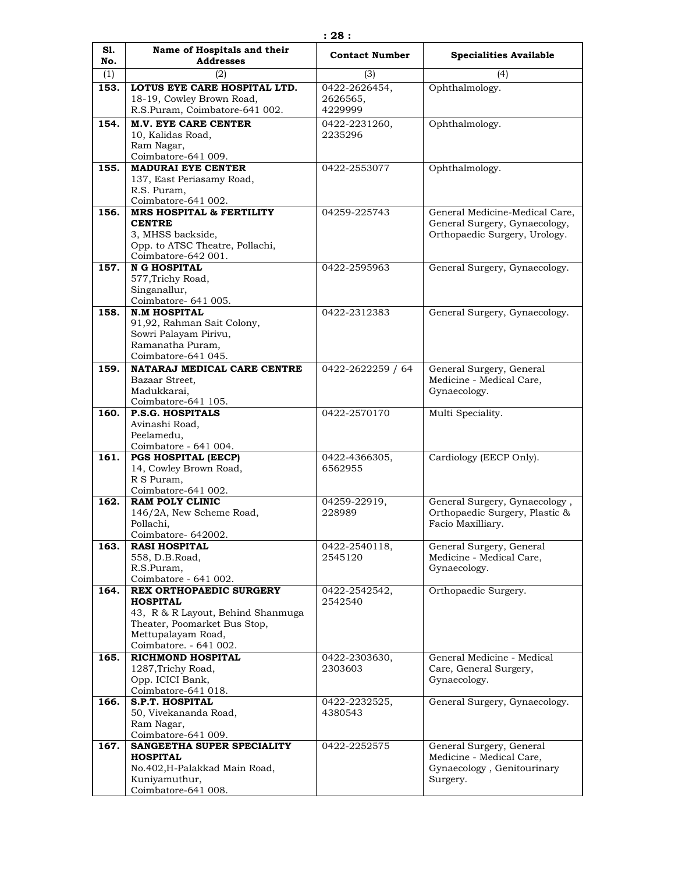| S1.  | Name of Hospitals and their                                                                                                                                            | <b>Contact Number</b>                | <b>Specialities Available</b>                                                                  |
|------|------------------------------------------------------------------------------------------------------------------------------------------------------------------------|--------------------------------------|------------------------------------------------------------------------------------------------|
| No.  | <b>Addresses</b>                                                                                                                                                       |                                      |                                                                                                |
| (1)  | (2)                                                                                                                                                                    | (3)                                  | (4)                                                                                            |
| 153. | LOTUS EYE CARE HOSPITAL LTD.<br>18-19, Cowley Brown Road,<br>R.S.Puram, Coimbatore-641 002.                                                                            | 0422-2626454,<br>2626565,<br>4229999 | Ophthalmology.                                                                                 |
| 154. | <b>M.V. EYE CARE CENTER</b><br>10, Kalidas Road,<br>Ram Nagar,                                                                                                         | 0422-2231260,<br>2235296             | Ophthalmology.                                                                                 |
|      | Coimbatore-641 009.                                                                                                                                                    |                                      |                                                                                                |
| 155. | <b>MADURAI EYE CENTER</b><br>137, East Periasamy Road,<br>R.S. Puram,<br>Coimbatore-641 002.                                                                           | 0422-2553077                         | Ophthalmology.                                                                                 |
| 156. | <b>MRS HOSPITAL &amp; FERTILITY</b>                                                                                                                                    | 04259-225743                         | General Medicine-Medical Care,                                                                 |
|      | <b>CENTRE</b><br>3, MHSS backside,<br>Opp. to ATSC Theatre, Pollachi,<br>Coimbatore-642 001.                                                                           |                                      | General Surgery, Gynaecology,<br>Orthopaedic Surgery, Urology.                                 |
| 157. | <b>N G HOSPITAL</b><br>577, Trichy Road,<br>Singanallur,                                                                                                               | 0422-2595963                         | General Surgery, Gynaecology.                                                                  |
|      | Coimbatore- 641 005.                                                                                                                                                   |                                      |                                                                                                |
| 158. | <b>N.M HOSPITAL</b><br>91,92, Rahman Sait Colony,<br>Sowri Palayam Pirivu,<br>Ramanatha Puram,<br>Coimbatore-641 045.                                                  | 0422-2312383                         | General Surgery, Gynaecology.                                                                  |
| 159. | NATARAJ MEDICAL CARE CENTRE                                                                                                                                            | 0422-2622259 / 64                    | General Surgery, General                                                                       |
|      | Bazaar Street,<br>Madukkarai,<br>Coimbatore-641 105.                                                                                                                   |                                      | Medicine - Medical Care,<br>Gynaecology.                                                       |
| 160. | <b>P.S.G. HOSPITALS</b>                                                                                                                                                | 0422-2570170                         | Multi Speciality.                                                                              |
|      | Avinashi Road,<br>Peelamedu,<br>Coimbatore - 641 004.                                                                                                                  |                                      |                                                                                                |
| 161. | <b>PGS HOSPITAL (EECP)</b><br>14, Cowley Brown Road,<br>R S Puram,<br>Coimbatore-641 002.                                                                              | 0422-4366305,<br>6562955             | Cardiology (EECP Only).                                                                        |
| 162. | <b>RAM POLY CLINIC</b><br>146/2A, New Scheme Road,<br>Pollachi,<br>Coimbatore- 642002.                                                                                 | 04259-22919,<br>228989               | General Surgery, Gynaecology,<br>Orthopaedic Surgery, Plastic &<br>Facio Maxilliary.           |
| 163. | <b>RASI HOSPITAL</b><br>558, D.B.Road,<br>R.S.Puram,<br>Coimbatore - 641 002.                                                                                          | 0422-2540118,<br>2545120             | General Surgery, General<br>Medicine - Medical Care,<br>Gynaecology.                           |
| 164. | <b>REX ORTHOPAEDIC SURGERY</b><br><b>HOSPITAL</b><br>43, R & R Layout, Behind Shanmuga<br>Theater, Poomarket Bus Stop,<br>Mettupalayam Road,<br>Coimbatore. - 641 002. | 0422-2542542.<br>2542540             | Orthopaedic Surgery.                                                                           |
| 165. | <b>RICHMOND HOSPITAL</b><br>1287, Trichy Road,<br>Opp. ICICI Bank,<br>Coimbatore-641 018.                                                                              | 0422-2303630,<br>2303603             | General Medicine - Medical<br>Care, General Surgery,<br>Gynaecology.                           |
| 166. | <b>S.P.T. HOSPITAL</b><br>50, Vivekananda Road,<br>Ram Nagar,<br>Coimbatore-641 009.                                                                                   | 0422-2232525,<br>4380543             | General Surgery, Gynaecology.                                                                  |
| 167. | SANGEETHA SUPER SPECIALITY<br><b>HOSPITAL</b><br>No.402, H-Palakkad Main Road,<br>Kuniyamuthur,<br>Coimbatore-641 008.                                                 | 0422-2252575                         | General Surgery, General<br>Medicine - Medical Care,<br>Gynaecology, Genitourinary<br>Surgery. |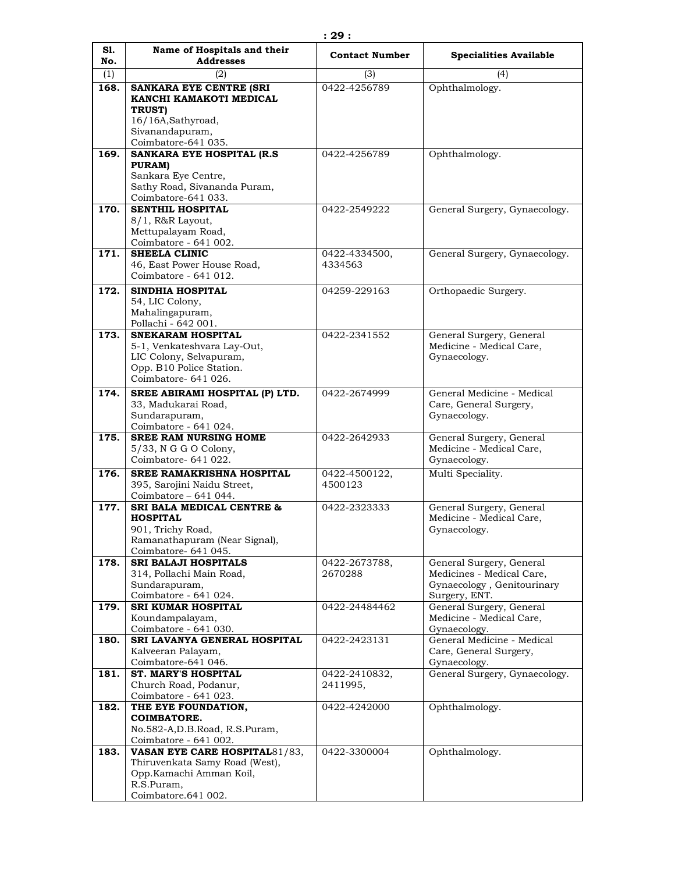| S1.<br>No.  | Name of Hospitals and their<br><b>Addresses</b>                                                                                        | <b>Contact Number</b>     | <b>Specialities Available</b>                                                                        |
|-------------|----------------------------------------------------------------------------------------------------------------------------------------|---------------------------|------------------------------------------------------------------------------------------------------|
|             |                                                                                                                                        |                           | (4)                                                                                                  |
| (1)<br>168. | (2)<br><b>SANKARA EYE CENTRE (SRI</b><br>KANCHI KAMAKOTI MEDICAL<br>TRUST)                                                             | (3)<br>0422-4256789       | Ophthalmology.                                                                                       |
|             | 16/16A, Sathyroad,<br>Sivanandapuram,<br>Coimbatore-641 035.                                                                           |                           |                                                                                                      |
| 169.        | SANKARA EYE HOSPITAL (R.S.<br>PURAM)<br>Sankara Eye Centre,<br>Sathy Road, Sivananda Puram,<br>Coimbatore-641 033.                     | 0422-4256789              | Ophthalmology.                                                                                       |
| 170.        | <b>SENTHIL HOSPITAL</b><br>8/1, R&R Layout,<br>Mettupalayam Road,<br>Coimbatore - 641 002.                                             | 0422-2549222              | General Surgery, Gynaecology.                                                                        |
| 171.        | <b>SHEELA CLINIC</b><br>46, East Power House Road,<br>Coimbatore - 641 012.                                                            | 0422-4334500,<br>4334563  | General Surgery, Gynaecology.                                                                        |
| 172.        | <b>SINDHIA HOSPITAL</b><br>54, LIC Colony,<br>Mahalingapuram,<br>Pollachi - 642 001.                                                   | 04259-229163              | Orthopaedic Surgery.                                                                                 |
| 173.        | <b>SNEKARAM HOSPITAL</b><br>5-1, Venkateshvara Lay-Out,<br>LIC Colony, Selvapuram,<br>Opp. B10 Police Station.<br>Coimbatore- 641 026. | 0422-2341552              | General Surgery, General<br>Medicine - Medical Care,<br>Gynaecology.                                 |
| 174.        | SREE ABIRAMI HOSPITAL (P) LTD.<br>33, Madukarai Road,<br>Sundarapuram,<br>Coimbatore - 641 024.                                        | 0422-2674999              | General Medicine - Medical<br>Care, General Surgery,<br>Gynaecology.                                 |
| 175.        | <b>SREE RAM NURSING HOME</b><br>5/33, N G G O Colony,<br>Coimbatore- 641 022.                                                          | 0422-2642933              | General Surgery, General<br>Medicine - Medical Care,<br>Gynaecology.                                 |
| 176.        | <b>SREE RAMAKRISHNA HOSPITAL</b><br>395, Sarojini Naidu Street,<br>Coimbatore - 641 044.                                               | 0422-4500122,<br>4500123  | Multi Speciality.                                                                                    |
| 177.        | <b>SRI BALA MEDICAL CENTRE &amp;</b><br><b>HOSPITAL</b><br>901, Trichy Road,<br>Ramanathapuram (Near Signal),<br>Coimbatore- 641 045.  | 0422-2323333              | General Surgery, General<br>Medicine - Medical Care,<br>Gynaecology.                                 |
| 178.        | <b>SRI BALAJI HOSPITALS</b><br>314, Pollachi Main Road,<br>Sundarapuram,<br>Coimbatore - 641 024.                                      | 0422-2673788,<br>2670288  | General Surgery, General<br>Medicines - Medical Care,<br>Gynaecology, Genitourinary<br>Surgery, ENT. |
| 179.        | <b>SRI KUMAR HOSPITAL</b><br>Koundampalayam,<br>Coimbatore - 641 030.                                                                  | 0422-24484462             | General Surgery, General<br>Medicine - Medical Care,<br>Gynaecology.                                 |
| 180.        | SRI LAVANYA GENERAL HOSPITAL<br>Kalveeran Palayam,<br>Coimbatore-641 046.                                                              | 0422-2423131              | General Medicine - Medical<br>Care, General Surgery,<br>Gynaecology.                                 |
| 181.        | <b>ST. MARY'S HOSPITAL</b><br>Church Road, Podanur,<br>Coimbatore - 641 023.                                                           | 0422-2410832,<br>2411995, | General Surgery, Gynaecology.                                                                        |
| 182.        | THE EYE FOUNDATION,<br><b>COIMBATORE.</b><br>No.582-A,D.B.Road, R.S.Puram,<br>Coimbatore - 641 002.                                    | 0422-4242000              | Ophthalmology.                                                                                       |
| 183.        | VASAN EYE CARE HOSPITAL81/83,<br>Thiruvenkata Samy Road (West),<br>Opp.Kamachi Amman Koil,<br>R.S.Puram,<br>Coimbatore.641 002.        | 0422-3300004              | Ophthalmology.                                                                                       |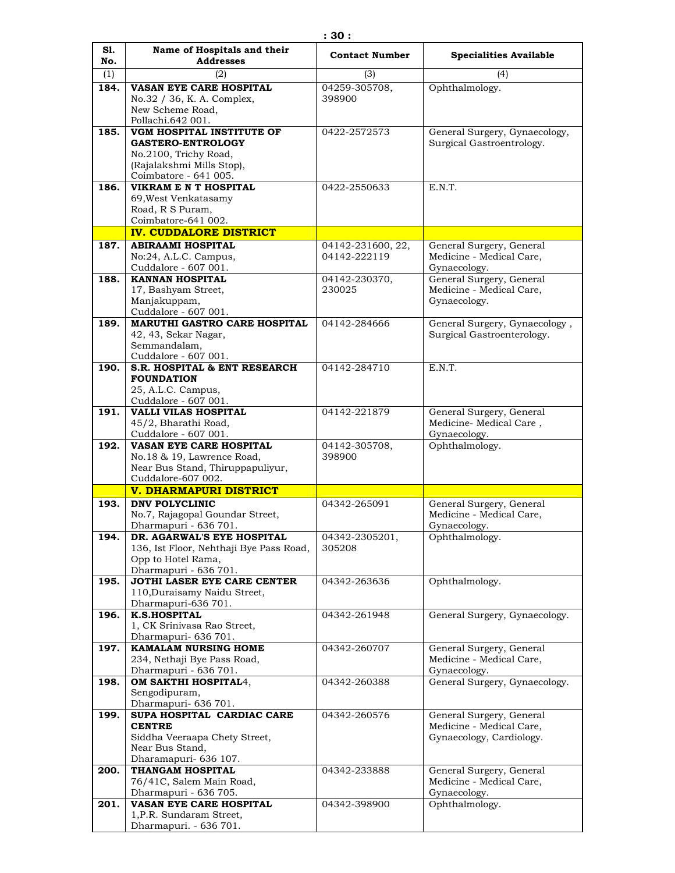| S1.  | Name of Hospitals and their                                    | <b>Contact Number</b>             | <b>Specialities Available</b>                              |
|------|----------------------------------------------------------------|-----------------------------------|------------------------------------------------------------|
| No.  | <b>Addresses</b>                                               |                                   |                                                            |
| (1)  | (2)                                                            | (3)                               | (4)                                                        |
| 184. | VASAN EYE CARE HOSPITAL<br>No.32 / 36, K. A. Complex,          | 04259-305708,<br>398900           | Ophthalmology.                                             |
|      | New Scheme Road,                                               |                                   |                                                            |
|      | Pollachi.642 001.                                              |                                   |                                                            |
| 185. | VGM HOSPITAL INSTITUTE OF<br><b>GASTERO-ENTROLOGY</b>          | 0422-2572573                      | General Surgery, Gynaecology,<br>Surgical Gastroentrology. |
|      | No.2100, Trichy Road,                                          |                                   |                                                            |
|      | (Rajalakshmi Mills Stop),                                      |                                   |                                                            |
|      | Coimbatore - 641 005.                                          |                                   |                                                            |
| 186. | <b>VIKRAM E N T HOSPITAL</b><br>69, West Venkatasamy           | 0422-2550633                      | E.N.T.                                                     |
|      | Road, R S Puram,                                               |                                   |                                                            |
|      | Coimbatore-641 002.                                            |                                   |                                                            |
|      | <b>IV. CUDDALORE DISTRICT</b>                                  |                                   |                                                            |
| 187. | <b>ABIRAAMI HOSPITAL</b>                                       | 04142-231600, 22,<br>04142-222119 | General Surgery, General                                   |
|      | No:24, A.L.C. Campus,<br>Cuddalore - 607 001.                  |                                   | Medicine - Medical Care,<br>Gynaecology.                   |
| 188. | <b>KANNAN HOSPITAL</b>                                         | 04142-230370,                     | General Surgery, General                                   |
|      | 17, Bashyam Street,                                            | 230025                            | Medicine - Medical Care,                                   |
|      | Manjakuppam,<br>Cuddalore - 607 001.                           |                                   | Gynaecology.                                               |
| 189. | <b>MARUTHI GASTRO CARE HOSPITAL</b>                            | 04142-284666                      | General Surgery, Gynaecology,                              |
|      | 42, 43, Sekar Nagar,                                           |                                   | Surgical Gastroenterology.                                 |
|      | Semmandalam.                                                   |                                   |                                                            |
| 190. | Cuddalore - 607 001.<br>S.R. HOSPITAL & ENT RESEARCH           | 04142-284710                      | E.N.T.                                                     |
|      | <b>FOUNDATION</b>                                              |                                   |                                                            |
|      | 25, A.L.C. Campus,                                             |                                   |                                                            |
| 191. | Cuddalore - 607 001.<br>VALLI VILAS HOSPITAL                   | 04142-221879                      |                                                            |
|      | 45/2, Bharathi Road,                                           |                                   | General Surgery, General<br>Medicine-Medical Care,         |
|      | Cuddalore - 607 001.                                           |                                   | Gynaecology.                                               |
| 192. | VASAN EYE CARE HOSPITAL                                        | 04142-305708,                     | Ophthalmology.                                             |
|      | No.18 & 19, Lawrence Road,<br>Near Bus Stand, Thiruppapuliyur, | 398900                            |                                                            |
|      | Cuddalore-607 002.                                             |                                   |                                                            |
|      | <b>V. DHARMAPURI DISTRICT</b>                                  |                                   |                                                            |
| 193. | DNV POLYCLINIC                                                 | 04342-265091                      | General Surgery, General                                   |
|      | No.7, Rajagopal Goundar Street,<br>Dharmapuri - 636 701.       |                                   | Medicine - Medical Care,<br>Gynaecology.                   |
| 194. | DR. AGARWAL'S EYE HOSPITAL                                     | 04342-2305201,                    | Ophthalmology.                                             |
|      | 136, Ist Floor, Nehthaji Bye Pass Road,                        | 305208                            |                                                            |
|      | Opp to Hotel Rama,                                             |                                   |                                                            |
| 195. | Dharmapuri - 636 701.<br>JOTHI LASER EYE CARE CENTER           | 04342-263636                      | Ophthalmology.                                             |
|      | 110, Duraisamy Naidu Street,                                   |                                   |                                                            |
|      | Dharmapuri-636 701.                                            |                                   |                                                            |
| 196. | <b>K.S.HOSPITAL</b><br>1, CK Srinivasa Rao Street,             | 04342-261948                      | General Surgery, Gynaecology.                              |
|      | Dharmapuri- 636 701.                                           |                                   |                                                            |
| 197. | <b>KAMALAM NURSING HOME</b>                                    | 04342-260707                      | General Surgery, General                                   |
|      | 234, Nethaji Bye Pass Road,<br>Dharmapuri - 636 701.           |                                   | Medicine - Medical Care,                                   |
| 198. | <b>OM SAKTHI HOSPITAL4,</b>                                    | 04342-260388                      | Gynaecology.<br>General Surgery, Gynaecology.              |
|      | Sengodipuram,                                                  |                                   |                                                            |
|      | Dharmapuri- 636 701.                                           |                                   |                                                            |
| 199. | SUPA HOSPITAL CARDIAC CARE<br><b>CENTRE</b>                    | 04342-260576                      | General Surgery, General<br>Medicine - Medical Care,       |
|      | Siddha Veeraapa Chety Street,                                  |                                   | Gynaecology, Cardiology.                                   |
|      | Near Bus Stand,                                                |                                   |                                                            |
|      | Dharamapuri- 636 107.                                          |                                   |                                                            |
| 200. | THANGAM HOSPITAL<br>76/41C, Salem Main Road,                   | 04342-233888                      | General Surgery, General<br>Medicine - Medical Care,       |
|      | Dharmapuri - 636 705.                                          |                                   | Gynaecology.                                               |
| 201. | VASAN EYE CARE HOSPITAL                                        | 04342-398900                      | Ophthalmology.                                             |
|      | 1, P.R. Sundaram Street,<br>Dharmapuri. - 636 701.             |                                   |                                                            |
|      |                                                                |                                   |                                                            |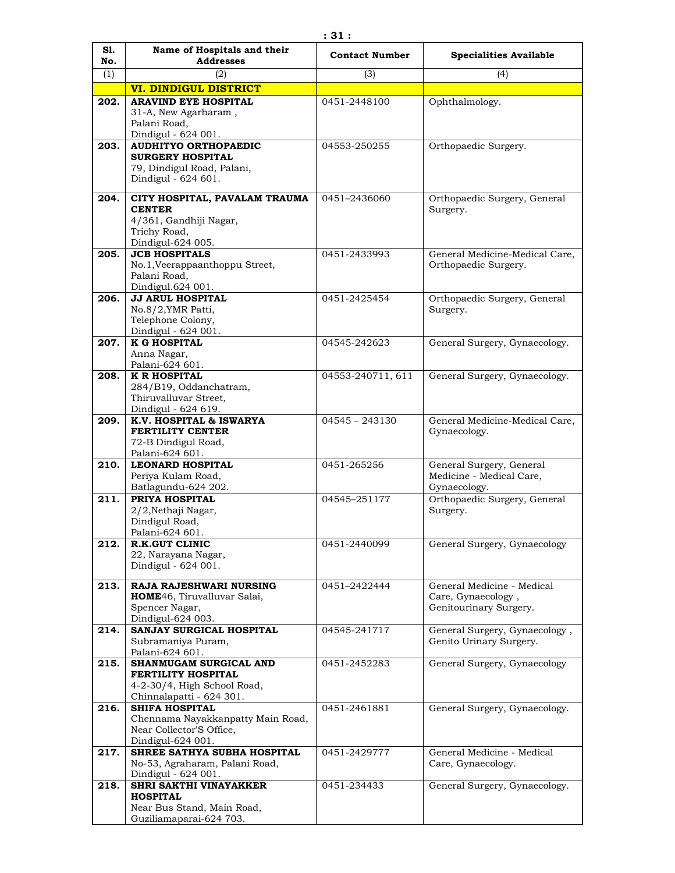| S1.<br>No. | Name of Hospitals and their<br><b>Addresses</b>         | <b>Contact Number</b> | <b>Specialities Available</b>                            |
|------------|---------------------------------------------------------|-----------------------|----------------------------------------------------------|
| (1)        | (2)                                                     | (3)                   | (4)                                                      |
|            | <b>VI. DINDIGUL DISTRICT</b>                            |                       |                                                          |
| 202.       | <b>ARAVIND EYE HOSPITAL</b>                             | 0451-2448100          | Ophthalmology.                                           |
|            | 31-A, New Agarharam,                                    |                       |                                                          |
|            | Palani Road.<br>Dindigul - 624 001.                     |                       |                                                          |
| 203.       | <b>AUDHITYO ORTHOPAEDIC</b>                             | 04553-250255          | Orthopaedic Surgery.                                     |
|            | <b>SURGERY HOSPITAL</b>                                 |                       |                                                          |
|            | 79, Dindigul Road, Palani,                              |                       |                                                          |
|            | Dindigul - 624 601.                                     |                       |                                                          |
| 204.       | CITY HOSPITAL, PAVALAM TRAUMA                           | 0451-2436060          | Orthopaedic Surgery, General                             |
|            | <b>CENTER</b><br>4/361, Gandhiji Nagar,                 |                       | Surgery.                                                 |
|            | Trichy Road,                                            |                       |                                                          |
|            | Dindigul-624 005.                                       |                       |                                                          |
| 205.       | <b>JCB HOSPITALS</b>                                    | 0451-2433993          | General Medicine-Medical Care,                           |
|            | No.1, Veerappaanthoppu Street,<br>Palani Road,          |                       | Orthopaedic Surgery.                                     |
|            | Dindigul.624 001.                                       |                       |                                                          |
| 206.       | <b>JJ ARUL HOSPITAL</b>                                 | 0451-2425454          | Orthopaedic Surgery, General                             |
|            | No.8/2, YMR Patti,<br>Telephone Colony,                 |                       | Surgery.                                                 |
|            | Dindigul - 624 001.                                     |                       |                                                          |
| 207.       | <b>K G HOSPITAL</b>                                     | 04545-242623          | General Surgery, Gynaecology.                            |
|            | Anna Nagar,<br>Palani-624 601.                          |                       |                                                          |
| 208.       | <b>K R HOSPITAL</b>                                     | 04553-240711, 611     | General Surgery, Gynaecology.                            |
|            | 284/B19, Oddanchatram,                                  |                       |                                                          |
|            | Thiruvalluvar Street,                                   |                       |                                                          |
| 209.       | Dindigul - 624 619.<br>K.V. HOSPITAL & ISWARYA          | $04545 - 243130$      | General Medicine-Medical Care,                           |
|            | <b>FERTILITY CENTER</b>                                 |                       | Gynaecology.                                             |
|            | 72-B Dindigul Road,                                     |                       |                                                          |
| 210.       | Palani-624 601.<br><b>LEONARD HOSPITAL</b>              | 0451-265256           | General Surgery, General                                 |
|            | Periya Kulam Road,                                      |                       | Medicine - Medical Care,                                 |
|            | Batlagundu-624 202.                                     |                       | Gynaecology.                                             |
| 211.       | PRIYA HOSPITAL                                          | 04545-251177          | Orthopaedic Surgery, General                             |
|            | 2/2, Nethaji Nagar,<br>Dindigul Road,                   |                       | Surgery.                                                 |
|            | Palani-624 601.                                         |                       |                                                          |
| 212.       | <b>R.K.GUT CLINIC</b>                                   | 0451-2440099          | General Surgery, Gynaecology                             |
|            | 22, Narayana Nagar,<br>Dindigul - 624 001.              |                       |                                                          |
|            |                                                         |                       |                                                          |
| 213.       | RAJA RAJESHWARI NURSING<br>HOME46, Tiruvalluvar Salai,  | 0451-2422444          | General Medicine - Medical<br>Care, Gynaecology,         |
|            | Spencer Nagar,                                          |                       | Genitourinary Surgery.                                   |
|            | Dindigul-624 003.                                       |                       |                                                          |
| 214.       | SANJAY SURGICAL HOSPITAL<br>Subramaniya Puram,          | 04545-241717          | General Surgery, Gynaecology,<br>Genito Urinary Surgery. |
|            | Palani-624 601.                                         |                       |                                                          |
| 215.       | SHANMUGAM SURGICAL AND                                  | 0451-2452283          | General Surgery, Gynaecology                             |
|            | FERTILITY HOSPITAL                                      |                       |                                                          |
|            | 4-2-30/4, High School Road,<br>Chinnalapatti - 624 301. |                       |                                                          |
| 216.       | <b>SHIFA HOSPITAL</b>                                   | 0451-2461881          | General Surgery, Gynaecology.                            |
|            | Chennama Nayakkanpatty Main Road,                       |                       |                                                          |
|            | Near Collector'S Office,<br>Dindigul-624 001.           |                       |                                                          |
| 217.       | SHREE SATHYA SUBHA HOSPITAL                             | 0451-2429777          | General Medicine - Medical                               |
|            | No-53, Agraharam, Palani Road,                          |                       | Care, Gynaecology.                                       |
|            | Dindigul - 624 001.<br><b>SHRI SAKTHI VINAYAKKER</b>    |                       |                                                          |
| 218.       | <b>HOSPITAL</b>                                         | 0451-234433           | General Surgery, Gynaecology.                            |
|            | Near Bus Stand, Main Road,                              |                       |                                                          |
|            | Guziliamaparai-624 703.                                 |                       |                                                          |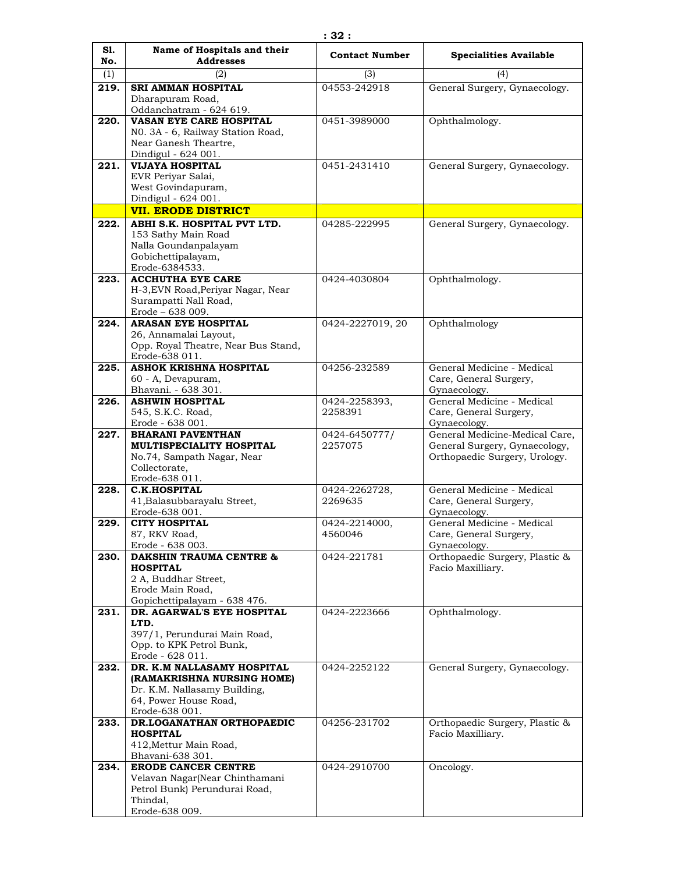| S1.         | Name of Hospitals and their                                     | <b>Contact Number</b> | <b>Specialities Available</b>                  |
|-------------|-----------------------------------------------------------------|-----------------------|------------------------------------------------|
| No.         | <b>Addresses</b>                                                |                       |                                                |
| (1)<br>219. | (2)<br><b>SRI AMMAN HOSPITAL</b>                                | (3)<br>04553-242918   | (4)                                            |
|             | Dharapuram Road,                                                |                       | General Surgery, Gynaecology.                  |
|             | Oddanchatram - 624 619.                                         |                       |                                                |
| 220.        | VASAN EYE CARE HOSPITAL                                         | 0451-3989000          | Ophthalmology.                                 |
|             | NO. 3A - 6, Railway Station Road,                               |                       |                                                |
|             | Near Ganesh Theartre,                                           |                       |                                                |
| 221.        | Dindigul - 624 001.<br><b>VIJAYA HOSPITAL</b>                   | 0451-2431410          | General Surgery, Gynaecology.                  |
|             | EVR Periyar Salai,                                              |                       |                                                |
|             | West Govindapuram,                                              |                       |                                                |
|             | Dindigul - 624 001.                                             |                       |                                                |
|             | <b>VII. ERODE DISTRICT</b>                                      |                       |                                                |
| 222.        | ABHI S.K. HOSPITAL PVT LTD.                                     | 04285-222995          | General Surgery, Gynaecology.                  |
|             | 153 Sathy Main Road<br>Nalla Goundanpalayam                     |                       |                                                |
|             | Gobichettipalayam,                                              |                       |                                                |
|             | Erode-6384533.                                                  |                       |                                                |
| 223.        | <b>ACCHUTHA EYE CARE</b>                                        | 0424-4030804          | Ophthalmology.                                 |
|             | H-3, EVN Road, Periyar Nagar, Near                              |                       |                                                |
|             | Surampatti Nall Road,<br>Erode - 638 009.                       |                       |                                                |
| 224.        | <b>ARASAN EYE HOSPITAL</b>                                      | 0424-2227019, 20      | Ophthalmology                                  |
|             | 26, Annamalai Layout,                                           |                       |                                                |
|             | Opp. Royal Theatre, Near Bus Stand,                             |                       |                                                |
| 225.        | Erode-638 011.<br>ASHOK KRISHNA HOSPITAL                        | 04256-232589          | General Medicine - Medical                     |
|             | 60 - A, Devapuram,                                              |                       | Care, General Surgery,                         |
|             | Bhavani. - 638 301.                                             |                       | Gynaecology.                                   |
| 226.        | <b>ASHWIN HOSPITAL</b>                                          | 0424-2258393,         | General Medicine - Medical                     |
|             | 545, S.K.C. Road,                                               | 2258391               | Care, General Surgery,                         |
| 227.        | Erode - 638 001.<br><b>BHARANI PAVENTHAN</b>                    | 0424-6450777/         | Gynaecology.<br>General Medicine-Medical Care, |
|             | MULTISPECIALITY HOSPITAL                                        | 2257075               | General Surgery, Gynaecology,                  |
|             | No.74, Sampath Nagar, Near                                      |                       | Orthopaedic Surgery, Urology.                  |
|             | Collectorate,                                                   |                       |                                                |
| 228.        | Erode-638 011.<br><b>C.K.HOSPITAL</b>                           | 0424-2262728,         | General Medicine - Medical                     |
|             | 41, Balasubbarayalu Street,                                     | 2269635               | Care, General Surgery,                         |
|             | Erode-638 001.                                                  |                       | Gynaecology.                                   |
| 229.        | <b>CITY HOSPITAL</b>                                            | 0424-2214000,         | General Medicine - Medical                     |
|             | 87, RKV Road,                                                   | 4560046               | Care, General Surgery,                         |
| 230.        | Erode - 638 003.<br><b>DAKSHIN TRAUMA CENTRE &amp;</b>          | 0424-221781           | Gynaecology.<br>Orthopaedic Surgery, Plastic & |
|             | <b>HOSPITAL</b>                                                 |                       | Facio Maxilliary.                              |
|             | 2 A, Buddhar Street,                                            |                       |                                                |
|             | Erode Main Road,                                                |                       |                                                |
| 231.        | Gopichettipalayam - 638 476.<br>DR. AGARWAL'S EYE HOSPITAL      | 0424-2223666          | Ophthalmology.                                 |
|             | LTD.                                                            |                       |                                                |
|             | 397/1, Perundurai Main Road,                                    |                       |                                                |
|             | Opp. to KPK Petrol Bunk,                                        |                       |                                                |
| 232.        | Erode - 628 011.<br>DR. K.M NALLASAMY HOSPITAL                  | 0424-2252122          | General Surgery, Gynaecology.                  |
|             | (RAMAKRISHNA NURSING HOME)                                      |                       |                                                |
|             | Dr. K.M. Nallasamy Building,                                    |                       |                                                |
|             | 64, Power House Road,                                           |                       |                                                |
| 233.        | Erode-638 001.<br>DR.LOGANATHAN ORTHOPAEDIC                     | 04256-231702          | Orthopaedic Surgery, Plastic &                 |
|             | <b>HOSPITAL</b>                                                 |                       | Facio Maxilliary.                              |
|             | 412, Mettur Main Road,                                          |                       |                                                |
|             | Bhavani-638 301.                                                |                       |                                                |
| 234.        | <b>ERODE CANCER CENTRE</b>                                      | 0424-2910700          | Oncology.                                      |
|             | Velavan Nagar(Near Chinthamani<br>Petrol Bunk) Perundurai Road, |                       |                                                |
|             | Thindal,                                                        |                       |                                                |
|             | Erode-638 009.                                                  |                       |                                                |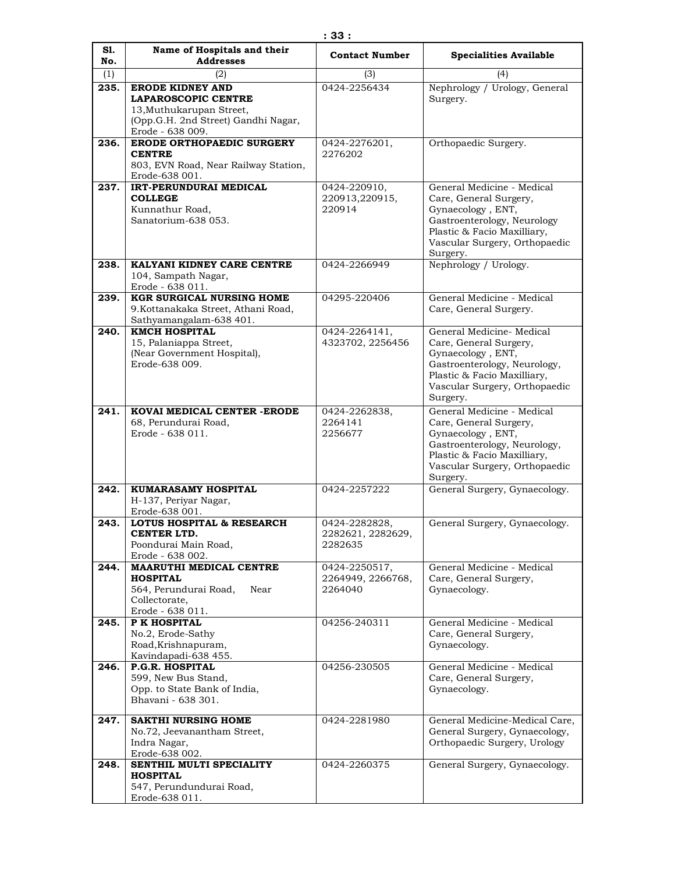| S1.<br>No. | Name of Hospitals and their<br><b>Addresses</b>                         | <b>Contact Number</b>        | <b>Specialities Available</b>                               |
|------------|-------------------------------------------------------------------------|------------------------------|-------------------------------------------------------------|
| (1)        | (2)                                                                     | (3)                          | (4)                                                         |
| 235.       | <b>ERODE KIDNEY AND</b>                                                 | 0424-2256434                 | Nephrology / Urology, General                               |
|            | <b>LAPAROSCOPIC CENTRE</b>                                              |                              | Surgery.                                                    |
|            | 13, Muthukarupan Street,<br>(Opp.G.H. 2nd Street) Gandhi Nagar,         |                              |                                                             |
|            | Erode - 638 009.                                                        |                              |                                                             |
| 236.       | <b>ERODE ORTHOPAEDIC SURGERY</b>                                        | 0424-2276201,                | Orthopaedic Surgery.                                        |
|            | <b>CENTRE</b>                                                           | 2276202                      |                                                             |
|            | 803, EVN Road, Near Railway Station,<br>Erode-638 001.                  |                              |                                                             |
| 237.       | <b>IRT-PERUNDURAI MEDICAL</b>                                           | 0424-220910,                 | General Medicine - Medical                                  |
|            | <b>COLLEGE</b>                                                          | 220913,220915,               | Care, General Surgery,                                      |
|            | Kunnathur Road,<br>Sanatorium-638 053.                                  | 220914                       | Gynaecology, ENT,<br>Gastroenterology, Neurology            |
|            |                                                                         |                              | Plastic & Facio Maxilliary,                                 |
|            |                                                                         |                              | Vascular Surgery, Orthopaedic                               |
| 238.       | KALYANI KIDNEY CARE CENTRE                                              | 0424-2266949                 | Surgery.<br>Nephrology / Urology.                           |
|            | 104, Sampath Nagar,                                                     |                              |                                                             |
|            | Erode - 638 011.                                                        |                              |                                                             |
| 239.       | <b>KGR SURGICAL NURSING HOME</b><br>9. Kottanakaka Street, Athani Road, | 04295-220406                 | General Medicine - Medical<br>Care, General Surgery.        |
|            | Sathyamangalam-638 401.                                                 |                              |                                                             |
| 240.       | <b>KMCH HOSPITAL</b>                                                    | 0424-2264141,                | General Medicine- Medical                                   |
|            | 15, Palaniappa Street,<br>(Near Government Hospital),                   | 4323702, 2256456             | Care, General Surgery,<br>Gynaecology, ENT,                 |
|            | Erode-638 009.                                                          |                              | Gastroenterology, Neurology,                                |
|            |                                                                         |                              | Plastic & Facio Maxilliary,                                 |
|            |                                                                         |                              | Vascular Surgery, Orthopaedic<br>Surgery.                   |
| 241.       | KOVAI MEDICAL CENTER - ERODE                                            | 0424-2262838,                | General Medicine - Medical                                  |
|            | 68, Perundurai Road,                                                    | 2264141                      | Care, General Surgery,                                      |
|            | Erode - 638 011.                                                        | 2256677                      | Gynaecology, ENT,                                           |
|            |                                                                         |                              | Gastroenterology, Neurology,<br>Plastic & Facio Maxilliary, |
|            |                                                                         |                              | Vascular Surgery, Orthopaedic                               |
|            |                                                                         |                              | Surgery.                                                    |
| 242.       | KUMARASAMY HOSPITAL<br>H-137, Periyar Nagar,                            | 0424-2257222                 | General Surgery, Gynaecology.                               |
|            | Erode-638 001.                                                          |                              |                                                             |
| 243.       | <b>LOTUS HOSPITAL &amp; RESEARCH</b>                                    | 0424-2282828,                | General Surgery, Gynaecology.                               |
|            | CENTER LTD.<br>Poondurai Main Road,                                     | 2282621, 2282629,<br>2282635 |                                                             |
|            | Erode - 638 002.                                                        |                              |                                                             |
| 244.       | <b>MAARUTHI MEDICAL CENTRE</b>                                          | 0424-2250517,                | General Medicine - Medical                                  |
|            | <b>HOSPITAL</b><br>564, Perundurai Road,<br>Near                        | 2264949, 2266768,<br>2264040 | Care, General Surgery,<br>Gynaecology.                      |
|            | Collectorate,                                                           |                              |                                                             |
| 245.       | Erode - 638 011.<br>P K HOSPITAL                                        | 04256-240311                 | General Medicine - Medical                                  |
|            | No.2, Erode-Sathy                                                       |                              | Care, General Surgery,                                      |
|            | Road, Krishnapuram,                                                     |                              | Gynaecology.                                                |
| 246.       | Kavindapadi-638 455.<br>P.G.R. HOSPITAL                                 | 04256-230505                 | General Medicine - Medical                                  |
|            | 599, New Bus Stand,                                                     |                              | Care, General Surgery,                                      |
|            | Opp. to State Bank of India,                                            |                              | Gynaecology.                                                |
|            | Bhavani - 638 301.                                                      |                              |                                                             |
| 247.       | <b>SAKTHI NURSING HOME</b>                                              | 0424-2281980                 | General Medicine-Medical Care,                              |
|            | No.72, Jeevanantham Street,                                             |                              | General Surgery, Gynaecology,                               |
|            | Indra Nagar,<br>Erode-638 002.                                          |                              | Orthopaedic Surgery, Urology                                |
| 248.       | SENTHIL MULTI SPECIALITY                                                | 0424-2260375                 | General Surgery, Gynaecology.                               |
|            | <b>HOSPITAL</b>                                                         |                              |                                                             |
|            | 547, Perundundurai Road,<br>Erode-638 011.                              |                              |                                                             |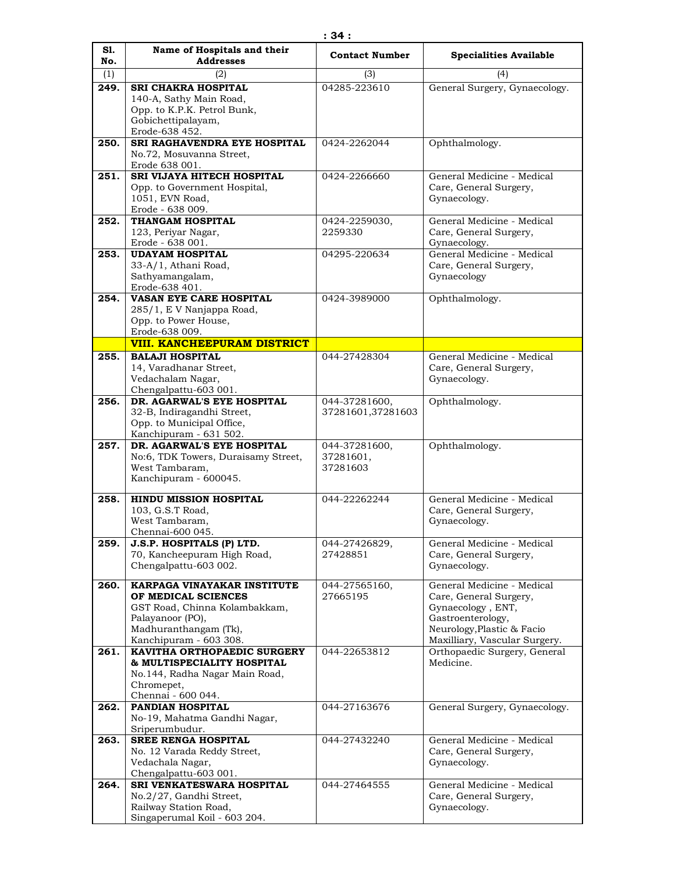| S1.  | Name of Hospitals and their                               | <b>Contact Number</b> | <b>Specialities Available</b>             |
|------|-----------------------------------------------------------|-----------------------|-------------------------------------------|
| No.  | <b>Addresses</b>                                          |                       |                                           |
| (1)  | (2)                                                       | (3)                   | (4)                                       |
| 249. | <b>SRI CHAKRA HOSPITAL</b>                                | 04285-223610          | General Surgery, Gynaecology.             |
|      | 140-A, Sathy Main Road,                                   |                       |                                           |
|      | Opp. to K.P.K. Petrol Bunk,                               |                       |                                           |
|      | Gobichettipalayam,                                        |                       |                                           |
|      | Erode-638 452.<br>SRI RAGHAVENDRA EYE HOSPITAL            |                       |                                           |
| 250. | No.72, Mosuvanna Street,                                  | 0424-2262044          | Ophthalmology.                            |
|      | Erode 638 001.                                            |                       |                                           |
| 251. | SRI VIJAYA HITECH HOSPITAL                                | 0424-2266660          | General Medicine - Medical                |
|      | Opp. to Government Hospital,                              |                       | Care, General Surgery,                    |
|      | 1051, EVN Road,                                           |                       | Gynaecology.                              |
|      | Erode - 638 009.                                          |                       |                                           |
| 252. | THANGAM HOSPITAL                                          | 0424-2259030,         | General Medicine - Medical                |
|      | 123, Periyar Nagar,                                       | 2259330               | Care, General Surgery,                    |
|      | Erode - 638 001.                                          |                       | Gynaecology.                              |
| 253. | <b>UDAYAM HOSPITAL</b>                                    | 04295-220634          | General Medicine - Medical                |
|      | 33-A/1, Athani Road,                                      |                       | Care, General Surgery,                    |
|      | Sathyamangalam,                                           |                       | Gynaecology                               |
|      | Erode-638 401.                                            |                       |                                           |
| 254. | VASAN EYE CARE HOSPITAL                                   | 0424-3989000          | Ophthalmology.                            |
|      | 285/1, E V Nanjappa Road,<br>Opp. to Power House,         |                       |                                           |
|      | Erode-638 009.                                            |                       |                                           |
|      | <b>VIII. KANCHEEPURAM DISTRICT</b>                        |                       |                                           |
| 255. | <b>BALAJI HOSPITAL</b>                                    | 044-27428304          | General Medicine - Medical                |
|      | 14, Varadhanar Street,                                    |                       | Care, General Surgery,                    |
|      | Vedachalam Nagar,                                         |                       | Gynaecology.                              |
|      | Chengalpattu-603 001.                                     |                       |                                           |
| 256. | DR. AGARWAL'S EYE HOSPITAL                                | 044-37281600,         | Ophthalmology.                            |
|      | 32-B, Indiragandhi Street,                                | 37281601,37281603     |                                           |
|      | Opp. to Municipal Office,                                 |                       |                                           |
|      | Kanchipuram - 631 502.                                    |                       |                                           |
| 257. | DR. AGARWAL'S EYE HOSPITAL                                | 044-37281600,         | Ophthalmology.                            |
|      | No:6, TDK Towers, Duraisamy Street,                       | 37281601,             |                                           |
|      | West Tambaram,<br>Kanchipuram - 600045.                   | 37281603              |                                           |
|      |                                                           |                       |                                           |
| 258. | <b>HINDU MISSION HOSPITAL</b>                             | 044-22262244          | General Medicine - Medical                |
|      | 103, G.S.T Road,                                          |                       | Care, General Surgery,                    |
|      | West Tambaram,                                            |                       | Gynaecology.                              |
|      | Chennai-600 045.                                          |                       |                                           |
| 259. | J.S.P. HOSPITALS (P) LTD.                                 | 044-27426829,         | General Medicine - Medical                |
|      | 70, Kancheepuram High Road,                               | 27428851              | Care, General Surgery,                    |
|      | Chengalpattu-603 002.                                     |                       | Gynaecology.                              |
| 260. | KARPAGA VINAYAKAR INSTITUTE                               | 044-27565160,         | General Medicine - Medical                |
|      | OF MEDICAL SCIENCES                                       | 27665195              | Care, General Surgery,                    |
|      | GST Road, Chinna Kolambakkam,                             |                       | Gynaecology, ENT,                         |
|      | Palayanoor (PO),                                          |                       | Gastroenterology,                         |
|      | Madhuranthangam (Tk),                                     |                       | Neurology, Plastic & Facio                |
|      | Kanchipuram - 603 308.                                    |                       | Maxilliary, Vascular Surgery.             |
| 261. | KAVITHA ORTHOPAEDIC SURGERY<br>& MULTISPECIALITY HOSPITAL | 044-22653812          | Orthopaedic Surgery, General<br>Medicine. |
|      | No.144, Radha Nagar Main Road,                            |                       |                                           |
|      | Chromepet,                                                |                       |                                           |
|      | Chennai - 600 044.                                        |                       |                                           |
| 262. | PANDIAN HOSPITAL                                          | 044-27163676          | General Surgery, Gynaecology.             |
|      | No-19, Mahatma Gandhi Nagar,                              |                       |                                           |
|      | Sriperumbudur.                                            |                       |                                           |
| 263. | <b>SREE RENGA HOSPITAL</b>                                | 044-27432240          | General Medicine - Medical                |
|      | No. 12 Varada Reddy Street,                               |                       | Care, General Surgery,                    |
|      | Vedachala Nagar,                                          |                       | Gynaecology.                              |
|      | Chengalpattu-603 001.                                     |                       |                                           |
| 264. | SRI VENKATESWARA HOSPITAL                                 | 044-27464555          | General Medicine - Medical                |
|      | No.2/27, Gandhi Street,                                   |                       | Care, General Surgery,                    |
|      | Railway Station Road,<br>Singaperumal Koil - 603 204.     |                       | Gynaecology.                              |
|      |                                                           |                       |                                           |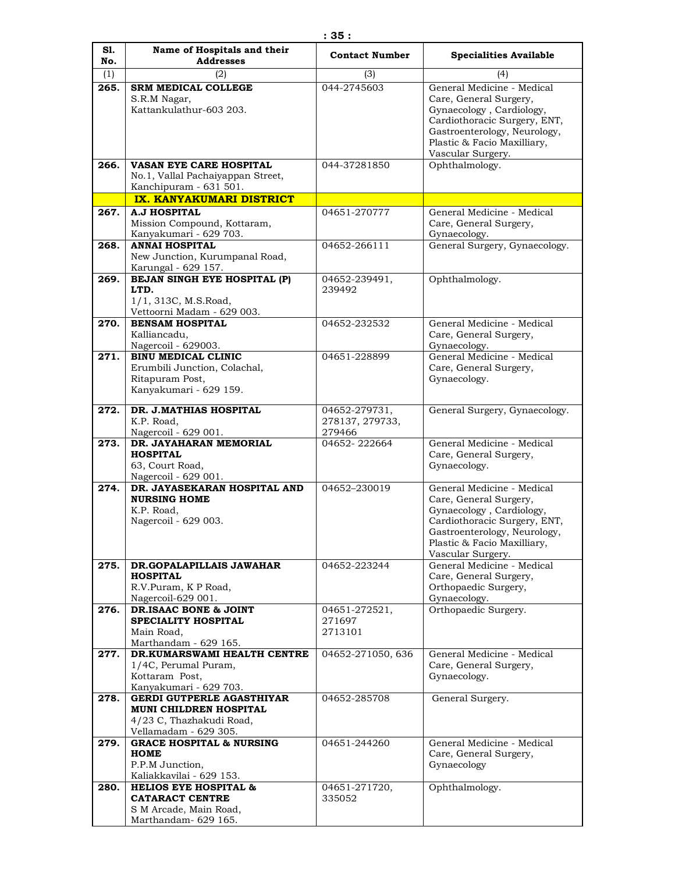| S1.<br>No. | Name of Hospitals and their<br><b>Addresses</b>                                                                         | <b>Contact Number</b>     | <b>Specialities Available</b>                                                                                                                                                                        |
|------------|-------------------------------------------------------------------------------------------------------------------------|---------------------------|------------------------------------------------------------------------------------------------------------------------------------------------------------------------------------------------------|
| (1)        | (2)                                                                                                                     | (3)                       | (4)                                                                                                                                                                                                  |
| 265.       | <b>SRM MEDICAL COLLEGE</b>                                                                                              | 044-2745603               | General Medicine - Medical                                                                                                                                                                           |
|            | S.R.M Nagar,<br>Kattankulathur-603 203.                                                                                 |                           | Care, General Surgery,<br>Gynaecology, Cardiology,<br>Cardiothoracic Surgery, ENT,<br>Gastroenterology, Neurology,<br>Plastic & Facio Maxilliary,<br>Vascular Surgery.                               |
| 266.       | <b>VASAN EYE CARE HOSPITAL</b><br>No.1, Vallal Pachaiyappan Street,<br>Kanchipuram - 631 501.                           | 044-37281850              | Ophthalmology.                                                                                                                                                                                       |
|            | IX. KANYAKUMARI DISTRICT                                                                                                |                           |                                                                                                                                                                                                      |
| 267.       | <b>A.J HOSPITAL</b>                                                                                                     | 04651-270777              | General Medicine - Medical                                                                                                                                                                           |
|            | Mission Compound, Kottaram,<br>Kanyakumari - 629 703.                                                                   |                           | Care, General Surgery,<br>Gynaecology.                                                                                                                                                               |
| 268.       | <b>ANNAI HOSPITAL</b><br>New Junction, Kurumpanal Road,<br>Karungal - 629 157.                                          | 04652-266111              | General Surgery, Gynaecology.                                                                                                                                                                        |
| 269.       | BEJAN SINGH EYE HOSPITAL (P)<br>LTD.<br>1/1, 313C, M.S.Road,<br>Vettoorni Madam - 629 003.                              | 04652-239491,<br>239492   | Ophthalmology.                                                                                                                                                                                       |
| 270.       | <b>BENSAM HOSPITAL</b><br>Kalliancadu,<br>Nagercoil - 629003.                                                           | 04652-232532              | General Medicine - Medical<br>Care, General Surgery,                                                                                                                                                 |
| 271.       | <b>BINU MEDICAL CLINIC</b><br>Erumbili Junction, Colachal,<br>Ritapuram Post,<br>Kanyakumari - 629 159.                 | 04651-228899              | Gynaecology.<br>General Medicine - Medical<br>Care, General Surgery,<br>Gynaecology.                                                                                                                 |
| 272.       | DR. J.MATHIAS HOSPITAL                                                                                                  | 04652-279731,             | General Surgery, Gynaecology.                                                                                                                                                                        |
|            | K.P. Road,<br>Nagercoil - 629 001.                                                                                      | 278137, 279733,<br>279466 |                                                                                                                                                                                                      |
| 273.       | DR. JAYAHARAN MEMORIAL<br><b>HOSPITAL</b><br>63, Court Road,<br>Nagercoil - 629 001.                                    | 04652-222664              | General Medicine - Medical<br>Care, General Surgery,<br>Gynaecology.                                                                                                                                 |
| 274.       | DR. JAYASEKARAN HOSPITAL AND<br><b>NURSING HOME</b><br>K.P. Road.<br>Nagercoil - 629 003.                               | 04652-230019              | General Medicine - Medical<br>Care, General Surgery,<br>Gynaecology, Cardiology,<br>Cardiothoracic Surgery, ENT,<br>Gastroenterology, Neurology,<br>Plastic & Facio Maxilliary,<br>Vascular Surgery. |
| 275.       | DR.GOPALAPILLAIS JAWAHAR                                                                                                | 04652-223244              | General Medicine - Medical                                                                                                                                                                           |
|            | <b>HOSPITAL</b><br>R.V.Puram, K P Road,<br>Nagercoil-629 001.                                                           |                           | Care, General Surgery,<br>Orthopaedic Surgery,<br>Gynaecology.                                                                                                                                       |
| 276.       | DR.ISAAC BONE & JOINT                                                                                                   | 04651-272521,             | Orthopaedic Surgery.                                                                                                                                                                                 |
|            | <b>SPECIALITY HOSPITAL</b><br>Main Road,<br>Marthandam - 629 165.                                                       | 271697<br>2713101         |                                                                                                                                                                                                      |
| 277.       | DR.KUMARSWAMI HEALTH CENTRE                                                                                             | 04652-271050, 636         | General Medicine - Medical                                                                                                                                                                           |
|            | 1/4C, Perumal Puram,<br>Kottaram Post,                                                                                  |                           | Care, General Surgery,<br>Gynaecology.                                                                                                                                                               |
| 278.       | Kanyakumari - 629 703.<br><b>GERDI GUTPERLE AGASTHIYAR</b><br><b>MUNI CHILDREN HOSPITAL</b><br>4/23 C, Thazhakudi Road, | 04652-285708              | General Surgery.                                                                                                                                                                                     |
| 279.       | Vellamadam - 629 305.<br><b>GRACE HOSPITAL &amp; NURSING</b><br><b>HOME</b><br>P.P.M Junction,                          | 04651-244260              | General Medicine - Medical<br>Care, General Surgery,<br>Gynaecology                                                                                                                                  |
|            | Kaliakkavilai - 629 153.                                                                                                |                           |                                                                                                                                                                                                      |
| 280.       | <b>HELIOS EYE HOSPITAL &amp;</b><br><b>CATARACT CENTRE</b><br>S M Arcade, Main Road,<br>Marthandam- 629 165.            | 04651-271720,<br>335052   | Ophthalmology.                                                                                                                                                                                       |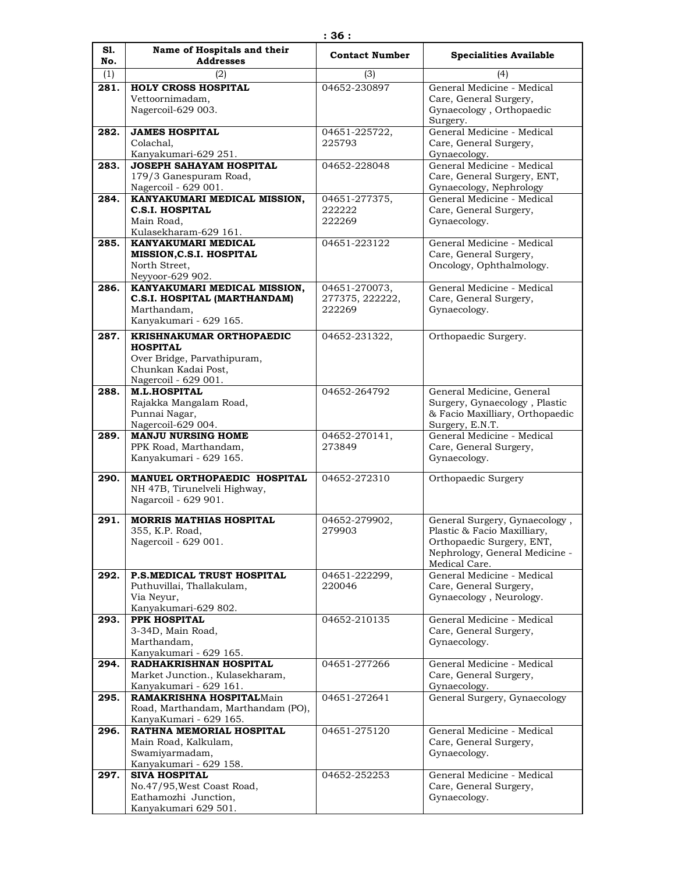| S1.  | Name of Hospitals and their                                 | <b>Contact Number</b>   | <b>Specialities Available</b>                                |
|------|-------------------------------------------------------------|-------------------------|--------------------------------------------------------------|
| No.  | <b>Addresses</b>                                            |                         |                                                              |
| (1)  | (2)                                                         | (3)                     | (4)                                                          |
| 281. | <b>HOLY CROSS HOSPITAL</b><br>Vettoornimadam,               | 04652-230897            | General Medicine - Medical<br>Care, General Surgery,         |
|      | Nagercoil-629 003.                                          |                         | Gynaecology, Orthopaedic                                     |
|      |                                                             |                         | Surgery.                                                     |
| 282. | <b>JAMES HOSPITAL</b>                                       | 04651-225722,           | General Medicine - Medical                                   |
|      | Colachal,<br>Kanyakumari-629 251.                           | 225793                  | Care, General Surgery,<br>Gynaecology.                       |
| 283. | <b>JOSEPH SAHAYAM HOSPITAL</b>                              | 04652-228048            | General Medicine - Medical                                   |
|      | 179/3 Ganespuram Road,                                      |                         | Care, General Surgery, ENT,                                  |
|      | Nagercoil - 629 001.                                        |                         | Gynaecology, Nephrology                                      |
| 284. | KANYAKUMARI MEDICAL MISSION,<br><b>C.S.I. HOSPITAL</b>      | 04651-277375,<br>222222 | General Medicine - Medical<br>Care, General Surgery,         |
|      | Main Road,                                                  | 222269                  | Gynaecology.                                                 |
|      | Kulasekharam-629 161.                                       |                         |                                                              |
| 285. | KANYAKUMARI MEDICAL                                         | 04651-223122            | General Medicine - Medical                                   |
|      | MISSION, C.S.I. HOSPITAL<br>North Street.                   |                         | Care, General Surgery,<br>Oncology, Ophthalmology.           |
|      | Neyyoor-629 902.                                            |                         |                                                              |
| 286. | KANYAKUMARI MEDICAL MISSION,                                | 04651-270073,           | General Medicine - Medical                                   |
|      | C.S.I. HOSPITAL (MARTHANDAM)                                | 277375, 222222,         | Care, General Surgery,                                       |
|      | Marthandam.<br>Kanyakumari - 629 165.                       | 222269                  | Gynaecology.                                                 |
| 287. | KRISHNAKUMAR ORTHOPAEDIC                                    |                         |                                                              |
|      | <b>HOSPITAL</b>                                             | 04652-231322,           | Orthopaedic Surgery.                                         |
|      | Over Bridge, Parvathipuram,                                 |                         |                                                              |
|      | Chunkan Kadai Post,                                         |                         |                                                              |
|      | Nagercoil - 629 001.<br><b>M.L.HOSPITAL</b>                 | 04652-264792            |                                                              |
| 288. | Rajakka Mangalam Road,                                      |                         | General Medicine, General<br>Surgery, Gynaecology, Plastic   |
|      | Punnai Nagar,                                               |                         | & Facio Maxilliary, Orthopaedic                              |
|      | Nagercoil-629 004.                                          |                         | Surgery, E.N.T.                                              |
| 289. | <b>MANJU NURSING HOME</b><br>PPK Road, Marthandam,          | 04652-270141,<br>273849 | General Medicine - Medical                                   |
|      | Kanyakumari - 629 165.                                      |                         | Care, General Surgery,<br>Gynaecology.                       |
|      |                                                             |                         |                                                              |
| 290. | MANUEL ORTHOPAEDIC HOSPITAL<br>NH 47B, Tirunelveli Highway, | 04652-272310            | Orthopaedic Surgery                                          |
|      | Nagarcoil - 629 901.                                        |                         |                                                              |
|      |                                                             |                         |                                                              |
| 291. | <b>MORRIS MATHIAS HOSPITAL</b><br>355, K.P. Road,           | 04652-279902,<br>279903 | General Surgery, Gynaecology,<br>Plastic & Facio Maxilliary, |
|      | Nagercoil - 629 001.                                        |                         | Orthopaedic Surgery, ENT,                                    |
|      |                                                             |                         | Nephrology, General Medicine -                               |
| 292. | P.S.MEDICAL TRUST HOSPITAL                                  | 04651-222299,           | Medical Care.<br>General Medicine - Medical                  |
|      | Puthuvillai, Thallakulam,                                   | 220046                  | Care, General Surgery,                                       |
|      | Via Neyur,                                                  |                         | Gynaecology, Neurology.                                      |
|      | Kanyakumari-629 802.                                        |                         |                                                              |
| 293. | PPK HOSPITAL<br>3-34D, Main Road,                           | 04652-210135            | General Medicine - Medical<br>Care, General Surgery,         |
|      | Marthandam,                                                 |                         | Gynaecology.                                                 |
|      | Kanyakumari - 629 165.                                      |                         |                                                              |
| 294. | RADHAKRISHNAN HOSPITAL                                      | 04651-277266            | General Medicine - Medical                                   |
|      | Market Junction., Kulasekharam,<br>Kanyakumari - 629 161.   |                         | Care, General Surgery,<br>Gynaecology.                       |
| 295. | <b>RAMAKRISHNA HOSPITALMain</b>                             | 04651-272641            | General Surgery, Gynaecology                                 |
|      | Road, Marthandam, Marthandam (PO),                          |                         |                                                              |
| 296. | KanyaKumari - 629 165.<br>RATHNA MEMORIAL HOSPITAL          | 04651-275120            | General Medicine - Medical                                   |
|      | Main Road, Kalkulam,                                        |                         | Care, General Surgery,                                       |
|      | Swamiyarmadam,                                              |                         | Gynaecology.                                                 |
|      | Kanyakumari - 629 158.                                      |                         |                                                              |
| 297. | <b>SIVA HOSPITAL</b><br>No.47/95, West Coast Road,          | 04652-252253            | General Medicine - Medical                                   |
|      | Eathamozhi Junction,                                        |                         | Care, General Surgery,<br>Gynaecology.                       |
|      | Kanyakumari 629 501.                                        |                         |                                                              |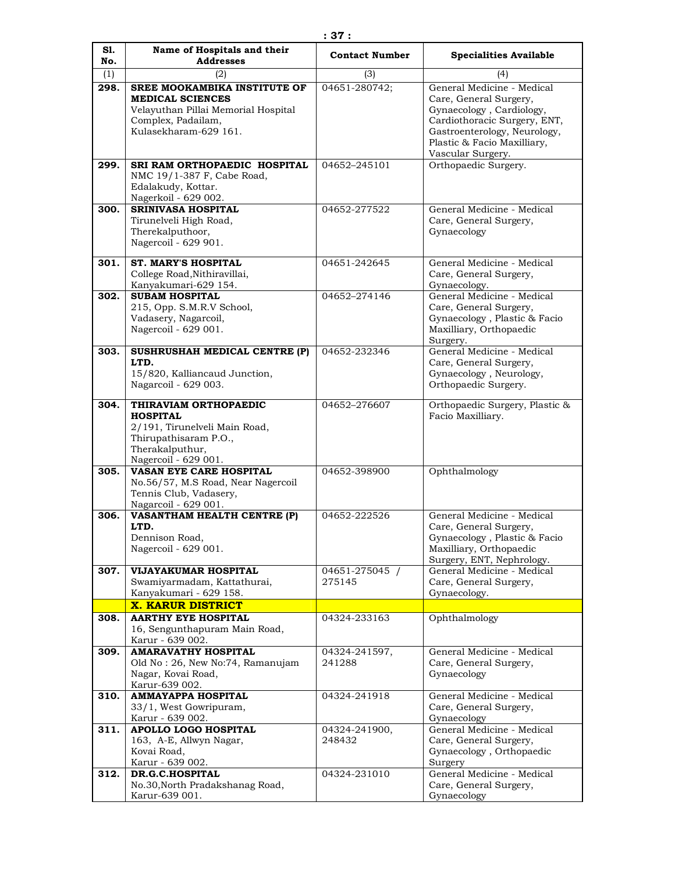| S1.<br>No. | Name of Hospitals and their<br><b>Addresses</b>                                                                                                      | <b>Contact Number</b>    | <b>Specialities Available</b>                                                                                                                                                   |
|------------|------------------------------------------------------------------------------------------------------------------------------------------------------|--------------------------|---------------------------------------------------------------------------------------------------------------------------------------------------------------------------------|
| (1)        | (2)                                                                                                                                                  | (3)                      | (4)                                                                                                                                                                             |
| 298.       | <b>SREE MOOKAMBIKA INSTITUTE OF</b><br><b>MEDICAL SCIENCES</b><br>Velayuthan Pillai Memorial Hospital<br>Complex, Padailam,<br>Kulasekharam-629 161. | 04651-280742;            | General Medicine - Medical<br>Care, General Surgery,<br>Gynaecology, Cardiology,<br>Cardiothoracic Surgery, ENT,<br>Gastroenterology, Neurology,<br>Plastic & Facio Maxilliary, |
| 299.       | SRI RAM ORTHOPAEDIC HOSPITAL<br>NMC 19/1-387 F, Cabe Road,<br>Edalakudy, Kottar.<br>Nagerkoil - 629 002.                                             | 04652-245101             | Vascular Surgery.<br>Orthopaedic Surgery.                                                                                                                                       |
| 300.       | <b>SRINIVASA HOSPITAL</b><br>Tirunelveli High Road,<br>Therekalputhoor,<br>Nagercoil - 629 901.                                                      | 04652-277522             | General Medicine - Medical<br>Care, General Surgery,<br>Gynaecology                                                                                                             |
| 301.       | <b>ST. MARY'S HOSPITAL</b><br>College Road, Nithiravillai,<br>Kanyakumari-629 154.                                                                   | 04651-242645             | General Medicine - Medical<br>Care, General Surgery,<br>Gynaecology.                                                                                                            |
| 302.       | <b>SUBAM HOSPITAL</b><br>215, Opp. S.M.R.V School,<br>Vadasery, Nagarcoil,<br>Nagercoil - 629 001.                                                   | 04652-274146             | General Medicine - Medical<br>Care, General Surgery,<br>Gynaecology, Plastic & Facio<br>Maxilliary, Orthopaedic<br>Surgery.                                                     |
| 303.       | SUSHRUSHAH MEDICAL CENTRE (P)<br>LTD.<br>15/820, Kalliancaud Junction,<br>Nagarcoil - 629 003.                                                       | 04652-232346             | General Medicine - Medical<br>Care, General Surgery,<br>Gynaecology, Neurology,<br>Orthopaedic Surgery.                                                                         |
| 304.       | THIRAVIAM ORTHOPAEDIC<br><b>HOSPITAL</b><br>2/191, Tirunelveli Main Road,<br>Thirupathisaram P.O.,<br>Therakalputhur,<br>Nagercoil - 629 001.        | 04652-276607             | Orthopaedic Surgery, Plastic &<br>Facio Maxilliary.                                                                                                                             |
| 305.       | VASAN EYE CARE HOSPITAL<br>No.56/57, M.S Road, Near Nagercoil<br>Tennis Club, Vadasery,<br>Nagarcoil - 629 001.                                      | 04652-398900             | Ophthalmology                                                                                                                                                                   |
| 306.       | <b>VASANTHAM HEALTH CENTRE (P)</b><br>LTD.<br>Dennison Road,<br>Nagercoil - 629 001.                                                                 | 04652-222526             | General Medicine - Medical<br>Care, General Surgery,<br>Gynaecology , Plastic $\&$ Facio<br>Maxilliary, Orthopaedic<br>Surgery, ENT, Nephrology.                                |
| 307.       | VIJAYAKUMAR HOSPITAL<br>Swamiyarmadam, Kattathurai,<br>Kanyakumari - 629 158.                                                                        | 04651-275045 /<br>275145 | General Medicine - Medical<br>Care, General Surgery,<br>Gynaecology.                                                                                                            |
|            | <b>X. KARUR DISTRICT</b>                                                                                                                             |                          |                                                                                                                                                                                 |
| 308.       | <b>AARTHY EYE HOSPITAL</b><br>16, Sengunthapuram Main Road,<br>Karur - 639 002.                                                                      | 04324-233163             | Ophthalmology                                                                                                                                                                   |
| 309.       | <b>AMARAVATHY HOSPITAL</b><br>Old No: 26, New No: 74, Ramanujam<br>Nagar, Kovai Road,<br>Karur-639 002.                                              | 04324-241597,<br>241288  | General Medicine - Medical<br>Care, General Surgery,<br>Gynaecology                                                                                                             |
| 310.       | <b>AMMAYAPPA HOSPITAL</b><br>33/1, West Gowripuram,<br>Karur - 639 002.                                                                              | 04324-241918             | General Medicine - Medical<br>Care, General Surgery,<br>Gynaecology                                                                                                             |
| 311.       | APOLLO LOGO HOSPITAL<br>163, A-E, Allwyn Nagar,<br>Kovai Road,<br>Karur - 639 002.                                                                   | 04324-241900,<br>248432  | General Medicine - Medical<br>Care, General Surgery,<br>Gynaecology, Orthopaedic<br>Surgery                                                                                     |
| 312.       | DR.G.C.HOSPITAL<br>No.30, North Pradakshanag Road,<br>Karur-639 001.                                                                                 | 04324-231010             | General Medicine - Medical<br>Care, General Surgery,<br>Gynaecology                                                                                                             |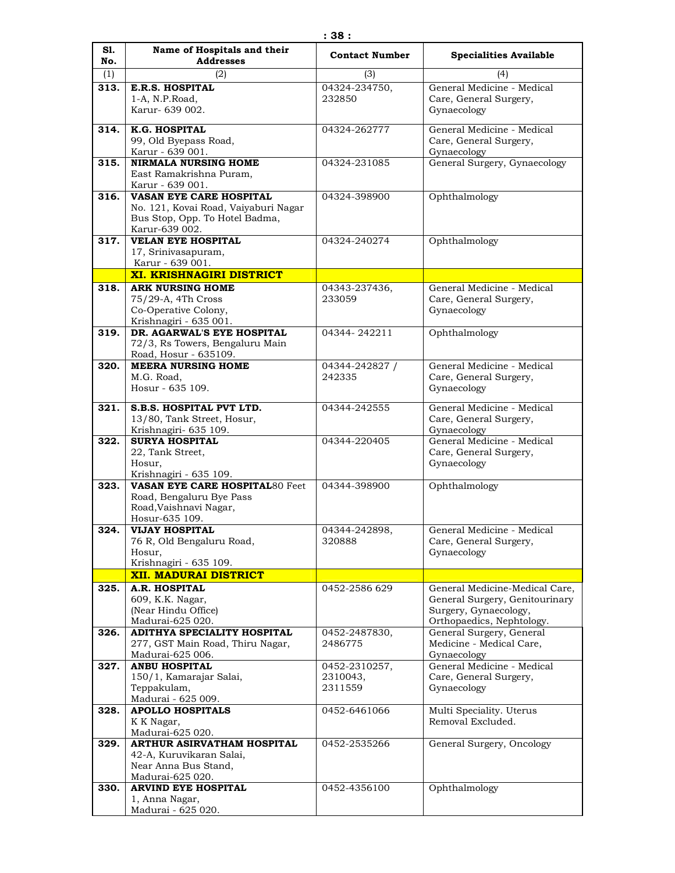| S1.         | Name of Hospitals and their                                     | <b>Contact Number</b>     | <b>Specialities Available</b>                        |
|-------------|-----------------------------------------------------------------|---------------------------|------------------------------------------------------|
| No.         | <b>Addresses</b>                                                |                           |                                                      |
| (1)<br>313. | (2)<br><b>E.R.S. HOSPITAL</b>                                   | (3)<br>04324-234750,      | (4)<br>General Medicine - Medical                    |
|             | 1-A, N.P.Road,                                                  | 232850                    | Care, General Surgery,                               |
|             | Karur- 639 002.                                                 |                           | Gynaecology                                          |
|             |                                                                 |                           |                                                      |
| 314.        | K.G. HOSPITAL<br>99, Old Byepass Road,                          | 04324-262777              | General Medicine - Medical<br>Care, General Surgery, |
|             | Karur - 639 001.                                                |                           | Gynaecology                                          |
| 315.        | <b>NIRMALA NURSING HOME</b>                                     | 04324-231085              | General Surgery, Gynaecology                         |
|             | East Ramakrishna Puram,                                         |                           |                                                      |
| 316.        | Karur - 639 001.<br><b>VASAN EYE CARE HOSPITAL</b>              | 04324-398900              | Ophthalmology                                        |
|             | No. 121, Kovai Road, Vaiyaburi Nagar                            |                           |                                                      |
|             | Bus Stop, Opp. To Hotel Badma,                                  |                           |                                                      |
|             | Karur-639 002.                                                  |                           |                                                      |
| 317.        | <b>VELAN EYE HOSPITAL</b>                                       | 04324-240274              | Ophthalmology                                        |
|             | 17, Srinivasapuram,<br>Karur - 639 001.                         |                           |                                                      |
|             | <b>XI. KRISHNAGIRI DISTRICT</b>                                 |                           |                                                      |
| 318.        | <b>ARK NURSING HOME</b>                                         | 04343-237436,             | General Medicine - Medical                           |
|             | 75/29-A, 4Th Cross                                              | 233059                    | Care, General Surgery,                               |
|             | Co-Operative Colony,                                            |                           | Gynaecology                                          |
| 319.        | Krishnagiri - 635 001.<br>DR. AGARWAL'S EYE HOSPITAL            | 04344-242211              | Ophthalmology                                        |
|             | 72/3, Rs Towers, Bengaluru Main                                 |                           |                                                      |
|             | Road, Hosur - 635109.                                           |                           |                                                      |
| 320.        | <b>MEERA NURSING HOME</b>                                       | 04344-242827 /            | General Medicine - Medical                           |
|             | M.G. Road,<br>Hosur - 635 109.                                  | 242335                    | Care, General Surgery,<br>Gynaecology                |
|             |                                                                 |                           |                                                      |
| 321.        | S.B.S. HOSPITAL PVT LTD.                                        | 04344-242555              | General Medicine - Medical                           |
|             | 13/80, Tank Street, Hosur,<br>Krishnagiri- 635 109.             |                           | Care, General Surgery,<br>Gynaecology                |
| 322.        | <b>SURYA HOSPITAL</b>                                           | 04344-220405              | General Medicine - Medical                           |
|             | 22, Tank Street,                                                |                           | Care, General Surgery,                               |
|             | Hosur,                                                          |                           | Gynaecology                                          |
| 323.        | Krishnagiri - 635 109.<br><b>VASAN EYE CARE HOSPITAL80 Feet</b> | 04344-398900              | Ophthalmology                                        |
|             | Road, Bengaluru Bye Pass                                        |                           |                                                      |
|             | Road, Vaishnavi Nagar,                                          |                           |                                                      |
|             | Hosur-635 109.                                                  |                           |                                                      |
| 324.        | <b>VIJAY HOSPITAL</b><br>76 R, Old Bengaluru Road,              | 04344-242898,<br>320888   | General Medicine - Medical<br>Care, General Surgery, |
|             | Hosur,                                                          |                           | Gynaecology                                          |
|             | Krishnagiri - 635 109.                                          |                           |                                                      |
|             | <b>XII. MADURAI DISTRICT</b>                                    |                           |                                                      |
| 325.        | A.R. HOSPITAL                                                   | 0452-2586 629             | General Medicine-Medical Care,                       |
|             | 609, K.K. Nagar,<br>(Near Hindu Office)                         |                           | General Surgery, Genitourinary                       |
|             | Madurai-625 020.                                                |                           | Surgery, Gynaecology,<br>Orthopaedics, Nephtology.   |
| 326.        | <b>ADITHYA SPECIALITY HOSPITAL</b>                              | 0452-2487830,             | General Surgery, General                             |
|             | 277, GST Main Road, Thiru Nagar,                                | 2486775                   | Medicine - Medical Care,                             |
|             | Madurai-625 006.                                                |                           | Gynaecology                                          |
| 327.        | <b>ANBU HOSPITAL</b><br>150/1, Kamarajar Salai,                 | 0452-2310257,<br>2310043, | General Medicine - Medical<br>Care, General Surgery, |
|             | Teppakulam,                                                     | 2311559                   | Gynaecology                                          |
|             | Madurai - 625 009.                                              |                           |                                                      |
| 328.        | <b>APOLLO HOSPITALS</b>                                         | 0452-6461066              | Multi Speciality. Uterus                             |
|             | K K Nagar,<br>Madurai-625 020.                                  |                           | Removal Excluded.                                    |
| 329.        | <b>ARTHUR ASIRVATHAM HOSPITAL</b>                               | 0452-2535266              | General Surgery, Oncology                            |
|             | 42-A, Kuruvikaran Salai,                                        |                           |                                                      |
|             | Near Anna Bus Stand,                                            |                           |                                                      |
|             | Madurai-625 020.                                                |                           |                                                      |
| 330.        | <b>ARVIND EYE HOSPITAL</b><br>1, Anna Nagar,                    | 0452-4356100              | Ophthalmology                                        |
|             | Madurai - 625 020.                                              |                           |                                                      |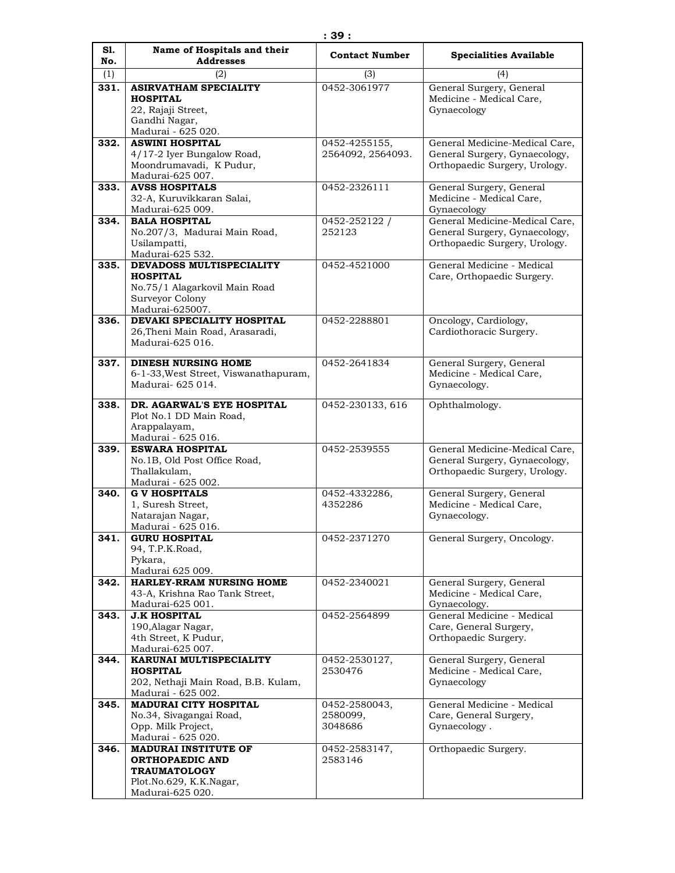| S1.  | Name of Hospitals and their<br><b>Addresses</b>    | <b>Contact Number</b> | <b>Specialities Available</b>                                  |
|------|----------------------------------------------------|-----------------------|----------------------------------------------------------------|
| No.  |                                                    |                       |                                                                |
| (1)  | (2)                                                | (3)                   | (4)                                                            |
| 331. | <b>ASIRVATHAM SPECIALITY</b><br><b>HOSPITAL</b>    | 0452-3061977          | General Surgery, General<br>Medicine - Medical Care,           |
|      | 22, Rajaji Street,                                 |                       | Gynaecology                                                    |
|      | Gandhi Nagar,                                      |                       |                                                                |
|      | Madurai - 625 020.                                 |                       |                                                                |
| 332. | <b>ASWINI HOSPITAL</b>                             | 0452-4255155,         | General Medicine-Medical Care,                                 |
|      | 4/17-2 Iyer Bungalow Road,                         | 2564092, 2564093.     | General Surgery, Gynaecology,                                  |
|      | Moondrumavadi, K Pudur,<br>Madurai-625 007.        |                       | Orthopaedic Surgery, Urology.                                  |
| 333. | <b>AVSS HOSPITALS</b>                              | 0452-2326111          | General Surgery, General                                       |
|      | 32-A, Kuruvikkaran Salai,                          |                       | Medicine - Medical Care,                                       |
|      | Madurai-625 009.                                   |                       | Gynaecology                                                    |
| 334. | <b>BALA HOSPITAL</b>                               | 0452-252122 /         | General Medicine-Medical Care,                                 |
|      | No.207/3, Madurai Main Road,                       | 252123                | General Surgery, Gynaecology,                                  |
|      | Usilampatti,                                       |                       | Orthopaedic Surgery, Urology.                                  |
| 335. | Madurai-625 532.<br>DEVADOSS MULTISPECIALITY       | 0452-4521000          | General Medicine - Medical                                     |
|      | <b>HOSPITAL</b>                                    |                       | Care, Orthopaedic Surgery.                                     |
|      | No.75/1 Alagarkovil Main Road                      |                       |                                                                |
|      | Surveyor Colony                                    |                       |                                                                |
|      | Madurai-625007.                                    |                       |                                                                |
| 336. | DEVAKI SPECIALITY HOSPITAL                         | 0452-2288801          | Oncology, Cardiology,                                          |
|      | 26, Theni Main Road, Arasaradi,                    |                       | Cardiothoracic Surgery.                                        |
|      | Madurai-625 016.                                   |                       |                                                                |
| 337. | <b>DINESH NURSING HOME</b>                         | 0452-2641834          | General Surgery, General                                       |
|      | 6-1-33, West Street, Viswanathapuram,              |                       | Medicine - Medical Care,                                       |
|      | Madurai- 625 014.                                  |                       | Gynaecology.                                                   |
| 338. | DR. AGARWAL'S EYE HOSPITAL                         | 0452-230133, 616      | Ophthalmology.                                                 |
|      | Plot No.1 DD Main Road,                            |                       |                                                                |
|      | Arappalayam,                                       |                       |                                                                |
|      | Madurai - 625 016.                                 |                       |                                                                |
| 339. | <b>ESWARA HOSPITAL</b>                             | 0452-2539555          | General Medicine-Medical Care,                                 |
|      | No.1B, Old Post Office Road,                       |                       | General Surgery, Gynaecology,<br>Orthopaedic Surgery, Urology. |
|      | Thallakulam,<br>Madurai - 625 002.                 |                       |                                                                |
| 340. | <b>G V HOSPITALS</b>                               | 0452-4332286,         | General Surgery, General                                       |
|      | 1, Suresh Street,                                  | 4352286               | Medicine - Medical Care,                                       |
|      | Natarajan Nagar,                                   |                       | Gynaecology.                                                   |
|      | Madurai - 625 016.                                 |                       |                                                                |
| 341. | <b>GURU HOSPITAL</b><br>94, T.P.K.Road,            | 0452-2371270          | General Surgery, Oncology.                                     |
|      | Pykara,                                            |                       |                                                                |
|      | Madurai 625 009.                                   |                       |                                                                |
| 342. | <b>HARLEY-RRAM NURSING HOME</b>                    | 0452-2340021          | General Surgery, General                                       |
|      | 43-A, Krishna Rao Tank Street,                     |                       | Medicine - Medical Care,                                       |
|      | Madurai-625 001.                                   |                       | Gynaecology.                                                   |
| 343. | <b>J.K HOSPITAL</b><br>190, Alagar Nagar,          | 0452-2564899          | General Medicine - Medical<br>Care, General Surgery,           |
|      | 4th Street, K Pudur,                               |                       | Orthopaedic Surgery.                                           |
|      | Madurai-625 007.                                   |                       |                                                                |
| 344. | KARUNAI MULTISPECIALITY                            | 0452-2530127,         | General Surgery, General                                       |
|      | <b>HOSPITAL</b>                                    | 2530476               | Medicine - Medical Care,                                       |
|      | 202, Nethaji Main Road, B.B. Kulam,                |                       | Gynaecology                                                    |
| 345. | Madurai - 625 002.<br><b>MADURAI CITY HOSPITAL</b> | 0452-2580043,         | General Medicine - Medical                                     |
|      | No.34, Sivagangai Road,                            | 2580099,              | Care, General Surgery,                                         |
|      | Opp. Milk Project,                                 | 3048686               | Gynaecology.                                                   |
|      | Madurai - 625 020.                                 |                       |                                                                |
| 346. | <b>MADURAI INSTITUTE OF</b>                        | 0452-2583147,         | Orthopaedic Surgery.                                           |
|      | <b>ORTHOPAEDIC AND</b>                             | 2583146               |                                                                |
|      | <b>TRAUMATOLOGY</b>                                |                       |                                                                |
|      | Plot.No.629, K.K.Nagar,<br>Madurai-625 020.        |                       |                                                                |
|      |                                                    |                       |                                                                |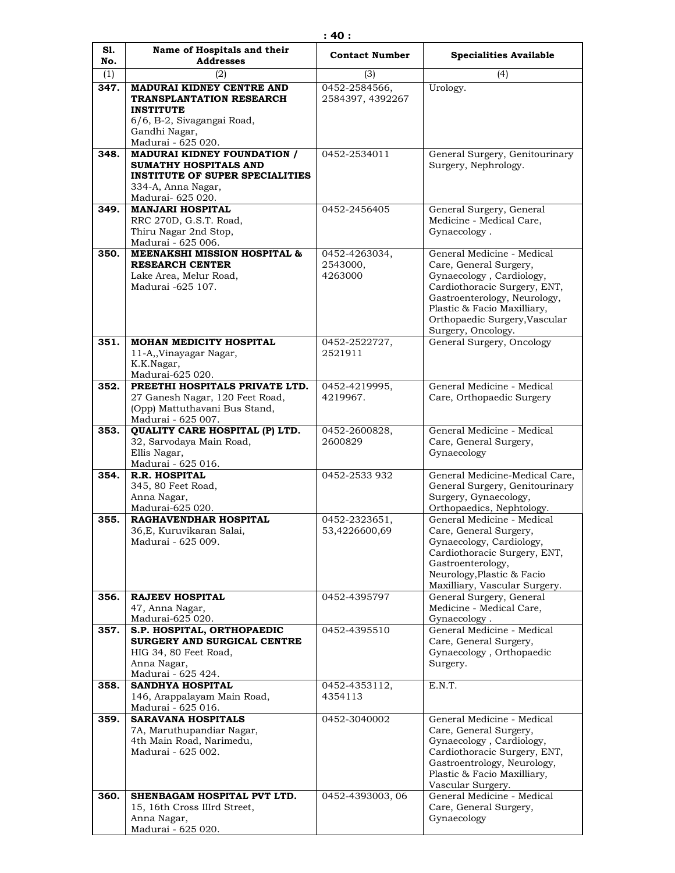| S1.         | Name of Hospitals and their                                                                                                                      | <b>Contact Number</b>                    | <b>Specialities Available</b>                                                                                                                                                                                                          |
|-------------|--------------------------------------------------------------------------------------------------------------------------------------------------|------------------------------------------|----------------------------------------------------------------------------------------------------------------------------------------------------------------------------------------------------------------------------------------|
| No.         | <b>Addresses</b>                                                                                                                                 |                                          |                                                                                                                                                                                                                                        |
| (1)<br>347. | (2)<br><b>MADURAI KIDNEY CENTRE AND</b><br>TRANSPLANTATION RESEARCH<br><b>INSTITUTE</b>                                                          | (3)<br>0452-2584566,<br>2584397, 4392267 | (4)<br>Urology.                                                                                                                                                                                                                        |
|             | 6/6, B-2, Sivagangai Road,<br>Gandhi Nagar,<br>Madurai - 625 020.                                                                                |                                          |                                                                                                                                                                                                                                        |
| 348.        | <b>MADURAI KIDNEY FOUNDATION /</b><br>SUMATHY HOSPITALS AND<br><b>INSTITUTE OF SUPER SPECIALITIES</b><br>334-A, Anna Nagar,<br>Madurai- 625 020. | 0452-2534011                             | General Surgery, Genitourinary<br>Surgery, Nephrology.                                                                                                                                                                                 |
| 349.        | <b>MANJARI HOSPITAL</b><br>RRC 270D, G.S.T. Road,<br>Thiru Nagar 2nd Stop,<br>Madurai - 625 006.                                                 | 0452-2456405                             | General Surgery, General<br>Medicine - Medical Care,<br>Gynaecology.                                                                                                                                                                   |
| 350.        | <b>MEENAKSHI MISSION HOSPITAL &amp;</b><br><b>RESEARCH CENTER</b><br>Lake Area, Melur Road,<br>Madurai -625 107.                                 | 0452-4263034,<br>2543000,<br>4263000     | General Medicine - Medical<br>Care, General Surgery,<br>Gynaecology, Cardiology,<br>Cardiothoracic Surgery, ENT,<br>Gastroenterology, Neurology,<br>Plastic & Facio Maxilliary,<br>Orthopaedic Surgery, Vascular<br>Surgery, Oncology. |
| 351.        | <b>MOHAN MEDICITY HOSPITAL</b><br>11-A,, Vinayagar Nagar,<br>K.K.Nagar,<br>Madurai-625 020.                                                      | 0452-2522727,<br>2521911                 | General Surgery, Oncology                                                                                                                                                                                                              |
| 352.        | PREETHI HOSPITALS PRIVATE LTD.<br>27 Ganesh Nagar, 120 Feet Road,<br>(Opp) Mattuthavani Bus Stand,<br>Madurai - 625 007.                         | 0452-4219995,<br>4219967.                | General Medicine - Medical<br>Care, Orthopaedic Surgery                                                                                                                                                                                |
| 353.        | QUALITY CARE HOSPITAL (P) LTD.<br>32, Sarvodaya Main Road,<br>Ellis Nagar,<br>Madurai - 625 016.                                                 | 0452-2600828,<br>2600829                 | General Medicine - Medical<br>Care, General Surgery,<br>Gynaecology                                                                                                                                                                    |
| 354.        | <b>R.R. HOSPITAL</b><br>345, 80 Feet Road,<br>Anna Nagar,<br>Madurai-625 020.                                                                    | 0452-2533 932                            | General Medicine-Medical Care,<br>General Surgery, Genitourinary<br>Surgery, Gynaecology,<br>Orthopaedics, Nephtology.                                                                                                                 |
| 355.        | RAGHAVENDHAR HOSPITAL<br>36, E, Kuruvikaran Salai,<br>Madurai - 625 009.                                                                         | 0452-2323651,<br>53,4226600,69           | General Medicine - Medical<br>Care, General Surgery,<br>Gynaecology, Cardiology,<br>Cardiothoracic Surgery, ENT,<br>Gastroenterology,<br>Neurology, Plastic & Facio<br>Maxilliary, Vascular Surgery.                                   |
| 356.        | <b>RAJEEV HOSPITAL</b><br>47, Anna Nagar,<br>Madurai-625 020.                                                                                    | 0452-4395797                             | General Surgery, General<br>Medicine - Medical Care,<br>Gynaecology.                                                                                                                                                                   |
| 357.        | S.P. HOSPITAL, ORTHOPAEDIC<br>SURGERY AND SURGICAL CENTRE<br>HIG 34, 80 Feet Road,<br>Anna Nagar,<br>Madurai - 625 424.                          | 0452-4395510                             | General Medicine - Medical<br>Care, General Surgery,<br>Gynaecology, Orthopaedic<br>Surgery.                                                                                                                                           |
| 358.        | <b>SANDHYA HOSPITAL</b><br>146, Arappalayam Main Road,<br>Madurai - 625 016.                                                                     | 0452-4353112,<br>4354113                 | E.N.T.                                                                                                                                                                                                                                 |
| 359.        | <b>SARAVANA HOSPITALS</b><br>7A, Maruthupandiar Nagar,<br>4th Main Road, Narimedu,<br>Madurai - 625 002.                                         | 0452-3040002                             | General Medicine - Medical<br>Care, General Surgery,<br>Gynaecology, Cardiology,<br>Cardiothoracic Surgery, ENT,<br>Gastroentrology, Neurology,<br>Plastic & Facio Maxilliary,<br>Vascular Surgery.                                    |
| 360.        | SHENBAGAM HOSPITAL PVT LTD.<br>15, 16th Cross IIIrd Street,<br>Anna Nagar,<br>Madurai - 625 020.                                                 | 0452-4393003, 06                         | General Medicine - Medical<br>Care, General Surgery,<br>Gynaecology                                                                                                                                                                    |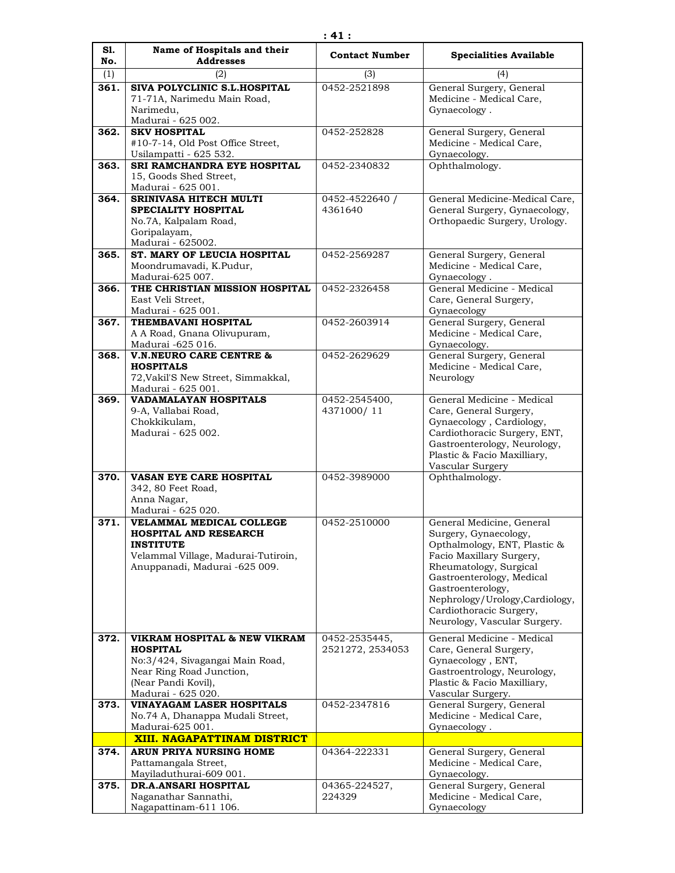| S1.<br>No. | Name of Hospitals and their<br><b>Addresses</b>                                                                                                             | <b>Contact Number</b>             | <b>Specialities Available</b>                                                                                                                                                                                                                                                            |
|------------|-------------------------------------------------------------------------------------------------------------------------------------------------------------|-----------------------------------|------------------------------------------------------------------------------------------------------------------------------------------------------------------------------------------------------------------------------------------------------------------------------------------|
| (1)        | (2)                                                                                                                                                         | (3)                               | (4)                                                                                                                                                                                                                                                                                      |
| 361.       | SIVA POLYCLINIC S.L.HOSPITAL<br>71-71A, Narimedu Main Road,<br>Narimedu,<br>Madurai - 625 002.                                                              | 0452-2521898                      | General Surgery, General<br>Medicine - Medical Care,<br>Gynaecology.                                                                                                                                                                                                                     |
| 362.       | <b>SKV HOSPITAL</b><br>#10-7-14, Old Post Office Street,<br>Usilampatti - 625 532.                                                                          | 0452-252828                       | General Surgery, General<br>Medicine - Medical Care,<br>Gynaecology.                                                                                                                                                                                                                     |
| 363.       | SRI RAMCHANDRA EYE HOSPITAL<br>15, Goods Shed Street,<br>Madurai - 625 001.                                                                                 | 0452-2340832                      | Ophthalmology.                                                                                                                                                                                                                                                                           |
| 364.       | <b>SRINIVASA HITECH MULTI</b><br>SPECIALITY HOSPITAL<br>No.7A, Kalpalam Road,<br>Goripalayam,<br>Madurai - 625002.                                          | 0452-4522640 /<br>4361640         | General Medicine-Medical Care,<br>General Surgery, Gynaecology,<br>Orthopaedic Surgery, Urology.                                                                                                                                                                                         |
| 365.       | ST. MARY OF LEUCIA HOSPITAL<br>Moondrumavadi, K.Pudur,<br>Madurai-625 007.                                                                                  | 0452-2569287                      | General Surgery, General<br>Medicine - Medical Care,<br>Gynaecology.                                                                                                                                                                                                                     |
| 366.       | THE CHRISTIAN MISSION HOSPITAL<br>East Veli Street,<br>Madurai - 625 001.                                                                                   | 0452-2326458                      | General Medicine - Medical<br>Care, General Surgery,<br>Gynaecology                                                                                                                                                                                                                      |
| 367.       | THEMBAVANI HOSPITAL<br>A A Road, Gnana Olivupuram,<br>Madurai -625 016.                                                                                     | 0452-2603914                      | General Surgery, General<br>Medicine - Medical Care,<br>Gynaecology.                                                                                                                                                                                                                     |
| 368.       | <b>V.N.NEURO CARE CENTRE &amp;</b><br><b>HOSPITALS</b><br>72, Vakil'S New Street, Simmakkal,<br>Madurai - 625 001.                                          | 0452-2629629                      | General Surgery, General<br>Medicine - Medical Care,<br>Neurology                                                                                                                                                                                                                        |
| 369.       | VADAMALAYAN HOSPITALS<br>9-A, Vallabai Road,<br>Chokkikulam,<br>Madurai - 625 002.                                                                          | 0452-2545400,<br>4371000/11       | General Medicine - Medical<br>Care, General Surgery,<br>Gynaecology, Cardiology,<br>Cardiothoracic Surgery, ENT,<br>Gastroenterology, Neurology,<br>Plastic & Facio Maxilliary,<br>Vascular Surgery                                                                                      |
| 370.       | VASAN EYE CARE HOSPITAL<br>342, 80 Feet Road,<br>Anna Nagar,<br>Madurai - 625 020.                                                                          | 0452-3989000                      | Ophthalmology.                                                                                                                                                                                                                                                                           |
| 371.       | <b>VELAMMAL MEDICAL COLLEGE</b><br><b>HOSPITAL AND RESEARCH</b><br><b>INSTITUTE</b><br>Velammal Village, Madurai-Tutiroin,<br>Anuppanadi, Madurai -625 009. | 0452-2510000                      | General Medicine, General<br>Surgery, Gynaecology,<br>Opthalmology, ENT, Plastic &<br>Facio Maxillary Surgery,<br>Rheumatology, Surgical<br>Gastroenterology, Medical<br>Gastroenterology,<br>Nephrology/Urology, Cardiology,<br>Cardiothoracic Surgery,<br>Neurology, Vascular Surgery. |
| 372.       | VIKRAM HOSPITAL & NEW VIKRAM<br><b>HOSPITAL</b><br>No:3/424, Sivagangai Main Road,<br>Near Ring Road Junction,<br>(Near Pandi Kovil),<br>Madurai - 625 020. | 0452-2535445,<br>2521272, 2534053 | General Medicine - Medical<br>Care, General Surgery,<br>Gynaecology, ENT,<br>Gastroentrology, Neurology,<br>Plastic & Facio Maxilliary,<br>Vascular Surgery.                                                                                                                             |
| 373.       | VINAYAGAM LASER HOSPITALS<br>No.74 A, Dhanappa Mudali Street,<br>Madurai-625 001.                                                                           | 0452-2347816                      | General Surgery, General<br>Medicine - Medical Care,<br>Gynaecology.                                                                                                                                                                                                                     |
|            | XIII. NAGAPATTINAM DISTRICT                                                                                                                                 |                                   |                                                                                                                                                                                                                                                                                          |
| 374.       | ARUN PRIYA NURSING HOME<br>Pattamangala Street,<br>Mayiladuthurai-609 001.                                                                                  | 04364-222331                      | General Surgery, General<br>Medicine - Medical Care,<br>Gynaecology.                                                                                                                                                                                                                     |
| 375.       | <b>DR.A.ANSARI HOSPITAL</b><br>Naganathar Sannathi,<br>Nagapattinam-611 106.                                                                                | 04365-224527,<br>224329           | General Surgery, General<br>Medicine - Medical Care,<br>Gynaecology                                                                                                                                                                                                                      |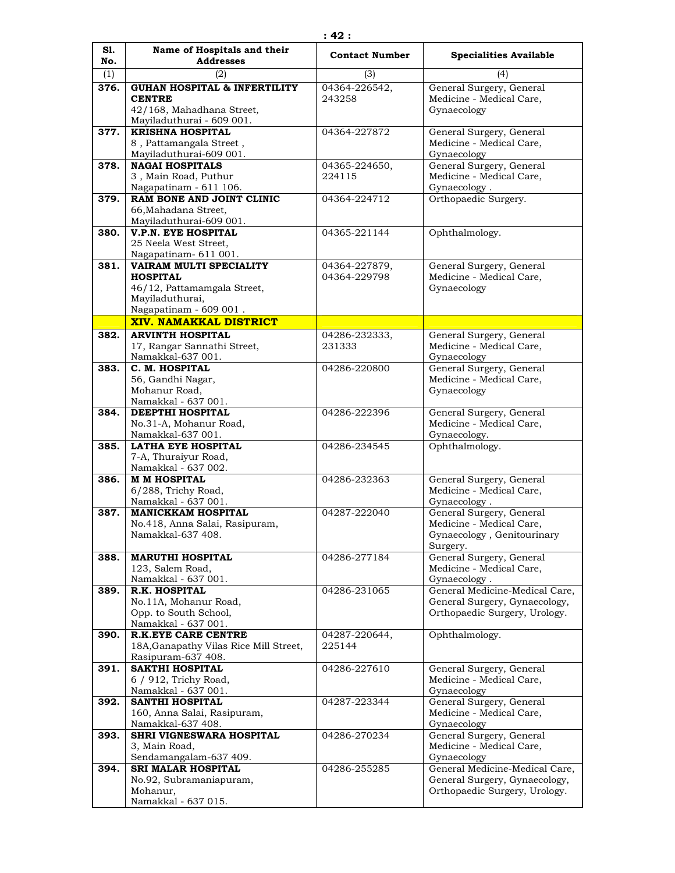| S1.<br>No. | Name of Hospitals and their<br><b>Addresses</b>              | <b>Contact Number</b> | <b>Specialities Available</b>                        |
|------------|--------------------------------------------------------------|-----------------------|------------------------------------------------------|
| (1)        | (2)                                                          | (3)                   | (4)                                                  |
| 376.       | <b>GUHAN HOSPITAL &amp; INFERTILITY</b>                      | 04364-226542,         | General Surgery, General                             |
|            | <b>CENTRE</b>                                                | 243258                | Medicine - Medical Care,                             |
|            | 42/168, Mahadhana Street,                                    |                       | Gynaecology                                          |
|            | Mayiladuthurai - 609 001.                                    |                       |                                                      |
| 377.       | <b>KRISHNA HOSPITAL</b>                                      | 04364-227872          | General Surgery, General                             |
|            | 8, Pattamangala Street,<br>Mayiladuthurai-609 001.           |                       | Medicine - Medical Care,<br>Gynaecology              |
| 378.       | <b>NAGAI HOSPITALS</b>                                       | 04365-224650,         | General Surgery, General                             |
|            | 3, Main Road, Puthur                                         | 224115                | Medicine - Medical Care,                             |
|            | Nagapatinam - 611 106.                                       |                       | Gynaecology.                                         |
| 379.       | RAM BONE AND JOINT CLINIC                                    | 04364-224712          | Orthopaedic Surgery.                                 |
|            | 66, Mahadana Street,                                         |                       |                                                      |
| 380.       | Mayiladuthurai-609 001.<br><b>V.P.N. EYE HOSPITAL</b>        | 04365-221144          | Ophthalmology.                                       |
|            | 25 Neela West Street,                                        |                       |                                                      |
|            | Nagapatinam- 611 001.                                        |                       |                                                      |
| 381.       | VAIRAM MULTI SPECIALITY                                      | 04364-227879,         | General Surgery, General                             |
|            | <b>HOSPITAL</b>                                              | 04364-229798          | Medicine - Medical Care,                             |
|            | 46/12, Pattamamgala Street,                                  |                       | Gynaecology                                          |
|            | Mayiladuthurai,<br>Nagapatinam - 609 001.                    |                       |                                                      |
|            | <b>XIV. NAMAKKAL DISTRICT</b>                                |                       |                                                      |
| 382.       | <b>ARVINTH HOSPITAL</b>                                      | 04286-232333,         | General Surgery, General                             |
|            | 17, Rangar Sannathi Street,                                  | 231333                | Medicine - Medical Care,                             |
|            | Namakkal-637 001.                                            |                       | Gynaecology                                          |
| 383.       | C. M. HOSPITAL                                               | 04286-220800          | General Surgery, General                             |
|            | 56, Gandhi Nagar,                                            |                       | Medicine - Medical Care,                             |
|            | Mohanur Road,                                                |                       | Gynaecology                                          |
| 384.       | Namakkal - 637 001.<br>DEEPTHI HOSPITAL                      | 04286-222396          | General Surgery, General                             |
|            | No.31-A, Mohanur Road,                                       |                       | Medicine - Medical Care,                             |
|            | Namakkal-637 001.                                            |                       | Gynaecology.                                         |
| 385.       | <b>LATHA EYE HOSPITAL</b>                                    | 04286-234545          | Ophthalmology.                                       |
|            | 7-A, Thuraiyur Road,                                         |                       |                                                      |
|            | Namakkal - 637 002.                                          |                       |                                                      |
| 386.       | <b>M M HOSPITAL</b>                                          | 04286-232363          | General Surgery, General                             |
|            | 6/288, Trichy Road,<br>Namakkal - 637 001.                   |                       | Medicine - Medical Care,<br>Gynaecology.             |
| 387.       | <b>MANICKKAM HOSPITAL</b>                                    | 04287-222040          | General Surgery, General                             |
|            | No.418, Anna Salai, Rasipuram,                               |                       | Medicine - Medical Care,                             |
|            | Namakkal-637 408.                                            |                       | Gynaecology, Genitourinary                           |
|            |                                                              |                       | Surgery.                                             |
| 388.       | <b>MARUTHI HOSPITAL</b>                                      | 04286-277184          | General Surgery, General                             |
|            | 123, Salem Road,<br>Namakkal - 637 001.                      |                       | Medicine - Medical Care,<br>Gynaecology.             |
| 389.       | <b>R.K. HOSPITAL</b>                                         | 04286-231065          | General Medicine-Medical Care,                       |
|            | No.11A, Mohanur Road,                                        |                       | General Surgery, Gynaecology,                        |
|            | Opp. to South School,                                        |                       | Orthopaedic Surgery, Urology.                        |
|            | Namakkal - 637 001.                                          |                       |                                                      |
| 390.       | <b>R.K.EYE CARE CENTRE</b>                                   | 04287-220644,         | Ophthalmology.                                       |
|            | 18A, Ganapathy Vilas Rice Mill Street,<br>Rasipuram-637 408. | 225144                |                                                      |
| 391.       | <b>SAKTHI HOSPITAL</b>                                       | 04286-227610          | General Surgery, General                             |
|            | 6 / 912, Trichy Road,                                        |                       | Medicine - Medical Care,                             |
|            | Namakkal - 637 001.                                          |                       | Gynaecology                                          |
| 392.       | <b>SANTHI HOSPITAL</b>                                       | 04287-223344          | General Surgery, General                             |
|            | 160, Anna Salai, Rasipuram,                                  |                       | Medicine - Medical Care,                             |
|            | Namakkal-637 408.                                            |                       | Gynaecology                                          |
| 393.       | SHRI VIGNESWARA HOSPITAL<br>3, Main Road,                    | 04286-270234          | General Surgery, General<br>Medicine - Medical Care, |
|            | Sendamangalam-637 409.                                       |                       | Gynaecology                                          |
| 394.       | SRI MALAR HOSPITAL                                           | 04286-255285          | General Medicine-Medical Care,                       |
|            | No.92, Subramaniapuram,                                      |                       | General Surgery, Gynaecology,                        |
|            | Mohanur,                                                     |                       | Orthopaedic Surgery, Urology.                        |
|            | Namakkal - 637 015.                                          |                       |                                                      |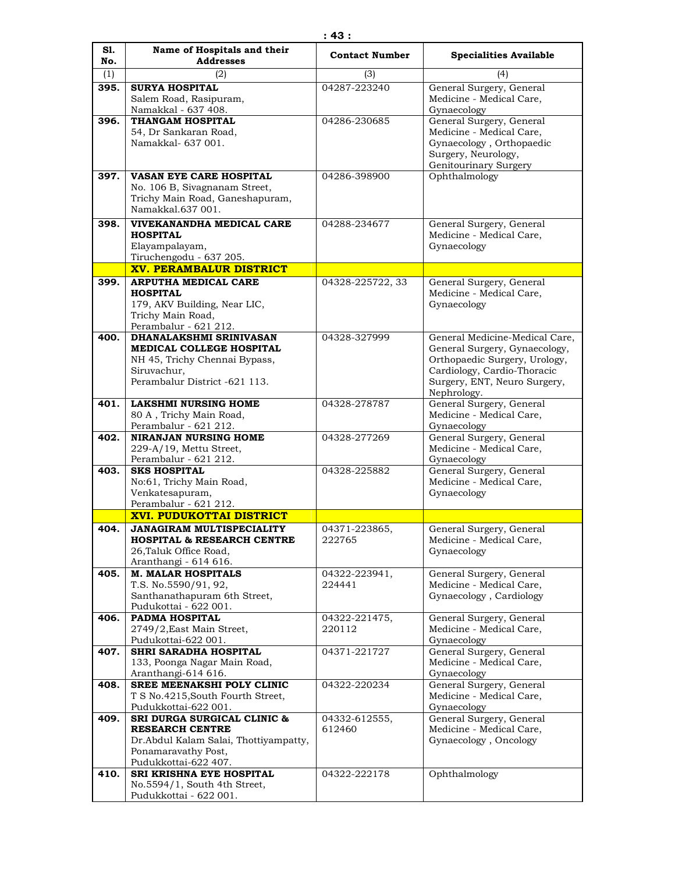| S1.                | Name of Hospitals and their                                     | <b>Contact Number</b> | <b>Specialities Available</b>                        |
|--------------------|-----------------------------------------------------------------|-----------------------|------------------------------------------------------|
| No.                | <b>Addresses</b>                                                |                       |                                                      |
| (1)                | (2)<br><b>SURYA HOSPITAL</b>                                    | (3)<br>04287-223240   | (4)                                                  |
| 395.               | Salem Road, Rasipuram,                                          |                       | General Surgery, General<br>Medicine - Medical Care, |
|                    | Namakkal - 637 408.                                             |                       | Gynaecology                                          |
| 396.               | <b>THANGAM HOSPITAL</b>                                         | 04286-230685          | General Surgery, General                             |
|                    | 54, Dr Sankaran Road,                                           |                       | Medicine - Medical Care,                             |
|                    | Namakkal- 637 001.                                              |                       | Gynaecology, Orthopaedic                             |
|                    |                                                                 |                       | Surgery, Neurology,<br>Genitourinary Surgery         |
| 397.               | <b>VASAN EYE CARE HOSPITAL</b>                                  | 04286-398900          | Ophthalmology                                        |
|                    | No. 106 B, Sivagnanam Street,                                   |                       |                                                      |
|                    | Trichy Main Road, Ganeshapuram,                                 |                       |                                                      |
|                    | Namakkal.637 001.                                               |                       |                                                      |
| 398.               | VIVEKANANDHA MEDICAL CARE                                       | 04288-234677          | General Surgery, General                             |
|                    | <b>HOSPITAL</b>                                                 |                       | Medicine - Medical Care,                             |
|                    | Elayampalayam,<br>Tiruchengodu - 637 205.                       |                       | Gynaecology                                          |
|                    | <b>XV. PERAMBALUR DISTRICT</b>                                  |                       |                                                      |
| 399.               | <b>ARPUTHA MEDICAL CARE</b>                                     | 04328-225722, 33      | General Surgery, General                             |
|                    | <b>HOSPITAL</b>                                                 |                       | Medicine - Medical Care,                             |
|                    | 179, AKV Building, Near LIC,                                    |                       | Gynaecology                                          |
|                    | Trichy Main Road,                                               |                       |                                                      |
| 400.               | Perambalur - 621 212.<br>DHANALAKSHMI SRINIVASAN                | 04328-327999          | General Medicine-Medical Care,                       |
|                    | <b>MEDICAL COLLEGE HOSPITAL</b>                                 |                       | General Surgery, Gynaecology,                        |
|                    | NH 45, Trichy Chennai Bypass,                                   |                       | Orthopaedic Surgery, Urology,                        |
|                    | Siruvachur,                                                     |                       | Cardiology, Cardio-Thoracic                          |
|                    | Perambalur District -621 113.                                   |                       | Surgery, ENT, Neuro Surgery,                         |
| 401.               | <b>LAKSHMI NURSING HOME</b>                                     | 04328-278787          | Nephrology.<br>General Surgery, General              |
|                    | 80 A, Trichy Main Road,                                         |                       | Medicine - Medical Care,                             |
|                    | Perambalur - 621 212.                                           |                       | Gynaecology                                          |
| 402.               | <b>NIRANJAN NURSING HOME</b>                                    | 04328-277269          | General Surgery, General                             |
|                    | 229-A/19, Mettu Street,                                         |                       | Medicine - Medical Care,                             |
| 403.               | Perambalur - 621 212.<br><b>SKS HOSPITAL</b>                    | 04328-225882          | Gynaecology<br>General Surgery, General              |
|                    | No:61, Trichy Main Road,                                        |                       | Medicine - Medical Care,                             |
|                    | Venkatesapuram,                                                 |                       | Gynaecology                                          |
|                    | Perambalur - 621 212.                                           |                       |                                                      |
|                    | <b>XVI. PUDUKOTTAI DISTRICT</b>                                 |                       |                                                      |
| 404.               | <b>JANAGIRAM MULTISPECIALITY</b>                                | 04371-223865,         | General Surgery, General                             |
|                    | <b>HOSPITAL &amp; RESEARCH CENTRE</b><br>26, Taluk Office Road, | 222765                | Medicine - Medical Care,<br>Gynaecology              |
|                    | Aranthangi - 614 616.                                           |                       |                                                      |
| 405.               | <b>M. MALAR HOSPITALS</b>                                       | 04322-223941,         | General Surgery, General                             |
|                    | T.S. No.5590/91, 92,                                            | 224441                | Medicine - Medical Care,                             |
|                    | Santhanathapuram 6th Street,<br>Pudukottai - 622 001.           |                       | Gynaecology, Cardiology                              |
| $\overline{406}$ . | PADMA HOSPITAL                                                  | 04322-221475,         | General Surgery, General                             |
|                    | 2749/2, East Main Street,                                       | 220112                | Medicine - Medical Care,                             |
|                    | Pudukottai-622 001.                                             |                       | Gynaecology                                          |
| 407.               | <b>SHRI SARADHA HOSPITAL</b>                                    | 04371-221727          | General Surgery, General                             |
|                    | 133, Poonga Nagar Main Road,<br>Aranthangi-614 616.             |                       | Medicine - Medical Care,<br>Gynaecology              |
| 408.               | SREE MEENAKSHI POLY CLINIC                                      | 04322-220234          | General Surgery, General                             |
|                    | T S No.4215, South Fourth Street,                               |                       | Medicine - Medical Care,                             |
|                    | Pudukkottai-622 001.                                            |                       | Gynaecology                                          |
| 409.               | SRI DURGA SURGICAL CLINIC &                                     | 04332-612555,         | General Surgery, General                             |
|                    | <b>RESEARCH CENTRE</b><br>Dr.Abdul Kalam Salai, Thottiyampatty, | 612460                | Medicine - Medical Care,<br>Gynaecology, Oncology    |
|                    | Ponamaravathy Post,                                             |                       |                                                      |
|                    | Pudukkottai-622 407.                                            |                       |                                                      |
| 410.               | SRI KRISHNA EYE HOSPITAL                                        | 04322-222178          | Ophthalmology                                        |
|                    | $No.5594/1$ , South 4th Street,                                 |                       |                                                      |
|                    | Pudukkottai - 622 001.                                          |                       |                                                      |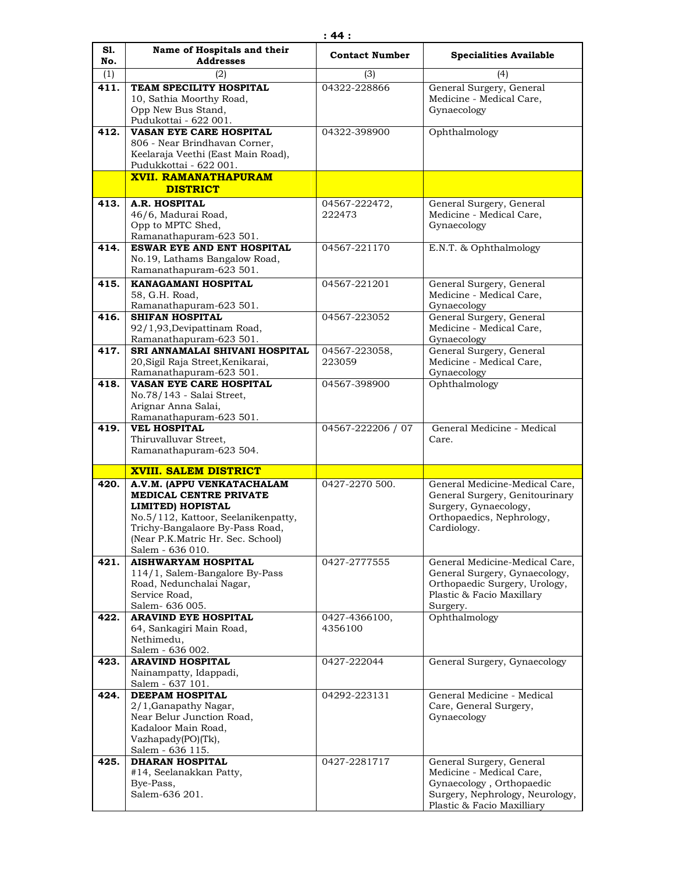| (1)<br>(2)<br>(3)<br>(4)<br>411.<br>TEAM SPECILITY HOSPITAL<br>04322-228866<br>General Surgery, General<br>Medicine - Medical Care,<br>10, Sathia Moorthy Road,<br>Gynaecology<br>Opp New Bus Stand,<br>Pudukottai - 622 001.<br>412.<br>VASAN EYE CARE HOSPITAL<br>Ophthalmology<br>04322-398900<br>806 - Near Brindhavan Corner,<br>Keelaraja Veethi (East Main Road),<br>Pudukkottai - 622 001.<br><b>XVII. RAMANATHAPURAM</b><br><b>DISTRICT</b><br><b>A.R. HOSPITAL</b><br>General Surgery, General<br>413.<br>04567-222472,<br>Medicine - Medical Care,<br>46/6, Madurai Road,<br>222473<br>Opp to MPTC Shed,<br>Gynaecology<br>Ramanathapuram-623 501.<br>ESWAR EYE AND ENT HOSPITAL<br>04567-221170<br>E.N.T. & Ophthalmology<br>414.<br>No.19, Lathams Bangalow Road,<br>Ramanathapuram-623 501.<br><b>KANAGAMANI HOSPITAL</b><br>04567-221201<br>General Surgery, General<br>415.<br>58, G.H. Road,<br>Medicine - Medical Care,<br>Ramanathapuram-623 501.<br>Gynaecology<br>General Surgery, General<br><b>SHIFAN HOSPITAL</b><br>04567-223052<br>416.<br>Medicine - Medical Care,<br>92/1,93, Devipattinam Road,<br>Ramanathapuram-623 501.<br>Gynaecology<br>SRI ANNAMALAI SHIVANI HOSPITAL<br>General Surgery, General<br>417.<br>04567-223058,<br>20, Sigil Raja Street, Kenikarai,<br>223059<br>Medicine - Medical Care,<br>Ramanathapuram-623 501.<br>Gynaecology<br>418.<br>VASAN EYE CARE HOSPITAL<br>04567-398900<br>Ophthalmology<br>No.78/143 - Salai Street,<br>Arignar Anna Salai,<br>Ramanathapuram-623 501.<br><b>VEL HOSPITAL</b><br>04567-222206 / 07<br>General Medicine - Medical<br>419.<br>Thiruvalluvar Street,<br>Care.<br>Ramanathapuram-623 504.<br><b>XVIII. SALEM DISTRICT</b><br>420.<br>0427-2270 500.<br>General Medicine-Medical Care,<br>A.V.M. (APPU VENKATACHALAM<br><b>MEDICAL CENTRE PRIVATE</b><br>General Surgery, Genitourinary<br>Surgery, Gynaecology,<br><b>LIMITED) HOPISTAL</b><br>No.5/112, Kattoor, Seelanikenpatty,<br>Orthopaedics, Nephrology,<br>Trichy-Bangalaore By-Pass Road,<br>Cardiology.<br>(Near P.K.Matric Hr. Sec. School)<br>Salem - 636 010.<br><b>AISHWARYAM HOSPITAL</b><br>0427-2777555<br>421.<br>General Medicine-Medical Care,<br>General Surgery, Gynaecology,<br>114/1, Salem-Bangalore By-Pass<br>Road, Nedunchalai Nagar,<br>Orthopaedic Surgery, Urology,<br>Service Road,<br>Plastic & Facio Maxillary<br>Salem - 636 005.<br>Surgery.<br><b>ARAVIND EYE HOSPITAL</b><br>Ophthalmology<br>422.<br>0427-4366100,<br>4356100<br>64, Sankagiri Main Road,<br>Nethimedu,<br>Salem - 636 002.<br><b>ARAVIND HOSPITAL</b><br>0427-222044<br>General Surgery, Gynaecology<br>423.<br>Nainampatty, Idappadi,<br>Salem - 637 101.<br><b>DEEPAM HOSPITAL</b><br>General Medicine - Medical<br>424.<br>04292-223131<br>2/1, Ganapathy Nagar,<br>Care, General Surgery,<br>Near Belur Junction Road,<br>Gynaecology<br>Kadaloor Main Road,<br>Vazhapady(PO)(Tk),<br>Salem - 636 115.<br><b>DHARAN HOSPITAL</b><br>425.<br>0427-2281717<br>General Surgery, General<br>#14, Seelanakkan Patty,<br>Medicine - Medical Care,<br>Gynaecology, Orthopaedic<br>Bye-Pass,<br>Salem-636 201.<br>Surgery, Nephrology, Neurology, | S1. | Name of Hospitals and their | <b>Contact Number</b> | <b>Specialities Available</b> |
|--------------------------------------------------------------------------------------------------------------------------------------------------------------------------------------------------------------------------------------------------------------------------------------------------------------------------------------------------------------------------------------------------------------------------------------------------------------------------------------------------------------------------------------------------------------------------------------------------------------------------------------------------------------------------------------------------------------------------------------------------------------------------------------------------------------------------------------------------------------------------------------------------------------------------------------------------------------------------------------------------------------------------------------------------------------------------------------------------------------------------------------------------------------------------------------------------------------------------------------------------------------------------------------------------------------------------------------------------------------------------------------------------------------------------------------------------------------------------------------------------------------------------------------------------------------------------------------------------------------------------------------------------------------------------------------------------------------------------------------------------------------------------------------------------------------------------------------------------------------------------------------------------------------------------------------------------------------------------------------------------------------------------------------------------------------------------------------------------------------------------------------------------------------------------------------------------------------------------------------------------------------------------------------------------------------------------------------------------------------------------------------------------------------------------------------------------------------------------------------------------------------------------------------------------------------------------------------------------------------------------------------------------------------------------------------------------------------------------------------------------------------------------------------------------------------------------------------------------------------------------------------------------------------------------------------------------------------------------------------------------------------------------------------------------------------------------------------------------------------------------------------------------------------------------------------------------|-----|-----------------------------|-----------------------|-------------------------------|
|                                                                                                                                                                                                                                                                                                                                                                                                                                                                                                                                                                                                                                                                                                                                                                                                                                                                                                                                                                                                                                                                                                                                                                                                                                                                                                                                                                                                                                                                                                                                                                                                                                                                                                                                                                                                                                                                                                                                                                                                                                                                                                                                                                                                                                                                                                                                                                                                                                                                                                                                                                                                                                                                                                                                                                                                                                                                                                                                                                                                                                                                                                                                                                                                  | No. | <b>Addresses</b>            |                       |                               |
|                                                                                                                                                                                                                                                                                                                                                                                                                                                                                                                                                                                                                                                                                                                                                                                                                                                                                                                                                                                                                                                                                                                                                                                                                                                                                                                                                                                                                                                                                                                                                                                                                                                                                                                                                                                                                                                                                                                                                                                                                                                                                                                                                                                                                                                                                                                                                                                                                                                                                                                                                                                                                                                                                                                                                                                                                                                                                                                                                                                                                                                                                                                                                                                                  |     |                             |                       |                               |
|                                                                                                                                                                                                                                                                                                                                                                                                                                                                                                                                                                                                                                                                                                                                                                                                                                                                                                                                                                                                                                                                                                                                                                                                                                                                                                                                                                                                                                                                                                                                                                                                                                                                                                                                                                                                                                                                                                                                                                                                                                                                                                                                                                                                                                                                                                                                                                                                                                                                                                                                                                                                                                                                                                                                                                                                                                                                                                                                                                                                                                                                                                                                                                                                  |     |                             |                       |                               |
|                                                                                                                                                                                                                                                                                                                                                                                                                                                                                                                                                                                                                                                                                                                                                                                                                                                                                                                                                                                                                                                                                                                                                                                                                                                                                                                                                                                                                                                                                                                                                                                                                                                                                                                                                                                                                                                                                                                                                                                                                                                                                                                                                                                                                                                                                                                                                                                                                                                                                                                                                                                                                                                                                                                                                                                                                                                                                                                                                                                                                                                                                                                                                                                                  |     |                             |                       |                               |
|                                                                                                                                                                                                                                                                                                                                                                                                                                                                                                                                                                                                                                                                                                                                                                                                                                                                                                                                                                                                                                                                                                                                                                                                                                                                                                                                                                                                                                                                                                                                                                                                                                                                                                                                                                                                                                                                                                                                                                                                                                                                                                                                                                                                                                                                                                                                                                                                                                                                                                                                                                                                                                                                                                                                                                                                                                                                                                                                                                                                                                                                                                                                                                                                  |     |                             |                       |                               |
|                                                                                                                                                                                                                                                                                                                                                                                                                                                                                                                                                                                                                                                                                                                                                                                                                                                                                                                                                                                                                                                                                                                                                                                                                                                                                                                                                                                                                                                                                                                                                                                                                                                                                                                                                                                                                                                                                                                                                                                                                                                                                                                                                                                                                                                                                                                                                                                                                                                                                                                                                                                                                                                                                                                                                                                                                                                                                                                                                                                                                                                                                                                                                                                                  |     |                             |                       |                               |
|                                                                                                                                                                                                                                                                                                                                                                                                                                                                                                                                                                                                                                                                                                                                                                                                                                                                                                                                                                                                                                                                                                                                                                                                                                                                                                                                                                                                                                                                                                                                                                                                                                                                                                                                                                                                                                                                                                                                                                                                                                                                                                                                                                                                                                                                                                                                                                                                                                                                                                                                                                                                                                                                                                                                                                                                                                                                                                                                                                                                                                                                                                                                                                                                  |     |                             |                       |                               |
|                                                                                                                                                                                                                                                                                                                                                                                                                                                                                                                                                                                                                                                                                                                                                                                                                                                                                                                                                                                                                                                                                                                                                                                                                                                                                                                                                                                                                                                                                                                                                                                                                                                                                                                                                                                                                                                                                                                                                                                                                                                                                                                                                                                                                                                                                                                                                                                                                                                                                                                                                                                                                                                                                                                                                                                                                                                                                                                                                                                                                                                                                                                                                                                                  |     |                             |                       |                               |
|                                                                                                                                                                                                                                                                                                                                                                                                                                                                                                                                                                                                                                                                                                                                                                                                                                                                                                                                                                                                                                                                                                                                                                                                                                                                                                                                                                                                                                                                                                                                                                                                                                                                                                                                                                                                                                                                                                                                                                                                                                                                                                                                                                                                                                                                                                                                                                                                                                                                                                                                                                                                                                                                                                                                                                                                                                                                                                                                                                                                                                                                                                                                                                                                  |     |                             |                       |                               |
|                                                                                                                                                                                                                                                                                                                                                                                                                                                                                                                                                                                                                                                                                                                                                                                                                                                                                                                                                                                                                                                                                                                                                                                                                                                                                                                                                                                                                                                                                                                                                                                                                                                                                                                                                                                                                                                                                                                                                                                                                                                                                                                                                                                                                                                                                                                                                                                                                                                                                                                                                                                                                                                                                                                                                                                                                                                                                                                                                                                                                                                                                                                                                                                                  |     |                             |                       |                               |
|                                                                                                                                                                                                                                                                                                                                                                                                                                                                                                                                                                                                                                                                                                                                                                                                                                                                                                                                                                                                                                                                                                                                                                                                                                                                                                                                                                                                                                                                                                                                                                                                                                                                                                                                                                                                                                                                                                                                                                                                                                                                                                                                                                                                                                                                                                                                                                                                                                                                                                                                                                                                                                                                                                                                                                                                                                                                                                                                                                                                                                                                                                                                                                                                  |     |                             |                       |                               |
|                                                                                                                                                                                                                                                                                                                                                                                                                                                                                                                                                                                                                                                                                                                                                                                                                                                                                                                                                                                                                                                                                                                                                                                                                                                                                                                                                                                                                                                                                                                                                                                                                                                                                                                                                                                                                                                                                                                                                                                                                                                                                                                                                                                                                                                                                                                                                                                                                                                                                                                                                                                                                                                                                                                                                                                                                                                                                                                                                                                                                                                                                                                                                                                                  |     |                             |                       |                               |
|                                                                                                                                                                                                                                                                                                                                                                                                                                                                                                                                                                                                                                                                                                                                                                                                                                                                                                                                                                                                                                                                                                                                                                                                                                                                                                                                                                                                                                                                                                                                                                                                                                                                                                                                                                                                                                                                                                                                                                                                                                                                                                                                                                                                                                                                                                                                                                                                                                                                                                                                                                                                                                                                                                                                                                                                                                                                                                                                                                                                                                                                                                                                                                                                  |     |                             |                       |                               |
|                                                                                                                                                                                                                                                                                                                                                                                                                                                                                                                                                                                                                                                                                                                                                                                                                                                                                                                                                                                                                                                                                                                                                                                                                                                                                                                                                                                                                                                                                                                                                                                                                                                                                                                                                                                                                                                                                                                                                                                                                                                                                                                                                                                                                                                                                                                                                                                                                                                                                                                                                                                                                                                                                                                                                                                                                                                                                                                                                                                                                                                                                                                                                                                                  |     |                             |                       |                               |
|                                                                                                                                                                                                                                                                                                                                                                                                                                                                                                                                                                                                                                                                                                                                                                                                                                                                                                                                                                                                                                                                                                                                                                                                                                                                                                                                                                                                                                                                                                                                                                                                                                                                                                                                                                                                                                                                                                                                                                                                                                                                                                                                                                                                                                                                                                                                                                                                                                                                                                                                                                                                                                                                                                                                                                                                                                                                                                                                                                                                                                                                                                                                                                                                  |     |                             |                       |                               |
|                                                                                                                                                                                                                                                                                                                                                                                                                                                                                                                                                                                                                                                                                                                                                                                                                                                                                                                                                                                                                                                                                                                                                                                                                                                                                                                                                                                                                                                                                                                                                                                                                                                                                                                                                                                                                                                                                                                                                                                                                                                                                                                                                                                                                                                                                                                                                                                                                                                                                                                                                                                                                                                                                                                                                                                                                                                                                                                                                                                                                                                                                                                                                                                                  |     |                             |                       |                               |
|                                                                                                                                                                                                                                                                                                                                                                                                                                                                                                                                                                                                                                                                                                                                                                                                                                                                                                                                                                                                                                                                                                                                                                                                                                                                                                                                                                                                                                                                                                                                                                                                                                                                                                                                                                                                                                                                                                                                                                                                                                                                                                                                                                                                                                                                                                                                                                                                                                                                                                                                                                                                                                                                                                                                                                                                                                                                                                                                                                                                                                                                                                                                                                                                  |     |                             |                       |                               |
|                                                                                                                                                                                                                                                                                                                                                                                                                                                                                                                                                                                                                                                                                                                                                                                                                                                                                                                                                                                                                                                                                                                                                                                                                                                                                                                                                                                                                                                                                                                                                                                                                                                                                                                                                                                                                                                                                                                                                                                                                                                                                                                                                                                                                                                                                                                                                                                                                                                                                                                                                                                                                                                                                                                                                                                                                                                                                                                                                                                                                                                                                                                                                                                                  |     |                             |                       |                               |
|                                                                                                                                                                                                                                                                                                                                                                                                                                                                                                                                                                                                                                                                                                                                                                                                                                                                                                                                                                                                                                                                                                                                                                                                                                                                                                                                                                                                                                                                                                                                                                                                                                                                                                                                                                                                                                                                                                                                                                                                                                                                                                                                                                                                                                                                                                                                                                                                                                                                                                                                                                                                                                                                                                                                                                                                                                                                                                                                                                                                                                                                                                                                                                                                  |     |                             |                       |                               |
|                                                                                                                                                                                                                                                                                                                                                                                                                                                                                                                                                                                                                                                                                                                                                                                                                                                                                                                                                                                                                                                                                                                                                                                                                                                                                                                                                                                                                                                                                                                                                                                                                                                                                                                                                                                                                                                                                                                                                                                                                                                                                                                                                                                                                                                                                                                                                                                                                                                                                                                                                                                                                                                                                                                                                                                                                                                                                                                                                                                                                                                                                                                                                                                                  |     |                             |                       |                               |
|                                                                                                                                                                                                                                                                                                                                                                                                                                                                                                                                                                                                                                                                                                                                                                                                                                                                                                                                                                                                                                                                                                                                                                                                                                                                                                                                                                                                                                                                                                                                                                                                                                                                                                                                                                                                                                                                                                                                                                                                                                                                                                                                                                                                                                                                                                                                                                                                                                                                                                                                                                                                                                                                                                                                                                                                                                                                                                                                                                                                                                                                                                                                                                                                  |     |                             |                       |                               |
|                                                                                                                                                                                                                                                                                                                                                                                                                                                                                                                                                                                                                                                                                                                                                                                                                                                                                                                                                                                                                                                                                                                                                                                                                                                                                                                                                                                                                                                                                                                                                                                                                                                                                                                                                                                                                                                                                                                                                                                                                                                                                                                                                                                                                                                                                                                                                                                                                                                                                                                                                                                                                                                                                                                                                                                                                                                                                                                                                                                                                                                                                                                                                                                                  |     |                             |                       |                               |
|                                                                                                                                                                                                                                                                                                                                                                                                                                                                                                                                                                                                                                                                                                                                                                                                                                                                                                                                                                                                                                                                                                                                                                                                                                                                                                                                                                                                                                                                                                                                                                                                                                                                                                                                                                                                                                                                                                                                                                                                                                                                                                                                                                                                                                                                                                                                                                                                                                                                                                                                                                                                                                                                                                                                                                                                                                                                                                                                                                                                                                                                                                                                                                                                  |     |                             |                       |                               |
|                                                                                                                                                                                                                                                                                                                                                                                                                                                                                                                                                                                                                                                                                                                                                                                                                                                                                                                                                                                                                                                                                                                                                                                                                                                                                                                                                                                                                                                                                                                                                                                                                                                                                                                                                                                                                                                                                                                                                                                                                                                                                                                                                                                                                                                                                                                                                                                                                                                                                                                                                                                                                                                                                                                                                                                                                                                                                                                                                                                                                                                                                                                                                                                                  |     |                             |                       |                               |
|                                                                                                                                                                                                                                                                                                                                                                                                                                                                                                                                                                                                                                                                                                                                                                                                                                                                                                                                                                                                                                                                                                                                                                                                                                                                                                                                                                                                                                                                                                                                                                                                                                                                                                                                                                                                                                                                                                                                                                                                                                                                                                                                                                                                                                                                                                                                                                                                                                                                                                                                                                                                                                                                                                                                                                                                                                                                                                                                                                                                                                                                                                                                                                                                  |     |                             |                       |                               |
|                                                                                                                                                                                                                                                                                                                                                                                                                                                                                                                                                                                                                                                                                                                                                                                                                                                                                                                                                                                                                                                                                                                                                                                                                                                                                                                                                                                                                                                                                                                                                                                                                                                                                                                                                                                                                                                                                                                                                                                                                                                                                                                                                                                                                                                                                                                                                                                                                                                                                                                                                                                                                                                                                                                                                                                                                                                                                                                                                                                                                                                                                                                                                                                                  |     |                             |                       |                               |
|                                                                                                                                                                                                                                                                                                                                                                                                                                                                                                                                                                                                                                                                                                                                                                                                                                                                                                                                                                                                                                                                                                                                                                                                                                                                                                                                                                                                                                                                                                                                                                                                                                                                                                                                                                                                                                                                                                                                                                                                                                                                                                                                                                                                                                                                                                                                                                                                                                                                                                                                                                                                                                                                                                                                                                                                                                                                                                                                                                                                                                                                                                                                                                                                  |     |                             |                       |                               |
|                                                                                                                                                                                                                                                                                                                                                                                                                                                                                                                                                                                                                                                                                                                                                                                                                                                                                                                                                                                                                                                                                                                                                                                                                                                                                                                                                                                                                                                                                                                                                                                                                                                                                                                                                                                                                                                                                                                                                                                                                                                                                                                                                                                                                                                                                                                                                                                                                                                                                                                                                                                                                                                                                                                                                                                                                                                                                                                                                                                                                                                                                                                                                                                                  |     |                             |                       |                               |
|                                                                                                                                                                                                                                                                                                                                                                                                                                                                                                                                                                                                                                                                                                                                                                                                                                                                                                                                                                                                                                                                                                                                                                                                                                                                                                                                                                                                                                                                                                                                                                                                                                                                                                                                                                                                                                                                                                                                                                                                                                                                                                                                                                                                                                                                                                                                                                                                                                                                                                                                                                                                                                                                                                                                                                                                                                                                                                                                                                                                                                                                                                                                                                                                  |     |                             |                       |                               |
|                                                                                                                                                                                                                                                                                                                                                                                                                                                                                                                                                                                                                                                                                                                                                                                                                                                                                                                                                                                                                                                                                                                                                                                                                                                                                                                                                                                                                                                                                                                                                                                                                                                                                                                                                                                                                                                                                                                                                                                                                                                                                                                                                                                                                                                                                                                                                                                                                                                                                                                                                                                                                                                                                                                                                                                                                                                                                                                                                                                                                                                                                                                                                                                                  |     |                             |                       |                               |
|                                                                                                                                                                                                                                                                                                                                                                                                                                                                                                                                                                                                                                                                                                                                                                                                                                                                                                                                                                                                                                                                                                                                                                                                                                                                                                                                                                                                                                                                                                                                                                                                                                                                                                                                                                                                                                                                                                                                                                                                                                                                                                                                                                                                                                                                                                                                                                                                                                                                                                                                                                                                                                                                                                                                                                                                                                                                                                                                                                                                                                                                                                                                                                                                  |     |                             |                       |                               |
|                                                                                                                                                                                                                                                                                                                                                                                                                                                                                                                                                                                                                                                                                                                                                                                                                                                                                                                                                                                                                                                                                                                                                                                                                                                                                                                                                                                                                                                                                                                                                                                                                                                                                                                                                                                                                                                                                                                                                                                                                                                                                                                                                                                                                                                                                                                                                                                                                                                                                                                                                                                                                                                                                                                                                                                                                                                                                                                                                                                                                                                                                                                                                                                                  |     |                             |                       |                               |
|                                                                                                                                                                                                                                                                                                                                                                                                                                                                                                                                                                                                                                                                                                                                                                                                                                                                                                                                                                                                                                                                                                                                                                                                                                                                                                                                                                                                                                                                                                                                                                                                                                                                                                                                                                                                                                                                                                                                                                                                                                                                                                                                                                                                                                                                                                                                                                                                                                                                                                                                                                                                                                                                                                                                                                                                                                                                                                                                                                                                                                                                                                                                                                                                  |     |                             |                       |                               |
|                                                                                                                                                                                                                                                                                                                                                                                                                                                                                                                                                                                                                                                                                                                                                                                                                                                                                                                                                                                                                                                                                                                                                                                                                                                                                                                                                                                                                                                                                                                                                                                                                                                                                                                                                                                                                                                                                                                                                                                                                                                                                                                                                                                                                                                                                                                                                                                                                                                                                                                                                                                                                                                                                                                                                                                                                                                                                                                                                                                                                                                                                                                                                                                                  |     |                             |                       |                               |
|                                                                                                                                                                                                                                                                                                                                                                                                                                                                                                                                                                                                                                                                                                                                                                                                                                                                                                                                                                                                                                                                                                                                                                                                                                                                                                                                                                                                                                                                                                                                                                                                                                                                                                                                                                                                                                                                                                                                                                                                                                                                                                                                                                                                                                                                                                                                                                                                                                                                                                                                                                                                                                                                                                                                                                                                                                                                                                                                                                                                                                                                                                                                                                                                  |     |                             |                       |                               |
|                                                                                                                                                                                                                                                                                                                                                                                                                                                                                                                                                                                                                                                                                                                                                                                                                                                                                                                                                                                                                                                                                                                                                                                                                                                                                                                                                                                                                                                                                                                                                                                                                                                                                                                                                                                                                                                                                                                                                                                                                                                                                                                                                                                                                                                                                                                                                                                                                                                                                                                                                                                                                                                                                                                                                                                                                                                                                                                                                                                                                                                                                                                                                                                                  |     |                             |                       |                               |
|                                                                                                                                                                                                                                                                                                                                                                                                                                                                                                                                                                                                                                                                                                                                                                                                                                                                                                                                                                                                                                                                                                                                                                                                                                                                                                                                                                                                                                                                                                                                                                                                                                                                                                                                                                                                                                                                                                                                                                                                                                                                                                                                                                                                                                                                                                                                                                                                                                                                                                                                                                                                                                                                                                                                                                                                                                                                                                                                                                                                                                                                                                                                                                                                  |     |                             |                       |                               |
|                                                                                                                                                                                                                                                                                                                                                                                                                                                                                                                                                                                                                                                                                                                                                                                                                                                                                                                                                                                                                                                                                                                                                                                                                                                                                                                                                                                                                                                                                                                                                                                                                                                                                                                                                                                                                                                                                                                                                                                                                                                                                                                                                                                                                                                                                                                                                                                                                                                                                                                                                                                                                                                                                                                                                                                                                                                                                                                                                                                                                                                                                                                                                                                                  |     |                             |                       |                               |
|                                                                                                                                                                                                                                                                                                                                                                                                                                                                                                                                                                                                                                                                                                                                                                                                                                                                                                                                                                                                                                                                                                                                                                                                                                                                                                                                                                                                                                                                                                                                                                                                                                                                                                                                                                                                                                                                                                                                                                                                                                                                                                                                                                                                                                                                                                                                                                                                                                                                                                                                                                                                                                                                                                                                                                                                                                                                                                                                                                                                                                                                                                                                                                                                  |     |                             |                       |                               |
|                                                                                                                                                                                                                                                                                                                                                                                                                                                                                                                                                                                                                                                                                                                                                                                                                                                                                                                                                                                                                                                                                                                                                                                                                                                                                                                                                                                                                                                                                                                                                                                                                                                                                                                                                                                                                                                                                                                                                                                                                                                                                                                                                                                                                                                                                                                                                                                                                                                                                                                                                                                                                                                                                                                                                                                                                                                                                                                                                                                                                                                                                                                                                                                                  |     |                             |                       |                               |
|                                                                                                                                                                                                                                                                                                                                                                                                                                                                                                                                                                                                                                                                                                                                                                                                                                                                                                                                                                                                                                                                                                                                                                                                                                                                                                                                                                                                                                                                                                                                                                                                                                                                                                                                                                                                                                                                                                                                                                                                                                                                                                                                                                                                                                                                                                                                                                                                                                                                                                                                                                                                                                                                                                                                                                                                                                                                                                                                                                                                                                                                                                                                                                                                  |     |                             |                       |                               |
|                                                                                                                                                                                                                                                                                                                                                                                                                                                                                                                                                                                                                                                                                                                                                                                                                                                                                                                                                                                                                                                                                                                                                                                                                                                                                                                                                                                                                                                                                                                                                                                                                                                                                                                                                                                                                                                                                                                                                                                                                                                                                                                                                                                                                                                                                                                                                                                                                                                                                                                                                                                                                                                                                                                                                                                                                                                                                                                                                                                                                                                                                                                                                                                                  |     |                             |                       |                               |
|                                                                                                                                                                                                                                                                                                                                                                                                                                                                                                                                                                                                                                                                                                                                                                                                                                                                                                                                                                                                                                                                                                                                                                                                                                                                                                                                                                                                                                                                                                                                                                                                                                                                                                                                                                                                                                                                                                                                                                                                                                                                                                                                                                                                                                                                                                                                                                                                                                                                                                                                                                                                                                                                                                                                                                                                                                                                                                                                                                                                                                                                                                                                                                                                  |     |                             |                       |                               |
|                                                                                                                                                                                                                                                                                                                                                                                                                                                                                                                                                                                                                                                                                                                                                                                                                                                                                                                                                                                                                                                                                                                                                                                                                                                                                                                                                                                                                                                                                                                                                                                                                                                                                                                                                                                                                                                                                                                                                                                                                                                                                                                                                                                                                                                                                                                                                                                                                                                                                                                                                                                                                                                                                                                                                                                                                                                                                                                                                                                                                                                                                                                                                                                                  |     |                             |                       |                               |
|                                                                                                                                                                                                                                                                                                                                                                                                                                                                                                                                                                                                                                                                                                                                                                                                                                                                                                                                                                                                                                                                                                                                                                                                                                                                                                                                                                                                                                                                                                                                                                                                                                                                                                                                                                                                                                                                                                                                                                                                                                                                                                                                                                                                                                                                                                                                                                                                                                                                                                                                                                                                                                                                                                                                                                                                                                                                                                                                                                                                                                                                                                                                                                                                  |     |                             |                       |                               |
|                                                                                                                                                                                                                                                                                                                                                                                                                                                                                                                                                                                                                                                                                                                                                                                                                                                                                                                                                                                                                                                                                                                                                                                                                                                                                                                                                                                                                                                                                                                                                                                                                                                                                                                                                                                                                                                                                                                                                                                                                                                                                                                                                                                                                                                                                                                                                                                                                                                                                                                                                                                                                                                                                                                                                                                                                                                                                                                                                                                                                                                                                                                                                                                                  |     |                             |                       |                               |
|                                                                                                                                                                                                                                                                                                                                                                                                                                                                                                                                                                                                                                                                                                                                                                                                                                                                                                                                                                                                                                                                                                                                                                                                                                                                                                                                                                                                                                                                                                                                                                                                                                                                                                                                                                                                                                                                                                                                                                                                                                                                                                                                                                                                                                                                                                                                                                                                                                                                                                                                                                                                                                                                                                                                                                                                                                                                                                                                                                                                                                                                                                                                                                                                  |     |                             |                       |                               |
|                                                                                                                                                                                                                                                                                                                                                                                                                                                                                                                                                                                                                                                                                                                                                                                                                                                                                                                                                                                                                                                                                                                                                                                                                                                                                                                                                                                                                                                                                                                                                                                                                                                                                                                                                                                                                                                                                                                                                                                                                                                                                                                                                                                                                                                                                                                                                                                                                                                                                                                                                                                                                                                                                                                                                                                                                                                                                                                                                                                                                                                                                                                                                                                                  |     |                             |                       |                               |
|                                                                                                                                                                                                                                                                                                                                                                                                                                                                                                                                                                                                                                                                                                                                                                                                                                                                                                                                                                                                                                                                                                                                                                                                                                                                                                                                                                                                                                                                                                                                                                                                                                                                                                                                                                                                                                                                                                                                                                                                                                                                                                                                                                                                                                                                                                                                                                                                                                                                                                                                                                                                                                                                                                                                                                                                                                                                                                                                                                                                                                                                                                                                                                                                  |     |                             |                       |                               |
|                                                                                                                                                                                                                                                                                                                                                                                                                                                                                                                                                                                                                                                                                                                                                                                                                                                                                                                                                                                                                                                                                                                                                                                                                                                                                                                                                                                                                                                                                                                                                                                                                                                                                                                                                                                                                                                                                                                                                                                                                                                                                                                                                                                                                                                                                                                                                                                                                                                                                                                                                                                                                                                                                                                                                                                                                                                                                                                                                                                                                                                                                                                                                                                                  |     |                             |                       |                               |
|                                                                                                                                                                                                                                                                                                                                                                                                                                                                                                                                                                                                                                                                                                                                                                                                                                                                                                                                                                                                                                                                                                                                                                                                                                                                                                                                                                                                                                                                                                                                                                                                                                                                                                                                                                                                                                                                                                                                                                                                                                                                                                                                                                                                                                                                                                                                                                                                                                                                                                                                                                                                                                                                                                                                                                                                                                                                                                                                                                                                                                                                                                                                                                                                  |     |                             |                       |                               |
|                                                                                                                                                                                                                                                                                                                                                                                                                                                                                                                                                                                                                                                                                                                                                                                                                                                                                                                                                                                                                                                                                                                                                                                                                                                                                                                                                                                                                                                                                                                                                                                                                                                                                                                                                                                                                                                                                                                                                                                                                                                                                                                                                                                                                                                                                                                                                                                                                                                                                                                                                                                                                                                                                                                                                                                                                                                                                                                                                                                                                                                                                                                                                                                                  |     |                             |                       |                               |
|                                                                                                                                                                                                                                                                                                                                                                                                                                                                                                                                                                                                                                                                                                                                                                                                                                                                                                                                                                                                                                                                                                                                                                                                                                                                                                                                                                                                                                                                                                                                                                                                                                                                                                                                                                                                                                                                                                                                                                                                                                                                                                                                                                                                                                                                                                                                                                                                                                                                                                                                                                                                                                                                                                                                                                                                                                                                                                                                                                                                                                                                                                                                                                                                  |     |                             |                       |                               |
|                                                                                                                                                                                                                                                                                                                                                                                                                                                                                                                                                                                                                                                                                                                                                                                                                                                                                                                                                                                                                                                                                                                                                                                                                                                                                                                                                                                                                                                                                                                                                                                                                                                                                                                                                                                                                                                                                                                                                                                                                                                                                                                                                                                                                                                                                                                                                                                                                                                                                                                                                                                                                                                                                                                                                                                                                                                                                                                                                                                                                                                                                                                                                                                                  |     |                             |                       |                               |
|                                                                                                                                                                                                                                                                                                                                                                                                                                                                                                                                                                                                                                                                                                                                                                                                                                                                                                                                                                                                                                                                                                                                                                                                                                                                                                                                                                                                                                                                                                                                                                                                                                                                                                                                                                                                                                                                                                                                                                                                                                                                                                                                                                                                                                                                                                                                                                                                                                                                                                                                                                                                                                                                                                                                                                                                                                                                                                                                                                                                                                                                                                                                                                                                  |     |                             |                       |                               |
|                                                                                                                                                                                                                                                                                                                                                                                                                                                                                                                                                                                                                                                                                                                                                                                                                                                                                                                                                                                                                                                                                                                                                                                                                                                                                                                                                                                                                                                                                                                                                                                                                                                                                                                                                                                                                                                                                                                                                                                                                                                                                                                                                                                                                                                                                                                                                                                                                                                                                                                                                                                                                                                                                                                                                                                                                                                                                                                                                                                                                                                                                                                                                                                                  |     |                             |                       |                               |
|                                                                                                                                                                                                                                                                                                                                                                                                                                                                                                                                                                                                                                                                                                                                                                                                                                                                                                                                                                                                                                                                                                                                                                                                                                                                                                                                                                                                                                                                                                                                                                                                                                                                                                                                                                                                                                                                                                                                                                                                                                                                                                                                                                                                                                                                                                                                                                                                                                                                                                                                                                                                                                                                                                                                                                                                                                                                                                                                                                                                                                                                                                                                                                                                  |     |                             |                       |                               |
|                                                                                                                                                                                                                                                                                                                                                                                                                                                                                                                                                                                                                                                                                                                                                                                                                                                                                                                                                                                                                                                                                                                                                                                                                                                                                                                                                                                                                                                                                                                                                                                                                                                                                                                                                                                                                                                                                                                                                                                                                                                                                                                                                                                                                                                                                                                                                                                                                                                                                                                                                                                                                                                                                                                                                                                                                                                                                                                                                                                                                                                                                                                                                                                                  |     |                             |                       |                               |
|                                                                                                                                                                                                                                                                                                                                                                                                                                                                                                                                                                                                                                                                                                                                                                                                                                                                                                                                                                                                                                                                                                                                                                                                                                                                                                                                                                                                                                                                                                                                                                                                                                                                                                                                                                                                                                                                                                                                                                                                                                                                                                                                                                                                                                                                                                                                                                                                                                                                                                                                                                                                                                                                                                                                                                                                                                                                                                                                                                                                                                                                                                                                                                                                  |     |                             |                       |                               |
|                                                                                                                                                                                                                                                                                                                                                                                                                                                                                                                                                                                                                                                                                                                                                                                                                                                                                                                                                                                                                                                                                                                                                                                                                                                                                                                                                                                                                                                                                                                                                                                                                                                                                                                                                                                                                                                                                                                                                                                                                                                                                                                                                                                                                                                                                                                                                                                                                                                                                                                                                                                                                                                                                                                                                                                                                                                                                                                                                                                                                                                                                                                                                                                                  |     |                             |                       |                               |
|                                                                                                                                                                                                                                                                                                                                                                                                                                                                                                                                                                                                                                                                                                                                                                                                                                                                                                                                                                                                                                                                                                                                                                                                                                                                                                                                                                                                                                                                                                                                                                                                                                                                                                                                                                                                                                                                                                                                                                                                                                                                                                                                                                                                                                                                                                                                                                                                                                                                                                                                                                                                                                                                                                                                                                                                                                                                                                                                                                                                                                                                                                                                                                                                  |     |                             |                       | Plastic & Facio Maxilliary    |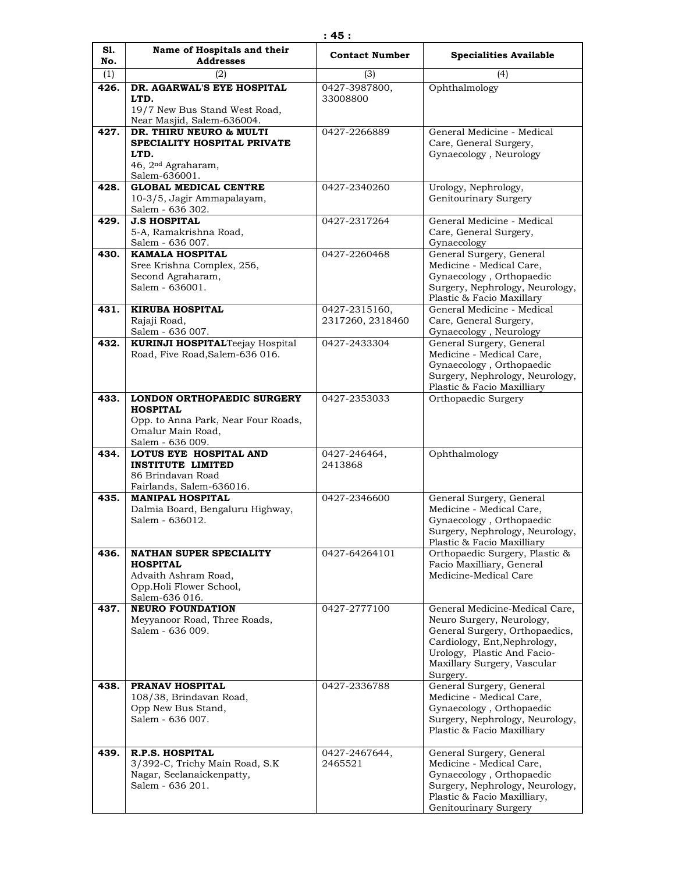| S1.<br>No. | Name of Hospitals and their<br><b>Addresses</b>             | <b>Contact Number</b>   | <b>Specialities Available</b>                               |
|------------|-------------------------------------------------------------|-------------------------|-------------------------------------------------------------|
| (1)        | (2)                                                         | (3)                     | (4)                                                         |
| 426.       | DR. AGARWAL'S EYE HOSPITAL                                  | 0427-3987800,           | Ophthalmology                                               |
|            | LTD.                                                        | 33008800                |                                                             |
|            | 19/7 New Bus Stand West Road,                               |                         |                                                             |
|            | Near Masjid, Salem-636004.                                  |                         |                                                             |
| 427.       | DR. THIRU NEURO & MULTI                                     | 0427-2266889            | General Medicine - Medical                                  |
|            | SPECIALITY HOSPITAL PRIVATE<br>LTD.                         |                         | Care, General Surgery,<br>Gynaecology, Neurology            |
|            | 46, 2 <sup>nd</sup> Agraharam,                              |                         |                                                             |
|            | Salem-636001.                                               |                         |                                                             |
| 428.       | <b>GLOBAL MEDICAL CENTRE</b>                                | 0427-2340260            | Urology, Nephrology,                                        |
|            | 10-3/5, Jagir Ammapalayam,                                  |                         | Genitourinary Surgery                                       |
|            | Salem - 636 302.                                            |                         |                                                             |
| 429.       | <b>J.S HOSPITAL</b><br>5-A, Ramakrishna Road,               | 0427-2317264            | General Medicine - Medical<br>Care, General Surgery,        |
|            | Salem - 636 007.                                            |                         | Gynaecology                                                 |
| 430.       | <b>KAMALA HOSPITAL</b>                                      | 0427-2260468            | General Surgery, General                                    |
|            | Sree Krishna Complex, 256,                                  |                         | Medicine - Medical Care,                                    |
|            | Second Agraharam,                                           |                         | Gynaecology, Orthopaedic                                    |
|            | Salem - 636001.                                             |                         | Surgery, Nephrology, Neurology,                             |
| 431.       | <b>KIRUBA HOSPITAL</b>                                      | 0427-2315160,           | Plastic & Facio Maxillary<br>General Medicine - Medical     |
|            | Rajaji Road,                                                | 2317260, 2318460        | Care, General Surgery,                                      |
|            | Salem - 636 007.                                            |                         | Gynaecology, Neurology                                      |
| 432.       | <b>KURINJI HOSPITALTeejay Hospital</b>                      | 0427-2433304            | General Surgery, General                                    |
|            | Road, Five Road, Salem-636 016.                             |                         | Medicine - Medical Care,                                    |
|            |                                                             |                         | Gynaecology, Orthopaedic                                    |
|            |                                                             |                         | Surgery, Nephrology, Neurology,                             |
| 433.       | LONDON ORTHOPAEDIC SURGERY                                  | 0427-2353033            | Plastic & Facio Maxilliary<br>Orthopaedic Surgery           |
|            | <b>HOSPITAL</b>                                             |                         |                                                             |
|            | Opp. to Anna Park, Near Four Roads,                         |                         |                                                             |
|            | Omalur Main Road,                                           |                         |                                                             |
|            | Salem - 636 009.                                            |                         |                                                             |
| 434.       | LOTUS EYE HOSPITAL AND<br><b>INSTITUTE LIMITED</b>          | 0427-246464,<br>2413868 | Ophthalmology                                               |
|            | 86 Brindavan Road                                           |                         |                                                             |
|            | Fairlands, Salem-636016.                                    |                         |                                                             |
| 435.       | <b>MANIPAL HOSPITAL</b>                                     | 0427-2346600            | General Surgery, General                                    |
|            | Dalmia Board, Bengaluru Highway,                            |                         | Medicine - Medical Care,                                    |
|            | Salem - 636012.                                             |                         | Gynaecology, Orthopaedic<br>Surgery, Nephrology, Neurology, |
|            |                                                             |                         | Plastic & Facio Maxilliary                                  |
| 436.       | <b>NATHAN SUPER SPECIALITY</b>                              | 0427-64264101           | Orthopaedic Surgery, Plastic &                              |
|            | <b>HOSPITAL</b>                                             |                         | Facio Maxilliary, General                                   |
|            | Advaith Ashram Road,                                        |                         | Medicine-Medical Care                                       |
|            | Opp.Holi Flower School,                                     |                         |                                                             |
| 437.       | Salem-636 016.<br><b>NEURO FOUNDATION</b>                   | 0427-2777100            | General Medicine-Medical Care,                              |
|            | Meyyanoor Road, Three Roads,                                |                         | Neuro Surgery, Neurology,                                   |
|            | Salem - 636 009.                                            |                         | General Surgery, Orthopaedics,                              |
|            |                                                             |                         | Cardiology, Ent, Nephrology,                                |
|            |                                                             |                         | Urology, Plastic And Facio-                                 |
|            |                                                             |                         | Maxillary Surgery, Vascular                                 |
| 438.       | PRANAV HOSPITAL                                             | 0427-2336788            | Surgery.<br>General Surgery, General                        |
|            | 108/38, Brindavan Road,                                     |                         | Medicine - Medical Care,                                    |
|            | Opp New Bus Stand,                                          |                         | Gynaecology, Orthopaedic                                    |
|            | Salem - 636 007.                                            |                         | Surgery, Nephrology, Neurology,                             |
|            |                                                             |                         | Plastic & Facio Maxilliary                                  |
|            |                                                             |                         |                                                             |
| 439.       | R.P.S. HOSPITAL                                             | 0427-2467644,           | General Surgery, General                                    |
|            | 3/392-C, Trichy Main Road, S.K<br>Nagar, Seelanaickenpatty, | 2465521                 | Medicine - Medical Care,<br>Gynaecology, Orthopaedic        |
|            | Salem - 636 201.                                            |                         | Surgery, Nephrology, Neurology,                             |
|            |                                                             |                         | Plastic & Facio Maxilliary,                                 |
|            |                                                             |                         | Genitourinary Surgery                                       |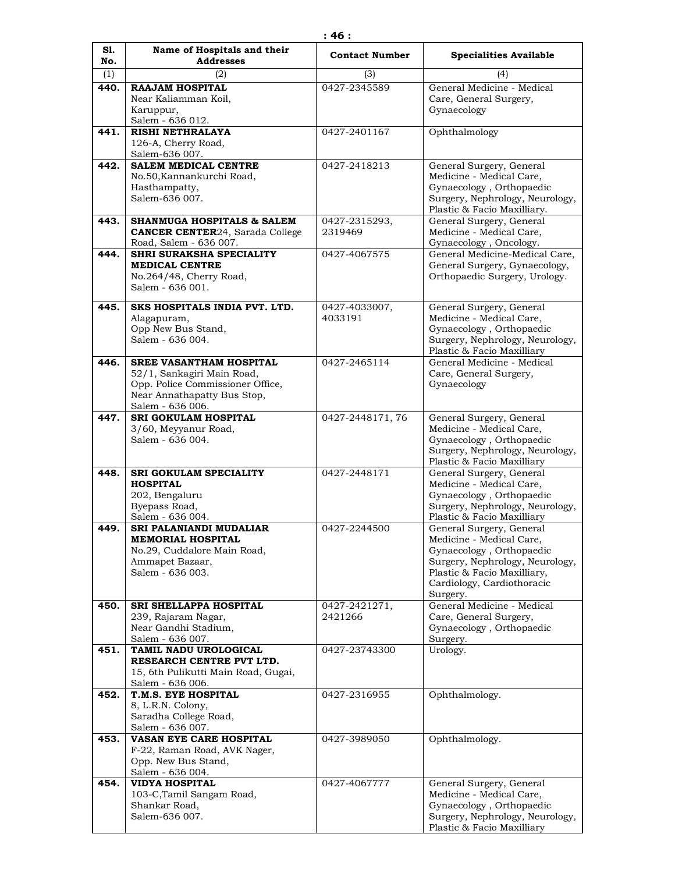| S1.  | Name of Hospitals and their                                                                                                                         | <b>Contact Number</b>    | <b>Specialities Available</b>                                                                                                                                                                |
|------|-----------------------------------------------------------------------------------------------------------------------------------------------------|--------------------------|----------------------------------------------------------------------------------------------------------------------------------------------------------------------------------------------|
| No.  | <b>Addresses</b>                                                                                                                                    |                          |                                                                                                                                                                                              |
| (1)  | (2)                                                                                                                                                 | (3)                      | (4)                                                                                                                                                                                          |
| 440. | <b>RAAJAM HOSPITAL</b><br>Near Kaliamman Koil,<br>Karuppur,<br>Salem - 636 012.                                                                     | 0427-2345589             | General Medicine - Medical<br>Care, General Surgery,<br>Gynaecology                                                                                                                          |
| 441. | <b>RISHI NETHRALAYA</b><br>126-A, Cherry Road,<br>Salem-636 007.                                                                                    | 0427-2401167             | Ophthalmology                                                                                                                                                                                |
| 442. | <b>SALEM MEDICAL CENTRE</b><br>No.50, Kannankurchi Road,<br>Hasthampatty,<br>Salem-636 007.                                                         | 0427-2418213             | General Surgery, General<br>Medicine - Medical Care.<br>Gynaecology, Orthopaedic<br>Surgery, Nephrology, Neurology,<br>Plastic & Facio Maxilliary.                                           |
| 443. | <b>SHANMUGA HOSPITALS &amp; SALEM</b><br><b>CANCER CENTER24, Sarada College</b><br>Road, Salem - 636 007.                                           | 0427-2315293,<br>2319469 | General Surgery, General<br>Medicine - Medical Care,<br>Gynaecology, Oncology.                                                                                                               |
| 444. | SHRI SURAKSHA SPECIALITY<br><b>MEDICAL CENTRE</b><br>No.264/48, Cherry Road,<br>Salem - 636 001.                                                    | 0427-4067575             | General Medicine-Medical Care,<br>General Surgery, Gynaecology,<br>Orthopaedic Surgery, Urology.                                                                                             |
| 445. | SKS HOSPITALS INDIA PVT. LTD.<br>Alagapuram,<br>Opp New Bus Stand,<br>Salem - 636 004.                                                              | 0427-4033007,<br>4033191 | General Surgery, General<br>Medicine - Medical Care,<br>Gynaecology, Orthopaedic<br>Surgery, Nephrology, Neurology,<br>Plastic & Facio Maxilliary                                            |
| 446. | <b>SREE VASANTHAM HOSPITAL</b><br>52/1, Sankagiri Main Road,<br>Opp. Police Commissioner Office,<br>Near Annathapatty Bus Stop,<br>Salem - 636 006. | 0427-2465114             | General Medicine - Medical<br>Care, General Surgery,<br>Gynaecology                                                                                                                          |
| 447. | <b>SRI GOKULAM HOSPITAL</b><br>3/60, Meyyanur Road,<br>Salem - 636 004.                                                                             | 0427-2448171, 76         | General Surgery, General<br>Medicine - Medical Care,<br>Gynaecology, Orthopaedic<br>Surgery, Nephrology, Neurology,<br>Plastic & Facio Maxilliary                                            |
| 448. | SRI GOKULAM SPECIALITY<br><b>HOSPITAL</b><br>202, Bengaluru<br>Byepass Road,<br>Salem - 636 004.                                                    | 0427-2448171             | General Surgery, General<br>Medicine - Medical Care,<br>Gynaecology, Orthopaedic<br>Surgery, Nephrology, Neurology,<br>Plastic & Facio Maxilliary                                            |
| 449. | <b>SRI PALANIANDI MUDALIAR</b><br><b>MEMORIAL HOSPITAL</b><br>No.29, Cuddalore Main Road,<br>Ammapet Bazaar,<br>Salem - 636 003.                    | 0427-2244500             | General Surgery, General<br>Medicine - Medical Care,<br>Gynaecology, Orthopaedic<br>Surgery, Nephrology, Neurology,<br>Plastic & Facio Maxilliary,<br>Cardiology, Cardiothoracic<br>Surgery. |
| 450. | SRI SHELLAPPA HOSPITAL<br>239, Rajaram Nagar,<br>Near Gandhi Stadium,<br>Salem - 636 007.                                                           | 0427-2421271,<br>2421266 | General Medicine - Medical<br>Care, General Surgery,<br>Gynaecology, Orthopaedic<br>Surgery.                                                                                                 |
| 451. | TAMIL NADU UROLOGICAL<br>RESEARCH CENTRE PVT LTD.<br>15, 6th Pulikutti Main Road, Gugai,<br>Salem - 636 006.                                        | 0427-23743300            | Urology.                                                                                                                                                                                     |
| 452. | T.M.S. EYE HOSPITAL<br>8, L.R.N. Colony,<br>Saradha College Road,<br>Salem - 636 007.                                                               | 0427-2316955             | Ophthalmology.                                                                                                                                                                               |
| 453. | VASAN EYE CARE HOSPITAL<br>F-22, Raman Road, AVK Nager,<br>Opp. New Bus Stand,<br>Salem - 636 004.                                                  | 0427-3989050             | Ophthalmology.                                                                                                                                                                               |
| 454. | <b>VIDYA HOSPITAL</b><br>103-C, Tamil Sangam Road,<br>Shankar Road,<br>Salem-636 007.                                                               | 0427-4067777             | General Surgery, General<br>Medicine - Medical Care,<br>Gynaecology, Orthopaedic<br>Surgery, Nephrology, Neurology,<br>Plastic & Facio Maxilliary                                            |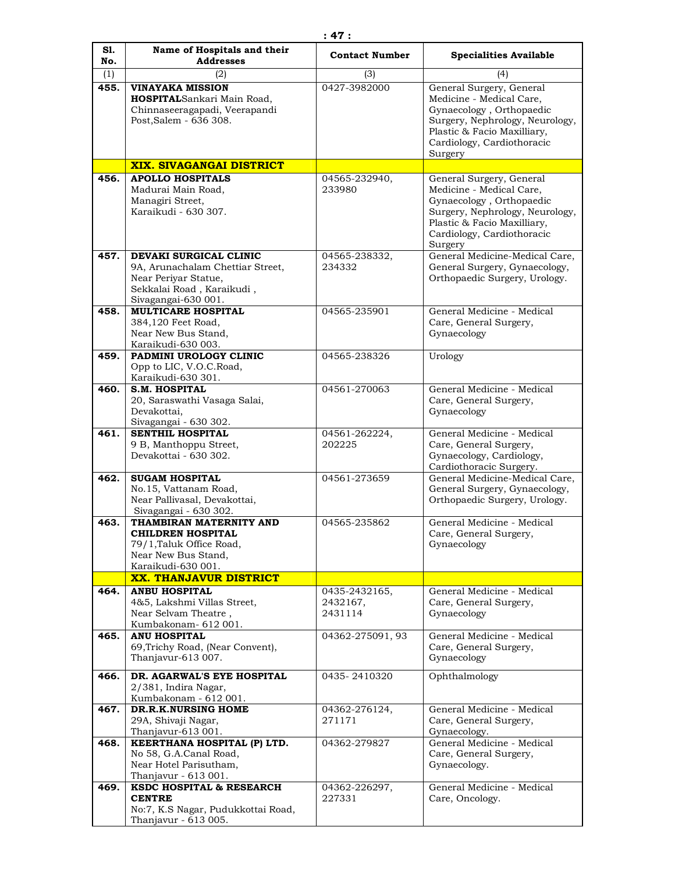| S1.<br>No. | Name of Hospitals and their<br><b>Addresses</b>                                                                                        | <b>Contact Number</b>                | <b>Specialities Available</b>                                                                                                                                                               |
|------------|----------------------------------------------------------------------------------------------------------------------------------------|--------------------------------------|---------------------------------------------------------------------------------------------------------------------------------------------------------------------------------------------|
| (1)        | (2)                                                                                                                                    | (3)                                  | (4)                                                                                                                                                                                         |
| 455.       | <b>VINAYAKA MISSION</b><br>HOSPITALSankari Main Road,<br>Chinnaseeragapadi, Veerapandi<br>Post, Salem - 636 308.                       | 0427-3982000                         | General Surgery, General<br>Medicine - Medical Care,<br>Gynaecology, Orthopaedic<br>Surgery, Nephrology, Neurology,<br>Plastic & Facio Maxilliary,<br>Cardiology, Cardiothoracic<br>Surgery |
|            | XIX. SIVAGANGAI DISTRICT                                                                                                               |                                      |                                                                                                                                                                                             |
| 456.       | <b>APOLLO HOSPITALS</b><br>Madurai Main Road,<br>Managiri Street,<br>Karaikudi - 630 307.                                              | 04565-232940,<br>233980              | General Surgery, General<br>Medicine - Medical Care,<br>Gynaecology, Orthopaedic<br>Surgery, Nephrology, Neurology,<br>Plastic & Facio Maxilliary,<br>Cardiology, Cardiothoracic<br>Surgery |
| 457.       | DEVAKI SURGICAL CLINIC<br>9A, Arunachalam Chettiar Street,<br>Near Periyar Statue,<br>Sekkalai Road, Karaikudi,<br>Sivagangai-630 001. | 04565-238332,<br>234332              | General Medicine-Medical Care,<br>General Surgery, Gynaecology,<br>Orthopaedic Surgery, Urology.                                                                                            |
| 458.       | <b>MULTICARE HOSPITAL</b><br>384,120 Feet Road,<br>Near New Bus Stand,<br>Karaikudi-630 003.                                           | 04565-235901                         | General Medicine - Medical<br>Care, General Surgery,<br>Gynaecology                                                                                                                         |
| 459.       | PADMINI UROLOGY CLINIC<br>Opp to LIC, V.O.C.Road,<br>Karaikudi-630 301.                                                                | 04565-238326                         | Urology                                                                                                                                                                                     |
| 460.       | <b>S.M. HOSPITAL</b><br>20, Saraswathi Vasaga Salai,<br>Devakottai,<br>Sivagangai - 630 302.                                           | 04561-270063                         | General Medicine - Medical<br>Care, General Surgery,<br>Gynaecology                                                                                                                         |
| 461.       | SENTHIL HOSPITAL<br>9 B, Manthoppu Street,<br>Devakottai - 630 302.                                                                    | 04561-262224,<br>202225              | General Medicine - Medical<br>Care, General Surgery,<br>Gynaecology, Cardiology,<br>Cardiothoracic Surgery.                                                                                 |
| 462.       | <b>SUGAM HOSPITAL</b><br>No.15, Vattanam Road,<br>Near Pallivasal, Devakottai,<br>Sivagangai - 630 302.                                | 04561-273659                         | General Medicine-Medical Care,<br>General Surgery, Gynaecology,<br>Orthopaedic Surgery, Urology.                                                                                            |
| 463.       | THAMBIRAN MATERNITY AND<br><b>CHILDREN HOSPITAL</b><br>79/1, Taluk Office Road,<br>Near New Bus Stand,<br>Karaikudi-630 001.           | 04565-235862                         | General Medicine - Medical<br>Care, General Surgery,<br>Gynaecology                                                                                                                         |
|            | <b>XX. THANJAVUR DISTRICT</b>                                                                                                          |                                      |                                                                                                                                                                                             |
| 464.       | <b>ANBU HOSPITAL</b><br>4&5, Lakshmi Villas Street,<br>Near Selvam Theatre,<br>Kumbakonam- 612 001.                                    | 0435-2432165,<br>2432167,<br>2431114 | General Medicine - Medical<br>Care, General Surgery,<br>Gynaecology                                                                                                                         |
| 465.       | <b>ANU HOSPITAL</b><br>69, Trichy Road, (Near Convent),<br>Thanjavur-613 007.                                                          | 04362-275091, 93                     | General Medicine - Medical<br>Care, General Surgery,<br>Gynaecology                                                                                                                         |
| 466.       | DR. AGARWAL'S EYE HOSPITAL<br>$2/381$ , Indira Nagar,<br>Kumbakonam - 612 001.                                                         | 0435-2410320                         | Ophthalmology                                                                                                                                                                               |
| 467.       | DR.R.K.NURSING HOME<br>29A, Shivaji Nagar,<br>Thanjavur-613 001.                                                                       | 04362-276124,<br>271171              | General Medicine - Medical<br>Care, General Surgery,<br>Gynaecology.                                                                                                                        |
| 468.       | KEERTHANA HOSPITAL (P) LTD.<br>No 58, G.A.Canal Road,<br>Near Hotel Parisutham,<br>Thanjavur - 613 001.                                | 04362-279827                         | General Medicine - Medical<br>Care, General Surgery,<br>Gynaecology.                                                                                                                        |
| 469.       | KSDC HOSPITAL & RESEARCH<br><b>CENTRE</b><br>No:7, K.S Nagar, Pudukkottai Road,<br>Thanjavur - 613 005.                                | 04362-226297,<br>227331              | General Medicine - Medical<br>Care, Oncology.                                                                                                                                               |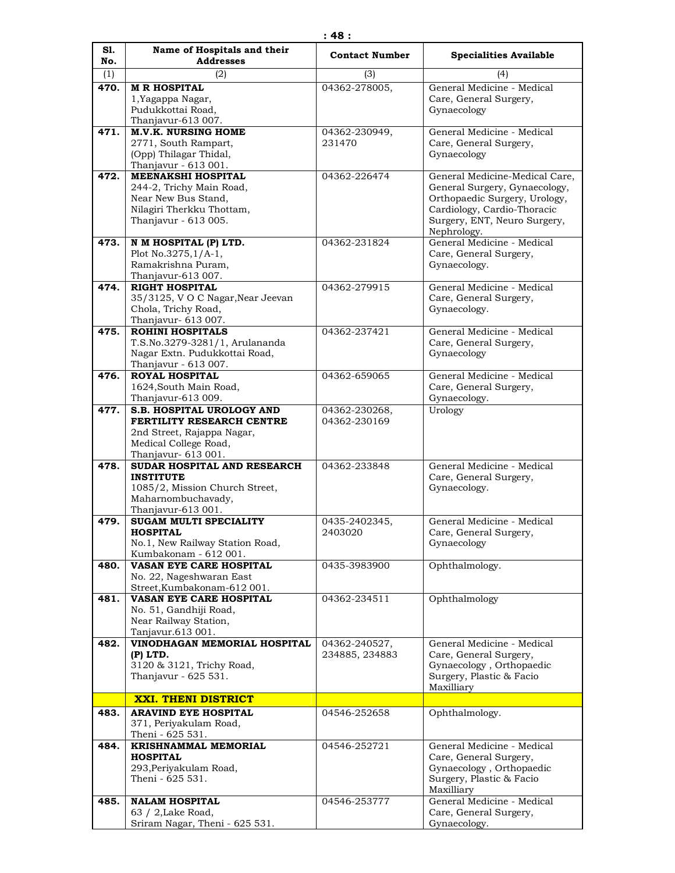| S1.  | Name of Hospitals and their                                                                                                   | <b>Contact Number</b>           | <b>Specialities Available</b>                                                                                                                                                  |
|------|-------------------------------------------------------------------------------------------------------------------------------|---------------------------------|--------------------------------------------------------------------------------------------------------------------------------------------------------------------------------|
| No.  | <b>Addresses</b>                                                                                                              |                                 |                                                                                                                                                                                |
| (1)  | (2)                                                                                                                           | (3)                             | (4)                                                                                                                                                                            |
| 470. | <b>M R HOSPITAL</b><br>1, Yagappa Nagar,<br>Pudukkottai Road,<br>Thanjavur-613 007.                                           | 04362-278005,                   | General Medicine - Medical<br>Care, General Surgery,<br>Gynaecology                                                                                                            |
| 471. | <b>M.V.K. NURSING HOME</b>                                                                                                    | 04362-230949,                   | General Medicine - Medical                                                                                                                                                     |
|      | 2771, South Rampart,<br>(Opp) Thilagar Thidal,<br>Thanjavur - 613 001.                                                        | 231470                          | Care, General Surgery,<br>Gynaecology                                                                                                                                          |
| 472. | MEENAKSHI HOSPITAL<br>244-2, Trichy Main Road,<br>Near New Bus Stand,<br>Nilagiri Therkku Thottam,<br>Thanjavur - 613 005.    | 04362-226474                    | General Medicine-Medical Care,<br>General Surgery, Gynaecology,<br>Orthopaedic Surgery, Urology,<br>Cardiology, Cardio-Thoracic<br>Surgery, ENT, Neuro Surgery,<br>Nephrology. |
| 473. | N M HOSPITAL (P) LTD.<br>Plot No.3275,1/A-1,<br>Ramakrishna Puram,                                                            | 04362-231824                    | General Medicine - Medical<br>Care, General Surgery,<br>Gynaecology.                                                                                                           |
| 474. | Thanjavur-613 007.<br><b>RIGHT HOSPITAL</b><br>35/3125, VOC Nagar, Near Jeevan<br>Chola, Trichy Road,<br>Thanjavur- 613 007.  | 04362-279915                    | General Medicine - Medical<br>Care, General Surgery,<br>Gynaecology.                                                                                                           |
| 475. | <b>ROHINI HOSPITALS</b><br>T.S.No.3279-3281/1, Arulananda<br>Nagar Extn. Pudukkottai Road,<br>Thanjavur - 613 007.            | 04362-237421                    | General Medicine - Medical<br>Care, General Surgery,<br>Gynaecology                                                                                                            |
| 476. | <b>ROYAL HOSPITAL</b><br>1624, South Main Road,<br>Thanjavur-613 009.                                                         | 04362-659065                    | General Medicine - Medical<br>Care, General Surgery,<br>Gynaecology.                                                                                                           |
| 477. | <b>S.B. HOSPITAL UROLOGY AND</b><br>FERTILITY RESEARCH CENTRE<br>2nd Street, Rajappa Nagar,<br>Medical College Road,          | 04362-230268,<br>04362-230169   | Urology                                                                                                                                                                        |
|      | Thanjavur- 613 001.                                                                                                           |                                 |                                                                                                                                                                                |
| 478. | SUDAR HOSPITAL AND RESEARCH<br><b>INSTITUTE</b><br>1085/2, Mission Church Street,<br>Maharnombuchavady,<br>Thanjavur-613 001. | 04362-233848                    | General Medicine - Medical<br>Care, General Surgery,<br>Gynaecology.                                                                                                           |
| 479. | SUGAM MULTI SPECIALITY<br><b>HOSPITAL</b><br>No.1, New Railway Station Road,<br>Kumbakonam - 612 001.                         | 0435-2402345,<br>2403020        | General Medicine - Medical<br>Care, General Surgery,<br>Gynaecology                                                                                                            |
| 480. | <b>VASAN EYE CARE HOSPITAL</b><br>No. 22, Nageshwaran East<br>Street, Kumbakonam-612 001.                                     | 0435-3983900                    | Ophthalmology.                                                                                                                                                                 |
| 481. | <b>VASAN EYE CARE HOSPITAL</b><br>No. 51, Gandhiji Road,<br>Near Railway Station,<br>Tanjavur.613 001.                        | 04362-234511                    | Ophthalmology                                                                                                                                                                  |
| 482. | VINODHAGAN MEMORIAL HOSPITAL<br>(P) LTD.<br>3120 & 3121, Trichy Road,<br>Thanjavur - 625 531.                                 | 04362-240527,<br>234885, 234883 | General Medicine - Medical<br>Care, General Surgery,<br>Gynaecology, Orthopaedic<br>Surgery, Plastic & Facio<br>Maxilliary                                                     |
|      | <b>XXI. THENI DISTRICT</b>                                                                                                    |                                 |                                                                                                                                                                                |
| 483. | <b>ARAVIND EYE HOSPITAL</b><br>371, Periyakulam Road,<br>Theni - 625 531.                                                     | 04546-252658                    | Ophthalmology.                                                                                                                                                                 |
| 484. | <b>KRISHNAMMAL MEMORIAL</b><br><b>HOSPITAL</b><br>293, Periyakulam Road,<br>Theni - 625 531.                                  | 04546-252721                    | General Medicine - Medical<br>Care, General Surgery,<br>Gynaecology, Orthopaedic<br>Surgery, Plastic & Facio<br>Maxilliary                                                     |
| 485. | <b>NALAM HOSPITAL</b><br>$63 / 2$ , Lake Road,<br>Sriram Nagar, Theni - 625 531.                                              | 04546-253777                    | General Medicine - Medical<br>Care, General Surgery,<br>Gynaecology.                                                                                                           |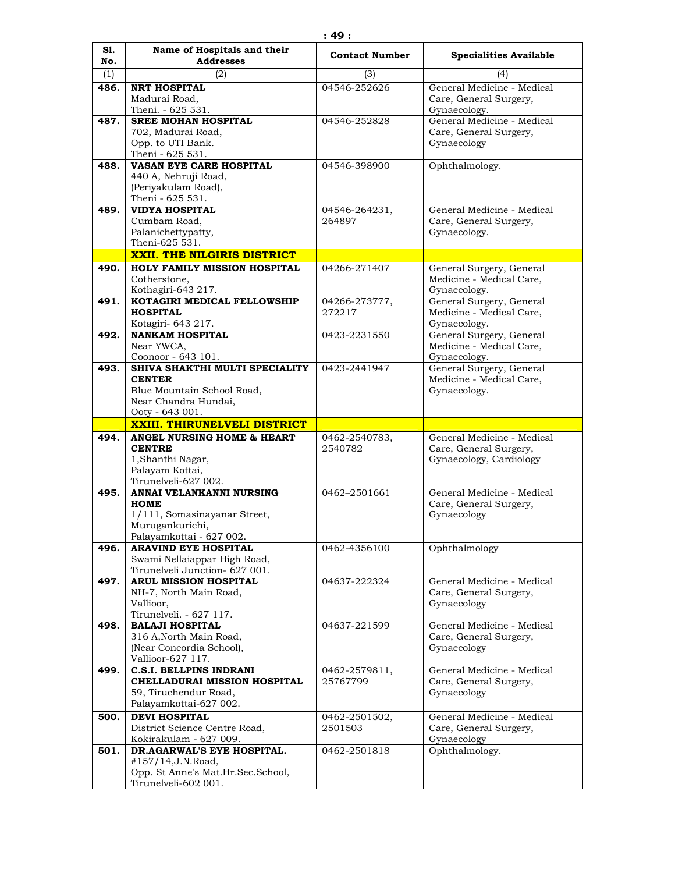| S1.  | Name of Hospitals and their                                                                                                            | <b>Contact Number</b>     | <b>Specialities Available</b>                                                         |
|------|----------------------------------------------------------------------------------------------------------------------------------------|---------------------------|---------------------------------------------------------------------------------------|
| No.  | <b>Addresses</b>                                                                                                                       |                           |                                                                                       |
| (1)  | (2)                                                                                                                                    | (3)                       | (4)                                                                                   |
| 486. | <b>NRT HOSPITAL</b><br>Madurai Road,<br>Theni. - 625 531.                                                                              | 04546-252626              | General Medicine - Medical<br>Care, General Surgery,<br>Gynaecology.                  |
| 487. | <b>SREE MOHAN HOSPITAL</b><br>702, Madurai Road,<br>Opp. to UTI Bank.<br>Theni - 625 531.                                              | 04546-252828              | General Medicine - Medical<br>Care, General Surgery,<br>Gynaecology                   |
| 488. | <b>VASAN EYE CARE HOSPITAL</b><br>440 A, Nehruji Road,<br>(Periyakulam Road),<br>Theni - 625 531.                                      | 04546-398900              | Ophthalmology.                                                                        |
| 489. | <b>VIDYA HOSPITAL</b><br>Cumbam Road,<br>Palanichettypatty,<br>Theni-625 531.                                                          | 04546-264231,<br>264897   | General Medicine - Medical<br>Care, General Surgery,<br>Gynaecology.                  |
|      | <b>XXII. THE NILGIRIS DISTRICT</b>                                                                                                     |                           |                                                                                       |
| 490. | HOLY FAMILY MISSION HOSPITAL<br>Cotherstone,<br>Kothagiri-643 217.                                                                     | 04266-271407              | General Surgery, General<br>Medicine - Medical Care,<br>Gynaecology.                  |
| 491. | KOTAGIRI MEDICAL FELLOWSHIP<br><b>HOSPITAL</b><br>Kotagiri- 643 217.                                                                   | 04266-273777,<br>272217   | General Surgery, General<br>Medicine - Medical Care,<br>Gynaecology.                  |
| 492. | <b>NANKAM HOSPITAL</b><br>Near YWCA,<br>Coonoor - 643 101.                                                                             | 0423-2231550              | General Surgery, General<br>Medicine - Medical Care,<br>Gynaecology.                  |
| 493. | SHIVA SHAKTHI MULTI SPECIALITY<br><b>CENTER</b><br>Blue Mountain School Road,<br>Near Chandra Hundai,<br>Ooty - 643 001.               | 0423-2441947              | General Surgery, General<br>Medicine - Medical Care,<br>Gynaecology.                  |
|      |                                                                                                                                        |                           |                                                                                       |
|      | <b>XXIII. THIRUNELVELI DISTRICT</b>                                                                                                    |                           |                                                                                       |
| 494. | ANGEL NURSING HOME & HEART<br><b>CENTRE</b><br>1, Shanthi Nagar,<br>Palayam Kottai,<br>Tirunelveli-627 002.                            | 0462-2540783,<br>2540782  | General Medicine - Medical<br>Care, General Surgery,<br>Gynaecology, Cardiology       |
| 495. | ANNAI VELANKANNI NURSING<br><b>HOME</b><br>1/111, Somasinayanar Street,<br>Murugankurichi,<br>Palayamkottai - 627 002.                 | 0462-2501661              | General Medicine - Medical<br>Care, General Surgery,<br>Gynaecology                   |
| 496. | <b>ARAVIND EYE HOSPITAL</b><br>Swami Nellaiappar High Road,<br>Tirunelveli Junction- 627 001.                                          | 0462-4356100              | Ophthalmology                                                                         |
| 497. | <b>ARUL MISSION HOSPITAL</b><br>NH-7, North Main Road,<br>Vallioor.                                                                    | 04637-222324              | General Medicine - Medical<br>Care, General Surgery,<br>Gynaecology                   |
| 498. | Tirunelveli. - 627 117.<br><b>BALAJI HOSPITAL</b><br>316 A, North Main Road,<br>(Near Concordia School),                               | 04637-221599              | General Medicine - Medical<br>Care, General Surgery,<br>Gynaecology                   |
| 499. | Vallioor-627 117.<br><b>C.S.I. BELLPINS INDRANI</b><br>CHELLADURAI MISSION HOSPITAL<br>59, Tiruchendur Road,<br>Palayamkottai-627 002. | 0462-2579811,<br>25767799 | General Medicine - Medical<br>Care, General Surgery,<br>Gynaecology                   |
| 500. | <b>DEVI HOSPITAL</b><br>District Science Centre Road,<br>Kokirakulam - 627 009.                                                        | 0462-2501502,<br>2501503  | General Medicine - Medical<br>Care, General Surgery,<br>Gynaecology<br>Ophthalmology. |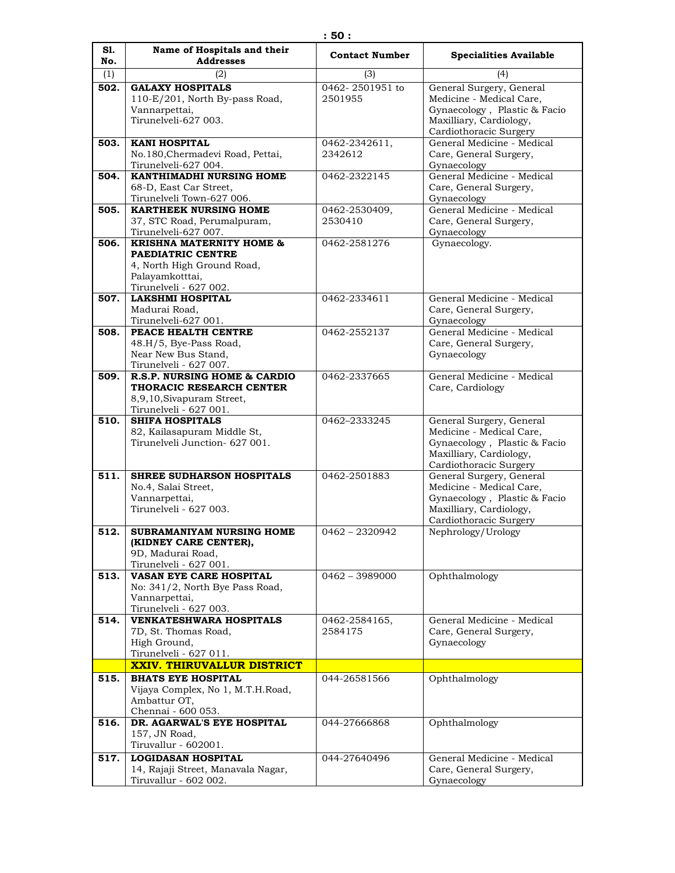| S1.<br>No. | Name of Hospitals and their<br><b>Addresses</b>                                                                                     | <b>Contact Number</b>      | <b>Specialities Available</b>                                                                                                             |
|------------|-------------------------------------------------------------------------------------------------------------------------------------|----------------------------|-------------------------------------------------------------------------------------------------------------------------------------------|
| (1)        | (2)                                                                                                                                 | (3)                        | (4)                                                                                                                                       |
| 502.       | <b>GALAXY HOSPITALS</b><br>110-E/201, North By-pass Road,<br>Vannarpettai,<br>Tirunelveli-627 003.                                  | 0462-2501951 to<br>2501955 | General Surgery, General<br>Medicine - Medical Care,<br>Gynaecology, Plastic & Facio<br>Maxilliary, Cardiology,<br>Cardiothoracic Surgery |
| 503.       | <b>KANI HOSPITAL</b><br>No.180, Chermadevi Road, Pettai,<br>Tirunelveli-627 004.                                                    | 0462-2342611,<br>2342612   | General Medicine - Medical<br>Care, General Surgery,<br>Gynaecology                                                                       |
| 504.       | KANTHIMADHI NURSING HOME<br>68-D, East Car Street,<br>Tirunelveli Town-627 006.                                                     | 0462-2322145               | General Medicine - Medical<br>Care, General Surgery,<br>Gynaecology                                                                       |
| 505.       | <b>KARTHEEK NURSING HOME</b><br>37, STC Road, Perumalpuram,<br>Tirunelveli-627 007.                                                 | 0462-2530409,<br>2530410   | General Medicine - Medical<br>Care, General Surgery,<br>Gynaecology                                                                       |
| 506.       | <b>KRISHNA MATERNITY HOME &amp;</b><br>PAEDIATRIC CENTRE<br>4, North High Ground Road,<br>Palayamkotttai,<br>Tirunelveli - 627 002. | 0462-2581276               | Gynaecology.                                                                                                                              |
| 507.       | <b>LAKSHMI HOSPITAL</b><br>Madurai Road,<br>Tirunelveli-627 001.                                                                    | 0462-2334611               | General Medicine - Medical<br>Care, General Surgery,<br>Gynaecology                                                                       |
| 508.       | PEACE HEALTH CENTRE<br>48.H/5, Bye-Pass Road,<br>Near New Bus Stand,<br>Tirunelveli - 627 007.                                      | 0462-2552137               | General Medicine - Medical<br>Care, General Surgery,<br>Gynaecology                                                                       |
| 509.       | R.S.P. NURSING HOME & CARDIO<br>THORACIC RESEARCH CENTER<br>8,9,10, Sivapuram Street,<br>Tirunelveli - 627 001.                     | 0462-2337665               | General Medicine - Medical<br>Care, Cardiology                                                                                            |
| 510.       | <b>SHIFA HOSPITALS</b><br>82, Kailasapuram Middle St,<br>Tirunelveli Junction- 627 001.                                             | 0462-2333245               | General Surgery, General<br>Medicine - Medical Care,<br>Gynaecology, Plastic & Facio<br>Maxilliary, Cardiology,<br>Cardiothoracic Surgery |
| 511.       | <b>SHREE SUDHARSON HOSPITALS</b><br>No.4, Salai Street,<br>Vannarpettai,<br>Tirunelyeli - 627 003.                                  | 0462-2501883               | General Surgery, General<br>Medicine - Medical Care,<br>Gynaecology, Plastic & Facio<br>Maxilliary, Cardiology,<br>Cardiothoracic Surgery |
| 512.       | SUBRAMANIYAM NURSING HOME<br>(KIDNEY CARE CENTER),<br>9D, Madurai Road,<br>Tirunelveli - 627 001.                                   | $0462 - 2320942$           | Nephrology/Urology                                                                                                                        |
| 513.       | VASAN EYE CARE HOSPITAL<br>No: 341/2, North Bye Pass Road,<br>Vannarpettai,<br>Tirunelveli - 627 003.                               | $0462 - 3989000$           | Ophthalmology                                                                                                                             |
| 514.       | <b>VENKATESHWARA HOSPITALS</b><br>7D, St. Thomas Road,<br>High Ground,<br>Tirunelveli - 627 011.                                    | 0462-2584165,<br>2584175   | General Medicine - Medical<br>Care, General Surgery,<br>Gynaecology                                                                       |
|            | <b>XXIV. THIRUVALLUR DISTRICT</b>                                                                                                   |                            |                                                                                                                                           |
| 515.       | <b>BHATS EYE HOSPITAL</b><br>Vijaya Complex, No 1, M.T.H.Road,<br>Ambattur OT,<br>Chennai - 600 053.                                | 044-26581566               | Ophthalmology                                                                                                                             |
| 516.       | DR. AGARWAL'S EYE HOSPITAL<br>157, JN Road,<br>Tiruvallur - 602001.                                                                 | 044-27666868               | Ophthalmology                                                                                                                             |
| 517.       | <b>LOGIDASAN HOSPITAL</b><br>14, Rajaji Street, Manavala Nagar,<br>Tiruvallur - 602 002.                                            | 044-27640496               | General Medicine - Medical<br>Care, General Surgery,<br>Gynaecology                                                                       |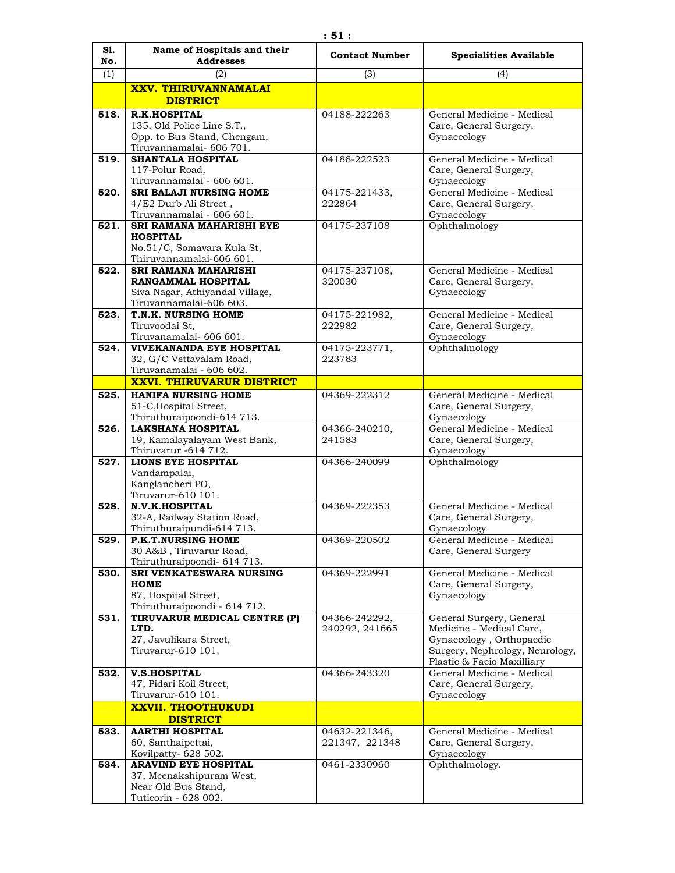| S1.<br>No. | Name of Hospitals and their<br><b>Addresses</b>             | <b>Contact Number</b>           | <b>Specialities Available</b>                            |
|------------|-------------------------------------------------------------|---------------------------------|----------------------------------------------------------|
| (1)        | (2)                                                         | (3)                             | (4)                                                      |
|            | <b>XXV. THIRUVANNAMALAI</b>                                 |                                 |                                                          |
|            | <b>DISTRICT</b>                                             |                                 |                                                          |
| 518.       | <b>R.K.HOSPITAL</b>                                         | 04188-222263                    | General Medicine - Medical                               |
|            | 135, Old Police Line S.T.,<br>Opp. to Bus Stand, Chengam,   |                                 | Care, General Surgery,<br>Gynaecology                    |
|            | Tiruvannamalai- 606 701.                                    |                                 |                                                          |
| 519.       | SHANTALA HOSPITAL                                           | 04188-222523                    | General Medicine - Medical                               |
|            | 117-Polur Road,                                             |                                 | Care, General Surgery,                                   |
| 520.       | Tiruvannamalai - 606 601.<br><b>SRI BALAJI NURSING HOME</b> | 04175-221433,                   | Gynaecology<br>General Medicine - Medical                |
|            | 4/E2 Durb Ali Street,                                       | 222864                          | Care, General Surgery,                                   |
|            | Tiruvannamalai - 606 601.                                   |                                 | Gynaecology                                              |
| 521.       | SRI RAMANA MAHARISHI EYE                                    | 04175-237108                    | Ophthalmology                                            |
|            | <b>HOSPITAL</b><br>No.51/C, Somavara Kula St,               |                                 |                                                          |
|            | Thiruvannamalai-606 601.                                    |                                 |                                                          |
| 522.       | <b>SRI RAMANA MAHARISHI</b>                                 | 04175-237108,                   | General Medicine - Medical                               |
|            | <b>RANGAMMAL HOSPITAL</b>                                   | 320030                          | Care, General Surgery,                                   |
|            | Siva Nagar, Athiyandal Village,<br>Tiruvannamalai-606 603.  |                                 | Gynaecology                                              |
| 523.       | T.N.K. NURSING HOME                                         | 04175-221982,                   | General Medicine - Medical                               |
|            | Tiruvoodai St.                                              | 222982                          | Care, General Surgery,                                   |
|            | Tiruvanamalai- 606 601.                                     |                                 | Gynaecology                                              |
| 524.       | VIVEKANANDA EYE HOSPITAL<br>32, G/C Vettavalam Road,        | 04175-223771,<br>223783         | Ophthalmology                                            |
|            | Tiruvanamalai - 606 602.                                    |                                 |                                                          |
|            | <b>XXVI. THIRUVARUR DISTRICT</b>                            |                                 |                                                          |
| 525.       | <b>HANIFA NURSING HOME</b>                                  | 04369-222312                    | General Medicine - Medical                               |
|            | 51-C, Hospital Street,<br>Thiruthuraipoondi-614 713.        |                                 | Care, General Surgery,<br>Gynaecology                    |
| 526.       | <b>LAKSHANA HOSPITAL</b>                                    | 04366-240210,                   | General Medicine - Medical                               |
|            | 19, Kamalayalayam West Bank,                                | 241583                          | Care, General Surgery,                                   |
|            | Thiruvarur -614 712.<br><b>LIONS EYE HOSPITAL</b>           |                                 | Gynaecology                                              |
| 527.       | Vandampalai,                                                | 04366-240099                    | Ophthalmology                                            |
|            | Kanglancheri PO,                                            |                                 |                                                          |
|            | Tiruvarur-610 101.                                          |                                 |                                                          |
| 528.       | <b>N.V.K.HOSPITAL</b><br>32-A, Railway Station Road,        | 04369-222353                    | General Medicine - Medical                               |
|            | Thiruthuraipundi-614 713.                                   |                                 | Care, General Surgery,<br>Gynaecology                    |
| 529.       | <b>P.K.T.NURSING HOME</b>                                   | 04369-220502                    | General Medicine - Medical                               |
|            | 30 A&B, Tiruvarur Road,                                     |                                 | Care, General Surgery                                    |
| 530.       | Thiruthuraipoondi- 614 713.<br>SRI VENKATESWARA NURSING     | 04369-222991                    | General Medicine - Medical                               |
|            | <b>HOME</b>                                                 |                                 | Care, General Surgery,                                   |
|            | 87, Hospital Street,                                        |                                 | Gynaecology                                              |
|            | Thiruthuraipoondi - 614 712.                                |                                 |                                                          |
| 531.       | TIRUVARUR MEDICAL CENTRE (P)<br>LTD.                        | 04366-242292,<br>240292, 241665 | General Surgery, General<br>Medicine - Medical Care,     |
|            | 27, Javulikara Street,                                      |                                 | Gynaecology, Orthopaedic                                 |
|            | Tiruvarur-610 101.                                          |                                 | Surgery, Nephrology, Neurology,                          |
| 532.       | <b>V.S.HOSPITAL</b>                                         | 04366-243320                    | Plastic & Facio Maxilliary<br>General Medicine - Medical |
|            | 47, Pidari Koil Street,                                     |                                 | Care, General Surgery,                                   |
|            | Tiruvarur-610 101.                                          |                                 | Gynaecology                                              |
|            | <b>XXVII. THOOTHUKUDI</b>                                   |                                 |                                                          |
|            | <b>DISTRICT</b>                                             |                                 |                                                          |
| 533.       | <b>AARTHI HOSPITAL</b><br>60, Santhaipettai,                | 04632-221346,<br>221347, 221348 | General Medicine - Medical<br>Care, General Surgery,     |
|            | Kovilpatty-628 502.                                         |                                 | Gynaecology                                              |
| 534.       | <b>ARAVIND EYE HOSPITAL</b>                                 | 0461-2330960                    | Ophthalmology.                                           |
|            | 37, Meenakshipuram West,                                    |                                 |                                                          |
|            | Near Old Bus Stand,<br>Tuticorin - 628 002.                 |                                 |                                                          |
|            |                                                             |                                 |                                                          |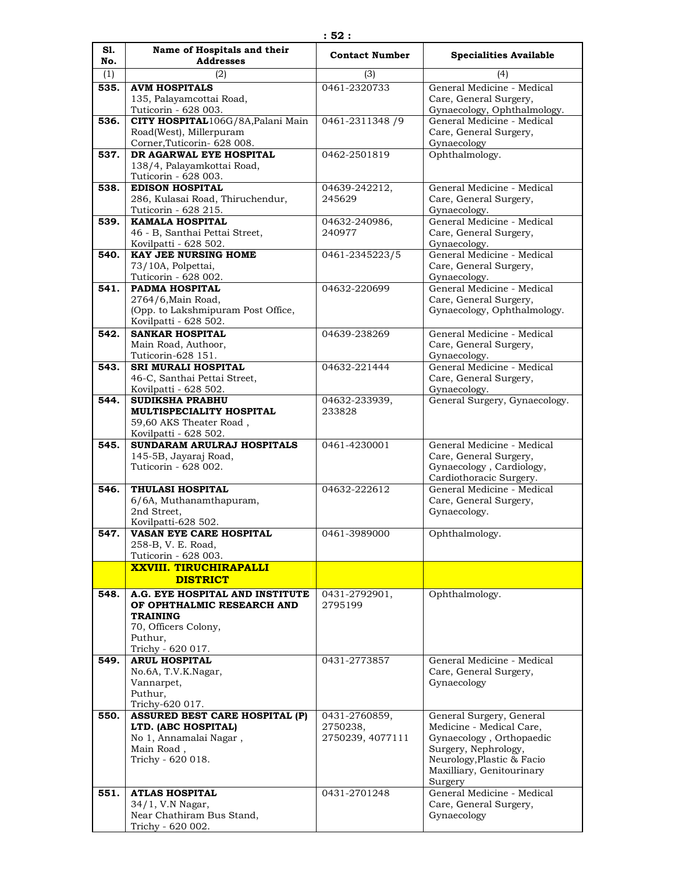| S1.  | Name of Hospitals and their                                              | <b>Contact Number</b>        | <b>Specialities Available</b>                                                       |
|------|--------------------------------------------------------------------------|------------------------------|-------------------------------------------------------------------------------------|
| No.  | <b>Addresses</b>                                                         |                              |                                                                                     |
| (1)  | (2)                                                                      | (3)                          | (4)                                                                                 |
| 535. | <b>AVM HOSPITALS</b><br>135, Palayamcottai Road,<br>Tuticorin - 628 003. | 0461-2320733                 | General Medicine - Medical<br>Care, General Surgery,<br>Gynaecology, Ophthalmology. |
| 536. | CITY HOSPITAL106G/8A, Palani Main                                        | 0461-2311348 /9              | General Medicine - Medical                                                          |
|      | Road(West), Millerpuram<br>Corner, Tuticorin- 628 008.                   |                              | Care, General Surgery,<br>Gynaecology                                               |
| 537. | DR AGARWAL EYE HOSPITAL                                                  | 0462-2501819                 | Ophthalmology.                                                                      |
|      | 138/4, Palayamkottai Road,<br>Tuticorin - 628 003.                       |                              |                                                                                     |
| 538. | <b>EDISON HOSPITAL</b>                                                   | 04639-242212,                | General Medicine - Medical                                                          |
|      | 286, Kulasai Road, Thiruchendur,<br>Tuticorin - 628 215.                 | 245629                       | Care, General Surgery,<br>Gynaecology.                                              |
| 539. | <b>KAMALA HOSPITAL</b>                                                   | 04632-240986,                | General Medicine - Medical                                                          |
|      | 46 - B, Santhai Pettai Street,<br>Kovilpatti - 628 502.                  | 240977                       | Care, General Surgery,<br>Gynaecology.                                              |
| 540. | <b>KAY JEE NURSING HOME</b>                                              | 0461-2345223/5               | General Medicine - Medical                                                          |
|      | 73/10A, Polpettai,                                                       |                              | Care, General Surgery,                                                              |
| 541. | Tuticorin - 628 002.<br><b>PADMA HOSPITAL</b>                            | 04632-220699                 | Gynaecology.<br>General Medicine - Medical                                          |
|      | 2764/6, Main Road,                                                       |                              | Care, General Surgery,                                                              |
|      | (Opp. to Lakshmipuram Post Office,                                       |                              | Gynaecology, Ophthalmology.                                                         |
|      | Kovilpatti - 628 502.                                                    |                              |                                                                                     |
| 542. | <b>SANKAR HOSPITAL</b>                                                   | 04639-238269                 | General Medicine - Medical                                                          |
|      | Main Road, Authoor,                                                      |                              | Care, General Surgery,                                                              |
| 543. | Tuticorin-628 151.<br><b>SRI MURALI HOSPITAL</b>                         | 04632-221444                 | Gynaecology.<br>General Medicine - Medical                                          |
|      | 46-C, Santhai Pettai Street,                                             |                              | Care, General Surgery,                                                              |
|      | Kovilpatti - 628 502.                                                    |                              | Gynaecology.                                                                        |
| 544. | <b>SUDIKSHA PRABHU</b>                                                   | 04632-233939,                | General Surgery, Gynaecology.                                                       |
|      | <b>MULTISPECIALITY HOSPITAL</b>                                          | 233828                       |                                                                                     |
|      | 59,60 AKS Theater Road,                                                  |                              |                                                                                     |
| 545. | Kovilpatti - 628 502.<br>SUNDARAM ARULRAJ HOSPITALS                      | 0461-4230001                 | General Medicine - Medical                                                          |
|      | 145-5B, Jayaraj Road,                                                    |                              | Care, General Surgery,                                                              |
|      | Tuticorin - 628 002.                                                     |                              | Gynaecology, Cardiology,                                                            |
|      |                                                                          |                              | Cardiothoracic Surgery.                                                             |
| 546. | <b>THULASI HOSPITAL</b><br>6/6A, Muthanamthapuram,                       | 04632-222612                 | General Medicine - Medical<br>Care, General Surgery,                                |
|      | 2nd Street,                                                              |                              | Gynaecology.                                                                        |
|      | Kovilpatti-628 502.                                                      |                              |                                                                                     |
| 547. | VASAN EYE CARE HOSPITAL                                                  | 0461-3989000                 | Ophthalmology.                                                                      |
|      | 258-B, V. E. Road,                                                       |                              |                                                                                     |
|      | Tuticorin - 628 003.                                                     |                              |                                                                                     |
|      | <b>XXVIII. TIRUCHIRAPALLI</b><br><b>DISTRICT</b>                         |                              |                                                                                     |
| 548. | A.G. EYE HOSPITAL AND INSTITUTE                                          | 0431-2792901,                | Ophthalmology.                                                                      |
|      | OF OPHTHALMIC RESEARCH AND                                               | 2795199                      |                                                                                     |
|      | <b>TRAINING</b>                                                          |                              |                                                                                     |
|      | 70, Officers Colony,                                                     |                              |                                                                                     |
|      | Puthur,                                                                  |                              |                                                                                     |
| 549. | Trichy - 620 017.<br><b>ARUL HOSPITAL</b>                                | 0431-2773857                 | General Medicine - Medical                                                          |
|      | No.6A, T.V.K.Nagar,                                                      |                              | Care, General Surgery,                                                              |
|      | Vannarpet,                                                               |                              | Gynaecology                                                                         |
|      | Puthur,                                                                  |                              |                                                                                     |
|      | Trichy-620 017.                                                          |                              |                                                                                     |
| 550. | ASSURED BEST CARE HOSPITAL (P)                                           | 0431-2760859,                | General Surgery, General                                                            |
|      | LTD. (ABC HOSPITAL)<br>No 1, Annamalai Nagar,                            | 2750238,<br>2750239, 4077111 | Medicine - Medical Care,<br>Gynaecology, Orthopaedic                                |
|      | Main Road,                                                               |                              | Surgery, Nephrology,                                                                |
|      | Trichy - 620 018.                                                        |                              | Neurology, Plastic & Facio                                                          |
|      |                                                                          |                              | Maxilliary, Genitourinary                                                           |
|      |                                                                          |                              | Surgery                                                                             |
| 551. | <b>ATLAS HOSPITAL</b>                                                    | 0431-2701248                 | General Medicine - Medical                                                          |
|      | 34/1, V.N Nagar,<br>Near Chathiram Bus Stand,                            |                              | Care, General Surgery,<br>Gynaecology                                               |
|      | Trichy - 620 002.                                                        |                              |                                                                                     |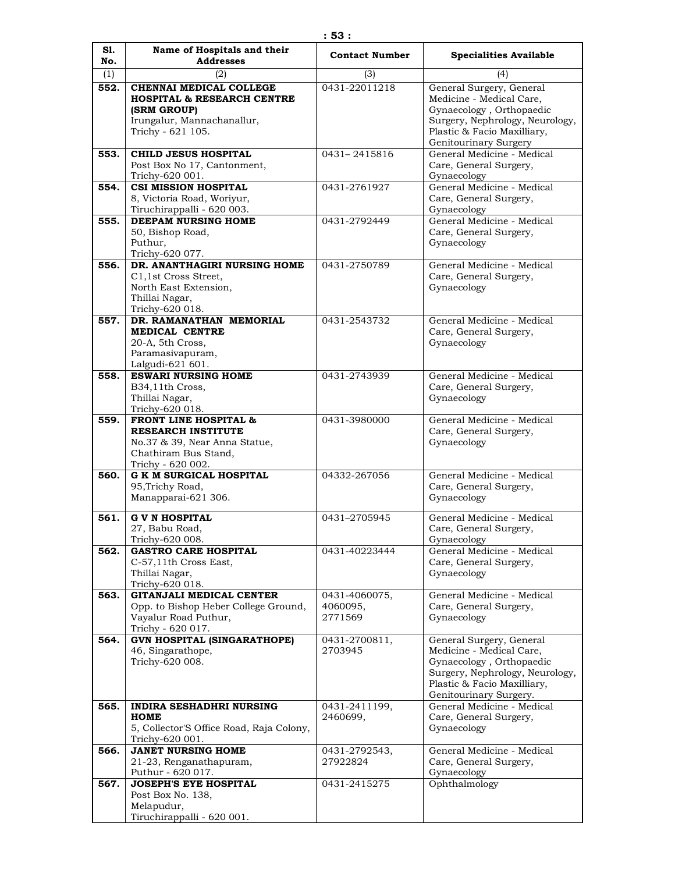| S1.<br>No. | Name of Hospitals and their<br><b>Addresses</b>                                                                                             | <b>Contact Number</b>                | <b>Specialities Available</b>                                                                                                                                                |
|------------|---------------------------------------------------------------------------------------------------------------------------------------------|--------------------------------------|------------------------------------------------------------------------------------------------------------------------------------------------------------------------------|
| (1)        | (2)                                                                                                                                         | (3)                                  | (4)                                                                                                                                                                          |
| 552.       | CHENNAI MEDICAL COLLEGE<br><b>HOSPITAL &amp; RESEARCH CENTRE</b><br>(SRM GROUP)<br>Irungalur, Mannachanallur,                               | 0431-22011218                        | General Surgery, General<br>Medicine - Medical Care,<br>Gynaecology, Orthopaedic<br>Surgery, Nephrology, Neurology,                                                          |
|            | Trichy - 621 105.                                                                                                                           |                                      | Plastic & Facio Maxilliary,<br>Genitourinary Surgery                                                                                                                         |
| 553.       | <b>CHILD JESUS HOSPITAL</b><br>Post Box No 17, Cantonment,<br>Trichy-620 001.                                                               | 0431-2415816                         | General Medicine - Medical<br>Care, General Surgery,<br>Gynaecology                                                                                                          |
| 554.       | <b>CSI MISSION HOSPITAL</b><br>8, Victoria Road, Woriyur,<br>Tiruchirappalli - 620 003.                                                     | 0431-2761927                         | General Medicine - Medical<br>Care, General Surgery,<br>Gynaecology                                                                                                          |
| 555.       | DEEPAM NURSING HOME<br>50, Bishop Road,<br>Puthur,<br>Trichy-620 077.                                                                       | 0431-2792449                         | General Medicine - Medical<br>Care, General Surgery,<br>Gynaecology                                                                                                          |
| 556.       | DR. ANANTHAGIRI NURSING HOME<br>C1,1st Cross Street,<br>North East Extension,<br>Thillai Nagar,<br>Trichy-620 018.                          | 0431-2750789                         | General Medicine - Medical<br>Care, General Surgery,<br>Gynaecology                                                                                                          |
| 557.       | DR. RAMANATHAN MEMORIAL<br>MEDICAL CENTRE<br>20-A, 5th Cross,<br>Paramasivapuram,<br>Lalgudi-621 601.                                       | 0431-2543732                         | General Medicine - Medical<br>Care, General Surgery,<br>Gynaecology                                                                                                          |
| 558.       | <b>ESWARI NURSING HOME</b><br>B34,11th Cross,<br>Thillai Nagar,<br>Trichy-620 018.                                                          | 0431-2743939                         | General Medicine - Medical<br>Care, General Surgery,<br>Gynaecology                                                                                                          |
| 559.       | <b>FRONT LINE HOSPITAL &amp;</b><br><b>RESEARCH INSTITUTE</b><br>No.37 & 39, Near Anna Statue,<br>Chathiram Bus Stand,<br>Trichy - 620 002. | 0431-3980000                         | General Medicine - Medical<br>Care, General Surgery,<br>Gynaecology                                                                                                          |
| 560.       | <b>G K M SURGICAL HOSPITAL</b><br>95, Trichy Road,<br>Manapparai-621 306.                                                                   | 04332-267056                         | General Medicine - Medical<br>Care, General Surgery,<br>Gynaecology                                                                                                          |
| 561.       | <b>G V N HOSPITAL</b><br>27, Babu Road,<br>Trichy-620 008.                                                                                  | 0431-2705945                         | General Medicine - Medical<br>Care, General Surgery,<br>Gynaecology                                                                                                          |
| 562.       | <b>GASTRO CARE HOSPITAL</b><br>C-57,11th Cross East,<br>Thillai Nagar,<br>Trichy-620 018.                                                   | 0431-40223444                        | General Medicine - Medical<br>Care, General Surgery,<br>Gynaecology                                                                                                          |
| 563.       | <b>GITANJALI MEDICAL CENTER</b><br>Opp. to Bishop Heber College Ground,<br>Vayalur Road Puthur,<br>Trichy - 620 017.                        | 0431-4060075,<br>4060095,<br>2771569 | General Medicine - Medical<br>Care, General Surgery,<br>Gynaecology                                                                                                          |
| 564.       | <b>GVN HOSPITAL (SINGARATHOPE)</b><br>46, Singarathope,<br>Trichy-620 008.                                                                  | 0431-2700811,<br>2703945             | General Surgery, General<br>Medicine - Medical Care,<br>Gynaecology, Orthopaedic<br>Surgery, Nephrology, Neurology,<br>Plastic & Facio Maxilliary,<br>Genitourinary Surgery. |
| 565.       | INDIRA SESHADHRI NURSING<br>HOME<br>5, Collector'S Office Road, Raja Colony,<br>Trichy-620 001.                                             | 0431-2411199,<br>2460699,            | General Medicine - Medical<br>Care, General Surgery,<br>Gynaecology                                                                                                          |
| 566.       | <b>JANET NURSING HOME</b><br>21-23, Renganathapuram,<br>Puthur - 620 017.                                                                   | 0431-2792543,<br>27922824            | General Medicine - Medical<br>Care, General Surgery,<br>Gynaecology                                                                                                          |
| 567.       | <b>JOSEPH'S EYE HOSPITAL</b><br>Post Box No. 138,<br>Melapudur,<br>Tiruchirappalli - 620 001.                                               | 0431-2415275                         | Ophthalmology                                                                                                                                                                |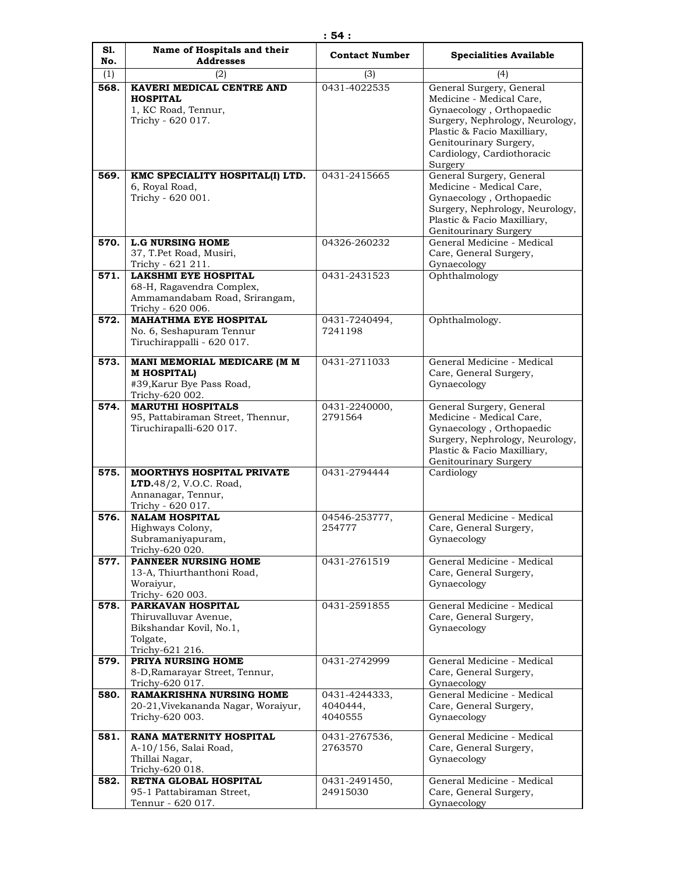| S1.<br>No.  | Name of Hospitals and their<br><b>Addresses</b>                    | <b>Contact Number</b>     | <b>Specialities Available</b>                        |
|-------------|--------------------------------------------------------------------|---------------------------|------------------------------------------------------|
|             | (2)                                                                |                           |                                                      |
| (1)<br>568. | KAVERI MEDICAL CENTRE AND                                          | (3)<br>0431-4022535       | (4)<br>General Surgery, General                      |
|             | <b>HOSPITAL</b>                                                    |                           | Medicine - Medical Care,                             |
|             | 1, KC Road, Tennur,                                                |                           | Gynaecology, Orthopaedic                             |
|             | Trichy - 620 017.                                                  |                           | Surgery, Nephrology, Neurology,                      |
|             |                                                                    |                           | Plastic & Facio Maxilliary,                          |
|             |                                                                    |                           | Genitourinary Surgery,                               |
|             |                                                                    |                           | Cardiology, Cardiothoracic<br>Surgery                |
| 569.        | KMC SPECIALITY HOSPITAL(I) LTD.                                    | 0431-2415665              | General Surgery, General                             |
|             | 6, Royal Road,                                                     |                           | Medicine - Medical Care,                             |
|             | Trichy - 620 001.                                                  |                           | Gynaecology, Orthopaedic                             |
|             |                                                                    |                           | Surgery, Nephrology, Neurology,                      |
|             |                                                                    |                           | Plastic & Facio Maxilliary,                          |
| 570.        | <b>L.G NURSING HOME</b>                                            | 04326-260232              | Genitourinary Surgery<br>General Medicine - Medical  |
|             | 37, T.Pet Road, Musiri,                                            |                           | Care, General Surgery,                               |
|             | Trichy - 621 211.                                                  |                           | Gynaecology                                          |
| 571.        | <b>LAKSHMI EYE HOSPITAL</b>                                        | 0431-2431523              | Ophthalmology                                        |
|             | 68-H, Ragavendra Complex,                                          |                           |                                                      |
|             | Ammamandabam Road, Srirangam,<br>Trichy - 620 006.                 |                           |                                                      |
| 572.        | <b>MAHATHMA EYE HOSPITAL</b>                                       | 0431-7240494,             | Ophthalmology.                                       |
|             | No. 6, Seshapuram Tennur                                           | 7241198                   |                                                      |
|             | Tiruchirappalli - 620 017.                                         |                           |                                                      |
| 573.        | MANI MEMORIAL MEDICARE (M M                                        | 0431-2711033              | General Medicine - Medical                           |
|             | <b>MHOSPITAL)</b>                                                  |                           | Care, General Surgery,                               |
|             | #39, Karur Bye Pass Road,                                          |                           | Gynaecology                                          |
|             | Trichy-620 002.                                                    |                           |                                                      |
| 574.        | <b>MARUTHI HOSPITALS</b>                                           | 0431-2240000,             | General Surgery, General                             |
|             | 95, Pattabiraman Street, Thennur,<br>Tiruchirapalli-620 017.       | 2791564                   | Medicine - Medical Care,<br>Gynaecology, Orthopaedic |
|             |                                                                    |                           | Surgery, Nephrology, Neurology,                      |
|             |                                                                    |                           | Plastic & Facio Maxilliary,                          |
|             |                                                                    |                           | Genitourinary Surgery                                |
| 575.        | <b>MOORTHYS HOSPITAL PRIVATE</b><br><b>LTD.</b> 48/2, V.O.C. Road, | 0431-2794444              | Cardiology                                           |
|             | Annanagar, Tennur,                                                 |                           |                                                      |
|             | Trichy - 620 017.                                                  |                           |                                                      |
| 576.        | <b>NALAM HOSPITAL</b>                                              | 04546-253777,             | General Medicine - Medical                           |
|             | Highways Colony,                                                   | 254777                    | Care, General Surgery,                               |
|             | Subramaniyapuram,<br>Trichy-620 020.                               |                           | Gynaecology                                          |
| 577.        | PANNEER NURSING HOME                                               | 0431-2761519              | General Medicine - Medical                           |
|             | 13-A, Thiurthanthoni Road,                                         |                           | Care, General Surgery,                               |
|             | Woraiyur,                                                          |                           | Gynaecology                                          |
|             | Trichy- 620 003.                                                   |                           |                                                      |
| 578.        | PARKAVAN HOSPITAL<br>Thiruvalluvar Avenue,                         | 0431-2591855              | General Medicine - Medical<br>Care, General Surgery, |
|             | Bikshandar Kovil, No.1,                                            |                           | Gynaecology                                          |
|             | Tolgate,                                                           |                           |                                                      |
|             | Trichy-621 216.                                                    |                           |                                                      |
| 579.        | PRIYA NURSING HOME<br>8-D, Ramarayar Street, Tennur,               | 0431-2742999              | General Medicine - Medical<br>Care, General Surgery, |
|             | Trichy-620 017.                                                    |                           | Gynaecology                                          |
| 580.        | <b>RAMAKRISHNA NURSING HOME</b>                                    | 0431-4244333,             | General Medicine - Medical                           |
|             | 20-21, Vivekananda Nagar, Woraiyur,                                | 4040444,                  | Care, General Surgery,                               |
|             | Trichy-620 003.                                                    | 4040555                   | Gynaecology                                          |
| 581.        | <b>RANA MATERNITY HOSPITAL</b>                                     | 0431-2767536,             | General Medicine - Medical                           |
|             | A-10/156, Salai Road,                                              | 2763570                   | Care, General Surgery,                               |
|             | Thillai Nagar,                                                     |                           | Gynaecology                                          |
|             | Trichy-620 018.                                                    |                           |                                                      |
| 582.        | RETNA GLOBAL HOSPITAL<br>95-1 Pattabiraman Street,                 | 0431-2491450,<br>24915030 | General Medicine - Medical<br>Care, General Surgery, |
|             | Tennur - 620 017.                                                  |                           | Gynaecology                                          |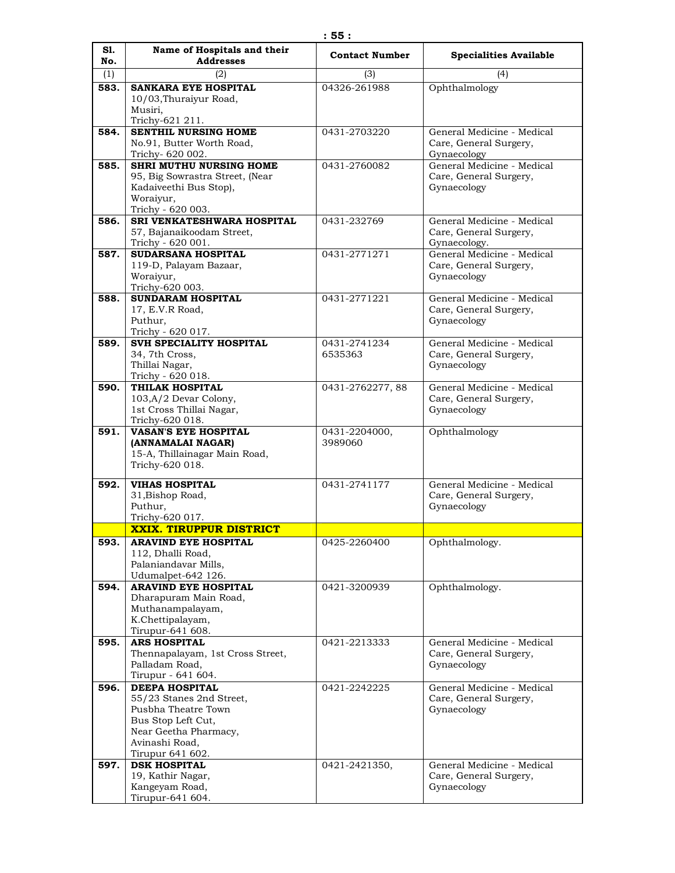| S1.  | Name of Hospitals and their                       | <b>Contact Number</b> | <b>Specialities Available</b>         |
|------|---------------------------------------------------|-----------------------|---------------------------------------|
| No.  | <b>Addresses</b>                                  |                       |                                       |
| (1)  | (2)                                               | (3)                   | (4)                                   |
| 583. | <b>SANKARA EYE HOSPITAL</b>                       | 04326-261988          | Ophthalmology                         |
|      | 10/03, Thuraiyur Road,<br>Musiri.                 |                       |                                       |
|      | Trichy-621 211.                                   |                       |                                       |
| 584. | <b>SENTHIL NURSING HOME</b>                       | 0431-2703220          | General Medicine - Medical            |
|      | No.91, Butter Worth Road,                         |                       | Care, General Surgery,                |
|      | Trichy- 620 002.                                  |                       | Gynaecology                           |
| 585. | <b>SHRI MUTHU NURSING HOME</b>                    | 0431-2760082          | General Medicine - Medical            |
|      | 95, Big Sowrastra Street, (Near                   |                       | Care, General Surgery,                |
|      | Kadaiveethi Bus Stop),                            |                       | Gynaecology                           |
|      | Woraiyur,<br>Trichy - 620 003.                    |                       |                                       |
| 586. | SRI VENKATESHWARA HOSPITAL                        | 0431-232769           | General Medicine - Medical            |
|      | 57, Bajanaikoodam Street,                         |                       | Care, General Surgery,                |
|      | Trichy - 620 001.                                 |                       | Gynaecology.                          |
| 587. | SUDARSANA HOSPITAL                                | 0431-2771271          | General Medicine - Medical            |
|      | 119-D, Palayam Bazaar,                            |                       | Care, General Surgery,                |
|      | Woraivur,                                         |                       | Gynaecology                           |
|      | Trichy-620 003.                                   |                       |                                       |
| 588. | <b>SUNDARAM HOSPITAL</b>                          | 0431-2771221          | General Medicine - Medical            |
|      | 17, E.V.R Road,<br>Puthur,                        |                       | Care, General Surgery,<br>Gynaecology |
|      | Trichy - 620 017.                                 |                       |                                       |
| 589. | SVH SPECIALITY HOSPITAL                           | 0431-2741234          | General Medicine - Medical            |
|      | 34, 7th Cross,                                    | 6535363               | Care, General Surgery,                |
|      | Thillai Nagar,                                    |                       | Gynaecology                           |
|      | Trichy - 620 018.                                 |                       |                                       |
| 590. | <b>THILAK HOSPITAL</b>                            | 0431-2762277, 88      | General Medicine - Medical            |
|      | 103, A/2 Devar Colony,                            |                       | Care, General Surgery,                |
|      | 1st Cross Thillai Nagar,                          |                       | Gynaecology                           |
| 591. | Trichy-620 018.<br><b>VASAN'S EYE HOSPITAL</b>    | 0431-2204000,         | Ophthalmology                         |
|      | (ANNAMALAI NAGAR)                                 | 3989060               |                                       |
|      | 15-A, Thillainagar Main Road,                     |                       |                                       |
|      | Trichy-620 018.                                   |                       |                                       |
|      | <b>VIHAS HOSPITAL</b>                             | 0431-2741177          | General Medicine - Medical            |
| 592. | 31, Bishop Road,                                  |                       | Care, General Surgery,                |
|      | Puthur,                                           |                       | Gynaecology                           |
|      | Trichy-620 017.                                   |                       |                                       |
|      | <b>XXIX. TIRUPPUR DISTRICT</b>                    |                       |                                       |
| 593. | <b>ARAVIND EYE HOSPITAL</b>                       | 0425-2260400          | Ophthalmology.                        |
|      | 112, Dhalli Road,                                 |                       |                                       |
|      | Palaniandavar Mills,                              |                       |                                       |
|      | Udumalpet-642 126.<br><b>ARAVIND EYE HOSPITAL</b> | 0421-3200939          |                                       |
| 594. | Dharapuram Main Road,                             |                       | Ophthalmology.                        |
|      | Muthanampalayam,                                  |                       |                                       |
|      | K.Chettipalayam,                                  |                       |                                       |
|      | Tirupur-641 608.                                  |                       |                                       |
| 595. | <b>ARS HOSPITAL</b>                               | 0421-2213333          | General Medicine - Medical            |
|      | Thennapalayam, 1st Cross Street,                  |                       | Care, General Surgery,                |
|      | Palladam Road,                                    |                       | Gynaecology                           |
|      | Tirupur - 641 604.                                |                       |                                       |
| 596. | <b>DEEPA HOSPITAL</b><br>55/23 Stanes 2nd Street, | 0421-2242225          | General Medicine - Medical            |
|      | Pusbha Theatre Town                               |                       | Care, General Surgery,<br>Gynaecology |
|      | Bus Stop Left Cut,                                |                       |                                       |
|      | Near Geetha Pharmacy,                             |                       |                                       |
|      | Avinashi Road,                                    |                       |                                       |
|      | Tirupur 641 602.                                  |                       |                                       |
| 597. | <b>DSK HOSPITAL</b>                               | 0421-2421350,         | General Medicine - Medical            |
|      | 19, Kathir Nagar,                                 |                       | Care, General Surgery,                |
|      | Kangeyam Road,                                    |                       | Gynaecology                           |
|      | Tirupur-641 604.                                  |                       |                                       |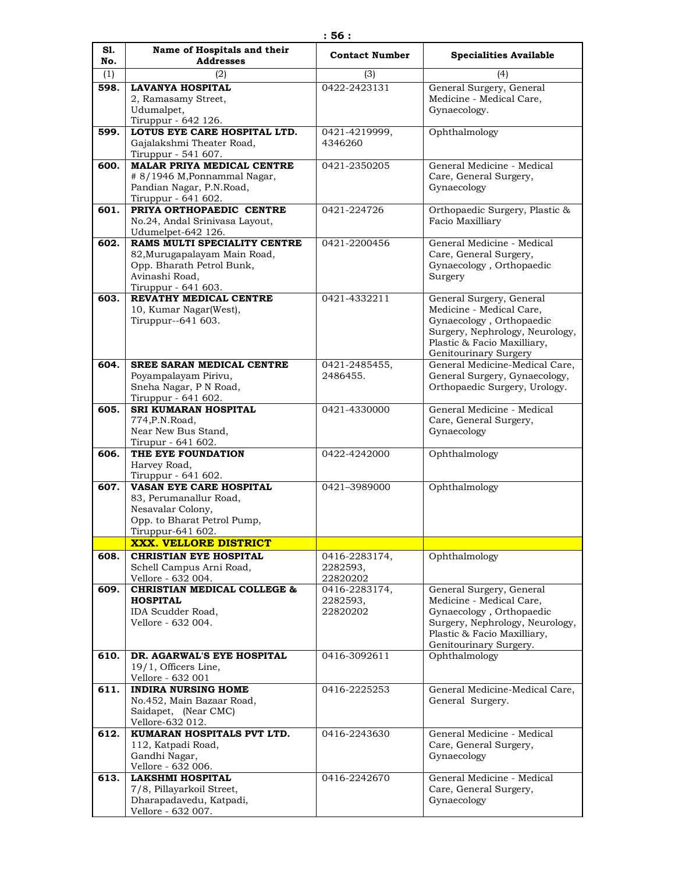| S1.<br>No. | Name of Hospitals and their<br><b>Addresses</b>          | <b>Contact Number</b> | <b>Specialities Available</b>                           |
|------------|----------------------------------------------------------|-----------------------|---------------------------------------------------------|
| (1)        | (2)                                                      | (3)                   | (4)                                                     |
| 598.       | <b>LAVANYA HOSPITAL</b>                                  | 0422-2423131          | General Surgery, General                                |
|            | 2, Ramasamy Street,                                      |                       | Medicine - Medical Care,                                |
|            | Udumalpet,                                               |                       | Gynaecology.                                            |
|            | Tiruppur - 642 126.                                      |                       |                                                         |
| 599.       | LOTUS EYE CARE HOSPITAL LTD.                             | 0421-4219999,         | Ophthalmology                                           |
|            | Gajalakshmi Theater Road,<br>Tiruppur - 541 607.         | 4346260               |                                                         |
| 600.       | <b>MALAR PRIYA MEDICAL CENTRE</b>                        | 0421-2350205          | General Medicine - Medical                              |
|            | # 8/1946 M, Ponnammal Nagar,                             |                       | Care, General Surgery,                                  |
|            | Pandian Nagar, P.N.Road,                                 |                       | Gynaecology                                             |
|            | Tiruppur - 641 602.                                      |                       |                                                         |
| 601.       | PRIYA ORTHOPAEDIC CENTRE                                 | 0421-224726           | Orthopaedic Surgery, Plastic &                          |
|            | No.24, Andal Srinivasa Layout,<br>Udumelpet-642 126.     |                       | Facio Maxilliary                                        |
| 602.       | RAMS MULTI SPECIALITY CENTRE                             | 0421-2200456          | General Medicine - Medical                              |
|            | 82, Murugapalayam Main Road,                             |                       | Care, General Surgery,                                  |
|            | Opp. Bharath Petrol Bunk,                                |                       | Gynaecology, Orthopaedic                                |
|            | Avinashi Road.                                           |                       | Surgery                                                 |
| 603.       | Tiruppur - 641 603.<br>REVATHY MEDICAL CENTRE            | 0421-4332211          | General Surgery, General                                |
|            | 10, Kumar Nagar(West),                                   |                       | Medicine - Medical Care,                                |
|            | Tiruppur--641 603.                                       |                       | Gynaecology, Orthopaedic                                |
|            |                                                          |                       | Surgery, Nephrology, Neurology,                         |
|            |                                                          |                       | Plastic & Facio Maxilliary,                             |
| 604.       | <b>SREE SARAN MEDICAL CENTRE</b>                         | 0421-2485455,         | Genitourinary Surgery<br>General Medicine-Medical Care, |
|            | Poyampalayam Pirivu,                                     | 2486455.              | General Surgery, Gynaecology,                           |
|            | Sneha Nagar, P N Road,                                   |                       | Orthopaedic Surgery, Urology.                           |
|            | Tiruppur - 641 602.                                      |                       |                                                         |
| 605.       | SRI KUMARAN HOSPITAL                                     | 0421-4330000          | General Medicine - Medical                              |
|            | 774, P.N. Road,<br>Near New Bus Stand,                   |                       | Care, General Surgery,<br>Gynaecology                   |
|            | Tirupur - 641 602.                                       |                       |                                                         |
| 606.       | THE EYE FOUNDATION                                       | 0422-4242000          | Ophthalmology                                           |
|            | Harvey Road,                                             |                       |                                                         |
|            | Tiruppur - 641 602.                                      |                       |                                                         |
| 607.       | <b>VASAN EYE CARE HOSPITAL</b><br>83, Perumanallur Road, | 0421-3989000          | Ophthalmology                                           |
|            | Nesavalar Colony,                                        |                       |                                                         |
|            | Opp. to Bharat Petrol Pump,                              |                       |                                                         |
|            | Tiruppur-641 602.                                        |                       |                                                         |
|            | <b>XXX. VELLORE DISTRICT</b>                             |                       |                                                         |
| 608.       | <b>CHRISTIAN EYE HOSPITAL</b>                            | 0416-2283174,         | Ophthalmology                                           |
|            | Schell Campus Arni Road,<br>Vellore - 632 004.           | 2282593,<br>22820202  |                                                         |
| 609.       | <b>CHRISTIAN MEDICAL COLLEGE &amp;</b>                   | 0416-2283174,         | General Surgery, General                                |
|            | <b>HOSPITAL</b>                                          | 2282593,              | Medicine - Medical Care,                                |
|            | IDA Scudder Road,                                        | 22820202              | Gynaecology, Orthopaedic                                |
|            | Vellore - 632 004.                                       |                       | Surgery, Nephrology, Neurology,                         |
|            |                                                          |                       | Plastic & Facio Maxilliary,<br>Genitourinary Surgery.   |
| 610.       | DR. AGARWAL'S EYE HOSPITAL                               | 0416-3092611          | Ophthalmology                                           |
|            | $19/1$ , Officers Line,                                  |                       |                                                         |
|            | Vellore - 632 001                                        |                       |                                                         |
| 611.       | <b>INDIRA NURSING HOME</b>                               | 0416-2225253          | General Medicine-Medical Care,                          |
|            | No.452, Main Bazaar Road,<br>Saidapet, (Near CMC)        |                       | General Surgery.                                        |
|            | Vellore-632 012.                                         |                       |                                                         |
| 612.       | KUMARAN HOSPITALS PVT LTD.                               | 0416-2243630          | General Medicine - Medical                              |
|            | 112, Katpadi Road,                                       |                       | Care, General Surgery,                                  |
|            | Gandhi Nagar,                                            |                       | Gynaecology                                             |
| 613.       | Vellore - 632 006.<br><b>LAKSHMI HOSPITAL</b>            | 0416-2242670          | General Medicine - Medical                              |
|            | 7/8, Pillayarkoil Street,                                |                       | Care, General Surgery,                                  |
|            | Dharapadavedu, Katpadi,                                  |                       | Gynaecology                                             |
|            | Vellore - 632 007.                                       |                       |                                                         |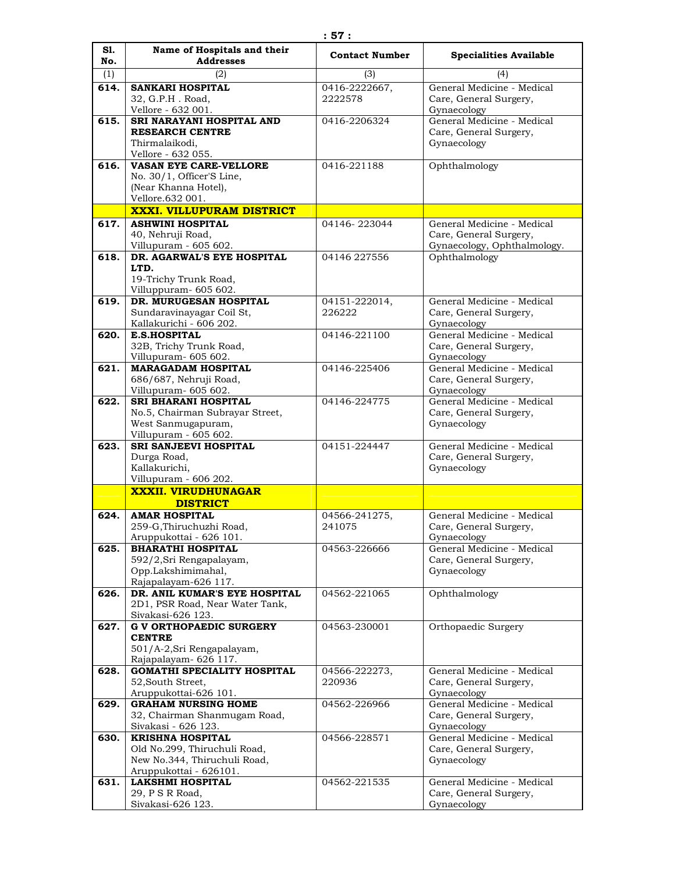| S1.<br>No. | Name of Hospitals and their<br><b>Addresses</b>             | <b>Contact Number</b> | <b>Specialities Available</b>                        |
|------------|-------------------------------------------------------------|-----------------------|------------------------------------------------------|
| (1)        | (2)                                                         | (3)                   | (4)                                                  |
| 614.       | <b>SANKARI HOSPITAL</b>                                     | 0416-2222667,         | General Medicine - Medical                           |
|            | 32, G.P.H. Road,<br>Vellore - 632 001.                      | 2222578               | Care, General Surgery,<br>Gynaecology                |
| 615.       | SRI NARAYANI HOSPITAL AND                                   | 0416-2206324          | General Medicine - Medical                           |
|            | <b>RESEARCH CENTRE</b>                                      |                       | Care, General Surgery,                               |
|            | Thirmalaikodi,<br>Vellore - 632 055.                        |                       | Gynaecology                                          |
| 616.       | <b>VASAN EYE CARE-VELLORE</b>                               | 0416-221188           | Ophthalmology                                        |
|            | No. 30/1, Officer'S Line,                                   |                       |                                                      |
|            | (Near Khanna Hotel),                                        |                       |                                                      |
|            | Vellore.632 001.<br><b>XXXI. VILLUPURAM DISTRICT</b>        |                       |                                                      |
| 617.       | <b>ASHWINI HOSPITAL</b>                                     | 04146-223044          | General Medicine - Medical                           |
|            | 40, Nehruji Road,                                           |                       | Care, General Surgery,                               |
|            | Villupuram - 605 602.                                       |                       | Gynaecology, Ophthalmology.                          |
| 618.       | DR. AGARWAL'S EYE HOSPITAL                                  | 04146 227556          | Ophthalmology                                        |
|            | LTD.<br>19-Trichy Trunk Road,                               |                       |                                                      |
|            | Villuppuram- 605 602.                                       |                       |                                                      |
| 619.       | DR. MURUGESAN HOSPITAL                                      | 04151-222014,         | General Medicine - Medical                           |
|            | Sundaravinayagar Coil St,                                   | 226222                | Care, General Surgery,                               |
| 620.       | Kallakurichi - 606 202.<br><b>E.S.HOSPITAL</b>              | 04146-221100          | Gynaecology<br>General Medicine - Medical            |
|            | 32B, Trichy Trunk Road,                                     |                       | Care, General Surgery,                               |
|            | Villupuram- 605 602.                                        |                       | Gynaecology                                          |
| 621.       | <b>MARAGADAM HOSPITAL</b>                                   | 04146-225406          | General Medicine - Medical                           |
|            | 686/687, Nehruji Road,<br>Villupuram- 605 602.              |                       | Care, General Surgery,<br>Gynaecology                |
| 622.       | <b>SRI BHARANI HOSPITAL</b>                                 | 04146-224775          | General Medicine - Medical                           |
|            | No.5, Chairman Subrayar Street,                             |                       | Care, General Surgery,                               |
|            | West Sanmugapuram,                                          |                       | Gynaecology                                          |
| 623.       | Villupuram - 605 602.<br><b>SRI SANJEEVI HOSPITAL</b>       | 04151-224447          | General Medicine - Medical                           |
|            | Durga Road,                                                 |                       | Care, General Surgery,                               |
|            | Kallakurichi,                                               |                       | Gynaecology                                          |
|            | Villupuram - 606 202.                                       |                       |                                                      |
|            | <b>XXXII. VIRUDHUNAGAR</b><br><b>DISTRICT</b>               |                       |                                                      |
| 624.       | <b>AMAR HOSPITAL</b>                                        | 04566-241275,         | General Medicine - Medical                           |
|            | 259-G, Thiruchuzhi Road,                                    | 241075                | Care, General Surgery,                               |
|            | Aruppukottai - 626 101.                                     |                       | Gynaecology                                          |
| 625.       | <b>BHARATHI HOSPITAL</b>                                    | 04563-226666          | General Medicine - Medical<br>Care, General Surgery, |
|            | 592/2, Sri Rengapalayam,<br>Opp.Lakshimimahal,              |                       | Gynaecology                                          |
|            | Rajapalayam-626 117.                                        |                       |                                                      |
| 626.       | DR. ANIL KUMAR'S EYE HOSPITAL                               | 04562-221065          | Ophthalmology                                        |
|            | 2D1, PSR Road, Near Water Tank,<br>Sivakasi-626 123.        |                       |                                                      |
| 627.       | <b>G V ORTHOPAEDIC SURGERY</b>                              | 04563-230001          | Orthopaedic Surgery                                  |
|            | <b>CENTRE</b>                                               |                       |                                                      |
|            | 501/A-2,Sri Rengapalayam,                                   |                       |                                                      |
| 628.       | Rajapalayam- 626 117.<br><b>GOMATHI SPECIALITY HOSPITAL</b> | 04566-222273,         | General Medicine - Medical                           |
|            | 52, South Street,                                           | 220936                | Care, General Surgery,                               |
|            | Aruppukottai-626 101.                                       |                       | Gynaecology                                          |
| 629.       | <b>GRAHAM NURSING HOME</b>                                  | 04562-226966          | General Medicine - Medical                           |
|            | 32, Chairman Shanmugam Road,<br>Sivakasi - 626 123.         |                       | Care, General Surgery,<br>Gynaecology                |
| 630.       | <b>KRISHNA HOSPITAL</b>                                     | 04566-228571          | General Medicine - Medical                           |
|            | Old No.299, Thiruchuli Road,                                |                       | Care, General Surgery,                               |
|            | New No.344, Thiruchuli Road,                                |                       | Gynaecology                                          |
| 631.       | Aruppukottai - 626101.<br><b>LAKSHMI HOSPITAL</b>           | 04562-221535          | General Medicine - Medical                           |
|            | 29, P S R Road,                                             |                       | Care, General Surgery,                               |
|            | Sivakasi-626 123.                                           |                       | Gynaecology                                          |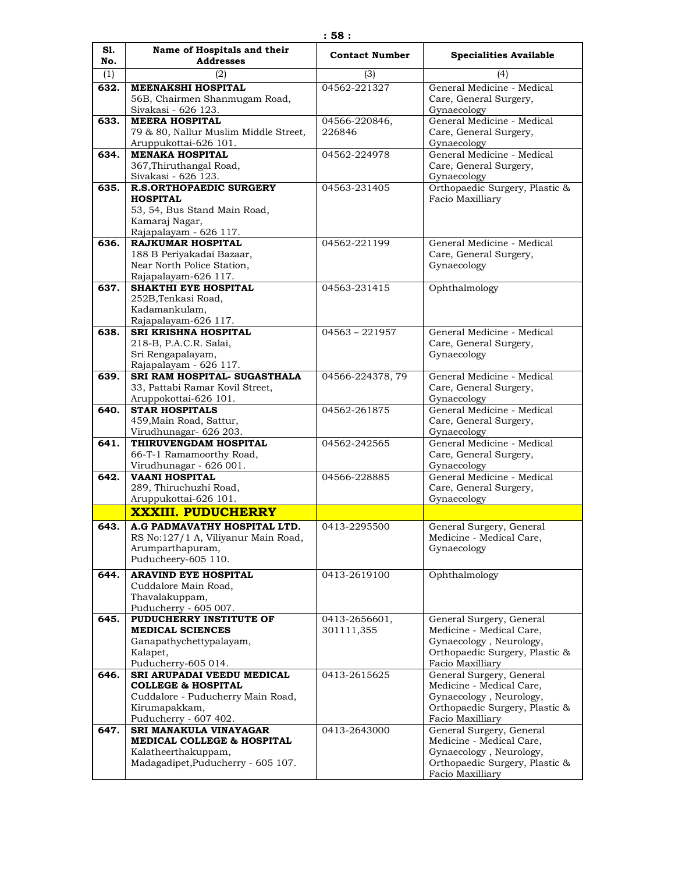| S1.  | Name of Hospitals and their                                                       | <b>Contact Number</b> | <b>Specialities Available</b>                                       |
|------|-----------------------------------------------------------------------------------|-----------------------|---------------------------------------------------------------------|
| No.  | <b>Addresses</b>                                                                  |                       |                                                                     |
| (1)  | (2)                                                                               | (3)                   | (4)                                                                 |
| 632. | <b>MEENAKSHI HOSPITAL</b><br>56B, Chairmen Shanmugam Road,<br>Sivakasi - 626 123. | 04562-221327          | General Medicine - Medical<br>Care, General Surgery,<br>Gynaecology |
| 633. | <b>MEERA HOSPITAL</b>                                                             | 04566-220846,         | General Medicine - Medical                                          |
|      | 79 & 80, Nallur Muslim Middle Street,                                             | 226846                | Care, General Surgery,                                              |
|      | Aruppukottai-626 101.                                                             |                       | Gynaecology                                                         |
| 634. | <b>MENAKA HOSPITAL</b>                                                            | 04562-224978          | General Medicine - Medical                                          |
|      | 367, Thiruthangal Road,<br>Sivakasi - 626 123.                                    |                       | Care, General Surgery,<br>Gynaecology                               |
| 635. | <b>R.S.ORTHOPAEDIC SURGERY</b>                                                    | 04563-231405          | Orthopaedic Surgery, Plastic &                                      |
|      | <b>HOSPITAL</b>                                                                   |                       | Facio Maxilliary                                                    |
|      | 53, 54, Bus Stand Main Road,                                                      |                       |                                                                     |
|      | Kamaraj Nagar,                                                                    |                       |                                                                     |
|      | Rajapalayam - 626 117.                                                            |                       |                                                                     |
| 636. | <b>RAJKUMAR HOSPITAL</b>                                                          | 04562-221199          | General Medicine - Medical                                          |
|      | 188 B Periyakadai Bazaar,                                                         |                       | Care, General Surgery,                                              |
|      | Near North Police Station,<br>Rajapalayam-626 117.                                |                       | Gynaecology                                                         |
| 637. | SHAKTHI EYE HOSPITAL                                                              | 04563-231415          | Ophthalmology                                                       |
|      | 252B, Tenkasi Road,                                                               |                       |                                                                     |
|      | Kadamankulam,                                                                     |                       |                                                                     |
|      | Rajapalayam-626 117.                                                              |                       |                                                                     |
| 638. | <b>SRI KRISHNA HOSPITAL</b>                                                       | $04563 - 221957$      | General Medicine - Medical                                          |
|      | 218-B, P.A.C.R. Salai,                                                            |                       | Care, General Surgery,                                              |
|      | Sri Rengapalayam,<br>Rajapalayam - 626 117.                                       |                       | Gynaecology                                                         |
| 639. | SRI RAM HOSPITAL- SUGASTHALA                                                      | 04566-224378, 79      | General Medicine - Medical                                          |
|      | 33, Pattabi Ramar Kovil Street,                                                   |                       | Care, General Surgery,                                              |
|      | Aruppokottai-626 101.                                                             |                       | Gynaecology                                                         |
| 640. | <b>STAR HOSPITALS</b>                                                             | 04562-261875          | General Medicine - Medical                                          |
|      | 459, Main Road, Sattur,                                                           |                       | Care, General Surgery,                                              |
|      | Virudhunagar- 626 203.<br>THIRUVENGDAM HOSPITAL                                   |                       | Gynaecology<br>General Medicine - Medical                           |
| 641. | 66-T-1 Ramamoorthy Road,                                                          | 04562-242565          | Care, General Surgery,                                              |
|      | Virudhunagar - 626 001.                                                           |                       | Gynaecology                                                         |
| 642. | <b>VAANI HOSPITAL</b>                                                             | 04566-228885          | General Medicine - Medical                                          |
|      | 289, Thiruchuzhi Road,                                                            |                       | Care, General Surgery,                                              |
|      | Aruppukottai-626 101.                                                             |                       | Gynaecology                                                         |
|      | <b>XXXIII. PUDUCHERRY</b>                                                         |                       |                                                                     |
| 643. | A.G PADMAVATHY HOSPITAL LTD.                                                      | 0413-2295500          | General Surgery, General                                            |
|      | RS No:127/1 A, Viliyanur Main Road,                                               |                       | Medicine - Medical Care,                                            |
|      | Arumparthapuram,<br>Puducheery-605 110.                                           |                       | Gynaecology                                                         |
|      |                                                                                   |                       |                                                                     |
| 644. | <b>ARAVIND EYE HOSPITAL</b><br>Cuddalore Main Road,                               | 0413-2619100          | Ophthalmology                                                       |
|      | Thavalakuppam,                                                                    |                       |                                                                     |
|      | Puducherry - 605 007.                                                             |                       |                                                                     |
| 645. | PUDUCHERRY INSTITUTE OF                                                           | 0413-2656601,         | General Surgery, General                                            |
|      | <b>MEDICAL SCIENCES</b>                                                           | 301111,355            | Medicine - Medical Care,                                            |
|      | Ganapathychettypalayam,                                                           |                       | Gynaecology, Neurology,                                             |
|      | Kalapet,<br>Puducherry-605 014.                                                   |                       | Orthopaedic Surgery, Plastic &<br>Facio Maxilliary                  |
| 646. | SRI ARUPADAI VEEDU MEDICAL                                                        | 0413-2615625          | General Surgery, General                                            |
|      | <b>COLLEGE &amp; HOSPITAL</b>                                                     |                       | Medicine - Medical Care,                                            |
|      | Cuddalore - Puducherry Main Road,                                                 |                       | Gynaecology, Neurology,                                             |
|      | Kirumapakkam,                                                                     |                       | Orthopaedic Surgery, Plastic &                                      |
|      | Puducherry - 607 402.                                                             |                       | Facio Maxilliary                                                    |
| 647. | SRI MANAKULA VINAYAGAR                                                            | 0413-2643000          | General Surgery, General                                            |
|      | MEDICAL COLLEGE & HOSPITAL                                                        |                       | Medicine - Medical Care,                                            |
|      | Kalatheerthakuppam,<br>Madagadipet, Puducherry - 605 107.                         |                       | Gynaecology, Neurology,<br>Orthopaedic Surgery, Plastic &           |
|      |                                                                                   |                       | Facio Maxilliary                                                    |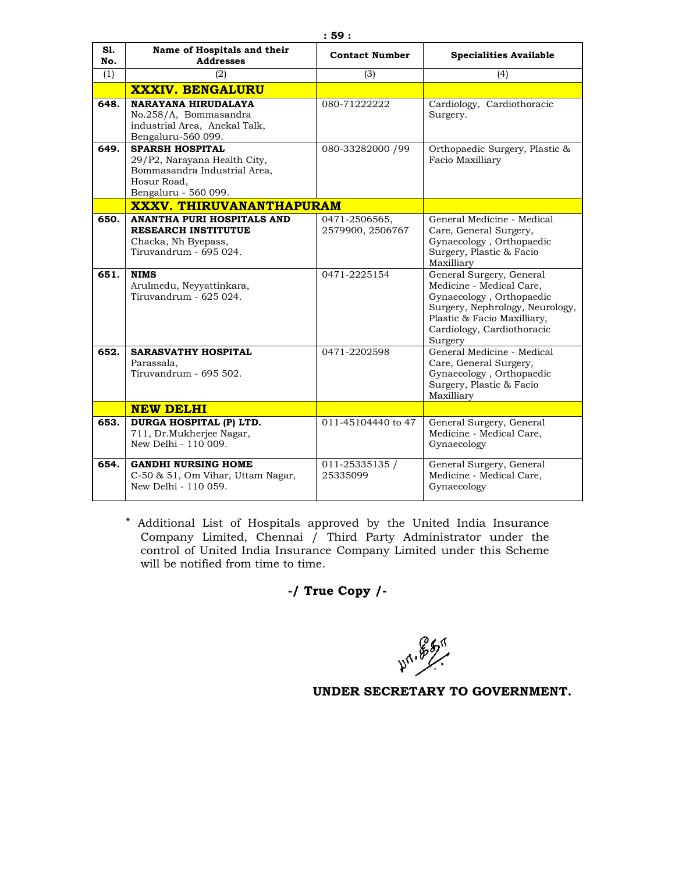| S1.<br>No. | Name of Hospitals and their<br><b>Addresses</b>                                                                               | <b>Contact Number</b>             | <b>Specialities Available</b>                                                                                                                                                               |
|------------|-------------------------------------------------------------------------------------------------------------------------------|-----------------------------------|---------------------------------------------------------------------------------------------------------------------------------------------------------------------------------------------|
| (1)        | (2)                                                                                                                           | (3)                               | (4)                                                                                                                                                                                         |
|            | <b>XXXIV. BENGALURU</b>                                                                                                       |                                   |                                                                                                                                                                                             |
| 648.       | NARAYANA HIRUDALAYA<br>No.258/A, Bommasandra<br>industrial Area, Anekal Talk,<br>Bengaluru-560 099.                           | 080-71222222                      | Cardiology, Cardiothoracic<br>Surgery.                                                                                                                                                      |
| 649.       | <b>SPARSH HOSPITAL</b><br>29/P2, Narayana Health City,<br>Bommasandra Industrial Area,<br>Hosur Road.<br>Bengaluru - 560 099. | 080-33282000 /99                  | Orthopaedic Surgery, Plastic &<br>Facio Maxilliary                                                                                                                                          |
|            | <b>XXXV. THIRUVANANTHAPURAM</b>                                                                                               |                                   |                                                                                                                                                                                             |
| 650.       | ANANTHA PURI HOSPITALS AND<br><b>RESEARCH INSTITUTUE</b><br>Chacka, Nh Byepass,<br>Tiruvandrum - 695 024.                     | 0471-2506565,<br>2579900, 2506767 | General Medicine - Medical<br>Care, General Surgery,<br>Gynaecology, Orthopaedic<br>Surgery, Plastic & Facio<br>Maxilliary                                                                  |
| 651.       | <b>NIMS</b><br>Arulmedu, Neyyattinkara,<br>Tiruvandrum - 625 024.                                                             | 0471-2225154                      | General Surgery, General<br>Medicine - Medical Care.<br>Gynaecology, Orthopaedic<br>Surgery, Nephrology, Neurology,<br>Plastic & Facio Maxilliary,<br>Cardiology, Cardiothoracic<br>Surgery |
| 652.       | <b>SARASVATHY HOSPITAL</b><br>Parassala.<br>Tiruvandrum - 695 502.                                                            | 0471-2202598                      | General Medicine - Medical<br>Care, General Surgery,<br>Gynaecology, Orthopaedic<br>Surgery, Plastic & Facio<br>Maxilliarv                                                                  |
|            | <b>NEW DELHI</b>                                                                                                              |                                   |                                                                                                                                                                                             |
| 653.       | DURGA HOSPITAL (P) LTD.<br>711, Dr.Mukherjee Nagar,<br>New Delhi - 110 009.                                                   | 011-45104440 to 47                | General Surgery, General<br>Medicine - Medical Care,<br>Gynaecology                                                                                                                         |
| 654.       | <b>GANDHI NURSING HOME</b><br>C-50 & 51, Om Vihar, Uttam Nagar,<br>New Delhi - 110 059.                                       | 011-25335135 /<br>25335099        | General Surgery, General<br>Medicine - Medical Care,<br>Gynaecology                                                                                                                         |

\* Additional List of Hospitals approved by the United India Insurance Company Limited, Chennai / Third Party Administrator under the control of United India Insurance Company Limited under this Scheme will be notified from time to time.

# **-/ True Copy /-**

**49.85%**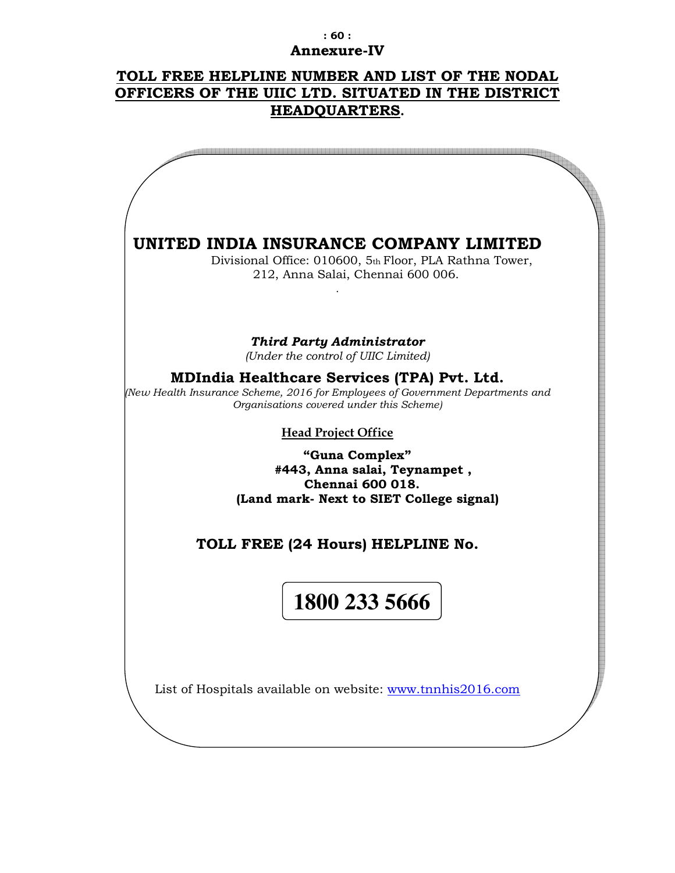### **: 60 : Annexure-IV**

# **TOLL FREE HELPLINE NUMBER AND LIST OF THE NODAL OFFICERS OF THE UIIC LTD. SITUATED IN THE DISTRICT HEADQUARTERS.**

| UNITED INDIA INSURANCE COMPANY LIMITED<br>Divisional Office: 010600, 5th Floor, PLA Rathna Tower,<br>212, Anna Salai, Chennai 600 006.                                          |
|---------------------------------------------------------------------------------------------------------------------------------------------------------------------------------|
| <b>Third Party Administrator</b><br>(Under the control of UIIC Limited)                                                                                                         |
| <b>MDIndia Healthcare Services (TPA) Pvt. Ltd.</b><br>New Health Insurance Scheme, 2016 for Employees of Government Departments and<br>Organisations covered under this Scheme) |
| <b>Head Project Office</b>                                                                                                                                                      |
| "Guna Complex"<br>#443, Anna salai, Teynampet,<br><b>Chennai 600 018.</b><br>(Land mark- Next to SIET College signal)                                                           |
| TOLL FREE (24 Hours) HELPLINE No.                                                                                                                                               |
| 1800 233 5666                                                                                                                                                                   |
| List of Hospitals available on website: www.tnnhis2016.com                                                                                                                      |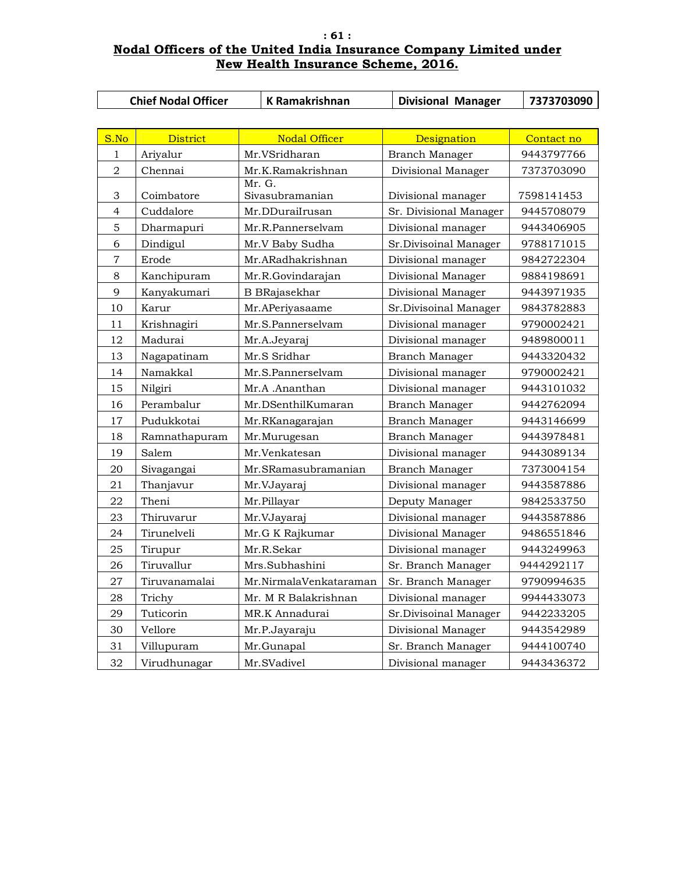### **: 61 : Nodal Officers of the United India Insurance Company Limited under New Health Insurance Scheme, 2016.**

|                | <b>Chief Nodal Officer</b> | <b>K Ramakrishnan</b>                | <b>Divisional Manager</b> | 7373703090 |
|----------------|----------------------------|--------------------------------------|---------------------------|------------|
|                |                            |                                      |                           |            |
| S.No           | <b>District</b>            | <b>Nodal Officer</b>                 | Designation               | Contact no |
| 1              | Ariyalur                   | Mr.VSridharan                        | Branch Manager            | 9443797766 |
| $\overline{2}$ | Chennai                    | Mr.K.Ramakrishnan                    | Divisional Manager        | 7373703090 |
| 3              | Coimbatore                 | Mr. G.<br>Sivasubramanian            |                           | 7598141453 |
|                |                            |                                      | Divisional manager        |            |
| 4<br>5         | Cuddalore                  | Mr.DDuraiIrusan<br>Mr.R.Pannerselvam | Sr. Divisional Manager    | 9445708079 |
|                | Dharmapuri                 |                                      | Divisional manager        | 9443406905 |
| 6              | Dindigul                   | Mr.V Baby Sudha                      | Sr.Divisoinal Manager     | 9788171015 |
| $\overline{7}$ | Erode                      | Mr.ARadhakrishnan                    | Divisional manager        | 9842722304 |
| 8              | Kanchipuram                | Mr.R.Govindarajan                    | Divisional Manager        | 9884198691 |
| 9              | Kanyakumari                | <b>B</b> BRajasekhar                 | Divisional Manager        | 9443971935 |
| 10             | Karur                      | Mr.APeriyasaame                      | Sr.Divisoinal Manager     | 9843782883 |
| 11             | Krishnagiri                | Mr.S.Pannerselvam                    | Divisional manager        | 9790002421 |
| 12             | Madurai                    | Mr.A.Jeyaraj                         | Divisional manager        | 9489800011 |
| 13             | Nagapatinam                | Mr.S Sridhar                         | Branch Manager            | 9443320432 |
| 14             | Namakkal                   | Mr.S.Pannerselvam                    | Divisional manager        | 9790002421 |
| 15             | Nilgiri                    | Mr.A .Ananthan                       | Divisional manager        | 9443101032 |
| 16             | Perambalur                 | Mr.DSenthilKumaran                   | Branch Manager            | 9442762094 |
| 17             | Pudukkotai                 | Mr.RKanagarajan                      | Branch Manager            | 9443146699 |
| 18             | Ramnathapuram              | Mr.Murugesan                         | Branch Manager            | 9443978481 |
| 19             | Salem                      | Mr.Venkatesan                        | Divisional manager        | 9443089134 |
| 20             | Sivagangai                 | Mr.SRamasubramanian                  | Branch Manager            | 7373004154 |
| 21             | Thanjavur                  | Mr.VJayaraj                          | Divisional manager        | 9443587886 |
| 22             | Theni                      | Mr.Pillayar                          | Deputy Manager            | 9842533750 |
| 23             | Thiruvarur                 | Mr.VJayaraj                          | Divisional manager        | 9443587886 |
| 24             | Tirunelveli                | Mr.G K Rajkumar                      | Divisional Manager        | 9486551846 |
| 25             | Tirupur                    | Mr.R.Sekar                           | Divisional manager        | 9443249963 |
| 26             | Tiruvallur                 | Mrs.Subhashini                       | Sr. Branch Manager        | 9444292117 |
| $27\,$         | Tiruvanamalai              | Mr.NirmalaVenkataraman               | Sr. Branch Manager        | 9790994635 |
| 28             | Trichy                     | Mr. M R Balakrishnan                 | Divisional manager        | 9944433073 |
| 29             | Tuticorin                  | MR.K Annadurai                       | Sr.Divisoinal Manager     | 9442233205 |
| 30             | Vellore                    | Mr.P.Jayaraju                        | Divisional Manager        | 9443542989 |
| 31             | Villupuram                 | Mr.Gunapal                           | Sr. Branch Manager        | 9444100740 |
| 32             | Virudhunagar               | Mr.SVadivel                          | Divisional manager        | 9443436372 |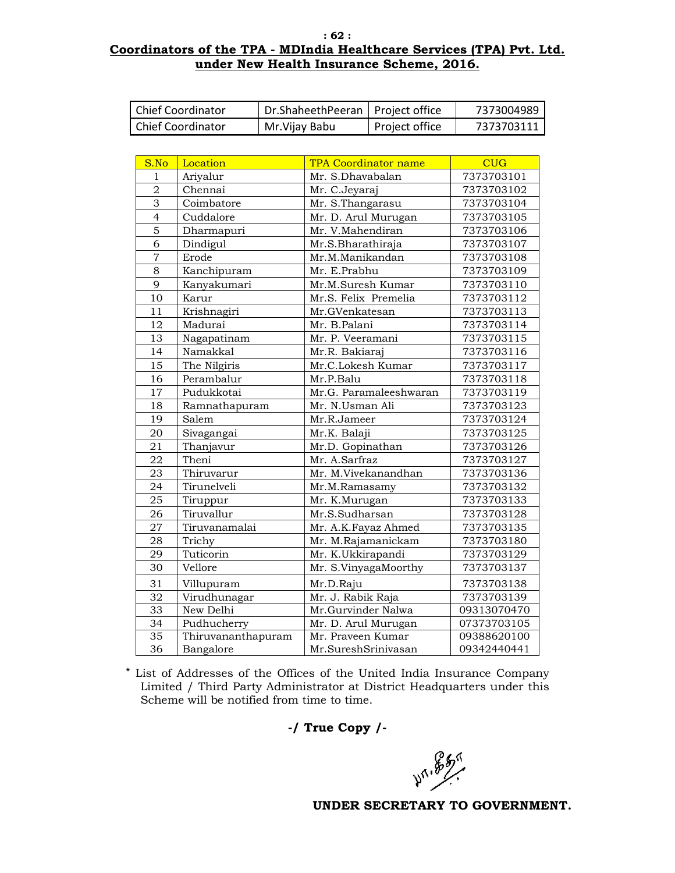#### **: 62 : Coordinators of the TPA - MDIndia Healthcare Services (TPA) Pvt. Ltd. under New Health Insurance Scheme, 2016.**

| Chief Coordinator | Dr.ShaheethPeeran   Project office |                  | 7373004989 |
|-------------------|------------------------------------|------------------|------------|
| Chief Coordinator | Mr. Vijay Babu                     | l Project office | 7373703111 |

| S.No            | Location           | <b>TPA Coordinator name</b> | <b>CUG</b>  |
|-----------------|--------------------|-----------------------------|-------------|
| $\mathbf{1}$    | Ariyalur           | Mr. S.Dhavabalan            | 7373703101  |
| $\overline{2}$  | Chennai            | Mr. C.Jeyaraj               | 7373703102  |
| 3               | Coimbatore         | Mr. S.Thangarasu            | 7373703104  |
| $\overline{4}$  | Cuddalore          | Mr. D. Arul Murugan         | 7373703105  |
| $\overline{5}$  | Dharmapuri         | Mr. V.Mahendiran            | 7373703106  |
| $\overline{6}$  | Dindigul           | Mr.S.Bharathiraja           | 7373703107  |
| $\overline{7}$  | Erode              | Mr.M.Manikandan             | 7373703108  |
| 8               | Kanchipuram        | Mr. E.Prabhu                | 7373703109  |
| 9               | Kanyakumari        | Mr.M.Suresh Kumar           | 7373703110  |
| 10              | Karur              | Mr.S. Felix Premelia        | 7373703112  |
| 11              | Krishnagiri        | Mr.GVenkatesan              | 7373703113  |
| 12              | Madurai            | Mr. B.Palani                | 7373703114  |
| 13              | Nagapatinam        | Mr. P. Veeramani            | 7373703115  |
| 14              | Namakkal           | Mr.R. Bakiaraj              | 7373703116  |
| 15              | The Nilgiris       | Mr.C.Lokesh Kumar           | 7373703117  |
| 16              | Perambalur         | Mr.P.Balu                   | 7373703118  |
| 17              | Pudukkotai         | Mr.G. Paramaleeshwaran      | 7373703119  |
| 18              | Ramnathapuram      | Mr. N.Usman Ali             | 7373703123  |
| 19              | Salem              | Mr.R.Jameer                 | 7373703124  |
| 20              | Sivagangai         | Mr.K. Balaji                | 7373703125  |
| 21              | Thanjavur          | Mr.D. Gopinathan            | 7373703126  |
| $22\,$          | Theni              | Mr. A.Sarfraz               | 7373703127  |
| 23              | Thiruvarur         | Mr. M.Vivekanandhan         | 7373703136  |
| 24              | Tirunelveli        | Mr.M.Ramasamy               | 7373703132  |
| 25              | Tiruppur           | Mr. K.Murugan               | 7373703133  |
| 26              | Tiruvallur         | Mr.S.Sudharsan              | 7373703128  |
| 27              | Tiruvanamalai      | Mr. A.K.Fayaz Ahmed         | 7373703135  |
| 28              | Trichy             | Mr. M.Rajamanickam          | 7373703180  |
| 29              | Tuticorin          | Mr. K.Ukkirapandi           | 7373703129  |
| 30              | Vellore            | Mr. S.VinyagaMoorthy        | 7373703137  |
| 31              | Villupuram         | Mr.D.Raju                   | 7373703138  |
| 32              | Virudhunagar       | Mr. J. Rabik Raja           | 7373703139  |
| 33              | New Delhi          | Mr.Gurvinder Nalwa          | 09313070470 |
| 34              | Pudhucherry        | Mr. D. Arul Murugan         | 07373703105 |
| $\overline{35}$ | Thiruvananthapuram | Mr. Praveen Kumar           | 09388620100 |
| 36              | Bangalore          | Mr.SureshSrinivasan         | 09342440441 |

\* List of Addresses of the Offices of the United India Insurance Company Limited / Third Party Administrator at District Headquarters under this Scheme will be notified from time to time.

**-/ True Copy /-** 

**49.85%**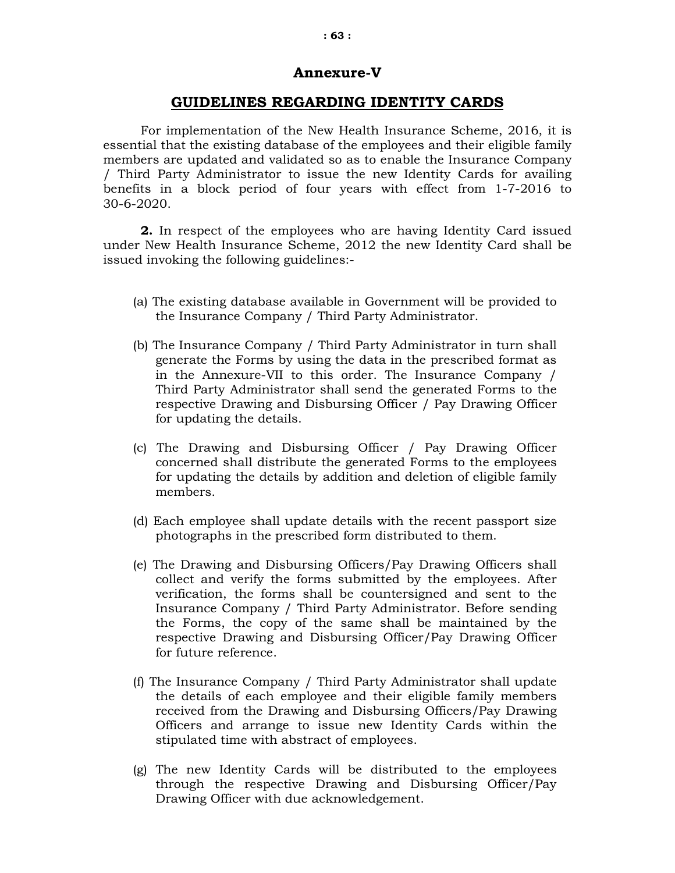# **Annexure-V**

### **GUIDELINES REGARDING IDENTITY CARDS**

For implementation of the New Health Insurance Scheme, 2016, it is essential that the existing database of the employees and their eligible family members are updated and validated so as to enable the Insurance Company / Third Party Administrator to issue the new Identity Cards for availing benefits in a block period of four years with effect from 1-7-2016 to 30-6-2020.

**2.** In respect of the employees who are having Identity Card issued under New Health Insurance Scheme, 2012 the new Identity Card shall be issued invoking the following guidelines:-

- (a) The existing database available in Government will be provided to the Insurance Company / Third Party Administrator.
- (b) The Insurance Company / Third Party Administrator in turn shall generate the Forms by using the data in the prescribed format as in the Annexure-VII to this order. The Insurance Company / Third Party Administrator shall send the generated Forms to the respective Drawing and Disbursing Officer / Pay Drawing Officer for updating the details.
- (c) The Drawing and Disbursing Officer / Pay Drawing Officer concerned shall distribute the generated Forms to the employees for updating the details by addition and deletion of eligible family members.
- (d) Each employee shall update details with the recent passport size photographs in the prescribed form distributed to them.
- (e) The Drawing and Disbursing Officers/Pay Drawing Officers shall collect and verify the forms submitted by the employees. After verification, the forms shall be countersigned and sent to the Insurance Company / Third Party Administrator. Before sending the Forms, the copy of the same shall be maintained by the respective Drawing and Disbursing Officer/Pay Drawing Officer for future reference.
- (f) The Insurance Company / Third Party Administrator shall update the details of each employee and their eligible family members received from the Drawing and Disbursing Officers/Pay Drawing Officers and arrange to issue new Identity Cards within the stipulated time with abstract of employees.
- (g) The new Identity Cards will be distributed to the employees through the respective Drawing and Disbursing Officer/Pay Drawing Officer with due acknowledgement.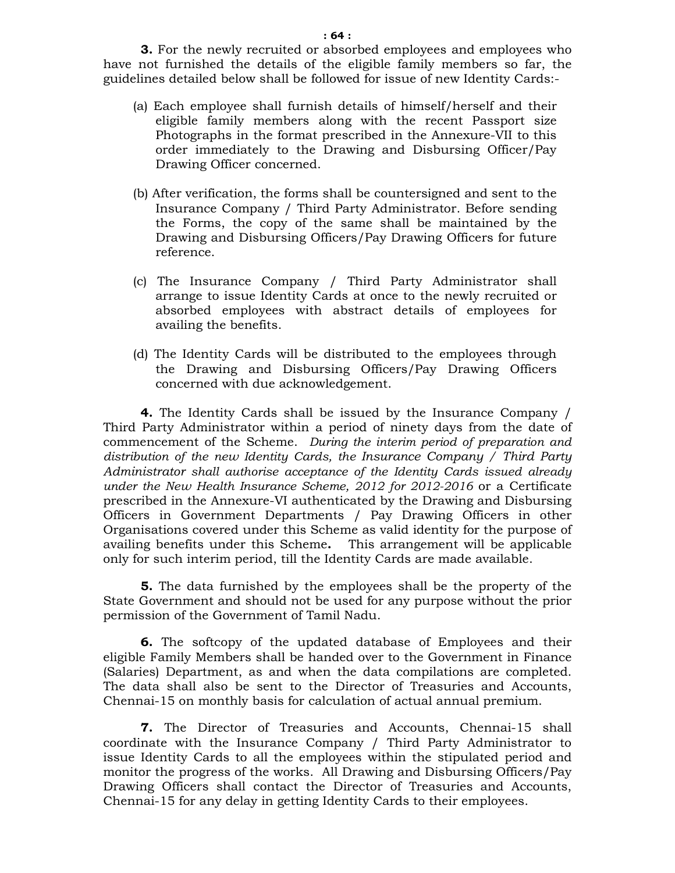**3.** For the newly recruited or absorbed employees and employees who have not furnished the details of the eligible family members so far, the guidelines detailed below shall be followed for issue of new Identity Cards:-

- (a) Each employee shall furnish details of himself/herself and their eligible family members along with the recent Passport size Photographs in the format prescribed in the Annexure-VII to this order immediately to the Drawing and Disbursing Officer/Pay Drawing Officer concerned.
- (b) After verification, the forms shall be countersigned and sent to the Insurance Company / Third Party Administrator. Before sending the Forms, the copy of the same shall be maintained by the Drawing and Disbursing Officers/Pay Drawing Officers for future reference.
- (c) The Insurance Company / Third Party Administrator shall arrange to issue Identity Cards at once to the newly recruited or absorbed employees with abstract details of employees for availing the benefits.
- (d) The Identity Cards will be distributed to the employees through the Drawing and Disbursing Officers/Pay Drawing Officers concerned with due acknowledgement.

**4.** The Identity Cards shall be issued by the Insurance Company / Third Party Administrator within a period of ninety days from the date of commencement of the Scheme. *During the interim period of preparation and distribution of the new Identity Cards, the Insurance Company / Third Party Administrator shall authorise acceptance of the Identity Cards issued already under the New Health Insurance Scheme, 2012 for 2012-2016* or a Certificate prescribed in the Annexure-VI authenticated by the Drawing and Disbursing Officers in Government Departments / Pay Drawing Officers in other Organisations covered under this Scheme as valid identity for the purpose of availing benefits under this Scheme**.** This arrangement will be applicable only for such interim period, till the Identity Cards are made available.

**5.** The data furnished by the employees shall be the property of the State Government and should not be used for any purpose without the prior permission of the Government of Tamil Nadu.

**6.** The softcopy of the updated database of Employees and their eligible Family Members shall be handed over to the Government in Finance (Salaries) Department, as and when the data compilations are completed. The data shall also be sent to the Director of Treasuries and Accounts, Chennai-15 on monthly basis for calculation of actual annual premium.

**7.** The Director of Treasuries and Accounts, Chennai-15 shall coordinate with the Insurance Company / Third Party Administrator to issue Identity Cards to all the employees within the stipulated period and monitor the progress of the works. All Drawing and Disbursing Officers/Pay Drawing Officers shall contact the Director of Treasuries and Accounts, Chennai-15 for any delay in getting Identity Cards to their employees.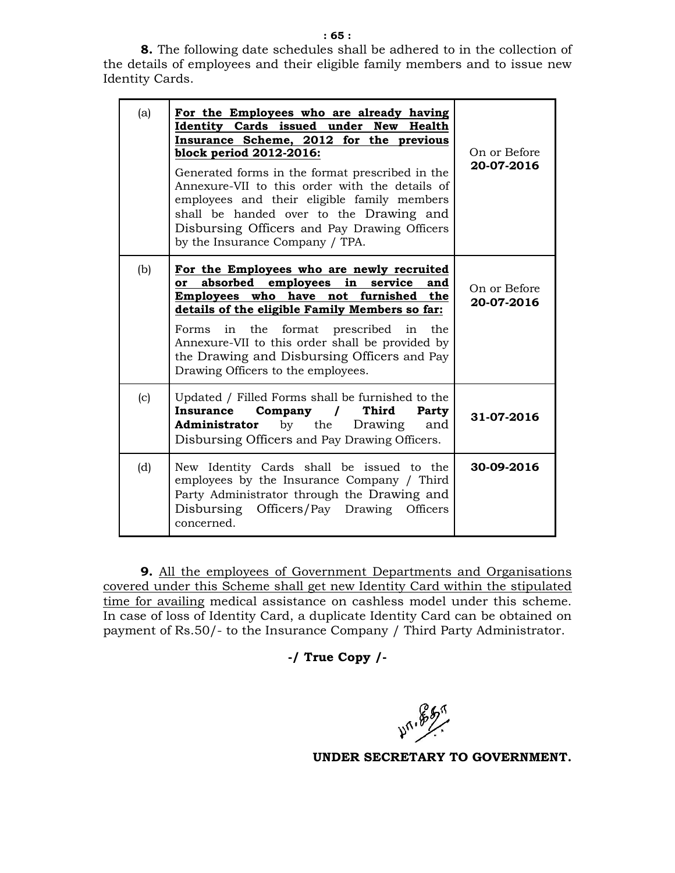**8.** The following date schedules shall be adhered to in the collection of the details of employees and their eligible family members and to issue new Identity Cards.

| (a) | For the Employees who are already having<br>Identity Cards issued under New Health<br>Insurance Scheme, 2012 for the previous<br>block period 2012-2016:<br>Generated forms in the format prescribed in the<br>Annexure-VII to this order with the details of<br>employees and their eligible family members<br>shall be handed over to the Drawing and<br>Disbursing Officers and Pay Drawing Officers<br>by the Insurance Company / TPA. | On or Before<br>20-07-2016 |
|-----|--------------------------------------------------------------------------------------------------------------------------------------------------------------------------------------------------------------------------------------------------------------------------------------------------------------------------------------------------------------------------------------------------------------------------------------------|----------------------------|
| (b) | For the Employees who are newly recruited<br>absorbed employees in<br>service and<br>or<br>Employees who have not furnished the<br>details of the eligible Family Members so far:<br>Forms in the format prescribed in the<br>Annexure-VII to this order shall be provided by<br>the Drawing and Disbursing Officers and Pay<br>Drawing Officers to the employees.                                                                         | On or Before<br>20-07-2016 |
| (c) | Updated / Filled Forms shall be furnished to the<br><b>Third</b><br>Company<br><b>Insurance</b><br>$\overline{1}$<br>Party<br><b>Administrator</b> by the<br>Drawing<br>and<br>Disbursing Officers and Pay Drawing Officers.                                                                                                                                                                                                               | 31-07-2016                 |
| (d) | New Identity Cards shall be issued to the<br>employees by the Insurance Company / Third<br>Party Administrator through the Drawing and<br>Disbursing Officers/Pay Drawing Officers<br>concerned.                                                                                                                                                                                                                                           | 30-09-2016                 |

**9.** All the employees of Government Departments and Organisations covered under this Scheme shall get new Identity Card within the stipulated time for availing medical assistance on cashless model under this scheme. In case of loss of Identity Card, a duplicate Identity Card can be obtained on payment of Rs.50/- to the Insurance Company / Third Party Administrator.

### **-/ True Copy /-**

 $10^{16}$   $\frac{25}{10}$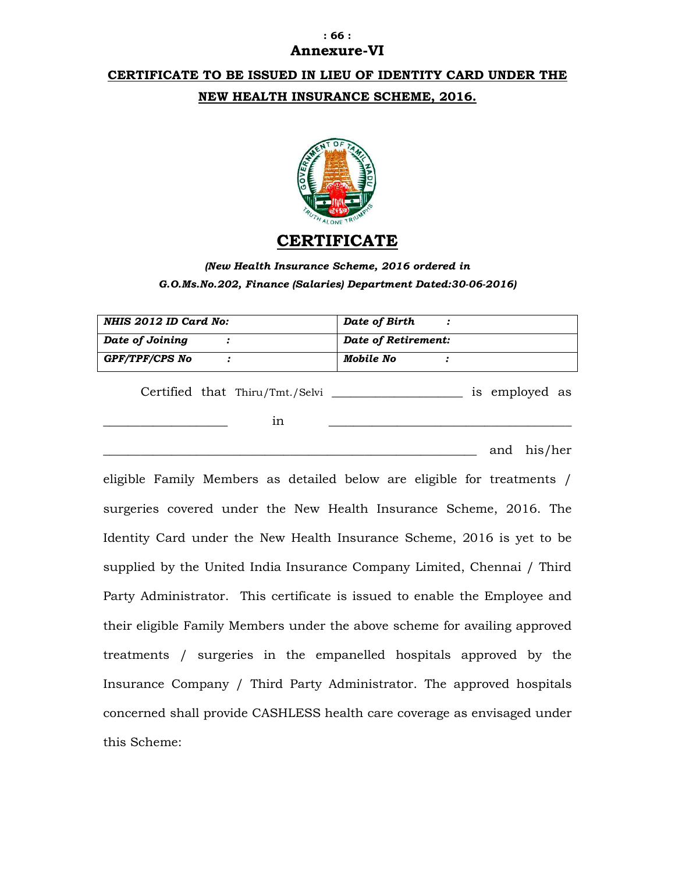### **: 66 : Annexure-VI**

# **CERTIFICATE TO BE ISSUED IN LIEU OF IDENTITY CARD UNDER THE NEW HEALTH INSURANCE SCHEME, 2016.**



# **CERTIFICATE**

*(New Health Insurance Scheme, 2016 ordered in G.O.Ms.No.202, Finance (Salaries) Department Dated:30-06-2016)* 

| NHIS 2012 ID Card No:           | Date of Birth       |
|---------------------------------|---------------------|
| Date of Joining                 | Date of Retirement: |
| GPF/TPF/CPS No                  | Mobile No           |
| Certified that Thiru/Tmt./Selvi | is employed as      |
| 1n                              |                     |

and his/her

eligible Family Members as detailed below are eligible for treatments / surgeries covered under the New Health Insurance Scheme, 2016. The Identity Card under the New Health Insurance Scheme, 2016 is yet to be supplied by the United India Insurance Company Limited, Chennai / Third Party Administrator. This certificate is issued to enable the Employee and their eligible Family Members under the above scheme for availing approved treatments / surgeries in the empanelled hospitals approved by the Insurance Company / Third Party Administrator. The approved hospitals concerned shall provide CASHLESS health care coverage as envisaged under this Scheme: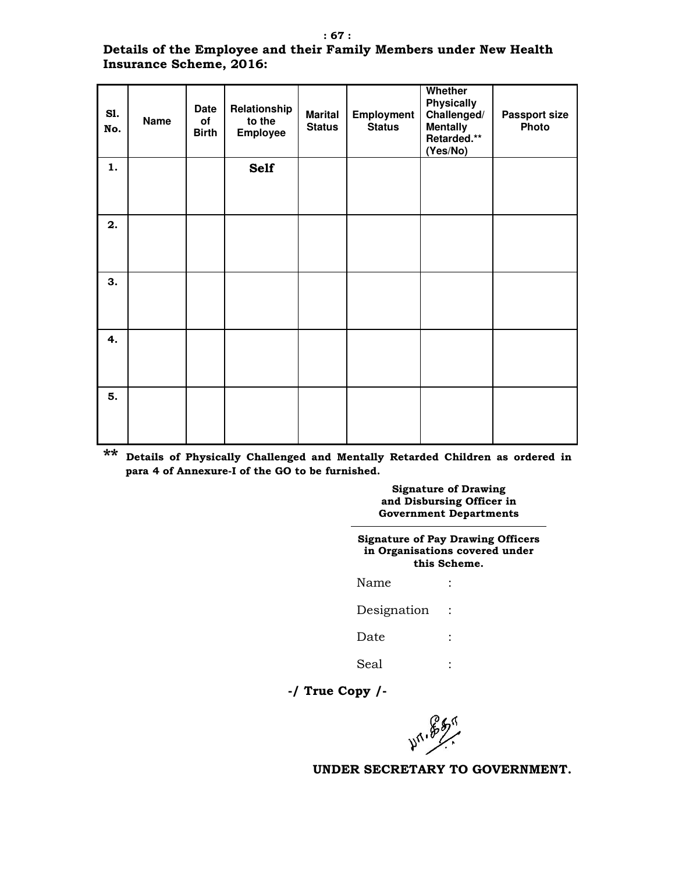### **Details of the Employee and their Family Members under New Health Insurance Scheme, 2016:**

| <b>S1.</b><br>No. | <b>Name</b> | <b>Date</b><br>of<br><b>Birth</b> | Relationship<br>to the<br><b>Employee</b> | <b>Marital</b><br><b>Status</b> | Employment<br><b>Status</b> | Whether<br><b>Physically</b><br>Challenged/<br><b>Mentally</b><br>Retarded.**<br>(Yes/No) | <b>Passport size</b><br>Photo |
|-------------------|-------------|-----------------------------------|-------------------------------------------|---------------------------------|-----------------------------|-------------------------------------------------------------------------------------------|-------------------------------|
| 1.                |             |                                   | <b>Self</b>                               |                                 |                             |                                                                                           |                               |
| 2.                |             |                                   |                                           |                                 |                             |                                                                                           |                               |
| 3.                |             |                                   |                                           |                                 |                             |                                                                                           |                               |
| 4.                |             |                                   |                                           |                                 |                             |                                                                                           |                               |
| 5.                |             |                                   |                                           |                                 |                             |                                                                                           |                               |

**\*\* Details of Physically Challenged and Mentally Retarded Children as ordered in para 4 of Annexure-I of the GO to be furnished.** 

> **Signature of Drawing and Disbursing Officer in Government Departments**

| <b>Signature of Pay Drawing Officers</b><br>in Organisations covered under<br>this Scheme. |  |  |  |  |  |
|--------------------------------------------------------------------------------------------|--|--|--|--|--|
| Name                                                                                       |  |  |  |  |  |
| Designation                                                                                |  |  |  |  |  |
| Date                                                                                       |  |  |  |  |  |
| Seal                                                                                       |  |  |  |  |  |

**-/ True Copy /-** 

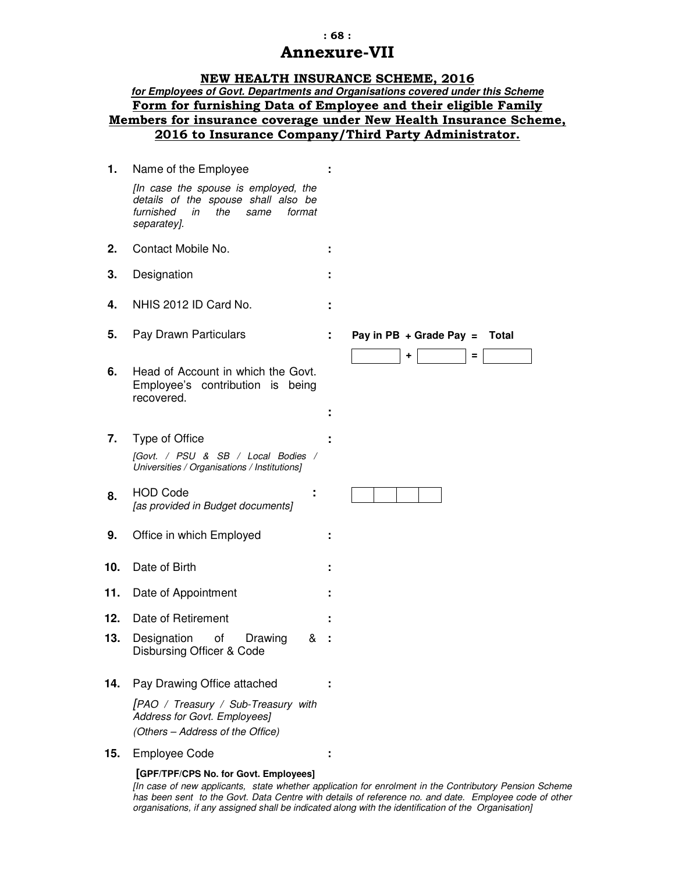### **: 68 : Annexure-VII**

#### **NEW HEALTH INSURANCE SCHEME, 2016**

### **for Employees of Govt. Departments and Organisations covered under this Scheme Form for furnishing Data of Employee and their eligible Family Members for insurance coverage under New Health Insurance Scheme, 2016 to Insurance Company/Third Party Administrator.**

| 1.  | Name of the Employee                                                                                                                   |                                              |
|-----|----------------------------------------------------------------------------------------------------------------------------------------|----------------------------------------------|
|     | [In case the spouse is employed, the<br>details of the spouse shall also be<br>furnished<br>the<br>in<br>same<br>format<br>separatey]. |                                              |
| 2.  | Contact Mobile No.                                                                                                                     |                                              |
| 3.  | Designation                                                                                                                            |                                              |
| 4.  | NHIS 2012 ID Card No.                                                                                                                  |                                              |
| 5.  | Pay Drawn Particulars                                                                                                                  | Pay in PB $+$ Grade Pay =<br>Total<br>+<br>Ξ |
| 6.  | Head of Account in which the Govt.<br>Employee's contribution is<br>being<br>recovered.                                                |                                              |
| 7.  | Type of Office<br>[Govt. / PSU & SB / Local Bodies /<br>Universities / Organisations / Institutions]                                   |                                              |
| 8.  | <b>HOD Code</b><br>[as provided in Budget documents]                                                                                   |                                              |
| 9.  | Office in which Employed                                                                                                               |                                              |
| 10. | Date of Birth                                                                                                                          |                                              |
| 11. | Date of Appointment                                                                                                                    |                                              |
| 12. | Date of Retirement                                                                                                                     |                                              |
| 13. | Drawing<br>Designation<br>οf<br>&<br><b>Disbursing Officer &amp; Code</b>                                                              |                                              |
| 14. | Pay Drawing Office attached                                                                                                            |                                              |
|     | [PAO / Treasury / Sub-Treasury with<br>Address for Govt. Employees]<br>(Others - Address of the Office)                                |                                              |
| 15. | <b>Employee Code</b>                                                                                                                   |                                              |

#### **[GPF/TPF/CPS No. for Govt. Employees]**

[In case of new applicants, state whether application for enrolment in the Contributory Pension Scheme has been sent to the Govt. Data Centre with details of reference no. and date. Employee code of other organisations, if any assigned shall be indicated along with the identification of the Organisation]